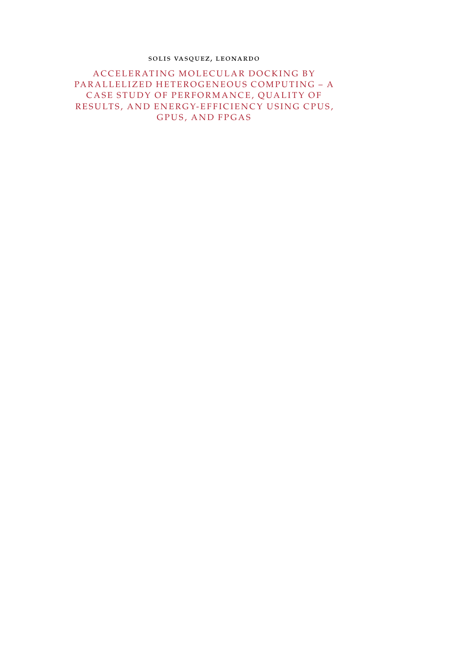### solis vasquez, leonardo

A C C E L E RATING MOLE CULAR DO CKING BY PARALLELIZED HETEROGENEOUS COMPUTING - A CASE STUDY OF PERFORMANCE, QUALITY OF RESULTS, AND ENERGY-EFFICIENCY USING CPUS, GPUS, AND FPGAS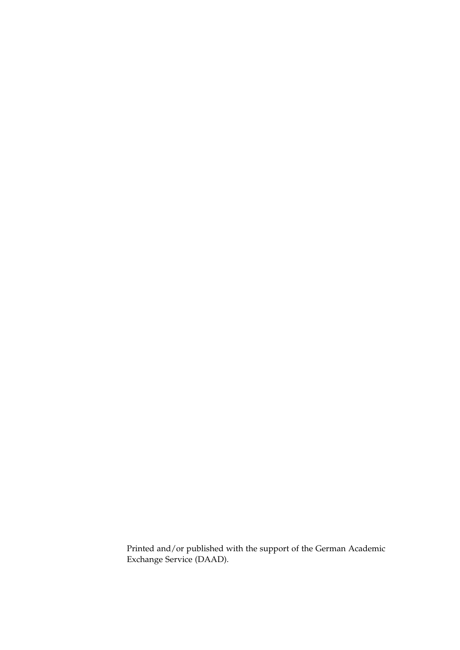Printed and/or published with the support of the German Academic Exchange Service (DAAD).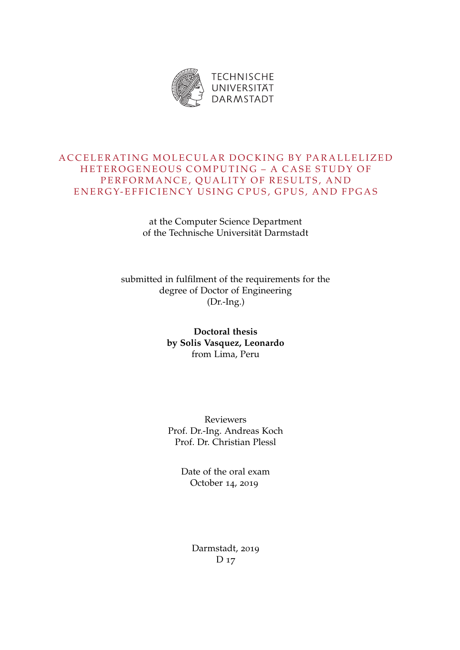

# A C C E L E RATING MOLE CULAR DO CKING BY PARALLELIZED HETEROGENEOUS COMPUTING - A CASE STUDY OF PERFORMANCE, QUALITY OF RESULTS, AND ENERGY-EFFICIENCY USING CPUS, GPUS, AND FPGAS

at the Computer Science Department of the Technische Universität Darmstadt

submitted in fulfilment of the requirements for the degree of Doctor of Engineering (Dr.-Ing.)

> **Doctoral thesis by Solis Vasquez, Leonardo** from Lima, Peru

> Reviewers Prof. Dr.-Ing. Andreas Koch Prof. Dr. Christian Plessl

> > Date of the oral exam October 14, 2019

> > > Darmstadt, 2019 D<sub>17</sub>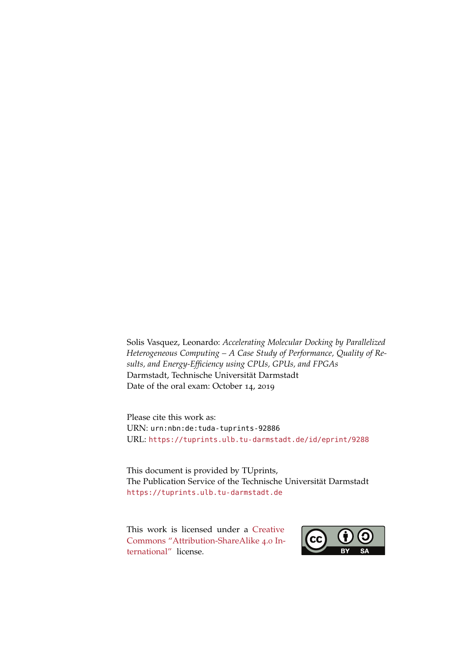Solis Vasquez, Leonardo: *Accelerating Molecular Docking by Parallelized Heterogeneous Computing – A Case Study of Performance, Quality of Results, and Energy-Efficiency using CPUs, GPUs, and FPGAs* Darmstadt, Technische Universität Darmstadt Date of the oral exam: October 14, 2019

Please cite this work as: URN: urn:nbn:de:tuda-tuprints-92886 URL: <https://tuprints.ulb.tu-darmstadt.de/id/eprint/9288>

This document is provided by TUprints, The Publication Service of the Technische Universität Darmstadt <https://tuprints.ulb.tu-darmstadt.de>

This work is licensed under a [Creative](https://creativecommons.org/licenses/by-sa/4.0/deed.en) [Commons "Attribution-ShareAlike](https://creativecommons.org/licenses/by-sa/4.0/deed.en) 4.0 In[ternational"](https://creativecommons.org/licenses/by-sa/4.0/deed.en) license.

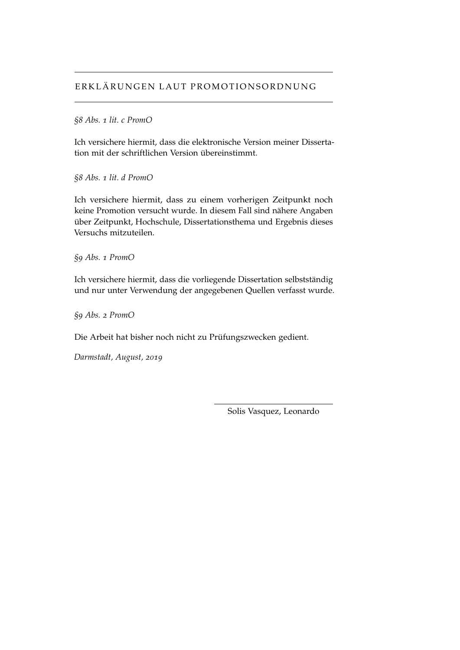# ERKLÄRUNGEN LAUT PROMOTIONSORDNUNG

### *§8 Abs. 1 lit. c PromO*

Ich versichere hiermit, dass die elektronische Version meiner Dissertation mit der schriftlichen Version übereinstimmt.

*§8 Abs. 1 lit. d PromO*

Ich versichere hiermit, dass zu einem vorherigen Zeitpunkt noch keine Promotion versucht wurde. In diesem Fall sind nähere Angaben über Zeitpunkt, Hochschule, Dissertationsthema und Ergebnis dieses Versuchs mitzuteilen.

*§9 Abs. 1 PromO*

Ich versichere hiermit, dass die vorliegende Dissertation selbstständig und nur unter Verwendung der angegebenen Quellen verfasst wurde.

*§9 Abs. 2 PromO*

Die Arbeit hat bisher noch nicht zu Prüfungszwecken gedient.

*Darmstadt, August, 2019*

Solis Vasquez, Leonardo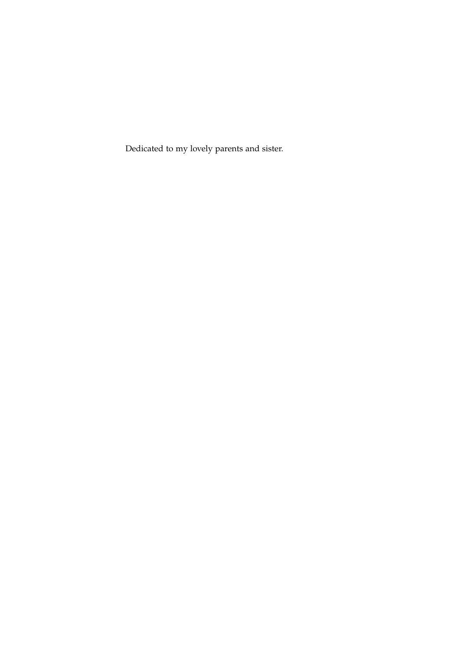Dedicated to my lovely parents and sister.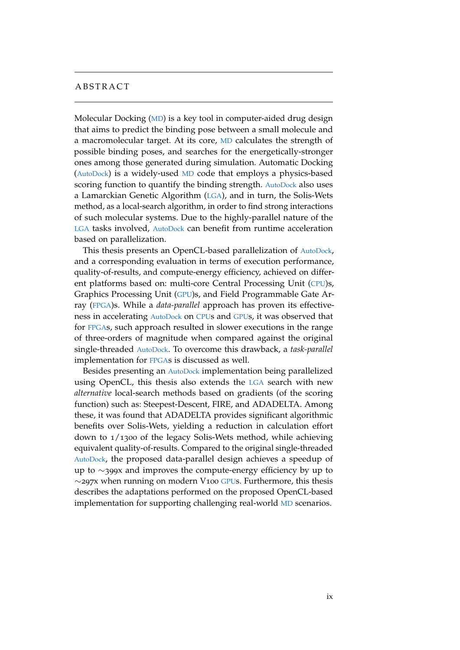## **ABSTRACT**

Molecular Docking ([MD](#page-22-0)) is a key tool in computer-aided drug design that aims to predict the binding pose between a small molecule and a macromolecular target. At its core, [MD](#page-22-0) calculates the strength of possible binding poses, and searches for the energetically-stronger ones among those generated during simulation. Automatic Docking ([AutoDock](#page-22-1)) is a widely-used [MD](#page-22-0) code that employs a physics-based scoring function to quantify the binding strength. [AutoDock](#page-22-1) also uses a Lamarckian Genetic Algorithm ([LGA](#page-22-2)), and in turn, the Solis-Wets method, as a local-search algorithm, in order to find strong interactions of such molecular systems. Due to the highly-parallel nature of the [LGA](#page-22-2) tasks involved, [AutoDock](#page-22-1) can benefit from runtime acceleration based on parallelization.

This thesis presents an OpenCL-based parallelization of [AutoDock](#page-22-1), and a corresponding evaluation in terms of execution performance, quality-of-results, and compute-energy efficiency, achieved on different platforms based on: multi-core Central Processing Unit ([CPU](#page-22-3))s, Graphics Processing Unit ([GPU](#page-22-4))s, and Field Programmable Gate Array ([FPGA](#page-22-5))s. While a *data-parallel* approach has proven its effectiveness in accelerating [AutoDock](#page-22-1) on [CPU](#page-22-3)s and [GPU](#page-22-4)s, it was observed that for [FPGA](#page-22-5)s, such approach resulted in slower executions in the range of three-orders of magnitude when compared against the original single-threaded [AutoDock](#page-22-1). To overcome this drawback, a *task-parallel* implementation for [FPGA](#page-22-5)s is discussed as well.

Besides presenting an [AutoDock](#page-22-1) implementation being parallelized using OpenCL, this thesis also extends the [LGA](#page-22-2) search with new *alternative* local-search methods based on gradients (of the scoring function) such as: Steepest-Descent, FIRE, and ADADELTA. Among these, it was found that ADADELTA provides significant algorithmic benefits over Solis-Wets, yielding a reduction in calculation effort down to 1/1300 of the legacy Solis-Wets method, while achieving equivalent quality-of-results. Compared to the original single-threaded [AutoDock](#page-22-1), the proposed data-parallel design achieves a speedup of up to ∼399x and improves the compute-energy efficiency by up to ∼297x when running on modern V100 [GPU](#page-22-4)s. Furthermore, this thesis describes the adaptations performed on the proposed OpenCL-based implementation for supporting challenging real-world [MD](#page-22-0) scenarios.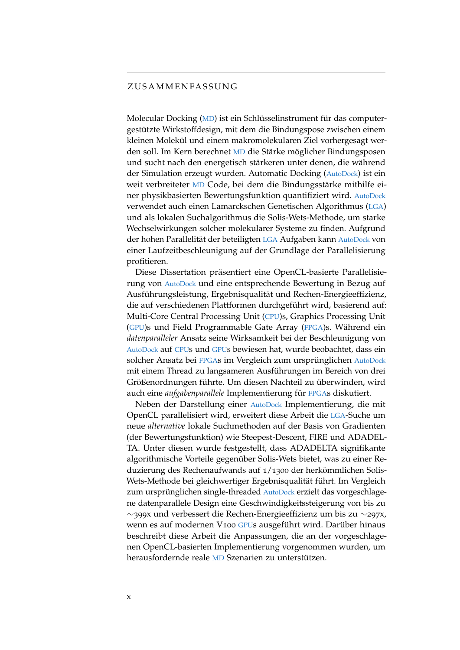#### ZUSAMMENFASSUNG

Molecular Docking ([MD](#page-22-0)) ist ein Schlüsselinstrument für das computergestützte Wirkstoffdesign, mit dem die Bindungspose zwischen einem kleinen Molekül und einem makromolekularen Ziel vorhergesagt werden soll. Im Kern berechnet [MD](#page-22-0) die Stärke möglicher Bindungsposen und sucht nach den energetisch stärkeren unter denen, die während der Simulation erzeugt wurden. Automatic Docking ([AutoDock](#page-22-1)) ist ein weit verbreiteter [MD](#page-22-0) Code, bei dem die Bindungsstärke mithilfe einer physikbasierten Bewertungsfunktion quantifiziert wird. [AutoDock](#page-22-1) verwendet auch einen Lamarckschen Genetischen Algorithmus ([LGA](#page-22-2)) und als lokalen Suchalgorithmus die Solis-Wets-Methode, um starke Wechselwirkungen solcher molekularer Systeme zu finden. Aufgrund der hohen Parallelität der beteiligten [LGA](#page-22-2) Aufgaben kann [AutoDock](#page-22-1) von einer Laufzeitbeschleunigung auf der Grundlage der Parallelisierung profitieren.

Diese Dissertation präsentiert eine OpenCL-basierte Parallelisierung von [AutoDock](#page-22-1) und eine entsprechende Bewertung in Bezug auf Ausführungsleistung, Ergebnisqualität und Rechen-Energieeffizienz, die auf verschiedenen Plattformen durchgeführt wird, basierend auf: Multi-Core Central Processing Unit ([CPU](#page-22-3))s, Graphics Processing Unit ([GPU](#page-22-4))s und Field Programmable Gate Array ([FPGA](#page-22-5))s. Während ein *datenparalleler* Ansatz seine Wirksamkeit bei der Beschleunigung von [AutoDock](#page-22-1) auf [CPU](#page-22-3)s und [GPU](#page-22-4)s bewiesen hat, wurde beobachtet, dass ein solcher Ansatz bei [FPGA](#page-22-5)s im Vergleich zum ursprünglichen [AutoDock](#page-22-1) mit einem Thread zu langsameren Ausführungen im Bereich von drei Größenordnungen führte. Um diesen Nachteil zu überwinden, wird auch eine *aufgabenparallele* Implementierung für [FPGA](#page-22-5)s diskutiert.

Neben der Darstellung einer [AutoDock](#page-22-1) Implementierung, die mit OpenCL parallelisiert wird, erweitert diese Arbeit die [LGA](#page-22-2)-Suche um neue *alternative* lokale Suchmethoden auf der Basis von Gradienten (der Bewertungsfunktion) wie Steepest-Descent, FIRE und ADADEL-TA. Unter diesen wurde festgestellt, dass ADADELTA signifikante algorithmische Vorteile gegenüber Solis-Wets bietet, was zu einer Reduzierung des Rechenaufwands auf 1/1300 der herkömmlichen Solis-Wets-Methode bei gleichwertiger Ergebnisqualität führt. Im Vergleich zum ursprünglichen single-threaded [AutoDock](#page-22-1) erzielt das vorgeschlagene datenparallele Design eine Geschwindigkeitssteigerung von bis zu ∼399x und verbessert die Rechen-Energieeffizienz um bis zu ∼297x, wenn es auf modernen V100 [GPU](#page-22-4)s ausgeführt wird. Darüber hinaus beschreibt diese Arbeit die Anpassungen, die an der vorgeschlagenen OpenCL-basierten Implementierung vorgenommen wurden, um herausfordernde reale [MD](#page-22-0) Szenarien zu unterstützen.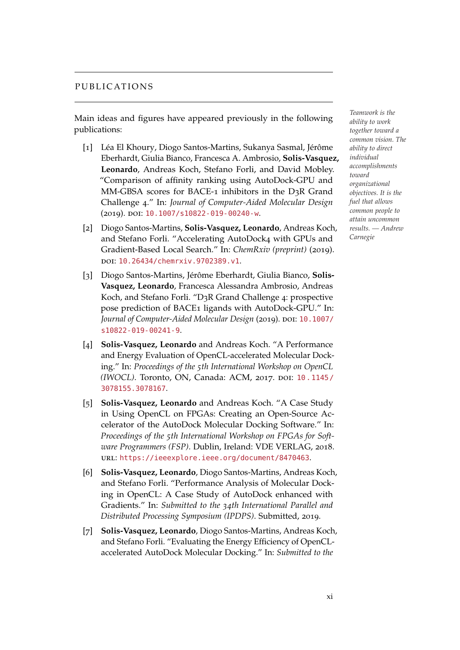### PUBLICATIONS

Main ideas and figures have appeared previously in the following publications:

- [1] Léa El Khoury, Diogo Santos-Martins, Sukanya Sasmal, Jérôme Eberhardt, Giulia Bianco, Francesca A. Ambrosio, **Solis-Vasquez, Leonardo**, Andreas Koch, Stefano Forli, and David Mobley. "Comparison of affinity ranking using AutoDock-GPU and MM-GBSA scores for BACE-1 inhibitors in the D3R Grand Challenge 4." In: *Journal of Computer-Aided Molecular Design* (2019). doi: [10.1007/s10822-019-00240-w](http://dx.doi.org/10.1007/s10822-019-00240-w).
- [2] Diogo Santos-Martins, **Solis-Vasquez, Leonardo**, Andreas Koch, and Stefano Forli. "Accelerating AutoDock4 with GPUs and Gradient-Based Local Search." In: *ChemRxiv (preprint)* (2019). doi: [10.26434/chemrxiv.9702389.v1](http://dx.doi.org/10.26434/chemrxiv.9702389.v1).
- [3] Diogo Santos-Martins, Jérôme Eberhardt, Giulia Bianco, **Solis-Vasquez, Leonardo**, Francesca Alessandra Ambrosio, Andreas Koch, and Stefano Forli. "D3R Grand Challenge 4: prospective pose prediction of BACE1 ligands with AutoDock-GPU." In: Journal of Computer-Aided Molecular Design (2019). DOI: [10.1007/](http://dx.doi.org/10.1007/s10822-019-00241-9) [s10822-019-00241-9](http://dx.doi.org/10.1007/s10822-019-00241-9).
- [4] **Solis-Vasquez, Leonardo** and Andreas Koch. "A Performance and Energy Evaluation of OpenCL-accelerated Molecular Docking." In: *Proceedings of the 5th International Workshop on OpenCL (IWOCL)*. Toronto, ON, Canada: ACM, 2017. DOI: [10.1145/](http://dx.doi.org/10.1145/3078155.3078167) [3078155.3078167](http://dx.doi.org/10.1145/3078155.3078167).
- [5] **Solis-Vasquez, Leonardo** and Andreas Koch. "A Case Study in Using OpenCL on FPGAs: Creating an Open-Source Accelerator of the AutoDock Molecular Docking Software." In: *Proceedings of the 5th International Workshop on FPGAs for Software Programmers (FSP)*. Dublin, Ireland: VDE VERLAG, 2018. url: <https://ieeexplore.ieee.org/document/8470463>.
- [6] **Solis-Vasquez, Leonardo**, Diogo Santos-Martins, Andreas Koch, and Stefano Forli. "Performance Analysis of Molecular Docking in OpenCL: A Case Study of AutoDock enhanced with Gradients." In: *Submitted to the 34th International Parallel and Distributed Processing Symposium (IPDPS)*. Submitted, 2019.
- [7] **Solis-Vasquez, Leonardo**, Diogo Santos-Martins, Andreas Koch, and Stefano Forli. "Evaluating the Energy Efficiency of OpenCLaccelerated AutoDock Molecular Docking." In: *Submitted to the*

*Teamwork is the ability to work together toward a common vision. The ability to direct individual accomplishments toward organizational objectives. It is the fuel that allows common people to attain uncommon results. — Andrew Carnegie*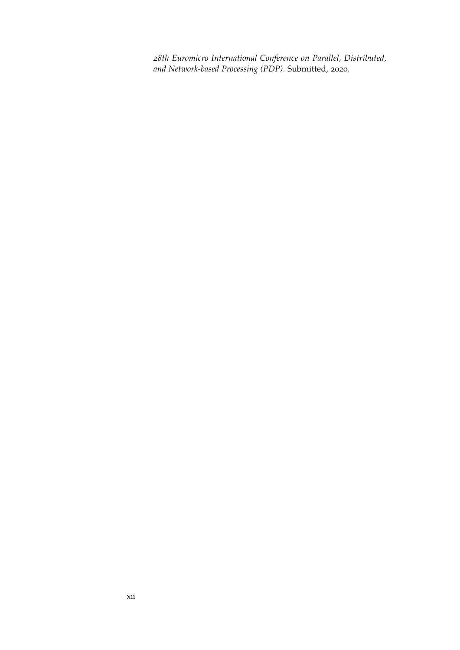*28th Euromicro International Conference on Parallel, Distributed, and Network-based Processing (PDP)*. Submitted, 2020.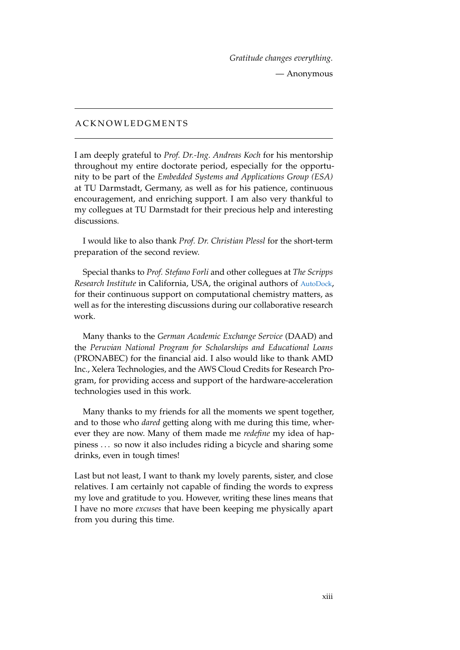*Gratitude changes everything.* — Anonymous

## **A C K N O W L E D G M E N T S**

I am deeply grateful to *Prof. Dr.-Ing. Andreas Koch* for his mentorship throughout my entire doctorate period, especially for the opportunity to be part of the *Embedded Systems and Applications Group (ESA)* at TU Darmstadt, Germany, as well as for his patience, continuous encouragement, and enriching support. I am also very thankful to my collegues at TU Darmstadt for their precious help and interesting discussions.

I would like to also thank *Prof. Dr. Christian Plessl* for the short-term preparation of the second review.

Special thanks to *Prof. Stefano Forli* and other collegues at *The Scripps Research Institute* in California, USA, the original authors of [AutoDock](#page-22-1), for their continuous support on computational chemistry matters, as well as for the interesting discussions during our collaborative research work.

Many thanks to the *German Academic Exchange Service* (DAAD) and the *Peruvian National Program for Scholarships and Educational Loans* (PRONABEC) for the financial aid. I also would like to thank AMD Inc., Xelera Technologies, and the AWS Cloud Credits for Research Program, for providing access and support of the hardware-acceleration technologies used in this work.

Many thanks to my friends for all the moments we spent together, and to those who *dared* getting along with me during this time, wherever they are now. Many of them made me *redefine* my idea of happiness . . . so now it also includes riding a bicycle and sharing some drinks, even in tough times!

Last but not least, I want to thank my lovely parents, sister, and close relatives. I am certainly not capable of finding the words to express my love and gratitude to you. However, writing these lines means that I have no more *excuses* that have been keeping me physically apart from you during this time.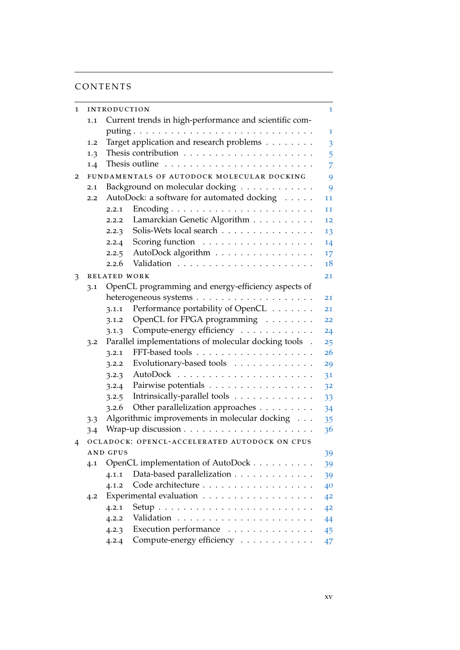# CONTENTS

| 1 | <b>INTRODUCTION</b>                                           |                                                                              |    |
|---|---------------------------------------------------------------|------------------------------------------------------------------------------|----|
|   | Current trends in high-performance and scientific com-<br>1.1 |                                                                              |    |
|   |                                                               |                                                                              | 1  |
|   | 1.2                                                           | Target application and research problems                                     | 3  |
|   | 1.3                                                           |                                                                              | 5  |
|   | 1.4                                                           |                                                                              | 7  |
| 2 |                                                               | FUNDAMENTALS OF AUTODOCK MOLECULAR DOCKING                                   | 9  |
|   | 2.1                                                           | Background on molecular docking                                              | 9  |
|   | 2.2                                                           | AutoDock: a software for automated docking                                   | 11 |
|   |                                                               | 2.2.1                                                                        | 11 |
|   |                                                               | Lamarckian Genetic Algorithm<br>2.2.2                                        | 12 |
|   |                                                               | Solis-Wets local search<br>2.2.3                                             | 13 |
|   |                                                               | Scoring function<br>2.2.4                                                    | 14 |
|   |                                                               | AutoDock algorithm<br>2.2.5                                                  | 17 |
|   |                                                               | 2.2.6                                                                        | 18 |
| 3 |                                                               | RELATED WORK                                                                 | 21 |
|   | OpenCL programming and energy-efficiency aspects of<br>3.1    |                                                                              |    |
|   |                                                               |                                                                              | 21 |
|   |                                                               | Performance portability of OpenCL<br>3.1.1                                   | 21 |
|   |                                                               | OpenCL for FPGA programming<br>3.1.2                                         | 22 |
|   |                                                               | Compute-energy efficiency<br>3.1.3                                           | 24 |
|   | 3.2                                                           | Parallel implementations of molecular docking tools .                        | 25 |
|   |                                                               | 3.2.1                                                                        | 26 |
|   |                                                               | Evolutionary-based tools<br>3.2.2                                            | 29 |
|   |                                                               | 3.2.3                                                                        | 31 |
|   |                                                               | Pairwise potentials<br>3.2.4                                                 | 32 |
|   |                                                               | Intrinsically-parallel tools<br>3.2.5                                        | 33 |
|   |                                                               | Other parallelization approaches<br>3.2.6                                    | 34 |
|   | 3.3                                                           | Algorithmic improvements in molecular docking                                | 35 |
|   | $3-4$                                                         |                                                                              | 36 |
| 4 |                                                               | OCLADOCK: OPENCL-ACCELERATED AUTODOCK ON CPUS                                |    |
|   |                                                               | <b>AND GPUS</b>                                                              | 39 |
|   | 4.1                                                           | OpenCL implementation of AutoDock                                            | 39 |
|   |                                                               | Data-based parallelization<br>4.1.1                                          | 39 |
|   |                                                               | Code architecture<br>4.1.2                                                   | 40 |
|   | 4.2                                                           |                                                                              | 42 |
|   |                                                               | $Setup \dots \dots \dots \dots \dots \dots \dots \dots \dots \dots$<br>4.2.1 | 42 |
|   |                                                               | 4.2.2                                                                        | 44 |
|   |                                                               | Execution performance<br>4.2.3                                               | 45 |
|   |                                                               | Compute-energy efficiency<br>4.2.4                                           | 47 |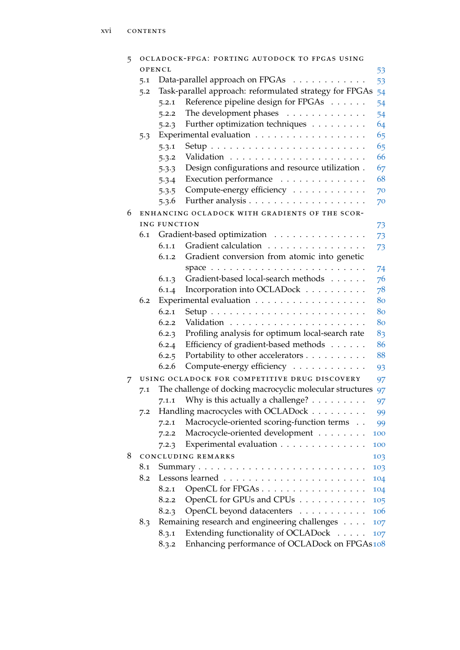| 5 |        |              | OCLADOCK-FPGA: PORTING AUTODOCK TO FPGAS USING               |     |
|---|--------|--------------|--------------------------------------------------------------|-----|
|   | OPENCL |              |                                                              | 53  |
|   | 5.1    |              | Data-parallel approach on FPGAs                              | 53  |
|   | 5.2    |              | Task-parallel approach: reformulated strategy for FPGAs      | 54  |
|   |        | 5.2.1        | Reference pipeline design for FPGAs                          | 54  |
|   |        | 5.2.2        | The development phases                                       | 54  |
|   |        | 5.2.3        | Further optimization techniques                              | 64  |
|   | 5.3    |              |                                                              | 65  |
|   |        | 5.3.1        |                                                              | 65  |
|   |        | 5.3.2        |                                                              | 66  |
|   |        | 5.3.3        | Design configurations and resource utilization.              | 67  |
|   |        | 5.3.4        | Execution performance                                        | 68  |
|   |        | 5.3.5        | Compute-energy efficiency                                    | 70  |
|   |        | 5.3.6        |                                                              | 70  |
| 6 |        |              | ENHANCING OCLADOCK WITH GRADIENTS OF THE SCOR-               |     |
|   |        | ING FUNCTION |                                                              | 73  |
|   | 6.1    |              | Gradient-based optimization                                  | 73  |
|   |        | 6.1.1        | Gradient calculation                                         | 73  |
|   |        | 6.1.2        | Gradient conversion from atomic into genetic                 |     |
|   |        |              |                                                              | 74  |
|   |        | 6.1.3        | Gradient-based local-search methods                          | 76  |
|   |        | 6.1.4        | Incorporation into OCLADock                                  | 78  |
|   | 6.2    |              |                                                              | 80  |
|   |        | 6.2.1        |                                                              | 80  |
|   |        | 6.2.2        |                                                              | 80  |
|   |        | 6.2.3        | Profiling analysis for optimum local-search rate             | 83  |
|   |        | 6.2.4        | Efficiency of gradient-based methods                         | 86  |
|   |        | 6.2.5        | Portability to other accelerators                            | 88  |
|   |        | 6.2.6        | Compute-energy efficiency                                    | 93  |
| 7 |        |              | USING OCLADOCK FOR COMPETITIVE DRUG DISCOVERY                | 97  |
|   | 7.1    |              | The challenge of docking macrocyclic molecular structures 97 |     |
|   |        |              | 7.1.1 Why is this actually a challenge?                      | 97  |
|   | 7.2    |              | Handling macrocycles with OCLADock                           | 99  |
|   |        | 7.2.1        | Macrocycle-oriented scoring-function terms                   | 99  |
|   |        | 7.2.2        | Macrocycle-oriented development                              | 100 |
|   |        | 7.2.3        | Experimental evaluation                                      | 100 |
| 8 |        |              | <b>CONCLUDING REMARKS</b>                                    | 103 |
|   | 8.1    |              |                                                              | 103 |
|   | 8.2    |              |                                                              | 104 |
|   |        | 8.2.1        | OpenCL for FPGAs                                             | 104 |
|   |        | 8.2.2        | OpenCL for GPUs and CPUs                                     | 105 |
|   |        | 8.2.3        | OpenCL beyond datacenters                                    | 106 |
|   | 8.3    |              | Remaining research and engineering challenges                | 107 |
|   |        | 8.3.1        | Extending functionality of OCLADock                          | 107 |
|   |        | 8.3.2        | Enhancing performance of OCLADock on FPGAs108                |     |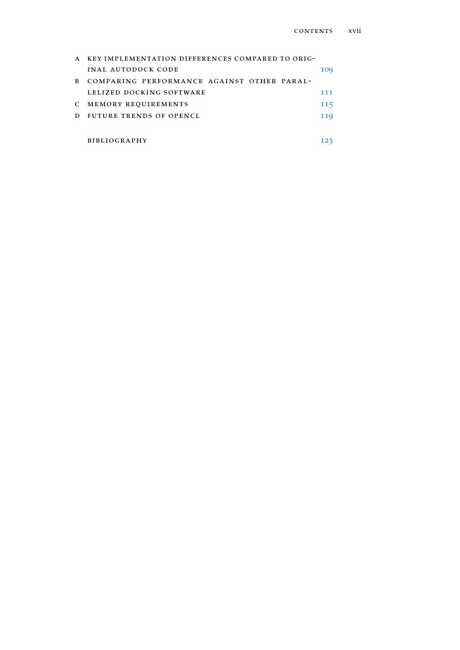| A  | KEY IMPLEMENTATION DIFFERENCES COMPARED TO ORIG- |     |
|----|--------------------------------------------------|-----|
|    | INAL AUTODOCK CODE                               | 10Q |
| B. | COMPARING PERFORMANCE AGAINST OTHER PARAL-       |     |
|    | LELIZED DOCKING SOFTWARE                         | 111 |
| C  | MEMORY REQUIREMENTS                              | 115 |
| D  | FUTURE TRENDS OF OPENCL                          | 119 |
|    |                                                  |     |
|    | <b>BIBLIOGRAPHY</b>                              |     |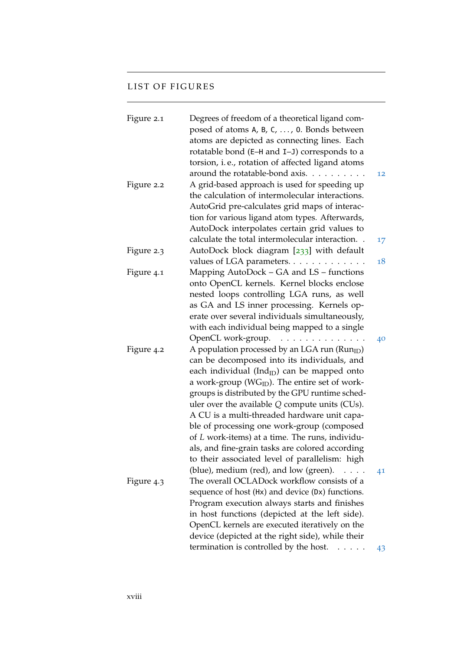## LIST OF FIGURES

| Figure 2.1 | Degrees of freedom of a theoretical ligand com-<br>posed of atoms A, B, C, , 0. Bonds between<br>atoms are depicted as connecting lines. Each<br>rotatable bond (E-H and I-J) corresponds to a |    |
|------------|------------------------------------------------------------------------------------------------------------------------------------------------------------------------------------------------|----|
|            | torsion, i.e., rotation of affected ligand atoms                                                                                                                                               |    |
|            | around the rotatable-bond axis.                                                                                                                                                                | 12 |
| Figure 2.2 | A grid-based approach is used for speeding up                                                                                                                                                  |    |
|            | the calculation of intermolecular interactions.                                                                                                                                                |    |
|            | AutoGrid pre-calculates grid maps of interac-                                                                                                                                                  |    |
|            | tion for various ligand atom types. Afterwards,                                                                                                                                                |    |
|            | AutoDock interpolates certain grid values to                                                                                                                                                   |    |
|            | calculate the total intermolecular interaction                                                                                                                                                 | 17 |
| Figure 2.3 | AutoDock block diagram [233] with default                                                                                                                                                      |    |
|            | values of LGA parameters.                                                                                                                                                                      | 18 |
| Figure 4.1 | Mapping AutoDock - GA and LS - functions                                                                                                                                                       |    |
|            | onto OpenCL kernels. Kernel blocks enclose                                                                                                                                                     |    |
|            | nested loops controlling LGA runs, as well                                                                                                                                                     |    |
|            | as GA and LS inner processing. Kernels op-                                                                                                                                                     |    |
|            | erate over several individuals simultaneously,                                                                                                                                                 |    |
|            | with each individual being mapped to a single                                                                                                                                                  |    |
|            | OpenCL work-group.<br>.                                                                                                                                                                        | 40 |
| Figure 4.2 | A population processed by an LGA run (Run <sub>ID</sub> )                                                                                                                                      |    |
|            | can be decomposed into its individuals, and                                                                                                                                                    |    |
|            | each individual (Ind $_{ID}$ ) can be mapped onto                                                                                                                                              |    |
|            | a work-group ( $\text{WG}_{\text{ID}}$ ). The entire set of work-                                                                                                                              |    |
|            | groups is distributed by the GPU runtime sched-                                                                                                                                                |    |
|            | uler over the available $Q$ compute units (CUs).                                                                                                                                               |    |
|            | A CU is a multi-threaded hardware unit capa-                                                                                                                                                   |    |
|            | ble of processing one work-group (composed                                                                                                                                                     |    |
|            | of L work-items) at a time. The runs, individu-                                                                                                                                                |    |
|            | als, and fine-grain tasks are colored according                                                                                                                                                |    |
|            | to their associated level of parallelism: high                                                                                                                                                 |    |
|            | (blue), medium (red), and low (green).                                                                                                                                                         | 41 |
| Figure 4.3 | The overall OCLADock workflow consists of a                                                                                                                                                    |    |
|            | sequence of host (Hx) and device (Dx) functions.                                                                                                                                               |    |
|            | Program execution always starts and finishes                                                                                                                                                   |    |
|            | in host functions (depicted at the left side).                                                                                                                                                 |    |
|            | OpenCL kernels are executed iteratively on the                                                                                                                                                 |    |
|            | device (depicted at the right side), while their                                                                                                                                               |    |
|            | termination is controlled by the host.                                                                                                                                                         | 43 |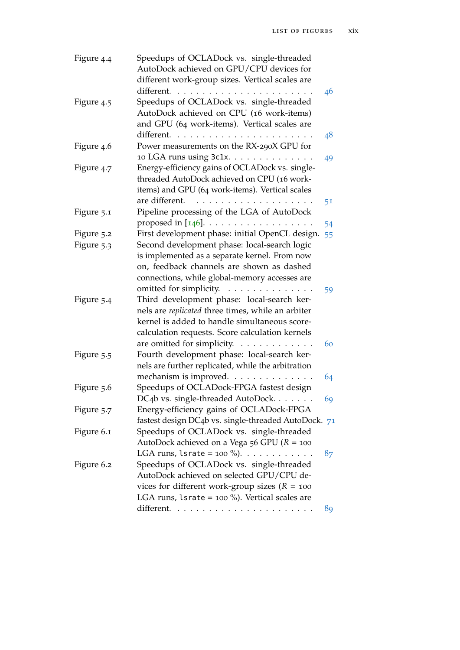| Figure 4.4 | Speedups of OCLADock vs. single-threaded<br>AutoDock achieved on GPU/CPU devices for                                                                                                                                                                                                                                                 |    |
|------------|--------------------------------------------------------------------------------------------------------------------------------------------------------------------------------------------------------------------------------------------------------------------------------------------------------------------------------------|----|
|            |                                                                                                                                                                                                                                                                                                                                      |    |
|            | different work-group sizes. Vertical scales are                                                                                                                                                                                                                                                                                      |    |
|            | different.                                                                                                                                                                                                                                                                                                                           | 46 |
| Figure 4.5 | Speedups of OCLADock vs. single-threaded                                                                                                                                                                                                                                                                                             |    |
|            | AutoDock achieved on CPU (16 work-items)                                                                                                                                                                                                                                                                                             |    |
|            | and GPU (64 work-items). Vertical scales are                                                                                                                                                                                                                                                                                         |    |
|            | different. $\ldots$                                                                                                                                                                                                                                                                                                                  | 48 |
| Figure 4.6 | Power measurements on the RX-290X GPU for                                                                                                                                                                                                                                                                                            |    |
|            | 10 LGA runs using 3c1x.                                                                                                                                                                                                                                                                                                              | 49 |
| Figure 4.7 | Energy-efficiency gains of OCLADock vs. single-                                                                                                                                                                                                                                                                                      |    |
|            | threaded AutoDock achieved on CPU (16 work-                                                                                                                                                                                                                                                                                          |    |
|            | items) and GPU (64 work-items). Vertical scales                                                                                                                                                                                                                                                                                      |    |
|            | are different.<br>$\begin{array}{cccccccccccccc} \bullet & \bullet & \bullet & \bullet & \bullet & \bullet & \bullet & \bullet & \bullet & \bullet \end{array}$<br>$\begin{array}{cccccccccccccc} \bullet & \bullet & \bullet & \bullet & \bullet & \bullet & \bullet & \bullet & \bullet & \bullet & \bullet & \bullet \end{array}$ | 51 |
| Figure 5.1 | Pipeline processing of the LGA of AutoDock                                                                                                                                                                                                                                                                                           |    |
|            | proposed in $[146]$ .                                                                                                                                                                                                                                                                                                                | 54 |
| Figure 5.2 | First development phase: initial OpenCL design.                                                                                                                                                                                                                                                                                      | 55 |
| Figure 5.3 | Second development phase: local-search logic                                                                                                                                                                                                                                                                                         |    |
|            | is implemented as a separate kernel. From now                                                                                                                                                                                                                                                                                        |    |
|            | on, feedback channels are shown as dashed                                                                                                                                                                                                                                                                                            |    |
|            | connections, while global-memory accesses are                                                                                                                                                                                                                                                                                        |    |
|            | omitted for simplicity.                                                                                                                                                                                                                                                                                                              |    |
| Figure 5.4 | Third development phase: local-search ker-                                                                                                                                                                                                                                                                                           | 59 |
|            | nels are replicated three times, while an arbiter                                                                                                                                                                                                                                                                                    |    |
|            | kernel is added to handle simultaneous score-                                                                                                                                                                                                                                                                                        |    |
|            |                                                                                                                                                                                                                                                                                                                                      |    |
|            | calculation requests. Score calculation kernels                                                                                                                                                                                                                                                                                      |    |
|            | are omitted for simplicity.                                                                                                                                                                                                                                                                                                          | 60 |
| Figure 5.5 | Fourth development phase: local-search ker-                                                                                                                                                                                                                                                                                          |    |
|            | nels are further replicated, while the arbitration                                                                                                                                                                                                                                                                                   |    |
|            | mechanism is improved.                                                                                                                                                                                                                                                                                                               | 64 |
| Figure 5.6 | Speedups of OCLADock-FPGA fastest design                                                                                                                                                                                                                                                                                             |    |
|            | DC4b vs. single-threaded AutoDock.                                                                                                                                                                                                                                                                                                   | 69 |
| Figure 5.7 | Energy-efficiency gains of OCLADock-FPGA                                                                                                                                                                                                                                                                                             |    |
|            | fastest design DC4b vs. single-threaded AutoDock. 71                                                                                                                                                                                                                                                                                 |    |
| Figure 6.1 | Speedups of OCLADock vs. single-threaded                                                                                                                                                                                                                                                                                             |    |
|            | AutoDock achieved on a Vega 56 GPU ( $R = 100$                                                                                                                                                                                                                                                                                       |    |
|            | LGA runs, $lsrate = 100\%$ ).                                                                                                                                                                                                                                                                                                        | 87 |
| Figure 6.2 | Speedups of OCLADock vs. single-threaded                                                                                                                                                                                                                                                                                             |    |
|            | AutoDock achieved on selected GPU/CPU de-                                                                                                                                                                                                                                                                                            |    |
|            | vices for different work-group sizes ( $R = 100$                                                                                                                                                                                                                                                                                     |    |
|            | LGA runs, $lsrate = 100 %$ ). Vertical scales are                                                                                                                                                                                                                                                                                    |    |
|            |                                                                                                                                                                                                                                                                                                                                      | 89 |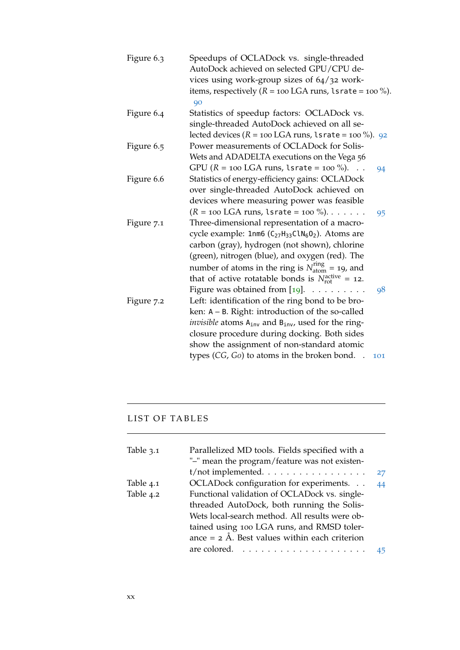| Figure 6.3 | Speedups of OCLADock vs. single-threaded<br>AutoDock achieved on selected GPU/CPU de-             |
|------------|---------------------------------------------------------------------------------------------------|
|            | vices using work-group sizes of 64/32 work-                                                       |
|            | items, respectively ( $R = 100$ LGA runs, 1srate = $100$ %).<br>90                                |
| Figure 6.4 | Statistics of speedup factors: OCLADock vs.                                                       |
|            | single-threaded AutoDock achieved on all se-                                                      |
|            | lected devices ( $R = 100$ LGA runs, lsrate = $100\%$ ). 92                                       |
| Figure 6.5 | Power measurements of OCLADock for Solis-                                                         |
|            | Wets and ADADELTA executions on the Vega 56                                                       |
|            | GPU ( $R = 100$ LGA runs, 1srate = $100\%$ ).<br>$\cdots$<br>94                                   |
| Figure 6.6 | Statistics of energy-efficiency gains: OCLADock                                                   |
|            | over single-threaded AutoDock achieved on                                                         |
|            | devices where measuring power was feasible                                                        |
|            | $(R = 100$ LGA runs, 1srate = $100$ %).<br>95                                                     |
| Figure 7.1 | Three-dimensional representation of a macro-                                                      |
|            | cycle example: 1nm6 (C <sub>27</sub> H <sub>33</sub> ClN <sub>6</sub> O <sub>2</sub> ). Atoms are |
|            | carbon (gray), hydrogen (not shown), chlorine                                                     |
|            | (green), nitrogen (blue), and oxygen (red). The                                                   |
|            | number of atoms in the ring is $N_{\text{atom}}^{\text{ring}} = 19$ , and                         |
|            | that of active rotatable bonds is $N_{\text{rot}}^{\text{active}} = 12$ .                         |
|            | Figure was obtained from [19].<br>$\mathbb{R}^2$ . The set of the set of the $\mathbb{R}^2$<br>98 |
| Figure 7.2 | Left: identification of the ring bond to be bro-                                                  |
|            | ken: $A - B$ . Right: introduction of the so-called                                               |
|            | <i>invisible</i> atoms A <sub>inv</sub> and B <sub>inv</sub> , used for the ring-                 |
|            | closure procedure during docking. Both sides                                                      |
|            | show the assignment of non-standard atomic                                                        |
|            | types (CG, Go) to atoms in the broken bond.<br>101                                                |
|            |                                                                                                   |

# LIST OF TABLES

the control of the control of the control of

| Table 3.1 | Parallelized MD tools. Fields specified with a<br>"-" mean the program/feature was not existen- |    |
|-----------|-------------------------------------------------------------------------------------------------|----|
|           | $t/$ not implemented. $\dots \dots \dots \dots \dots \dots$                                     | 27 |
| Table 4.1 | OCLADock configuration for experiments.                                                         | 44 |
| Table 4.2 | Functional validation of OCLADock vs. single-                                                   |    |
|           | threaded AutoDock, both running the Solis-                                                      |    |
|           | Wets local-search method. All results were ob-                                                  |    |
|           | tained using 100 LGA runs, and RMSD toler-                                                      |    |
|           | ance $= 2$ Å. Best values within each criterion                                                 |    |
|           |                                                                                                 |    |

<u> 1989 - Johann Stoff, deutscher Stoff, der Stoff, der Stoff, der Stoff, der Stoff, der Stoff, der Stoff, der S</u>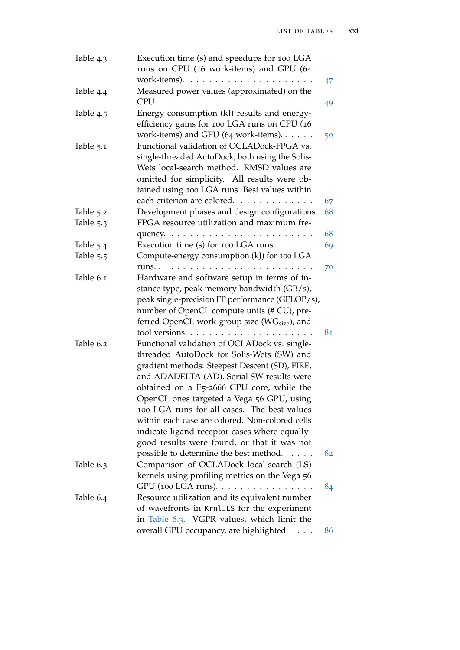| Table 4.3   | Execution time (s) and speedups for 100 LGA<br>runs on CPU (16 work-items) and GPU (64                                                                                                                                                                                                                                                                                                                                                                                                                                          |          |
|-------------|---------------------------------------------------------------------------------------------------------------------------------------------------------------------------------------------------------------------------------------------------------------------------------------------------------------------------------------------------------------------------------------------------------------------------------------------------------------------------------------------------------------------------------|----------|
|             |                                                                                                                                                                                                                                                                                                                                                                                                                                                                                                                                 | 47       |
| Table 4.4   | Measured power values (approximated) on the<br>$CPU. \ldots$ .<br>.                                                                                                                                                                                                                                                                                                                                                                                                                                                             | 49       |
| Table 4.5   | Energy consumption (kJ) results and energy-<br>efficiency gains for 100 LGA runs on CPU (16<br>work-items) and GPU (64 work-items). $\dots$ .                                                                                                                                                                                                                                                                                                                                                                                   |          |
| Table 5.1   | Functional validation of OCLADock-FPGA vs.<br>single-threaded AutoDock, both using the Solis-<br>Wets local-search method. RMSD values are<br>omitted for simplicity. All results were ob-<br>tained using 100 LGA runs. Best values within<br>each criterion are colored.                                                                                                                                                                                                                                                      | 50<br>67 |
| Table 5.2   | Development phases and design configurations.                                                                                                                                                                                                                                                                                                                                                                                                                                                                                   | 68       |
| Table $5.3$ | FPGA resource utilization and maximum fre-                                                                                                                                                                                                                                                                                                                                                                                                                                                                                      |          |
|             |                                                                                                                                                                                                                                                                                                                                                                                                                                                                                                                                 | 68       |
| Table 5.4   | Execution time (s) for 100 LGA runs.                                                                                                                                                                                                                                                                                                                                                                                                                                                                                            | 69       |
| Table 5.5   | Compute-energy consumption (kJ) for 100 LGA                                                                                                                                                                                                                                                                                                                                                                                                                                                                                     |          |
|             | runs. $\ldots$<br>.                                                                                                                                                                                                                                                                                                                                                                                                                                                                                                             | 70       |
| Table 6.1   | Hardware and software setup in terms of in-<br>stance type, peak memory bandwidth (GB/s),<br>peak single-precision FP performance (GFLOP/s),<br>number of OpenCL compute units (# CU), pre-<br>ferred OpenCL work-group size (WG <sub>size</sub> ), and<br>tool versions                                                                                                                                                                                                                                                        | 81       |
| Table 6.2   | Functional validation of OCLADock vs. single-<br>threaded AutoDock for Solis-Wets (SW) and<br>gradient methods: Steepest Descent (SD), FIRE,<br>and ADADELTA (AD). Serial SW results were<br>obtained on a E5-2666 CPU core, while the<br>OpenCL ones targeted a Vega 56 GPU, using<br>100 LGA runs for all cases. The best values<br>within each case are colored. Non-colored cells<br>indicate ligand-receptor cases where equally-<br>good results were found, or that it was not<br>possible to determine the best method. | 82       |
| Table $6.3$ | Comparison of OCLADock local-search (LS)<br>kernels using profiling metrics on the Vega 56                                                                                                                                                                                                                                                                                                                                                                                                                                      |          |
| Table 6.4   | $GPU$ (100 LGA runs). $\ldots \ldots \ldots \ldots \ldots$<br>Resource utilization and its equivalent number<br>of wavefronts in Krnl_LS for the experiment<br>in Table 6.3. VGPR values, which limit the<br>overall GPU occupancy, are highlighted.                                                                                                                                                                                                                                                                            | 84<br>86 |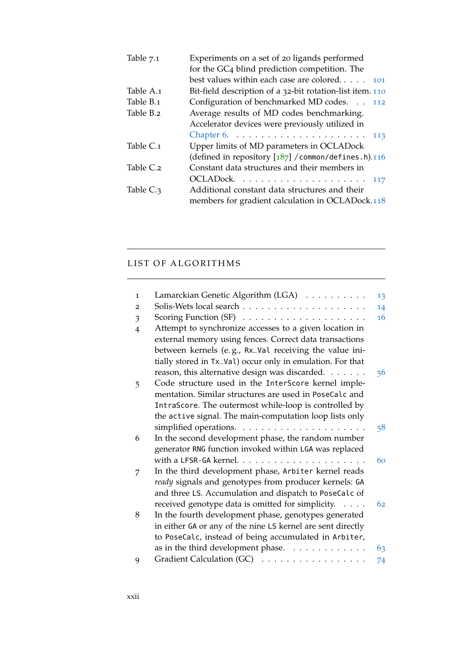| Table 7.1 | Experiments on a set of 20 ligands performed              |
|-----------|-----------------------------------------------------------|
|           | for the GC <sub>4</sub> blind prediction competition. The |
|           | best values within each case are colored<br>101           |
| Table A.1 | Bit-field description of a 32-bit rotation-list item. 110 |
| Table B.1 | Configuration of benchmarked MD codes<br>112              |
| Table B.2 | Average results of MD codes benchmarking.                 |
|           | Accelerator devices were previously utilized in           |
|           | 113                                                       |
| Table C.1 | Upper limits of MD parameters in OCLADock                 |
|           | (defined in repository $[187]$ /common/defines.h).116     |
| Table C.2 | Constant data structures and their members in             |
|           |                                                           |
| Table C.3 | Additional constant data structures and their             |
|           | members for gradient calculation in OCLADock.118          |

the control of the control of the

# LIST OF ALGORITHMS

| 13 |
|----|
| 14 |
| 16 |
|    |
|    |
|    |
|    |
| 56 |
|    |
|    |
|    |
|    |
| 58 |
|    |
|    |
| 60 |
|    |
|    |
|    |
| 62 |
|    |
|    |
|    |
| 63 |
| 74 |
|    |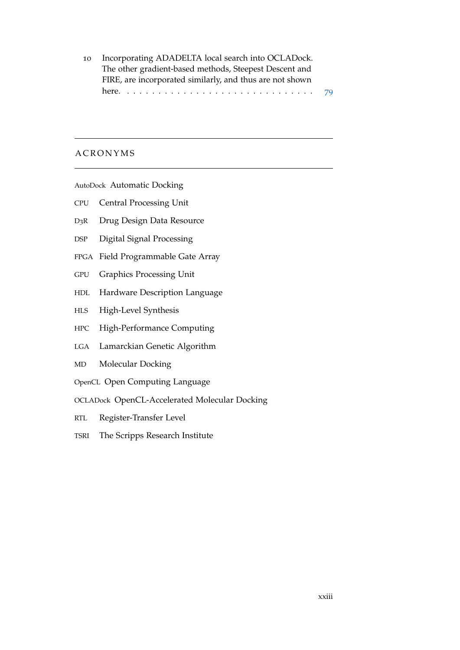10 Incorporating ADADELTA local search into OCLADock. The other gradient-based methods, Steepest Descent and FIRE, are incorporated similarly, and thus are not shown here. . . . . . . . . . . . . . . . . . . . . . . . . . . . . . . [79](#page-102-0)

### **A C R O N Y M S**

<span id="page-22-1"></span>AutoDock Automatic Docking

- <span id="page-22-3"></span>CPU Central Processing Unit
- D3R Drug Design Data Resource
- DSP Digital Signal Processing
- <span id="page-22-5"></span>FPGA Field Programmable Gate Array
- <span id="page-22-4"></span>GPU Graphics Processing Unit
- <span id="page-22-10"></span>HDL Hardware Description Language
- <span id="page-22-9"></span>HLS High-Level Synthesis
- <span id="page-22-6"></span>HPC High-Performance Computing
- <span id="page-22-2"></span>LGA Lamarckian Genetic Algorithm
- <span id="page-22-0"></span>MD Molecular Docking
- <span id="page-22-7"></span>OpenCL Open Computing Language
- <span id="page-22-11"></span>OCLADock OpenCL-Accelerated Molecular Docking
- RTL Register-Transfer Level
- <span id="page-22-8"></span>TSRI The Scripps Research Institute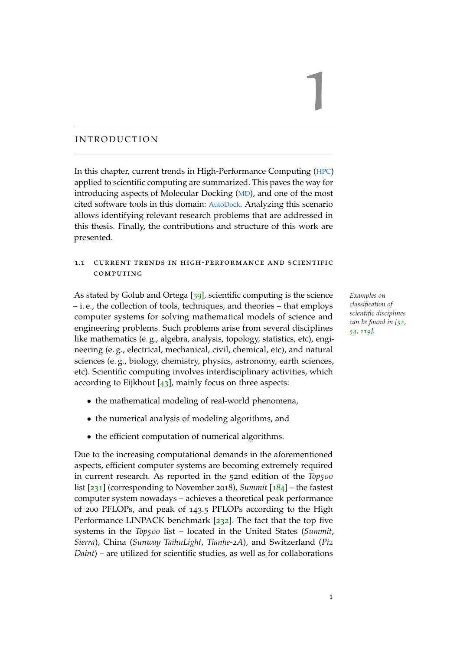### <span id="page-24-0"></span>INTRODUCTION

In this chapter, current trends in High-Performance Computing ([HPC](#page-22-6)) applied to scientific computing are summarized. This paves the way for introducing aspects of Molecular Docking ([MD](#page-22-0)), and one of the most cited software tools in this domain: [AutoDock](#page-22-1). Analyzing this scenario allows identifying relevant research problems that are addressed in this thesis. Finally, the contributions and structure of this work are presented.

## <span id="page-24-1"></span>1.1 current trends in high-performance and scientific **COMPUTING**

As stated by Golub and Ortega [[59](#page-151-0)], scientific computing is the science *Examples on* – i. e., the collection of tools, techniques, and theories – that employs computer systems for solving mathematical models of science and engineering problems. Such problems arise from several disciplines like mathematics (e. g., algebra, analysis, topology, statistics, etc), engineering (e. g., electrical, mechanical, civil, chemical, etc), and natural sciences (e. g., biology, chemistry, physics, astronomy, earth sciences, etc). Scientific computing involves interdisciplinary activities, which according to Eijkhout  $[43]$  $[43]$  $[43]$ , mainly focus on three aspects:

- the mathematical modeling of real-world phenomena,
- the numerical analysis of modeling algorithms, and
- the efficient computation of numerical algorithms.

Due to the increasing computational demands in the aforementioned aspects, efficient computer systems are becoming extremely required in current research. As reported in the 52nd edition of the *Top500* list [[231](#page-169-1)] (corresponding to November 2018), *Summit* [[184](#page-164-1)] – the fastest computer system nowadays – achieves a theoretical peak performance of 200 PFLOPs, and peak of 143.5 PFLOPs according to the High Performance LINPACK benchmark [[232](#page-169-2)]. The fact that the top five systems in the *Top500* list – located in the United States (*Summit*, *Sierra*), China (*Sunway TaihuLight*, *Tianhe-2A*), and Switzerland (*Piz Daint*) – are utilized for scientific studies, as well as for collaborations

*classification of scientific disciplines can be found in [[52](#page-151-1), [54](#page-151-2), [119](#page-158-0)].*

1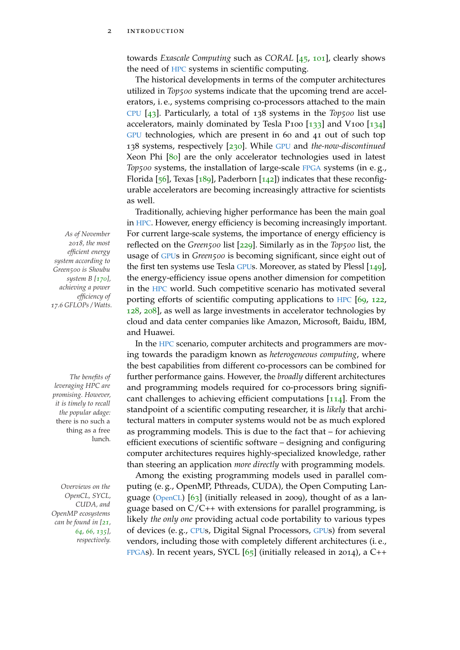towards *Exascale Computing* such as *CORAL* [[45](#page-150-1), [101](#page-156-0)], clearly shows the need of [HPC](#page-22-6) systems in scientific computing.

The historical developments in terms of the computer architectures utilized in *Top500* systems indicate that the upcoming trend are accelerators, i. e., systems comprising co-processors attached to the main [CPU](#page-22-3) [[43](#page-150-0)]. Particularly, a total of 138 systems in the *Top500* list use accelerators, mainly dominated by Tesla P100 [[133](#page-159-0)] and V100 [[134](#page-159-1)] [GPU](#page-22-4) technologies, which are present in 60 and 41 out of such top 138 systems, respectively [[230](#page-169-3)]. While [GPU](#page-22-4) and *the-now-discontinued* Xeon Phi [[80](#page-154-0)] are the only accelerator technologies used in latest *Top500* systems, the installation of large-scale [FPGA](#page-22-5) systems (in e.g., Florida  $[56]$  $[56]$  $[56]$ , Texas  $[189]$  $[189]$  $[189]$ , Paderborn  $[142]$  $[142]$  $[142]$ ) indicates that these reconfigurable accelerators are becoming increasingly attractive for scientists as well.

Traditionally, achieving higher performance has been the main goal in [HPC](#page-22-6). However, energy efficiency is becoming increasingly important. *As of November* For current large-scale systems, the importance of energy efficiency is reflected on the *Green500* list [[229](#page-168-0)]. Similarly as in the *Top500* list, the usage of [GPU](#page-22-4)s in *Green500* is becoming significant, since eight out of the first ten systems use Tesla [GPU](#page-22-4)s. Moreover, as stated by Plessl [[149](#page-160-1)], the energy-efficiency issue opens another dimension for competition in the [HPC](#page-22-6) world. Such competitive scenario has motivated several porting efforts of scientific computing applications to [HPC](#page-22-6) [[69](#page-152-0), [122](#page-158-1), [128](#page-158-2), [208](#page-166-0)], as well as large investments in accelerator technologies by cloud and data center companies like Amazon, Microsoft, Baidu, IBM, and Huawei.

In the [HPC](#page-22-6) scenario, computer architects and programmers are moving towards the paradigm known as *heterogeneous computing*, where the best capabilities from different co-processors can be combined for *The benefits of* further performance gains. However, the *broadly* different architectures and programming models required for co-processors bring significant challenges to achieving efficient computations [[114](#page-157-0)]. From the standpoint of a scientific computing researcher, it is *likely* that architectural matters in computer systems would not be as much explored as programming models. This is due to the fact that – for achieving efficient executions of scientific software – designing and configuring computer architectures requires highly-specialized knowledge, rather than steering an application *more directly* with programming models.

Among the existing programming models used in parallel com-*Overviews on the* puting (e. g., OpenMP, Pthreads, CUDA), the Open Computing Lan-guage ([OpenCL](#page-22-7))  $[63]$  $[63]$  $[63]$  (initially released in 2009), thought of as a language based on C/C++ with extensions for parallel programming, is likely *the only one* providing actual code portability to various types of devices (e. g., [CPU](#page-22-3)s, Digital Signal Processors, [GPU](#page-22-4)s) from several vendors, including those with completely different architectures (i. e., [FPGA](#page-22-5)s). In recent years, SYCL  $[65]$  $[65]$  $[65]$  (initially released in 2014), a C++

*2018, the most efficient energy system according to Green500 is Shoubu system B [[170](#page-162-0)], achieving a power efficiency of 17.6 GFLOPs / Watts.*

*leveraging HPC are promising. However, it is timely to recall the popular adage:* there is no such a thing as a free lunch*.*

*OpenCL, SYCL, CUDA, and OpenMP ecosystems can be found in [[21](#page-148-1), [64](#page-152-1), [66](#page-152-2), [135](#page-159-3)], respectively.*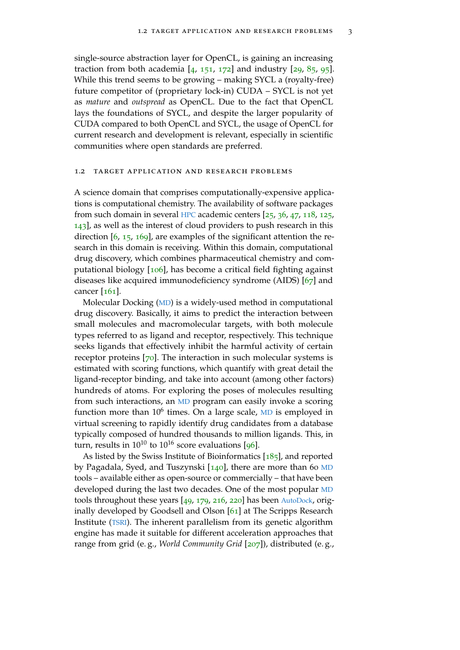single-source abstraction layer for OpenCL, is gaining an increasing traction from both academia  $[4, 151, 172]$  $[4, 151, 172]$  $[4, 151, 172]$  $[4, 151, 172]$  $[4, 151, 172]$  $[4, 151, 172]$  $[4, 151, 172]$  and industry  $[29, 85, 95]$  $[29, 85, 95]$  $[29, 85, 95]$  $[29, 85, 95]$  $[29, 85, 95]$  $[29, 85, 95]$  $[29, 85, 95]$ . While this trend seems to be growing – making SYCL a (royalty-free) future competitor of (proprietary lock-in) CUDA – SYCL is not yet as *mature* and *outspread* as OpenCL. Due to the fact that OpenCL lays the foundations of SYCL, and despite the larger popularity of CUDA compared to both OpenCL and SYCL, the usage of OpenCL for current research and development is relevant, especially in scientific communities where open standards are preferred.

#### <span id="page-26-0"></span>1.2 target application and research problems

A science domain that comprises computationally-expensive applications is computational chemistry. The availability of software packages from such domain in several [HPC](#page-22-6) academic centers [[25](#page-148-3), [36](#page-149-0), [47](#page-150-2), [118](#page-158-3), [125](#page-158-4), [143](#page-160-3)], as well as the interest of cloud providers to push research in this direction [[6](#page-146-2), [15](#page-147-0), [169](#page-162-1)], are examples of the significant attention the research in this domain is receiving. Within this domain, computational drug discovery, which combines pharmaceutical chemistry and computational biology [[106](#page-156-1)], has become a critical field fighting against diseases like acquired immunodeficiency syndrome (AIDS) [[67](#page-152-5)] and cancer [[161](#page-161-0)].

Molecular Docking ([MD](#page-22-0)) is a widely-used method in computational drug discovery. Basically, it aims to predict the interaction between small molecules and macromolecular targets, with both molecule types referred to as ligand and receptor, respectively. This technique seeks ligands that effectively inhibit the harmful activity of certain receptor proteins [[70](#page-152-6)]. The interaction in such molecular systems is estimated with scoring functions, which quantify with great detail the ligand-receptor binding, and take into account (among other factors) hundreds of atoms. For exploring the poses of molecules resulting from such interactions, an [MD](#page-22-0) program can easily invoke a scoring function more than 10<sup>6</sup> times. On a large scale, [MD](#page-22-0) is employed in virtual screening to rapidly identify drug candidates from a database typically composed of hundred thousands to million ligands. This, in turn, results in  $10^{10}$  to  $10^{16}$  score evaluations [[96](#page-155-1)].

As listed by the Swiss Institute of Bioinformatics  $[185]$  $[185]$  $[185]$ , and reported by Pagadala, Syed, and Tuszynski [[140](#page-159-4)], there are more than 60 [MD](#page-22-0) tools – available either as open-source or commercially – that have been developed during the last two decades. One of the most popular [MD](#page-22-0) tools throughout these years [[49](#page-150-3), [179](#page-163-1), [216](#page-167-0), [220](#page-167-1)] has been [AutoDock](#page-22-1), originally developed by Goodsell and Olson [[61](#page-152-7)] at The Scripps Research Institute ([TSRI](#page-22-8)). The inherent parallelism from its genetic algorithm engine has made it suitable for different acceleration approaches that range from grid (e. g., *World Community Grid* [[207](#page-166-1)]), distributed (e. g.,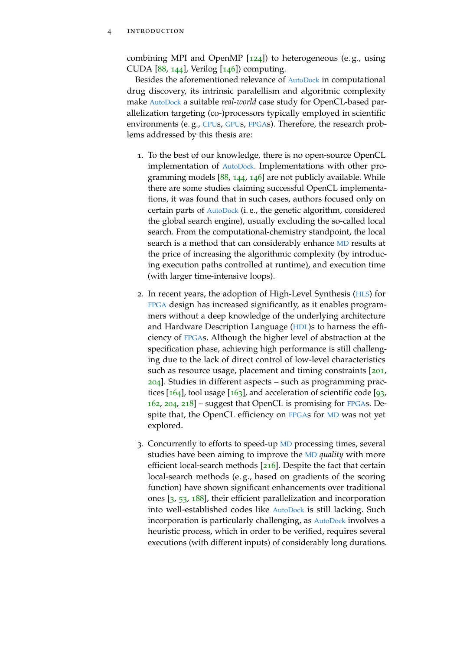combining MPI and OpenMP  $[124]$  $[124]$  $[124]$ ) to heterogeneous (e.g., using CUDA  $[88, 144]$  $[88, 144]$  $[88, 144]$  $[88, 144]$  $[88, 144]$ , Verilog  $[146]$  $[146]$  $[146]$  computing.

Besides the aforementioned relevance of [AutoDock](#page-22-1) in computational drug discovery, its intrinsic paralellism and algoritmic complexity make [AutoDock](#page-22-1) a suitable *real-world* case study for OpenCL-based parallelization targeting (co-)processors typically employed in scientific environments (e.g., [CPU](#page-22-3)s, [GPU](#page-22-4)s, [FPGA](#page-22-5)s). Therefore, the research problems addressed by this thesis are:

- 1. To the best of our knowledge, there is no open-source OpenCL implementation of [AutoDock](#page-22-1). Implementations with other programming models [[88](#page-154-2), [144](#page-160-4), [146](#page-160-0)] are not publicly available. While there are some studies claiming successful OpenCL implementations, it was found that in such cases, authors focused only on certain parts of [AutoDock](#page-22-1) (i. e., the genetic algorithm, considered the global search engine), usually excluding the so-called local search. From the computational-chemistry standpoint, the local search is a method that can considerably enhance [MD](#page-22-0) results at the price of increasing the algorithmic complexity (by introducing execution paths controlled at runtime), and execution time (with larger time-intensive loops).
- 2. In recent years, the adoption of High-Level Synthesis ([HLS](#page-22-9)) for [FPGA](#page-22-5) design has increased significantly, as it enables programmers without a deep knowledge of the underlying architecture and Hardware Description Language ([HDL](#page-22-10))s to harness the efficiency of [FPGA](#page-22-5)s. Although the higher level of abstraction at the specification phase, achieving high performance is still challenging due to the lack of direct control of low-level characteristics such as resource usage, placement and timing constraints [[201](#page-166-2), [204](#page-166-3)]. Studies in different aspects – such as programming practices  $[164]$  $[164]$  $[164]$ , tool usage  $[163]$  $[163]$  $[163]$ , and acceleration of scientific code  $[93]$  $[93]$  $[93]$ , [162](#page-162-4), [204](#page-166-3), [218](#page-167-2)] – suggest that OpenCL is promising for [FPGA](#page-22-5)s. Despite that, the OpenCL efficiency on [FPGA](#page-22-5)s for [MD](#page-22-0) was not yet explored.
- 3. Concurrently to efforts to speed-up [MD](#page-22-0) processing times, several studies have been aiming to improve the [MD](#page-22-0) *quality* with more efficient local-search methods [[216](#page-167-0)]. Despite the fact that certain local-search methods (e. g., based on gradients of the scoring function) have shown significant enhancements over traditional ones [[3](#page-146-3), [53](#page-151-4), [188](#page-164-4)], their efficient parallelization and incorporation into well-established codes like [AutoDock](#page-22-1) is still lacking. Such incorporation is particularly challenging, as [AutoDock](#page-22-1) involves a heuristic process, which in order to be verified, requires several executions (with different inputs) of considerably long durations.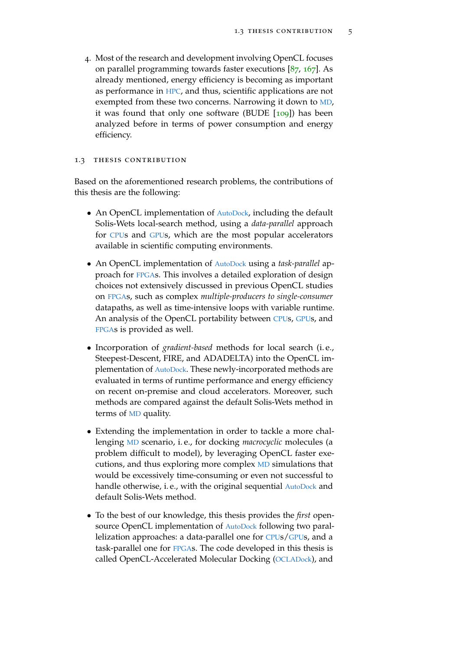4. Most of the research and development involving OpenCL focuses on parallel programming towards faster executions  $[87, 167]$  $[87, 167]$  $[87, 167]$  $[87, 167]$  $[87, 167]$ . As already mentioned, energy efficiency is becoming as important as performance in [HPC](#page-22-6), and thus, scientific applications are not exempted from these two concerns. Narrowing it down to [MD](#page-22-0), it was found that only one software (BUDE  $[109]$  $[109]$  $[109]$ ) has been analyzed before in terms of power consumption and energy efficiency.

#### <span id="page-28-0"></span>1.3 thesis contribution

Based on the aforementioned research problems, the contributions of this thesis are the following:

- An OpenCL implementation of [AutoDock](#page-22-1), including the default Solis-Wets local-search method, using a *data-parallel* approach for [CPU](#page-22-3)s and [GPU](#page-22-4)s, which are the most popular accelerators available in scientific computing environments.
- An OpenCL implementation of [AutoDock](#page-22-1) using a *task-parallel* approach for [FPGA](#page-22-5)s. This involves a detailed exploration of design choices not extensively discussed in previous OpenCL studies on [FPGA](#page-22-5)s, such as complex *multiple-producers to single-consumer* datapaths, as well as time-intensive loops with variable runtime. An analysis of the OpenCL portability between [CPU](#page-22-3)s, [GPU](#page-22-4)s, and [FPGA](#page-22-5)s is provided as well.
- Incorporation of *gradient-based* methods for local search (i. e., Steepest-Descent, FIRE, and ADADELTA) into the OpenCL implementation of [AutoDock](#page-22-1). These newly-incorporated methods are evaluated in terms of runtime performance and energy efficiency on recent on-premise and cloud accelerators. Moreover, such methods are compared against the default Solis-Wets method in terms of [MD](#page-22-0) quality.
- Extending the implementation in order to tackle a more challenging [MD](#page-22-0) scenario, i. e., for docking *macrocyclic* molecules (a problem difficult to model), by leveraging OpenCL faster executions, and thus exploring more complex [MD](#page-22-0) simulations that would be excessively time-consuming or even not successful to handle otherwise, i.e., with the original sequential [AutoDock](#page-22-1) and default Solis-Wets method.
- To the best of our knowledge, this thesis provides the *first* open-source OpenCL implementation of [AutoDock](#page-22-1) following two parallelization approaches: a data-parallel one for [CPU](#page-22-3)s/[GPU](#page-22-4)s, and a task-parallel one for [FPGA](#page-22-5)s. The code developed in this thesis is called OpenCL-Accelerated Molecular Docking ([OCLADock](#page-22-11)), and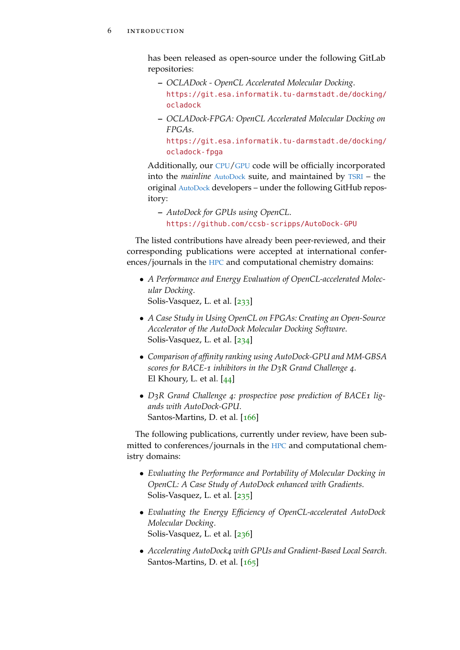has been released as open-source under the following GitLab repositories:

- **–** *OCLADock OpenCL Accelerated Molecular Docking*. [https://git.esa.informatik.tu-darmstadt.de/docking/](https://git.esa.informatik.tu-darmstadt.de/docking/ocladock) [ocladock](https://git.esa.informatik.tu-darmstadt.de/docking/ocladock)
- **–** *OCLADock-FPGA: OpenCL Accelerated Molecular Docking on FPGAs*.

[https://git.esa.informatik.tu-darmstadt.de/docking/](https://git.esa.informatik.tu-darmstadt.de/docking/ocladock-fpga) [ocladock-fpga](https://git.esa.informatik.tu-darmstadt.de/docking/ocladock-fpga)

Additionally, our [CPU](#page-22-3)/[GPU](#page-22-4) code will be officially incorporated into the *mainline* [AutoDock](#page-22-1) suite, and maintained by [TSRI](#page-22-8) – the original [AutoDock](#page-22-1) developers – under the following GitHub repository:

**–** *AutoDock for GPUs using OpenCL*. <https://github.com/ccsb-scripps/AutoDock-GPU>

The listed contributions have already been peer-reviewed, and their corresponding publications were accepted at international conferences/journals in the [HPC](#page-22-6) and computational chemistry domains:

- *A Performance and Energy Evaluation of OpenCL-accelerated Molecular Docking*. Solis-Vasquez, L. et al. [[233](#page-169-0)]
- *A Case Study in Using OpenCL on FPGAs: Creating an Open-Source Accelerator of the AutoDock Molecular Docking Software*. Solis-Vasquez, L. et al. [[234](#page-169-4)]
- *Comparison of affinity ranking using AutoDock-GPU and MM-GBSA scores for BACE-1 inhibitors in the D3R Grand Challenge 4*. El Khoury, L. et al. [[44](#page-150-4)]
- *D3R Grand Challenge 4: prospective pose prediction of BACE1 ligands with AutoDock-GPU*. Santos-Martins, D. et al. [[166](#page-162-6)]

The following publications, currently under review, have been submitted to conferences/journals in the [HPC](#page-22-6) and computational chemistry domains:

- *Evaluating the Performance and Portability of Molecular Docking in OpenCL: A Case Study of AutoDock enhanced with Gradients*. Solis-Vasquez, L. et al. [[235](#page-169-5)]
- *Evaluating the Energy Efficiency of OpenCL-accelerated AutoDock Molecular Docking*. Solis-Vasquez, L. et al. [[236](#page-169-6)]
- *Accelerating AutoDock4 with GPUs and Gradient-Based Local Search*. Santos-Martins, D. et al. [[165](#page-162-7)]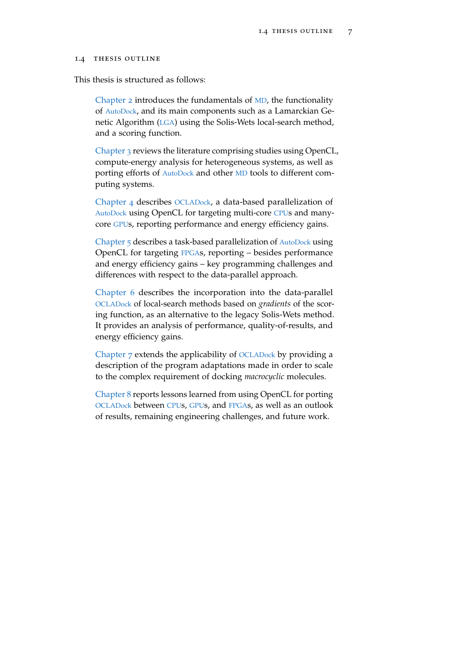#### <span id="page-30-0"></span>1.4 thesis outline

This thesis is structured as follows:

[Chapter](#page-32-0) 2 introduces the fundamentals of [MD](#page-22-0), the functionality of [AutoDock](#page-22-1), and its main components such as a Lamarckian Genetic Algorithm ([LGA](#page-22-2)) using the Solis-Wets local-search method, and a scoring function.

[Chapter](#page-44-0) 3 reviews the literature comprising studies using OpenCL, compute-energy analysis for heterogeneous systems, as well as porting efforts of [AutoDock](#page-22-1) and other [MD](#page-22-0) tools to different computing systems.

[Chapter](#page-62-0) 4 describes [OCLADock](#page-22-11), a data-based parallelization of [AutoDock](#page-22-1) using OpenCL for targeting multi-core [CPU](#page-22-3)s and manycore [GPU](#page-22-4)s, reporting performance and energy efficiency gains.

[Chapter](#page-76-0) 5 describes a task-based parallelization of [AutoDock](#page-22-1) using OpenCL for targeting [FPGA](#page-22-5)s, reporting – besides performance and energy efficiency gains – key programming challenges and differences with respect to the data-parallel approach.

[Chapter](#page-96-0) 6 describes the incorporation into the data-parallel [OCLADock](#page-22-11) of local-search methods based on *gradients* of the scoring function, as an alternative to the legacy Solis-Wets method. It provides an analysis of performance, quality-of-results, and energy efficiency gains.

[Chapter](#page-120-0) 7 extends the applicability of [OCLADock](#page-22-11) by providing a description of the program adaptations made in order to scale to the complex requirement of docking *macrocyclic* molecules.

[Chapter](#page-126-0) 8 reports lessons learned from using OpenCL for porting [OCLADock](#page-22-11) between [CPU](#page-22-3)s, [GPU](#page-22-4)s, and [FPGA](#page-22-5)s, as well as an outlook of results, remaining engineering challenges, and future work.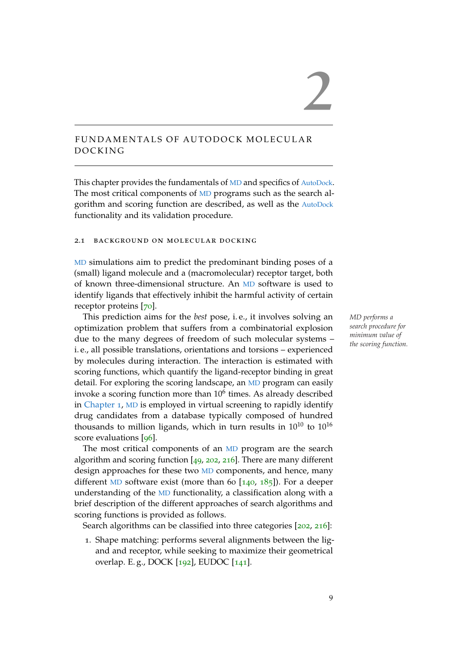#### 9

# <span id="page-32-0"></span>FUNDAMENTALS OF AUTODOCK MOLECULAR D O C K IN G

This chapter provides the fundamentals of [MD](#page-22-0) and specifics of [AutoDock](#page-22-1). The most critical components of [MD](#page-22-0) programs such as the search algorithm and scoring function are described, as well as the [AutoDock](#page-22-1) functionality and its validation procedure.

#### <span id="page-32-1"></span>2.1 background on molecular docking

[MD](#page-22-0) simulations aim to predict the predominant binding poses of a (small) ligand molecule and a (macromolecular) receptor target, both of known three-dimensional structure. An [MD](#page-22-0) software is used to identify ligands that effectively inhibit the harmful activity of certain receptor proteins [[70](#page-152-6)].

This prediction aims for the *best* pose, i. e., it involves solving an *MD performs a* optimization problem that suffers from a combinatorial explosion due to the many degrees of freedom of such molecular systems – i. e., all possible translations, orientations and torsions – experienced by molecules during interaction. The interaction is estimated with scoring functions, which quantify the ligand-receptor binding in great detail. For exploring the scoring landscape, an [MD](#page-22-0) program can easily invoke a scoring function more than  $10^6$  times. As already described in [Chapter](#page-24-0) 1, [MD](#page-22-0) is employed in virtual screening to rapidly identify drug candidates from a database typically composed of hundred thousands to million ligands, which in turn results in  $10^{10}$  to  $10^{16}$ score evaluations [[96](#page-155-1)].

The most critical components of an [MD](#page-22-0) program are the search algorithm and scoring function [[49](#page-150-3), [202](#page-166-4), [216](#page-167-0)]. There are many different design approaches for these two [MD](#page-22-0) components, and hence, many different [MD](#page-22-0) software exist (more than 60  $[140, 185]$  $[140, 185]$  $[140, 185]$  $[140, 185]$  $[140, 185]$ ). For a deeper understanding of the [MD](#page-22-0) functionality, a classification along with a brief description of the different approaches of search algorithms and scoring functions is provided as follows.

Search algorithms can be classified into three categories [[202](#page-166-4), [216](#page-167-0)]:

1. Shape matching: performs several alignments between the ligand and receptor, while seeking to maximize their geometrical overlap. E. g., DOCK [[192](#page-165-0)], EUDOC [[141](#page-159-5)].

*search procedure for minimum value of the scoring function.*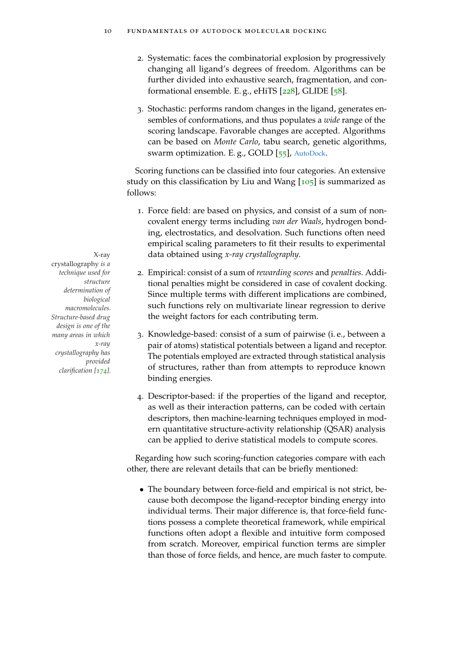- 2. Systematic: faces the combinatorial explosion by progressively changing all ligand's degrees of freedom. Algorithms can be further divided into exhaustive search, fragmentation, and conformational ensemble. E. g., eHiTS [[228](#page-168-1)], GLIDE [[58](#page-151-5)].
- 3. Stochastic: performs random changes in the ligand, generates ensembles of conformations, and thus populates a *wide* range of the scoring landscape. Favorable changes are accepted. Algorithms can be based on *Monte Carlo*, tabu search, genetic algorithms, swarm optimization. E. g., GOLD [[55](#page-151-6)], [AutoDock](#page-22-1).

Scoring functions can be classified into four categories. An extensive study on this classification by Liu and Wang  $[105]$  $[105]$  $[105]$  is summarized as follows:

- 1. Force field: are based on physics, and consist of a sum of noncovalent energy terms including *van der Waals*, hydrogen bonding, electrostatics, and desolvation. Such functions often need empirical scaling parameters to fit their results to experimental X-ray data obtained using *x-ray crystallography*.
	- 2. Empirical: consist of a sum of *rewarding scores* and *penalties*. Additional penalties might be considered in case of covalent docking. Since multiple terms with different implications are combined, such functions rely on multivariate linear regression to derive the weight factors for each contributing term.
	- 3. Knowledge-based: consist of a sum of pairwise (i. e., between a pair of atoms) statistical potentials between a ligand and receptor. The potentials employed are extracted through statistical analysis of structures, rather than from attempts to reproduce known binding energies.
	- 4. Descriptor-based: if the properties of the ligand and receptor, as well as their interaction patterns, can be coded with certain descriptors, then machine-learning techniques employed in modern quantitative structure-activity relationship (QSAR) analysis can be applied to derive statistical models to compute scores.

Regarding how such scoring-function categories compare with each other, there are relevant details that can be briefly mentioned:

• The boundary between force-field and empirical is not strict, because both decompose the ligand-receptor binding energy into individual terms. Their major difference is, that force-field functions possess a complete theoretical framework, while empirical functions often adopt a flexible and intuitive form composed from scratch. Moreover, empirical function terms are simpler than those of force fields, and hence, are much faster to compute.

crystallography *is a technique used for structure determination of biological macromolecules. Structure-based drug design is one of the many areas in which x-ray crystallography has provided clarification [[174](#page-163-2)].*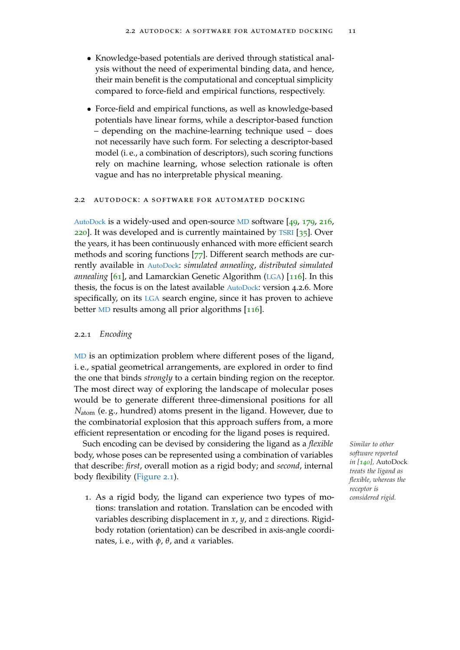- Knowledge-based potentials are derived through statistical analysis without the need of experimental binding data, and hence, their main benefit is the computational and conceptual simplicity compared to force-field and empirical functions, respectively.
- Force-field and empirical functions, as well as knowledge-based potentials have linear forms, while a descriptor-based function – depending on the machine-learning technique used – does not necessarily have such form. For selecting a descriptor-based model (i. e., a combination of descriptors), such scoring functions rely on machine learning, whose selection rationale is often vague and has no interpretable physical meaning.

#### <span id="page-34-0"></span>2.2 autodock: a software for automated docking

[AutoDock](#page-22-1) is a widely-used and open-source [MD](#page-22-0) software [[49](#page-150-3), [179](#page-163-1), [216](#page-167-0), [220](#page-167-1)]. It was developed and is currently maintained by [TSRI](#page-22-8) [[35](#page-149-1)]. Over the years, it has been continuously enhanced with more efficient search methods and scoring functions [[77](#page-153-0)]. Different search methods are currently available in [AutoDock](#page-22-1): *simulated annealing*, *distributed simulated annealing* [[61](#page-152-7)], and Lamarckian Genetic Algorithm ([LGA](#page-22-2)) [[116](#page-157-2)]. In this thesis, the focus is on the latest available [AutoDock](#page-22-1): version 4.2.6. More specifically, on its [LGA](#page-22-2) search engine, since it has proven to achieve better [MD](#page-22-0) results among all prior algorithms [[116](#page-157-2)].

#### <span id="page-34-1"></span>2.2.1 *Encoding*

[MD](#page-22-0) is an optimization problem where different poses of the ligand, i. e., spatial geometrical arrangements, are explored in order to find the one that binds *strongly* to a certain binding region on the receptor. The most direct way of exploring the landscape of molecular poses would be to generate different three-dimensional positions for all *N*atom (e. g., hundred) atoms present in the ligand. However, due to the combinatorial explosion that this approach suffers from, a more efficient representation or encoding for the ligand poses is required.

Such encoding can be devised by considering the ligand as a *flexible Similar to other* body, whose poses can be represented using a combination of variables that describe: *first*, overall motion as a rigid body; and *second*, internal body flexibility [\(Figure](#page-35-1) 2.1).

1. As a rigid body, the ligand can experience two types of motions: translation and rotation. Translation can be encoded with variables describing displacement in *x*, *y*, and *z* directions. Rigidbody rotation (orientation) can be described in axis-angle coordinates, i. e., with *φ*, *θ*, and *α* variables.

*software reported in [[140](#page-159-4)],* AutoDock *treats the ligand as flexible, whereas the receptor is considered rigid.*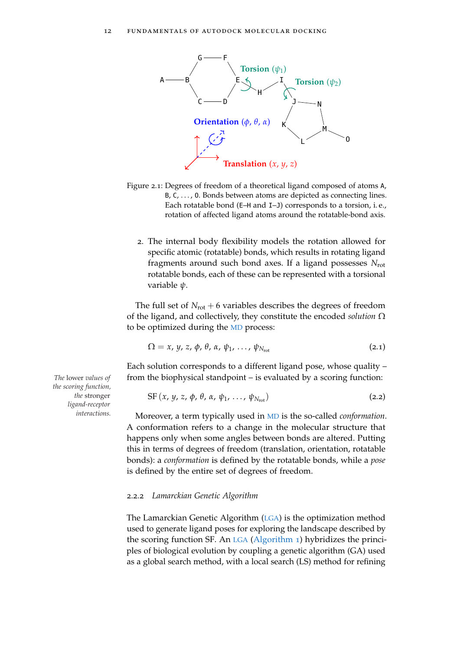<span id="page-35-1"></span>

- Figure 2.1: Degrees of freedom of a theoretical ligand composed of atoms <sup>A</sup>, B, C, ..., 0. Bonds between atoms are depicted as connecting lines. Each rotatable bond (E–H and I–J) corresponds to a torsion, i. e., rotation of affected ligand atoms around the rotatable-bond axis.
	- 2. The internal body flexibility models the rotation allowed for specific atomic (rotatable) bonds, which results in rotating ligand fragments around such bond axes. If a ligand possesses *N*rot rotatable bonds, each of these can be represented with a torsional variable *ψ*.

The full set of  $N_{\text{rot}} + 6$  variables describes the degrees of freedom of the ligand, and collectively, they constitute the encoded *solution* Ω to be optimized during the [MD](#page-22-0) process:

$$
\Omega = x, y, z, \phi, \theta, \alpha, \psi_1, \ldots, \psi_{N_{\rm rot}}
$$
\n(2.1)

Each solution corresponds to a different ligand pose, whose quality – *The* lower *values of* from the biophysical standpoint – is evaluated by a scoring function:

$$
SF(x, y, z, \phi, \theta, \alpha, \psi_1, \ldots, \psi_{N_{\text{rot}}})
$$
\n(2.2)

Moreover, a term typically used in [MD](#page-22-0) is the so-called *conformation*. A conformation refers to a change in the molecular structure that happens only when some angles between bonds are altered. Putting this in terms of degrees of freedom (translation, orientation, rotatable bonds): a *conformation* is defined by the rotatable bonds, while a *pose* is defined by the entire set of degrees of freedom.

#### <span id="page-35-0"></span>2.2.2 *Lamarckian Genetic Algorithm*

The Lamarckian Genetic Algorithm ([LGA](#page-22-2)) is the optimization method used to generate ligand poses for exploring the landscape described by the scoring function SF. An [LGA](#page-22-2) [\(Algorithm](#page-36-1) 1) hybridizes the principles of biological evolution by coupling a genetic algorithm (GA) used as a global search method, with a local search (LS) method for refining

*the scoring function, the* stronger *ligand-receptor interactions.*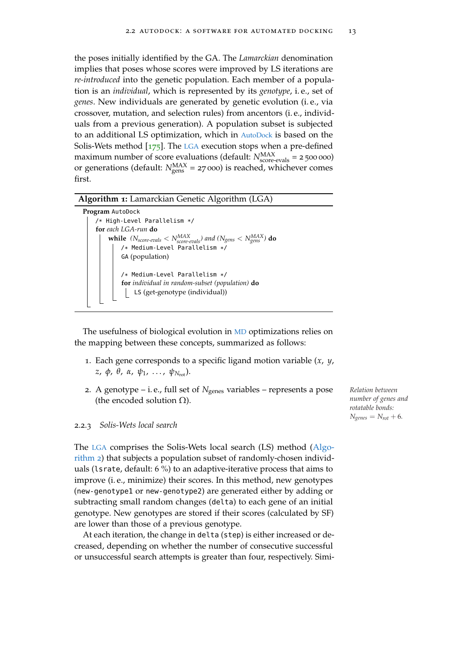the poses initially identified by the GA. The *Lamarckian* denomination implies that poses whose scores were improved by LS iterations are *re-introduced* into the genetic population. Each member of a population is an *individual*, which is represented by its *genotype*, i. e., set of *genes*. New individuals are generated by genetic evolution (i. e., via crossover, mutation, and selection rules) from ancentors (i. e., individuals from a previous generation). A population subset is subjected to an additional LS optimization, which in [AutoDock](#page-22-0) is based on the Solis-Wets method [[175](#page-163-0)]. The [LGA](#page-22-1) execution stops when a pre-defined maximum number of score evaluations (default:  $N_{\text{score-evals}}^{\text{MAX}} = 2500000$ ) or generations (default:  $N_{\text{gens}}^{\text{MAX}}$  = 27 000) is reached, whichever comes first.

## **Algorithm 1:** Lamarckian Genetic Algorithm (LGA)

```
Program AutoDock
/* High-Level Parallelism */
for each LGA-run do
    while (N_{score-evals} < N_{score-evals}^{MAX}) and (N_{gens} < N_{gens}^{MAX}) do
        /* Medium-Level Parallelism */
        GA (population)
        /* Medium-Level Parallelism */
        for individual in random-subset (population) do
             LS (get-genotype (individual))
```
The usefulness of biological evolution in [MD](#page-22-2) optimizations relies on the mapping between these concepts, summarized as follows:

- 1. Each gene corresponds to a specific ligand motion variable (*x*, *y*, *z*, *φ*, *θ*, *α*, *ψ*1, . . . , *ψN*rot).
- 2. A genotype i. e., full set of *N*genes variables represents a pose *Relation between* (the encoded solution  $\Omega$ ).

#### <span id="page-36-0"></span>2.2.3 *Solis-Wets local search*

The [LGA](#page-22-1) comprises the Solis-Wets local search (LS) method [\(Algo](#page-37-0)[rithm](#page-37-0) 2) that subjects a population subset of randomly-chosen individuals (lsrate, default: 6 %) to an adaptive-iterative process that aims to improve (i. e., minimize) their scores. In this method, new genotypes (new-genotype1 or new-genotype2) are generated either by adding or subtracting small random changes (delta) to each gene of an initial genotype. New genotypes are stored if their scores (calculated by SF) are lower than those of a previous genotype.

At each iteration, the change in delta (step) is either increased or decreased, depending on whether the number of consecutive successful or unsuccessful search attempts is greater than four, respectively. Simi*number of genes and rotatable bonds:*  $N_{\text{genes}} = N_{\text{rot}} + 6.$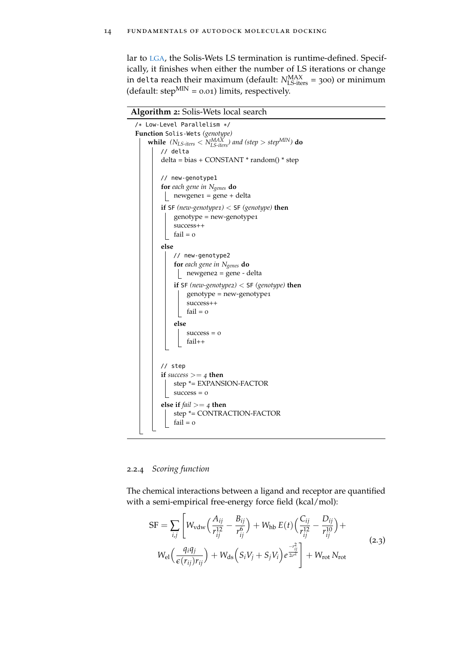lar to [LGA](#page-22-1), the Solis-Wets LS termination is runtime-defined. Specifically, it finishes when either the number of LS iterations or change in delta reach their maximum (default:  $N_{\text{LS-iters}}^{\text{MAX}} = 300$ ) or minimum (default: step $^{MIN} = 0.01$ ) limits, respectively.

**Algorithm 2:** Solis-Wets local search

<span id="page-37-0"></span>

## <span id="page-37-2"></span>2.2.4 *Scoring function*

The chemical interactions between a ligand and receptor are quantified with a semi-empirical free-energy force field (kcal/mol):

<span id="page-37-1"></span>
$$
SF = \sum_{i,j} \left[ W_{vdw} \left( \frac{A_{ij}}{r_{ij}^{12}} - \frac{B_{ij}}{r_{ij}^6} \right) + W_{hb} E(t) \left( \frac{C_{ij}}{r_{ij}^{12}} - \frac{D_{ij}}{r_{ij}^{10}} \right) + W_{el} \left( \frac{q_i q_j}{\epsilon(r_{ij}) r_{ij}} \right) + W_{ds} \left( S_i V_j + S_j V_i \right) e^{\frac{-r_{ij}^2}{2\sigma^2}} \right] + W_{rot} N_{rot}
$$
\n(2.3)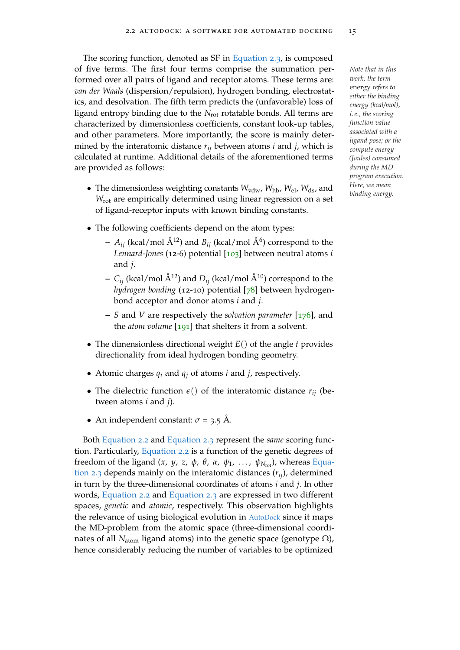The scoring function, denoted as SF in [Equation](#page-37-1) 2.3, is composed of five terms. The first four terms comprise the summation per- *Note that in this* formed over all pairs of ligand and receptor atoms. These terms are: *van der Waals* (dispersion/repulsion), hydrogen bonding, electrostatics, and desolvation. The fifth term predicts the (unfavorable) loss of ligand entropy binding due to the *N*rot rotatable bonds. All terms are characterized by dimensionless coefficients, constant look-up tables, and other parameters. More importantly, the score is mainly determined by the interatomic distance *rij* between atoms *i* and *j*, which is calculated at runtime. Additional details of the aforementioned terms are provided as follows:

- The dimensionless weighting constants  $W_{vdw}$ ,  $W_{hb}$ ,  $W_{el}$ ,  $W_{ds}$ , and *W*rot are empirically determined using linear regression on a set of ligand-receptor inputs with known binding constants.
- The following coefficients depend on the atom types:
	- $A_{ij}$  (kcal/mol  $\rm \AA^{12}$ ) and  $B_{ij}$  (kcal/mol  $\rm \AA^{6}$ ) correspond to the *Lennard-Jones* (12-6) potential [[103](#page-156-0)] between neutral atoms *i* and *j*.
	- $C_{ii}$  (kcal/mol  $\AA^{12}$ ) and  $D_{ii}$  (kcal/mol  $\AA^{10}$ ) correspond to the *hydrogen bonding* (12-10) potential [[78](#page-153-0)] between hydrogenbond acceptor and donor atoms *i* and *j*.
	- **–** *S* and *V* are respectively the *solvation parameter* [[176](#page-163-1)], and the *atom volume* [[191](#page-165-0)] that shelters it from a solvent.
- The dimensionless directional weight *E*() of the angle *t* provides directionality from ideal hydrogen bonding geometry.
- Atomic charges  $q_i$  and  $q_j$  of atoms *i* and *j*, respectively.
- The dielectric function  $\epsilon$  of the interatomic distance  $r_{ij}$  (between atoms *i* and *j*).
- An independent constant:  $\sigma$  = 3.5 Å.

Both [Equation](#page-35-0) 2.2 and [Equation](#page-37-1) 2.3 represent the *same* scoring function. Particularly, [Equation](#page-35-0) 2.2 is a function of the genetic degrees of freedom of the ligand  $(x, y, z, φ, θ, α, ψ<sub>1</sub>, ..., ψ<sub>N<sub>rot</sub></sub>$ ), whereas [Equa](#page-37-1)[tion](#page-37-1) 2.3 depends mainly on the interatomic distances (*rij*), determined in turn by the three-dimensional coordinates of atoms *i* and *j*. In other words, [Equation](#page-35-0) 2.2 and [Equation](#page-37-1) 2.3 are expressed in two different spaces, *genetic* and *atomic*, respectively. This observation highlights the relevance of using biological evolution in [AutoDock](#page-22-0) since it maps the MD-problem from the atomic space (three-dimensional coordinates of all *N*<sub>atom</sub> ligand atoms) into the genetic space (genotype  $Ω$ ), hence considerably reducing the number of variables to be optimized

*work, the term* energy *refers to either the binding energy (kcal/mol), i. e., the scoring function value associated with a ligand pose; or the compute energy (Joules) consumed during the MD program execution. Here, we mean binding energy.*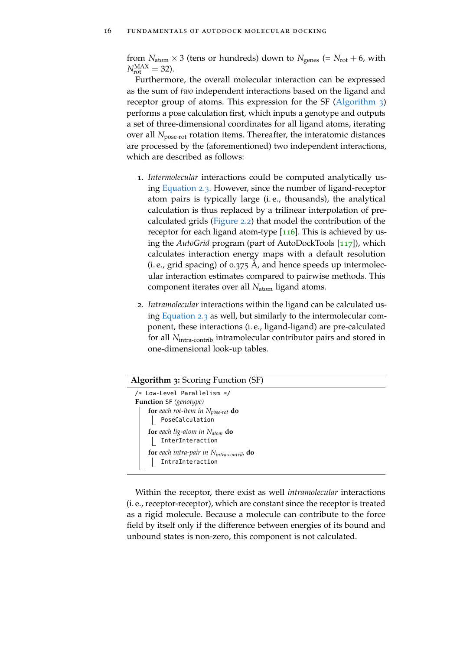from  $N_{\text{atom}} \times 3$  (tens or hundreds) down to  $N_{\text{genes}}$  (=  $N_{\text{rot}} + 6$ , with  $N_{\rm rot}^{\rm MAX} = 32$ ).

Furthermore, the overall molecular interaction can be expressed as the sum of *two* independent interactions based on the ligand and receptor group of atoms. This expression for the SF [\(Algorithm](#page-39-0) 3) performs a pose calculation first, which inputs a genotype and outputs a set of three-dimensional coordinates for all ligand atoms, iterating over all *N*<sub>pose-rot</sub> rotation items. Thereafter, the interatomic distances are processed by the (aforementioned) two independent interactions, which are described as follows:

- 1. *Intermolecular* interactions could be computed analytically using [Equation](#page-37-1) 2.3. However, since the number of ligand-receptor atom pairs is typically large (i. e., thousands), the analytical calculation is thus replaced by a trilinear interpolation of precalculated grids [\(Figure](#page-40-0) 2.2) that model the contribution of the receptor for each ligand atom-type  $[116]$  $[116]$  $[116]$ . This is achieved by using the *AutoGrid* program (part of AutoDockTools [[117](#page-157-1)]), which calculates interaction energy maps with a default resolution (i. e., grid spacing) of  $0.375$  Å, and hence speeds up intermolecular interaction estimates compared to pairwise methods. This component iterates over all *N*atom ligand atoms.
- 2. *Intramolecular* interactions within the ligand can be calculated using [Equation](#page-37-1) 2.3 as well, but similarly to the intermolecular component, these interactions (i. e., ligand-ligand) are pre-calculated for all *N*intra-contrib intramolecular contributor pairs and stored in one-dimensional look-up tables.

#### **Algorithm 3:** Scoring Function (SF)

<span id="page-39-0"></span>

| /* Low-Level Parallelism */               |
|-------------------------------------------|
| <b>Function SF</b> (genotype)             |
| for each rot-item in $N_{pose-rot}$ do    |
| PoseCalculation                           |
| for each lig-atom in $N_{\text{atom}}$ do |
| InterInteraction                          |
| for each intra-pair in Nintra-contrib do  |
| IntraInteraction                          |

Within the receptor, there exist as well *intramolecular* interactions (i. e., receptor-receptor), which are constant since the receptor is treated as a rigid molecule. Because a molecule can contribute to the force field by itself only if the difference between energies of its bound and unbound states is non-zero, this component is not calculated.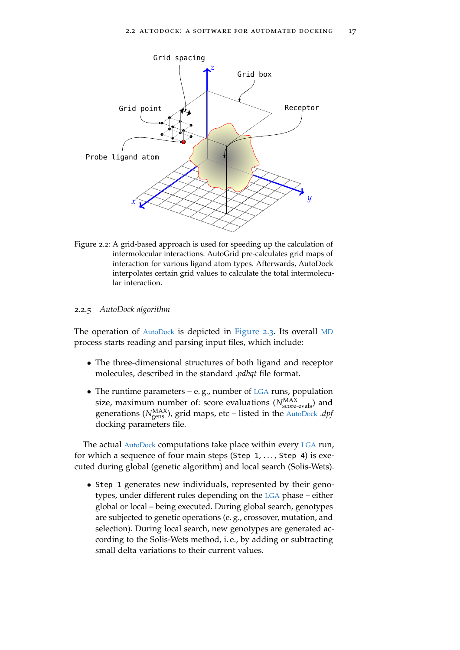<span id="page-40-0"></span>

Figure 2.2: A grid-based approach is used for speeding up the calculation of intermolecular interactions. AutoGrid pre-calculates grid maps of interaction for various ligand atom types. Afterwards, AutoDock interpolates certain grid values to calculate the total intermolecular interaction.

## 2.2.5 *AutoDock algorithm*

The operation of [AutoDock](#page-22-0) is depicted in [Figure](#page-41-0) 2.3. Its overall [MD](#page-22-2) process starts reading and parsing input files, which include:

- The three-dimensional structures of both ligand and receptor molecules, described in the standard *.pdbqt* file format.
- The runtime parameters e. g., number of [LGA](#page-22-1) runs, population size, maximum number of: score evaluations ( $N_{\text{score-evals}}^{\text{MAX}}$ ) and generations (N<sup>MAX</sup>), grid maps, etc – listed in the [AutoDock](#page-22-0) *.dpf* docking parameters file.

The actual [AutoDock](#page-22-0) computations take place within every [LGA](#page-22-1) run, for which a sequence of four main steps (Step  $1, \ldots$ , Step 4) is executed during global (genetic algorithm) and local search (Solis-Wets).

• Step 1 generates new individuals, represented by their genotypes, under different rules depending on the [LGA](#page-22-1) phase – either global or local – being executed. During global search, genotypes are subjected to genetic operations (e. g., crossover, mutation, and selection). During local search, new genotypes are generated according to the Solis-Wets method, i. e., by adding or subtracting small delta variations to their current values.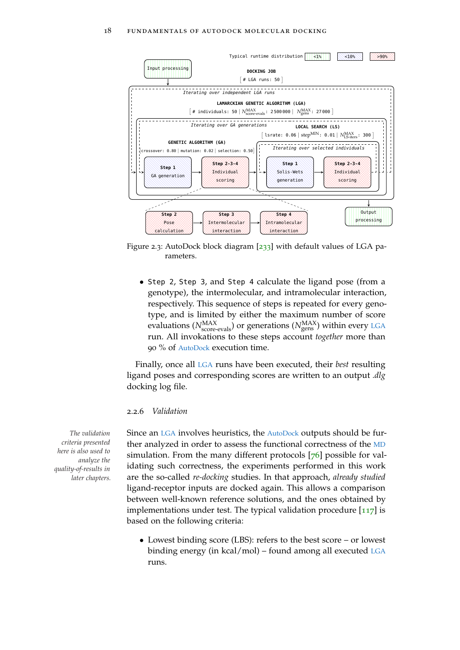<span id="page-41-0"></span>

Figure 2.3: AutoDock block diagram  $\left[233\right]$  $\left[233\right]$  $\left[233\right]$  with default values of LGA parameters.

• Step 2, Step 3, and Step 4 calculate the ligand pose (from a genotype), the intermolecular, and intramolecular interaction, respectively. This sequence of steps is repeated for every genotype, and is limited by either the maximum number of score evaluations ( $N_{\rm score\text{-}evals}^{\rm MAX}$ ) or generations ( $N_{\rm genes}^{\rm MAX}$ ) within every [LGA](#page-22-1) run. All invokations to these steps account *together* more than 90 % of [AutoDock](#page-22-0) execution time.

Finally, once all [LGA](#page-22-1) runs have been executed, their *best* resulting ligand poses and corresponding scores are written to an output *.dlg* docking log file.

## <span id="page-41-1"></span>2.2.6 *Validation*

*The validation* Since an [LGA](#page-22-1) involves heuristics, the [AutoDock](#page-22-0) outputs should be further analyzed in order to assess the functional correctness of the [MD](#page-22-2) simulation. From the many different protocols [[76](#page-153-1)] possible for validating such correctness, the experiments performed in this work are the so-called *re-docking* studies. In that approach, *already studied* ligand-receptor inputs are docked again. This allows a comparison between well-known reference solutions, and the ones obtained by implementations under test. The typical validation procedure  $[117]$  $[117]$  $[117]$  is based on the following criteria:

> • Lowest binding score (LBS): refers to the best score – or lowest binding energy (in kcal/mol) – found among all executed [LGA](#page-22-1) runs.

*criteria presented here is also used to analyze the quality-of-results in later chapters.*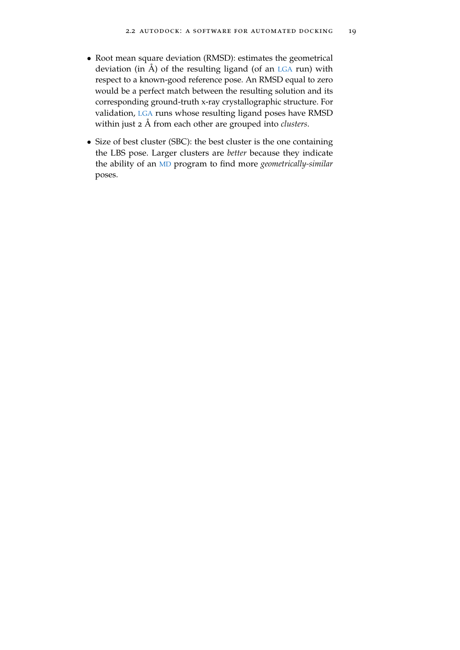- Root mean square deviation (RMSD): estimates the geometrical deviation (in  $\AA$ ) of the resulting ligand (of an [LGA](#page-22-1) run) with respect to a known-good reference pose. An RMSD equal to zero would be a perfect match between the resulting solution and its corresponding ground-truth x-ray crystallographic structure. For validation, [LGA](#page-22-1) runs whose resulting ligand poses have RMSD within just 2 Å from each other are grouped into *clusters*.
- Size of best cluster (SBC): the best cluster is the one containing the LBS pose. Larger clusters are *better* because they indicate the ability of an [MD](#page-22-2) program to find more *geometrically-similar* poses.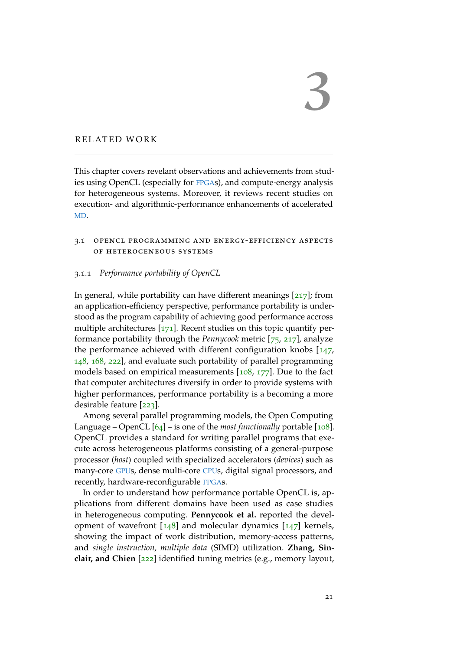# RELATED WORK

This chapter covers revelant observations and achievements from studies using OpenCL (especially for [FPGA](#page-22-3)s), and compute-energy analysis for heterogeneous systems. Moreover, it reviews recent studies on execution- and algorithmic-performance enhancements of accelerated [MD](#page-22-2).

# 3.1 opencl programming and energy-efficiency aspects of heterogeneous systems

## 3.1.1 *Performance portability of OpenCL*

In general, while portability can have different meanings [[217](#page-167-0)]; from an application-efficiency perspective, performance portability is understood as the program capability of achieving good performance accross multiple architectures  $[171]$  $[171]$  $[171]$ . Recent studies on this topic quantify performance portability through the *Pennycook* metric [[75](#page-153-2), [217](#page-167-0)], analyze the performance achieved with different configuration knobs [[147](#page-160-0), [148](#page-160-1), [168](#page-162-1), [222](#page-168-0)], and evaluate such portability of parallel programming models based on empirical measurements [[108](#page-156-1), [177](#page-163-2)]. Due to the fact that computer architectures diversify in order to provide systems with higher performances, performance portability is a becoming a more desirable feature [[223](#page-168-1)].

Among several parallel programming models, the Open Computing Language – OpenCL  $[64]$  $[64]$  $[64]$  – is one of the *most functionally* portable [[108](#page-156-1)]. OpenCL provides a standard for writing parallel programs that execute across heterogeneous platforms consisting of a general-purpose processor (*host*) coupled with specialized accelerators (*devices*) such as many-core [GPU](#page-22-4)s, dense multi-core [CPU](#page-22-5)s, digital signal processors, and recently, hardware-reconfigurable [FPGA](#page-22-3)s.

In order to understand how performance portable OpenCL is, applications from different domains have been used as case studies in heterogeneous computing. **Pennycook et al.** reported the development of wavefront  $[148]$  $[148]$  $[148]$  and molecular dynamics  $[147]$  $[147]$  $[147]$  kernels, showing the impact of work distribution, memory-access patterns, and *single instruction, multiple data* (SIMD) utilization. **Zhang, Sinclair, and Chien** [[222](#page-168-0)] identified tuning metrics (e.g., memory layout,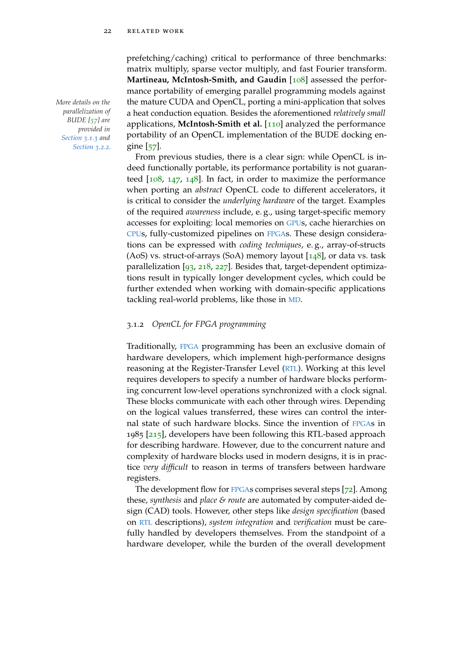*parallelization of BUDE [[57](#page-151-0)] are provided in [Section](#page-47-0) 3.1.3 and [Section](#page-52-0) 3.2.2.*

prefetching/caching) critical to performance of three benchmarks: matrix multiply, sparse vector multiply, and fast Fourier transform. **Martineau, McIntosh-Smith, and Gaudin** [[108](#page-156-1)] assessed the performance portability of emerging parallel programming models against *More details on the* the mature CUDA and OpenCL, porting a mini-application that solves a heat conduction equation. Besides the aforementioned *relatively small* applications, **McIntosh-Smith et al.** [[110](#page-157-2)] analyzed the performance portability of an OpenCL implementation of the BUDE docking engine [[57](#page-151-0)].

> From previous studies, there is a clear sign: while OpenCL is indeed functionally portable, its performance portability is not guaranteed  $[108, 147, 148]$  $[108, 147, 148]$  $[108, 147, 148]$  $[108, 147, 148]$  $[108, 147, 148]$  $[108, 147, 148]$  $[108, 147, 148]$ . In fact, in order to maximize the performance when porting an *abstract* OpenCL code to different accelerators, it is critical to consider the *underlying hardware* of the target. Examples of the required *awareness* include, e. g., using target-specific memory accesses for exploiting: local memories on [GPU](#page-22-4)s, cache hierarchies on [CPU](#page-22-5)s, fully-customized pipelines on [FPGA](#page-22-3)s. These design considerations can be expressed with *coding techniques*, e. g., array-of-structs (AoS) vs. struct-of-arrays (SoA) memory layout  $[148]$  $[148]$  $[148]$ , or data vs. task parallelization [[93](#page-155-0), [218](#page-167-1), [227](#page-168-2)]. Besides that, target-dependent optimizations result in typically longer development cycles, which could be further extended when working with domain-specific applications tackling real-world problems, like those in [MD](#page-22-2).

## 3.1.2 *OpenCL for FPGA programming*

Traditionally, [FPGA](#page-22-3) programming has been an exclusive domain of hardware developers, which implement high-performance designs reasoning at the Register-Transfer Level ([RTL](#page-22-6)). Working at this level requires developers to specify a number of hardware blocks performing concurrent low-level operations synchronized with a clock signal. These blocks communicate with each other through wires. Depending on the logical values transferred, these wires can control the internal state of such hardware blocks. Since the invention of [FPGA](#page-22-3)s in 1985 [[215](#page-167-2)], developers have been following this RTL-based approach for describing hardware. However, due to the concurrent nature and complexity of hardware blocks used in modern designs, it is in practice *very difficult* to reason in terms of transfers between hardware registers.

The development flow for [FPGA](#page-22-3)s comprises several steps [[72](#page-153-3)]. Among these, *synthesis* and *place & route* are automated by computer-aided design (CAD) tools. However, other steps like *design specification* (based on [RTL](#page-22-6) descriptions), *system integration* and *verification* must be carefully handled by developers themselves. From the standpoint of a hardware developer, while the burden of the overall development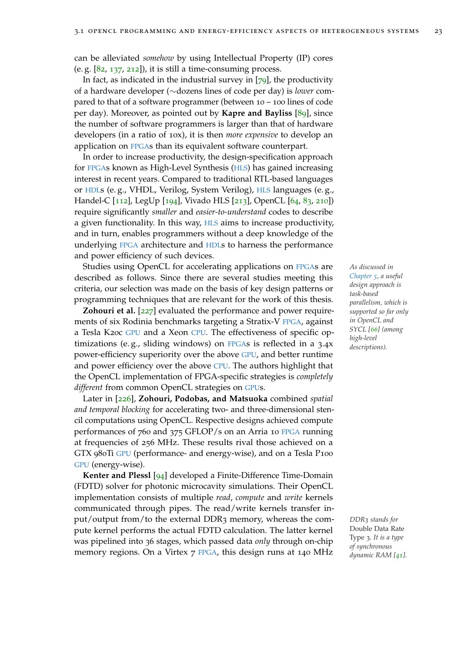can be alleviated *somehow* by using Intellectual Property (IP) cores (e. g.  $[82, 137, 212]$  $[82, 137, 212]$  $[82, 137, 212]$  $[82, 137, 212]$  $[82, 137, 212]$  $[82, 137, 212]$  $[82, 137, 212]$ ), it is still a time-consuming process.

In fact, as indicated in the industrial survey in  $[79]$  $[79]$  $[79]$ , the productivity of a hardware developer (∼dozens lines of code per day) is *lower* compared to that of a software programmer (between 10 – 100 lines of code per day). Moreover, as pointed out by **Kapre and Bayliss** [[89](#page-154-1)], since the number of software programmers is larger than that of hardware developers (in a ratio of 10x), it is then *more expensive* to develop an application on [FPGA](#page-22-3)s than its equivalent software counterpart.

In order to increase productivity, the design-specification approach for [FPGA](#page-22-3)s known as High-Level Synthesis ([HLS](#page-22-7)) has gained increasing interest in recent years. Compared to traditional RTL-based languages or [HDL](#page-22-8)s (e. g., VHDL, Verilog, System Verilog), [HLS](#page-22-7) languages (e. g., Handel-C [[112](#page-157-3)], LegUp [[194](#page-165-1)], Vivado HLS [[213](#page-167-4)], OpenCL [[64](#page-152-0), [83](#page-154-2), [210](#page-166-0)]) require significantly *smaller* and *easier-to-understand* codes to describe a given functionality. In this way, [HLS](#page-22-7) aims to increase productivity, and in turn, enables programmers without a deep knowledge of the underlying [FPGA](#page-22-3) architecture and [HDL](#page-22-8)s to harness the performance and power efficiency of such devices.

Studies using OpenCL for accelerating applications on [FPGA](#page-22-3)s are *As discussed in* described as follows. Since there are several studies meeting this criteria, our selection was made on the basis of key design patterns or programming techniques that are relevant for the work of this thesis.

**Zohouri et al.** [[227](#page-168-2)] evaluated the performance and power requirements of six Rodinia benchmarks targeting a Stratix-V [FPGA](#page-22-3), against a Tesla K20c [GPU](#page-22-4) and a Xeon [CPU](#page-22-5). The effectiveness of specific optimizations (e. g., sliding windows) on [FPGA](#page-22-3)s is reflected in a 3.4x power-efficiency superiority over the above [GPU](#page-22-4), and better runtime and power efficiency over the above [CPU](#page-22-5). The authors highlight that the OpenCL implementation of FPGA-specific strategies is *completely different* from common OpenCL strategies on [GPU](#page-22-4)s.

Later in [[226](#page-168-3)], **Zohouri, Podobas, and Matsuoka** combined *spatial and temporal blocking* for accelerating two- and three-dimensional stencil computations using OpenCL. Respective designs achieved compute performances of 760 and 375 GFLOP/s on an Arria 10 [FPGA](#page-22-3) running at frequencies of 256 MHz. These results rival those achieved on a GTX 980Ti [GPU](#page-22-4) (performance- and energy-wise), and on a Tesla P100 [GPU](#page-22-4) (energy-wise).

**Kenter and Plessl** [[94](#page-155-1)] developed a Finite-Difference Time-Domain (FDTD) solver for photonic microcavity simulations. Their OpenCL implementation consists of multiple *read*, *compute* and *write* kernels communicated through pipes. The read/write kernels transfer input/output from/to the external DDR3 memory, whereas the com- *DDR<sup>3</sup> stands for* pute kernel performs the actual FDTD calculation. The latter kernel was pipelined into 36 stages, which passed data *only* through on-chip memory regions. On a Virtex 7 [FPGA](#page-22-3), this design runs at 140 MHz

*[Chapter](#page-76-0) 5, a useful design approach is task-based parallelism, which is supported so far only in OpenCL and SYCL [[66](#page-152-1)] (among high-level descriptions).*

Double Data Rate Type 3*. It is a type of synchronous dynamic RAM [[41](#page-150-0)].*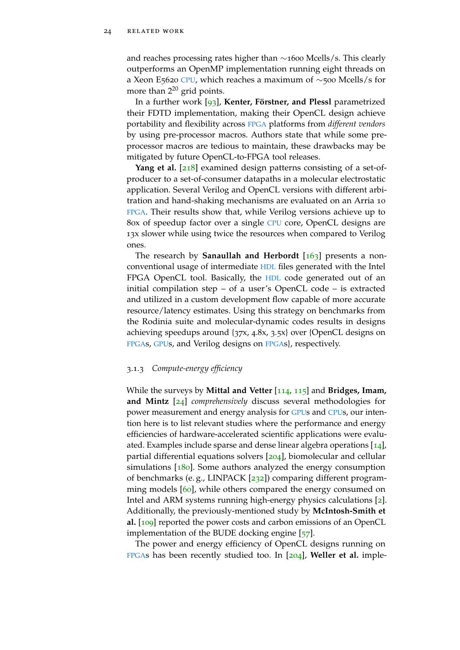and reaches processing rates higher than ∼1600 Mcells/s. This clearly outperforms an OpenMP implementation running eight threads on a Xeon E5620 [CPU](#page-22-5), which reaches a maximum of ∼500 Mcells/s for more than  $2^{20}$  grid points.

In a further work [[93](#page-155-0)], **Kenter, Förstner, and Plessl** parametrized their FDTD implementation, making their OpenCL design achieve portability and flexibility across [FPGA](#page-22-3) platforms from *different vendors* by using pre-processor macros. Authors state that while some preprocessor macros are tedious to maintain, these drawbacks may be mitigated by future OpenCL-to-FPGA tool releases.

**Yang et al.** [[218](#page-167-1)] examined design patterns consisting of a set-ofproducer to a set-of-consumer datapaths in a molecular electrostatic application. Several Verilog and OpenCL versions with different arbitration and hand-shaking mechanisms are evaluated on an Arria 10 [FPGA](#page-22-3). Their results show that, while Verilog versions achieve up to 80x of speedup factor over a single [CPU](#page-22-5) core, OpenCL designs are 13x slower while using twice the resources when compared to Verilog ones.

The research by **Sanaullah and Herbordt** [[163](#page-162-2)] presents a nonconventional usage of intermediate [HDL](#page-22-8) files generated with the Intel FPGA OpenCL tool. Basically, the [HDL](#page-22-8) code generated out of an initial compilation step – of a user's OpenCL code – is extracted and utilized in a custom development flow capable of more accurate resource/latency estimates. Using this strategy on benchmarks from the Rodinia suite and molecular-dynamic codes results in designs achieving speedups around {37x, 4.8x, 3.5x} over {OpenCL designs on [FPGA](#page-22-3)s, [GPU](#page-22-4)s, and Verilog designs on [FPGA](#page-22-3)s}, respectively.

# <span id="page-47-0"></span>3.1.3 *Compute-energy efficiency*

While the surveys by **Mittal and Vetter** [[114](#page-157-4), [115](#page-157-5)] and **Bridges, Imam, and Mintz** [[24](#page-148-0)] *comprehensively* discuss several methodologies for power measurement and energy analysis for [GPU](#page-22-4)s and [CPU](#page-22-5)s, our intention here is to list relevant studies where the performance and energy efficiencies of hardware-accelerated scientific applications were evaluated. Examples include sparse and dense linear algebra operations [[14](#page-147-0)], partial differential equations solvers [[204](#page-166-1)], biomolecular and cellular simulations  $[180]$  $[180]$  $[180]$ . Some authors analyzed the energy consumption of benchmarks (e. g., LINPACK [[232](#page-169-1)]) comparing different program-ming models [[60](#page-151-1)], while others compared the energy consumed on Intel and ARM systems running high-energy physics calculations [[2](#page-146-0)]. Additionally, the previously-mentioned study by **McIntosh-Smith et al.** [[109](#page-157-6)] reported the power costs and carbon emissions of an OpenCL implementation of the BUDE docking engine [[57](#page-151-0)].

The power and energy efficiency of OpenCL designs running on [FPGA](#page-22-3)s has been recently studied too. In [[204](#page-166-1)], **Weller et al.** imple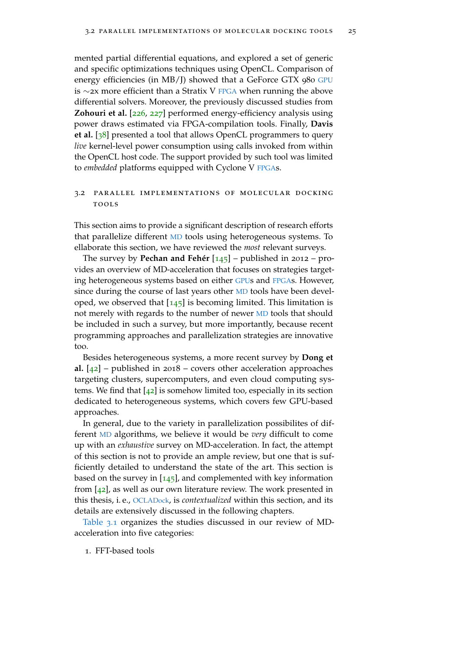mented partial differential equations, and explored a set of generic and specific optimizations techniques using OpenCL. Comparison of energy efficiencies (in MB/J) showed that a GeForce GTX 980 [GPU](#page-22-4) is ∼2x more efficient than a Stratix V [FPGA](#page-22-3) when running the above differential solvers. Moreover, the previously discussed studies from **Zohouri et al.** [[226](#page-168-3), [227](#page-168-2)] performed energy-efficiency analysis using power draws estimated via FPGA-compilation tools. Finally, **Davis et al.** [[38](#page-149-0)] presented a tool that allows OpenCL programmers to query *live* kernel-level power consumption using calls invoked from within the OpenCL host code. The support provided by such tool was limited to *embedded* platforms equipped with Cyclone V [FPGA](#page-22-3)s.

# 3.2 parallel implementations of molecular docking **TOOLS**

This section aims to provide a significant description of research efforts that parallelize different [MD](#page-22-2) tools using heterogeneous systems. To ellaborate this section, we have reviewed the *most* relevant surveys.

The survey by **Pechan and Fehér** [[145](#page-160-2)] – published in 2012 – provides an overview of MD-acceleration that focuses on strategies targeting heterogeneous systems based on either [GPU](#page-22-4)s and [FPGA](#page-22-3)s. However, since during the course of last years other [MD](#page-22-2) tools have been developed, we observed that  $[145]$  $[145]$  $[145]$  is becoming limited. This limitation is not merely with regards to the number of newer [MD](#page-22-2) tools that should be included in such a survey, but more importantly, because recent programming approaches and parallelization strategies are innovative too.

Besides heterogeneous systems, a more recent survey by **Dong et al.** [[42](#page-150-1)] – published in 2018 – covers other acceleration approaches targeting clusters, supercomputers, and even cloud computing systems. We find that  $[42]$  $[42]$  $[42]$  is somehow limited too, especially in its section dedicated to heterogeneous systems, which covers few GPU-based approaches.

In general, due to the variety in parallelization possibilites of different [MD](#page-22-2) algorithms, we believe it would be *very* difficult to come up with an *exhaustive* survey on MD-acceleration. In fact, the attempt of this section is not to provide an ample review, but one that is sufficiently detailed to understand the state of the art. This section is based on the survey in  $[145]$  $[145]$  $[145]$ , and complemented with key information from [[42](#page-150-1)], as well as our own literature review. The work presented in this thesis, i. e., [OCLADock](#page-22-9), is *contextualized* within this section, and its details are extensively discussed in the following chapters.

[Table](#page-50-0) 3.1 organizes the studies discussed in our review of MDacceleration into five categories:

1. FFT-based tools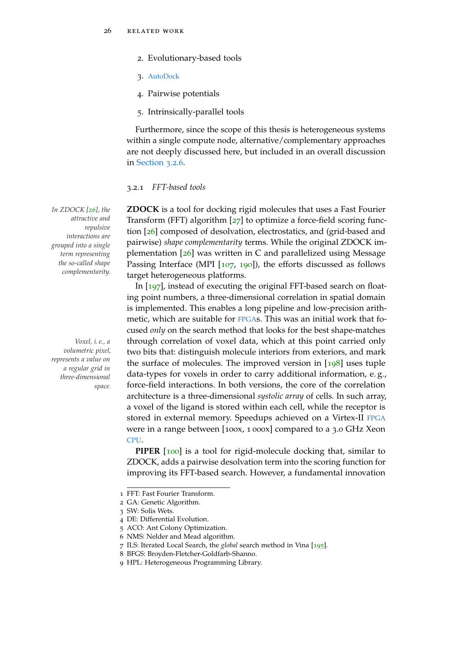- 2. Evolutionary-based tools
- 3. [AutoDock](#page-22-0)
- 4. Pairwise potentials
- 5. Intrinsically-parallel tools

Furthermore, since the scope of this thesis is heterogeneous systems within a single compute node, alternative/complementary approaches are not deeply discussed here, but included in an overall discussion in [Section](#page-57-0) 3.2.6.

#### 3.2.1 *FFT-based tools*

*In ZDOCK [[26](#page-148-1)], the* **ZDOCK** is a tool for docking rigid molecules that uses a Fast Fourier Transform (FFT) algorithm [[27](#page-148-2)] to optimize a force-field scoring function [[26](#page-148-1)] composed of desolvation, electrostatics, and (grid-based and pairwise) *shape complementarity* terms. While the original ZDOCK implementation [[26](#page-148-1)] was written in C and parallelized using Message Passing Interface (MPI [[107](#page-156-2), [190](#page-165-2)]), the efforts discussed as follows target heterogeneous platforms.

In [[197](#page-165-3)], instead of executing the original FFT-based search on floating point numbers, a three-dimensional correlation in spatial domain is implemented. This enables a long pipeline and low-precision arithmetic, which are suitable for [FPGA](#page-22-3)s. This was an initial work that focused *only* on the search method that looks for the best shape-matches *Voxel, i. e., a* through correlation of voxel data, which at this point carried only two bits that: distinguish molecule interiors from exteriors, and mark the surface of molecules. The improved version in  $[198]$  $[198]$  $[198]$  uses tuple data-types for voxels in order to carry additional information, e. g., force-field interactions. In both versions, the core of the correlation architecture is a three-dimensional *systolic array* of cells. In such array, a voxel of the ligand is stored within each cell, while the receptor is stored in external memory. Speedups achieved on a Virtex-II [FPGA](#page-22-3) were in a range between [100x, 1 000x] compared to a 3.0 GHz Xeon [CPU](#page-22-5).

> **PIPER** [[100](#page-156-3)] is a tool for rigid-molecule docking that, similar to ZDOCK, adds a pairwise desolvation term into the scoring function for improving its FFT-based search. However, a fundamental innovation

*attractive and repulsive interactions are grouped into a single term representing the so-called shape complementarity.*

*volumetric pixel, represents a value on a regular grid in three-dimensional space.*

<sup>1</sup> FFT: Fast Fourier Transform.

<sup>2</sup> GA: Genetic Algorithm.

<sup>3</sup> SW: Solis Wets.

<sup>4</sup> DE: Differential Evolution.

<sup>5</sup> ACO: Ant Colony Optimization.

<sup>6</sup> NMS: Nelder and Mead algorithm.

<sup>7</sup> ILS: Iterated Local Search, the *global* search method in Vina [[195](#page-165-5)].

<sup>8</sup> BFGS: Broyden-Fletcher-Goldfarb-Shanno.

<sup>9</sup> HPL: Heterogeneous Programming Library.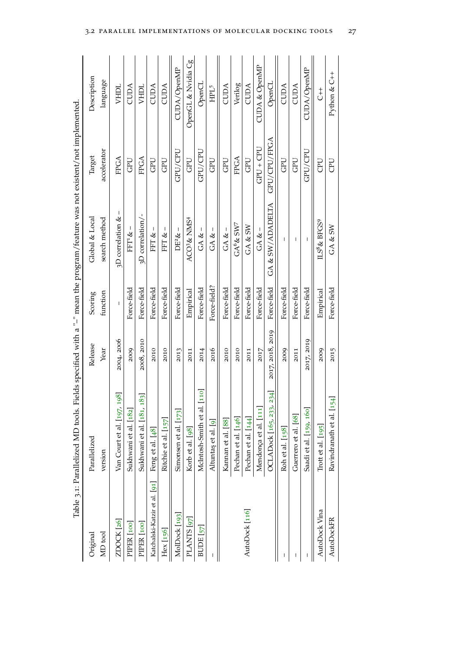<span id="page-50-0"></span>

|                               | Table 3.1: Parallelized MD tools. Fields specified with a "-" mean the program/feature was not existent/not implemented. |                  |              |                             |              |                          |
|-------------------------------|--------------------------------------------------------------------------------------------------------------------------|------------------|--------------|-----------------------------|--------------|--------------------------|
| Original                      | Parallelized                                                                                                             | Release          | Scoring      | Global & Local              | Target       | Description              |
| MD <sub>tool</sub>            | version                                                                                                                  | Year             | function     | search method               | accelerator  | language                 |
| ZDOCK [26]                    | Van Court et al. [197, 198]                                                                                              | 2004, 2006       |              | 3D correlation &            | FPGA         | VHDL                     |
| PIPER <sub>[100]</sub>        | Sukhwani et al. [182]                                                                                                    | 2009             | Force-field  | $FFT 8 -$                   | <b>GPU</b>   | <b>CUDA</b>              |
| PIPER [100]                   | 83]<br>Sukhwani et al. [181, 1]                                                                                          | 2008, 2010       | Force-field  | 3D correlation/-            | FPGA         | <b>VHDL</b>              |
| Katchalski-Katzir et al. [91] | Feng et al. [48]                                                                                                         | 2010             | Force-field  | FFT &-                      | GPU          | <b>CUDA</b>              |
| Hex [156]                     | Ritchie et al. [157]                                                                                                     | 2010             | Force-field  | FFT & –                     | GPU          | <b>CUDA</b>              |
| MolDock [193]                 | Simonsen et al. [173]                                                                                                    | 2013             | Force-field  | $DE2$ & –                   | GPU/CPU      | CUDA/OpenMP              |
| PLANTS [97]                   | Korb et al. [98]                                                                                                         | 2011             | Empirical    | ACO3& NMS <sup>4</sup>      | GPU          | OpenGL & Nvidia Cg       |
| BUDE [57]                     | <b>110</b><br>McIntosh-Smith et al.                                                                                      | 2014             | Force-field  | GA <                        | GPU/CPU      | OpenCL                   |
| T                             | Altuntaş et al. [9]                                                                                                      | 2016             | Force-field? | $GA & =$                    | <b>GPU</b>   | HPL <sup>5</sup>         |
|                               | Kannan et al. [88]                                                                                                       | 2010             | Force-field  | GA <                        | <b>GPU</b>   | CUDA                     |
|                               | Pechan et al. [146]                                                                                                      | 2010             | Force-field  | $GA^6$ & $SW^7$             | FPGA         | Verilog                  |
| AutoDock [116]                | Pechan et al. [144]                                                                                                      | 2011             | Force-field  | GA & SW                     | GPU          | CUDA                     |
|                               | Mendonça et al. [111]                                                                                                    | 2017             | Force-field  | $GA & =$                    | $GPU + CPU$  | <b>CUDA &amp; OpenMP</b> |
|                               | 234.<br>OCLADock [165, 233,                                                                                              | 2017, 2018, 2019 | Force-field  | $GA$ & $\text{SW/ADADELTA}$ | GPU/CPU/FPGA | OpenCL                   |
|                               | Roh et al. [158]                                                                                                         | 2009             | Force-field  |                             | GPU          | <b>CUDA</b>              |
|                               | Guerrero et al. [68]                                                                                                     | 2011             | Force-field  | T                           | GPU          | <b>CUDA</b>              |
|                               | Saadi et al. [159, 160]                                                                                                  | 2017, 2019       | Force-field  | $\overline{1}$              | GPU/CPU      | CUDA/OpenMP              |
| AutoDock Vina                 | Trott et al. $[195]$                                                                                                     | 2009             | Empirical    | $L S^8$ & BFGS <sup>9</sup> | CPU          | $\overline{t}$           |
| <b>AutoDockFR</b>             | Ravindranath et al. [154]                                                                                                | 2015             | Force-field  | GA & SW                     | <b>UCD</b>   | Python & C++             |
|                               |                                                                                                                          |                  |              |                             |              |                          |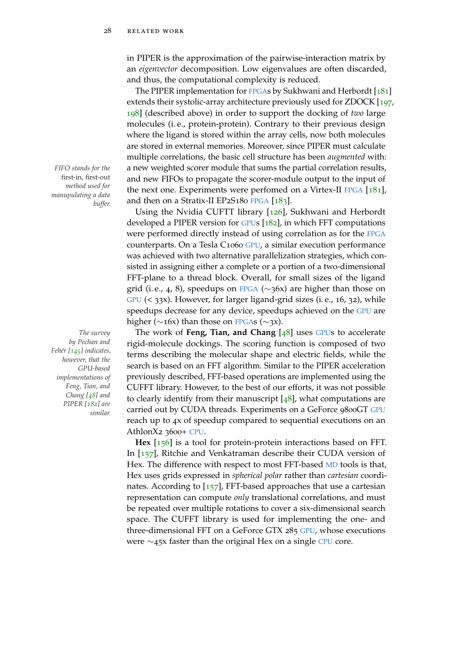in PIPER is the approximation of the pairwise-interaction matrix by an *eigenvector* decomposition. Low eigenvalues are often discarded, and thus, the computational complexity is reduced.

The PIPER implementation for [FPGA](#page-22-3)s by Sukhwani and Herbordt [[181](#page-164-1)] extends their systolic-array architecture previously used for ZDOCK [[197](#page-165-3), [198](#page-165-4)] (described above) in order to support the docking of *two* large molecules (i. e., protein-protein). Contrary to their previous design where the ligand is stored within the array cells, now both molecules are stored in external memories. Moreover, since PIPER must calculate multiple correlations, the basic cell structure has been *augmented* with: *FIFO stands for the* a new weighted scorer module that sums the partial correlation results, and new FIFOs to propagate the scorer-module output to the input of the next one. Experiments were perfomed on a Virtex-II [FPGA](#page-22-3) [[181](#page-164-1)], and then on a Stratix-II EP2S180 [FPGA](#page-22-3) [[183](#page-164-2)].

> Using the Nvidia CUFTT library [[126](#page-158-0)], Sukhwani and Herbordt developed a PIPER version for [GPU](#page-22-4)s [[182](#page-164-0)], in which FFT computations were performed directly instead of using correlation as for the [FPGA](#page-22-3) counterparts. On a Tesla C1060 [GPU](#page-22-4), a similar execution performance was achieved with two alternative parallelization strategies, which consisted in assigning either a complete or a portion of a two-dimensional FFT-plane to a thread block. Overall, for small sizes of the ligand grid (i.e., 4, 8), speedups on [FPGA](#page-22-3) ( $\sim$ 36x) are higher than those on [GPU](#page-22-4) (< 33x). However, for larger ligand-grid sizes (i. e., 16, 32), while speedups decrease for any device, speedups achieved on the [GPU](#page-22-4) are higher ( $\sim$ 16x) than those on [FPGA](#page-22-3)s ( $\sim$ 3x).

*The survey* The work of **Feng, Tian, and Chang** [[48](#page-150-2)] uses [GPU](#page-22-4)s to accelerate rigid-molecule dockings. The scoring function is composed of two terms describing the molecular shape and electric fields, while the search is based on an FFT algorithm. Similar to the PIPER acceleration previously described, FFT-based operations are implemented using the CUFFT library. However, to the best of our efforts, it was not possible to clearly identify from their manuscript  $[48]$  $[48]$  $[48]$ , what computations are carried out by CUDA threads. Experiments on a GeForce 9800GT [GPU](#page-22-4) reach up to 4x of speedup compared to sequential executions on an AthlonX2 3600+ [CPU](#page-22-5).

> **Hex** [[156](#page-161-0)] is a tool for protein-protein interactions based on FFT. In [[157](#page-161-1)], Ritchie and Venkatraman describe their CUDA version of Hex. The difference with respect to most FFT-based [MD](#page-22-2) tools is that, Hex uses grids expressed in *spherical polar* rather than *cartesian* coordinates. According to  $[157]$  $[157]$  $[157]$ , FFT-based approaches that use a cartesian representation can compute *only* translational correlations, and must be repeated over multiple rotations to cover a six-dimensional search space. The CUFFT library is used for implementing the one- and three-dimensional FFT on a GeForce GTX 285 [GPU](#page-22-4), whose executions were ∼45x faster than the original Hex on a single [CPU](#page-22-5) core.

first-in, first-out *method used for manupulating a data buffer.*

*by Pechan and Fehér [[145](#page-160-2)] indicates, however, that the GPU-based implementations of Feng, Tian, and Chang [[48](#page-150-2)] and PIPER [[182](#page-164-0)] are similar.*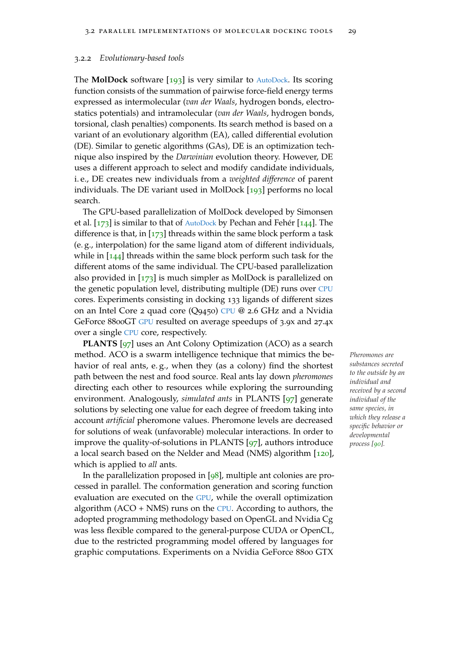#### <span id="page-52-0"></span>3.2.2 *Evolutionary-based tools*

The **MolDock** software [[193](#page-165-6)] is very similar to [AutoDock](#page-22-0). Its scoring function consists of the summation of pairwise force-field energy terms expressed as intermolecular (*van der Waals*, hydrogen bonds, electrostatics potentials) and intramolecular (*van der Waals*, hydrogen bonds, torsional, clash penalties) components. Its search method is based on a variant of an evolutionary algorithm (EA), called differential evolution (DE). Similar to genetic algorithms (GAs), DE is an optimization technique also inspired by the *Darwinian* evolution theory. However, DE uses a different approach to select and modify candidate individuals, i. e., DE creates new individuals from a *weighted difference* of parent individuals. The DE variant used in MolDock [[193](#page-165-6)] performs no local search.

The GPU-based parallelization of MolDock developed by Simonsen et al. [[173](#page-163-4)] is similar to that of [AutoDock](#page-22-0) by Pechan and Fehér [[144](#page-160-4)]. The difference is that, in  $[173]$  $[173]$  $[173]$  threads within the same block perform a task (e. g., interpolation) for the same ligand atom of different individuals, while in  $[144]$  $[144]$  $[144]$  threads within the same block perform such task for the different atoms of the same individual. The CPU-based parallelization also provided in  $[173]$  $[173]$  $[173]$  is much simpler as MolDock is parallelized on the genetic population level, distributing multiple (DE) runs over [CPU](#page-22-5) cores. Experiments consisting in docking 133 ligands of different sizes on an Intel Core 2 quad core (Q9450) [CPU](#page-22-5) @ 2.6 GHz and a Nvidia GeForce 8800GT [GPU](#page-22-4) resulted on average speedups of 3.9x and 27.4x over a single [CPU](#page-22-5) core, respectively.

**PLANTS** [[97](#page-155-3)] uses an Ant Colony Optimization (ACO) as a search method. ACO is a swarm intelligence technique that mimics the be- *Pheromones are* havior of real ants, e. g., when they (as a colony) find the shortest path between the nest and food source. Real ants lay down *pheromones* directing each other to resources while exploring the surrounding environment. Analogously, *simulated ants* in PLANTS [[97](#page-155-3)] generate solutions by selecting one value for each degree of freedom taking into account *artificial* pheromone values. Pheromone levels are decreased for solutions of weak (unfavorable) molecular interactions. In order to improve the quality-of-solutions in PLANTS [[97](#page-155-3)], authors introduce a local search based on the Nelder and Mead (NMS) algorithm [[120](#page-158-1)], which is applied to *all* ants.

In the parallelization proposed in [[98](#page-155-4)], multiple ant colonies are processed in parallel. The conformation generation and scoring function evaluation are executed on the [GPU](#page-22-4), while the overall optimization algorithm  $(ACO + NMS)$  runs on the [CPU](#page-22-5). According to authors, the adopted programming methodology based on OpenGL and Nvidia Cg was less flexible compared to the general-purpose CUDA or OpenCL, due to the restricted programming model offered by languages for graphic computations. Experiments on a Nvidia GeForce 8800 GTX

*substances secreted to the outside by an individual and received by a second individual of the same species, in which they release a specific behavior or developmental process [[90](#page-154-4)].*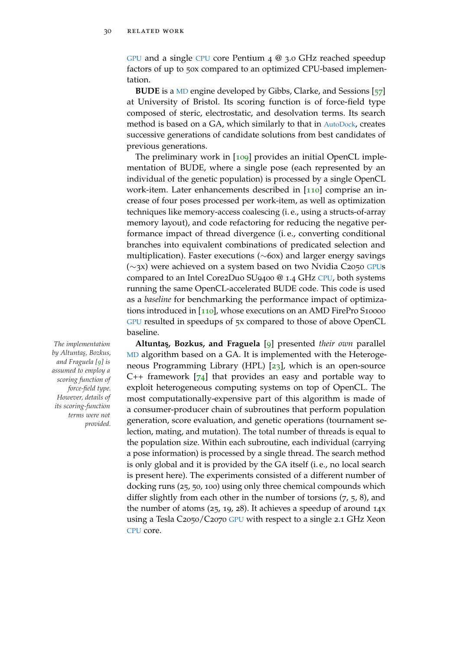[GPU](#page-22-4) and a single [CPU](#page-22-5) core Pentium 4 @ 3.0 GHz reached speedup factors of up to 50x compared to an optimized CPU-based implementation.

**BUDE** is a [MD](#page-22-2) engine developed by Gibbs, Clarke, and Sessions [[57](#page-151-0)] at University of Bristol. Its scoring function is of force-field type composed of steric, electrostatic, and desolvation terms. Its search method is based on a GA, which similarly to that in [AutoDock](#page-22-0), creates successive generations of candidate solutions from best candidates of previous generations.

The preliminary work in [[109](#page-157-6)] provides an initial OpenCL implementation of BUDE, where a single pose (each represented by an individual of the genetic population) is processed by a single OpenCL work-item. Later enhancements described in [[110](#page-157-2)] comprise an increase of four poses processed per work-item, as well as optimization techniques like memory-access coalescing (i. e., using a structs-of-array memory layout), and code refactoring for reducing the negative performance impact of thread divergence (i. e., converting conditional branches into equivalent combinations of predicated selection and multiplication). Faster executions (∼60x) and larger energy savings (∼3x) were achieved on a system based on two Nvidia C2050 [GPU](#page-22-4)s compared to an Intel Core2Duo SU9400 @ 1.4 GHz [CPU](#page-22-5), both systems running the same OpenCL-accelerated BUDE code. This code is used as a *baseline* for benchmarking the performance impact of optimiza-tions introduced in [[110](#page-157-2)], whose executions on an AMD FirePro S10000 [GPU](#page-22-4) resulted in speedups of 5x compared to those of above OpenCL baseline.

*The implementation* **Altuntas, Bozkus, and Fraguela** [[9](#page-147-1)] presented *their own* parallel [MD](#page-22-2) algorithm based on a GA. It is implemented with the Heterogeneous Programming Library (HPL) [[23](#page-148-3)], which is an open-source C++ framework  $[74]$  $[74]$  $[74]$  that provides an easy and portable way to exploit heterogeneous computing systems on top of OpenCL. The most computationally-expensive part of this algorithm is made of a consumer-producer chain of subroutines that perform population generation, score evaluation, and genetic operations (tournament selection, mating, and mutation). The total number of threads is equal to the population size. Within each subroutine, each individual (carrying a pose information) is processed by a single thread. The search method is only global and it is provided by the GA itself (i. e., no local search is present here). The experiments consisted of a different number of docking runs (25, 50, 100) using only three chemical compounds which differ slightly from each other in the number of torsions  $(7, 5, 8)$ , and the number of atoms (25, 19, 28). It achieves a speedup of around 14x using a Tesla C2050/C2070 [GPU](#page-22-4) with respect to a single 2.1 GHz Xeon [CPU](#page-22-5) core.

*by Altunta¸s, Bozkus, and Fraguela [[9](#page-147-1)] is assumed to employ a scoring function of force-field type. However, details of its scoring-function terms were not provided.*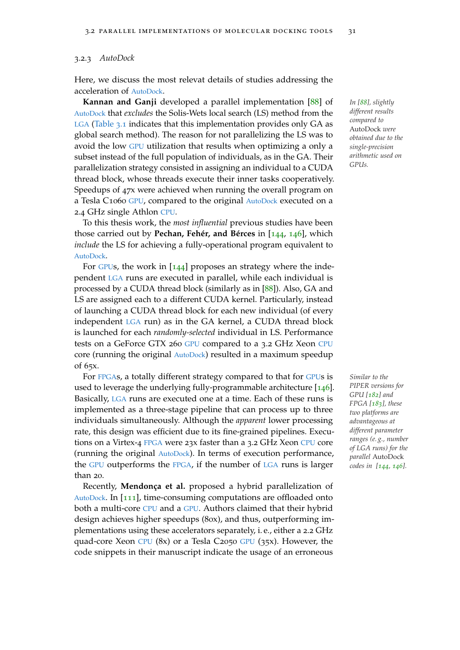#### 3.2.3 *AutoDock*

Here, we discuss the most relevat details of studies addressing the acceleration of [AutoDock](#page-22-0).

**Kannan and Ganji** developed a parallel implementation [[88](#page-154-3)] of *In [[88](#page-154-3)], slightly* [AutoDock](#page-22-0) that *excludes* the Solis-Wets local search (LS) method from the [LGA](#page-22-1) [\(Table](#page-50-0) 3.1 indicates that this implementation provides only GA as global search method). The reason for not parallelizing the LS was to avoid the low [GPU](#page-22-4) utilization that results when optimizing a only a subset instead of the full population of individuals, as in the GA. Their parallelization strategy consisted in assigning an individual to a CUDA thread block, whose threads execute their inner tasks cooperatively. Speedups of 47x were achieved when running the overall program on a Tesla C1060 [GPU](#page-22-4), compared to the original [AutoDock](#page-22-0) executed on a 2.4 GHz single Athlon [CPU](#page-22-5).

To this thesis work, the *most influential* previous studies have been those carried out by **Pechan, Fehér, and Bérces** in [[144](#page-160-4), [146](#page-160-3)], which *include* the LS for achieving a fully-operational program equivalent to [AutoDock](#page-22-0).

For [GPU](#page-22-4)s, the work in  $[144]$  $[144]$  $[144]$  proposes an strategy where the independent [LGA](#page-22-1) runs are executed in parallel, while each individual is processed by a CUDA thread block (similarly as in [[88](#page-154-3)]). Also, GA and LS are assigned each to a different CUDA kernel. Particularly, instead of launching a CUDA thread block for each new individual (of every independent [LGA](#page-22-1) run) as in the GA kernel, a CUDA thread block is launched for each *randomly-selected* individual in LS. Performance tests on a GeForce GTX 260 [GPU](#page-22-4) compared to a 3.2 GHz Xeon [CPU](#page-22-5) core (running the original [AutoDock](#page-22-0)) resulted in a maximum speedup of 65x.

For [FPGA](#page-22-3)s, a totally different strategy compared to that for [GPU](#page-22-4)s is *Similar to the* used to leverage the underlying fully-programmable architecture [[146](#page-160-3)]. Basically, [LGA](#page-22-1) runs are executed one at a time. Each of these runs is implemented as a three-stage pipeline that can process up to three individuals simultaneously. Although the *apparent* lower processing rate, this design was efficient due to its fine-grained pipelines. Executions on a Virtex-4 [FPGA](#page-22-3) were 23x faster than a 3.2 GHz Xeon [CPU](#page-22-5) core (running the original [AutoDock](#page-22-0)). In terms of execution performance, the [GPU](#page-22-4) outperforms the [FPGA](#page-22-3), if the number of [LGA](#page-22-1) runs is larger than 20.

Recently, **Mendonça et al.** proposed a hybrid parallelization of [AutoDock](#page-22-0). In [[111](#page-157-7)], time-consuming computations are offloaded onto both a multi-core [CPU](#page-22-5) and a [GPU](#page-22-4). Authors claimed that their hybrid design achieves higher speedups (80x), and thus, outperforming implementations using these accelerators separately, i. e., either a 2.2 GHz quad-core Xeon [CPU](#page-22-5) (8x) or a Tesla C2050 [GPU](#page-22-4) (35x). However, the code snippets in their manuscript indicate the usage of an erroneous

*different results compared to* AutoDock *were obtained due to the single-precision arithmetic used on GPUs.*

*PIPER versions for GPU [[182](#page-164-0)] and FPGA [[183](#page-164-2)], these two platforms are advantageous at different parameter ranges (e. g., number of LGA runs) for the parallel* AutoDock *codes in [[144](#page-160-4), [146](#page-160-3)].*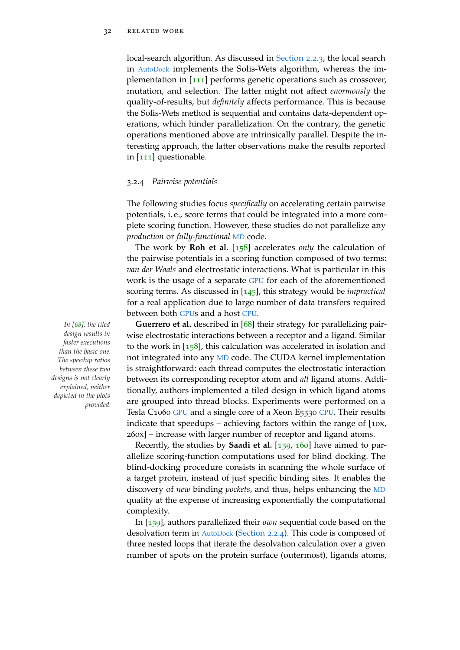local-search algorithm. As discussed in [Section](#page-36-0) 2.2.3, the local search in [AutoDock](#page-22-0) implements the Solis-Wets algorithm, whereas the implementation in [[111](#page-157-7)] performs genetic operations such as crossover, mutation, and selection. The latter might not affect *enormously* the quality-of-results, but *definitely* affects performance. This is because the Solis-Wets method is sequential and contains data-dependent operations, which hinder parallelization. On the contrary, the genetic operations mentioned above are intrinsically parallel. Despite the interesting approach, the latter observations make the results reported in [[111](#page-157-7)] questionable.

#### 3.2.4 *Pairwise potentials*

The following studies focus *specifically* on accelerating certain pairwise potentials, i. e., score terms that could be integrated into a more complete scoring function. However, these studies do not parallelize any *production* or *fully-functional* [MD](#page-22-2) code.

The work by **Roh et al.** [[158](#page-161-2)] accelerates *only* the calculation of the pairwise potentials in a scoring function composed of two terms: *van der Waals* and electrostatic interactions. What is particular in this work is the usage of a separate [GPU](#page-22-4) for each of the aforementioned scoring terms. As discussed in [[145](#page-160-2)], this strategy would be *impractical* for a real application due to large number of data transfers required between both [GPU](#page-22-4)s and a host [CPU](#page-22-5).

*In [[68](#page-152-2)], the tiled* **Guerrero et al.** described in [[68](#page-152-2)] their strategy for parallelizing pairwise electrostatic interactions between a receptor and a ligand. Similar to the work in  $[158]$  $[158]$  $[158]$ , this calculation was accelerated in isolation and not integrated into any [MD](#page-22-2) code. The CUDA kernel implementation is straightforward: each thread computes the electrostatic interaction between its corresponding receptor atom and *all* ligand atoms. Additionally, authors implemented a tiled design in which ligand atoms are grouped into thread blocks. Experiments were performed on a Tesla C1060 [GPU](#page-22-4) and a single core of a Xeon E5530 [CPU](#page-22-5). Their results indicate that speedups – achieving factors within the range of [10x, 260x] – increase with larger number of receptor and ligand atoms.

> Recently, the studies by **Saadi et al.** [[159](#page-161-3), [160](#page-161-4)] have aimed to parallelize scoring-function computations used for blind docking. The blind-docking procedure consists in scanning the whole surface of a target protein, instead of just specific binding sites. It enables the discovery of *new* binding *pockets*, and thus, helps enhancing the [MD](#page-22-2) quality at the expense of increasing exponentially the computational complexity.

> In [[159](#page-161-3)], authors parallelized their *own* sequential code based on the desolvation term in [AutoDock](#page-22-0) [\(Section](#page-37-2) 2.2.4). This code is composed of three nested loops that iterate the desolvation calculation over a given number of spots on the protein surface (outermost), ligands atoms,

*design results in faster executions than the basic one. The speedup ratios between these two designs is not clearly explained, neither depicted in the plots provided.*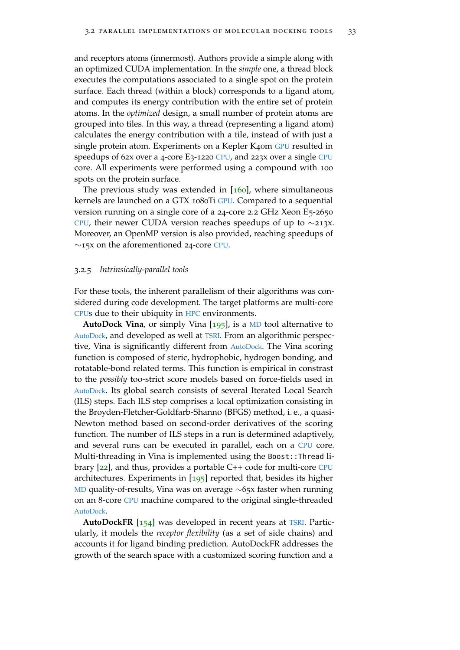and receptors atoms (innermost). Authors provide a simple along with an optimized CUDA implementation. In the *simple* one, a thread block executes the computations associated to a single spot on the protein surface. Each thread (within a block) corresponds to a ligand atom, and computes its energy contribution with the entire set of protein atoms. In the *optimized* design, a small number of protein atoms are grouped into tiles. In this way, a thread (representing a ligand atom) calculates the energy contribution with a tile, instead of with just a single protein atom. Experiments on a Kepler K40m [GPU](#page-22-4) resulted in speedups of 62x over a 4-core E3-1220 [CPU](#page-22-5), and 223x over a single [CPU](#page-22-5) core. All experiments were performed using a compound with 100 spots on the protein surface.

The previous study was extended in  $[160]$  $[160]$  $[160]$ , where simultaneous kernels are launched on a GTX 1080Ti [GPU](#page-22-4). Compared to a sequential version running on a single core of a 24-core 2.2 GHz Xeon E5-2650 [CPU](#page-22-5), their newer CUDA version reaches speedups of up to ∼213x. Moreover, an OpenMP version is also provided, reaching speedups of  $\sim$ 15x on the aforementioned 24-core [CPU](#page-22-5).

#### 3.2.5 *Intrinsically-parallel tools*

For these tools, the inherent parallelism of their algorithms was considered during code development. The target platforms are multi-core [CPU](#page-22-5)s due to their ubiquity in [HPC](#page-22-10) environments.

**AutoDock Vina**, or simply Vina [[195](#page-165-5)], is a [MD](#page-22-2) tool alternative to [AutoDock](#page-22-0), and developed as well at [TSRI](#page-22-11). From an algorithmic perspective, Vina is significantly different from [AutoDock](#page-22-0). The Vina scoring function is composed of steric, hydrophobic, hydrogen bonding, and rotatable-bond related terms. This function is empirical in constrast to the *possibly* too-strict score models based on force-fields used in [AutoDock](#page-22-0). Its global search consists of several Iterated Local Search (ILS) steps. Each ILS step comprises a local optimization consisting in the Broyden-Fletcher-Goldfarb-Shanno (BFGS) method, i. e., a quasi-Newton method based on second-order derivatives of the scoring function. The number of ILS steps in a run is determined adaptively, and several runs can be executed in parallel, each on a [CPU](#page-22-5) core. Multi-threading in Vina is implemented using the Boost::Thread library [[22](#page-148-4)], and thus, provides a portable C++ code for multi-core [CPU](#page-22-5) architectures. Experiments in  $[195]$  $[195]$  $[195]$  reported that, besides its higher [MD](#page-22-2) quality-of-results, Vina was on average ∼65x faster when running on an 8-core [CPU](#page-22-5) machine compared to the original single-threaded [AutoDock](#page-22-0).

AutoDockFR [[154](#page-161-5)] was developed in recent years at [TSRI](#page-22-11). Particularly, it models the *receptor flexibility* (as a set of side chains) and accounts it for ligand binding prediction. AutoDockFR addresses the growth of the search space with a customized scoring function and a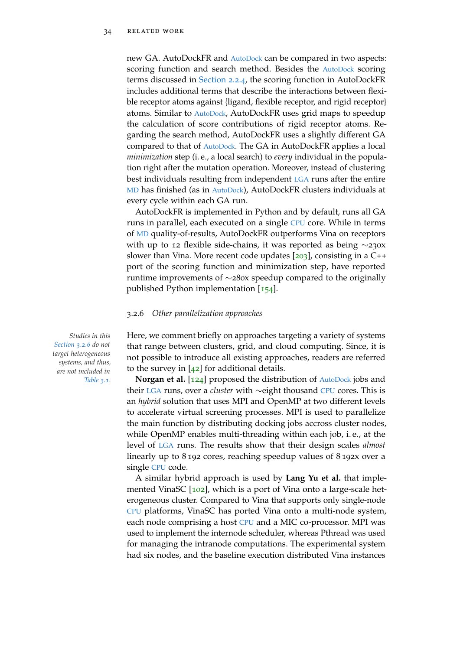new GA. [AutoDock](#page-22-0)FR and AutoDock can be compared in two aspects: scoring function and search method. Besides the [AutoDock](#page-22-0) scoring terms discussed in [Section](#page-37-2) 2.2.4, the scoring function in AutoDockFR includes additional terms that describe the interactions between flexible receptor atoms against {ligand, flexible receptor, and rigid receptor} atoms. Similar to [AutoDock](#page-22-0), AutoDockFR uses grid maps to speedup the calculation of score contributions of rigid receptor atoms. Regarding the search method, AutoDockFR uses a slightly different GA compared to that of [AutoDock](#page-22-0). The GA in AutoDockFR applies a local *minimization* step (i. e., a local search) to *every* individual in the population right after the mutation operation. Moreover, instead of clustering best individuals resulting from independent [LGA](#page-22-1) runs after the entire [MD](#page-22-2) has finished (as in [AutoDock](#page-22-0)), AutoDockFR clusters individuals at every cycle within each GA run.

AutoDockFR is implemented in Python and by default, runs all GA runs in parallel, each executed on a single [CPU](#page-22-5) core. While in terms of [MD](#page-22-2) quality-of-results, AutoDockFR outperforms Vina on receptors with up to 12 flexible side-chains, it was reported as being ∼230x slower than Vina. More recent code updates  $[203]$  $[203]$  $[203]$ , consisting in a C++ port of the scoring function and minimization step, have reported runtime improvements of ∼280x speedup compared to the originally published Python implementation [[154](#page-161-5)].

#### <span id="page-57-0"></span>3.2.6 *Other parallelization approaches*

*Studies in this* Here, we comment briefly on approaches targeting a variety of systems that range between clusters, grid, and cloud computing. Since, it is not possible to introduce all existing approaches, readers are referred to the survey in  $[42]$  $[42]$  $[42]$  for additional details.

> **Norgan et al.** [[124](#page-158-2)] proposed the distribution of [AutoDock](#page-22-0) jobs and their [LGA](#page-22-1) runs, over a *cluster* with ∼eight thousand [CPU](#page-22-5) cores. This is an *hybrid* solution that uses MPI and OpenMP at two different levels to accelerate virtual screening processes. MPI is used to parallelize the main function by distributing docking jobs accross cluster nodes, while OpenMP enables multi-threading within each job, i. e., at the level of [LGA](#page-22-1) runs. The results show that their design scales *almost* linearly up to 8 192 cores, reaching speedup values of 8 192x over a single [CPU](#page-22-5) code.

> A similar hybrid approach is used by **Lang Yu et al.** that imple-mented VinaSC [[102](#page-156-4)], which is a port of Vina onto a large-scale heterogeneous cluster. Compared to Vina that supports only single-node [CPU](#page-22-5) platforms, VinaSC has ported Vina onto a multi-node system, each node comprising a host [CPU](#page-22-5) and a MIC co-processor. MPI was used to implement the internode scheduler, whereas Pthread was used for managing the intranode computations. The experimental system had six nodes, and the baseline execution distributed Vina instances

*[Section](#page-57-0) 3.2.6 do not target heterogeneous systems, and thus, are not included in [Table](#page-50-0) 3.1.*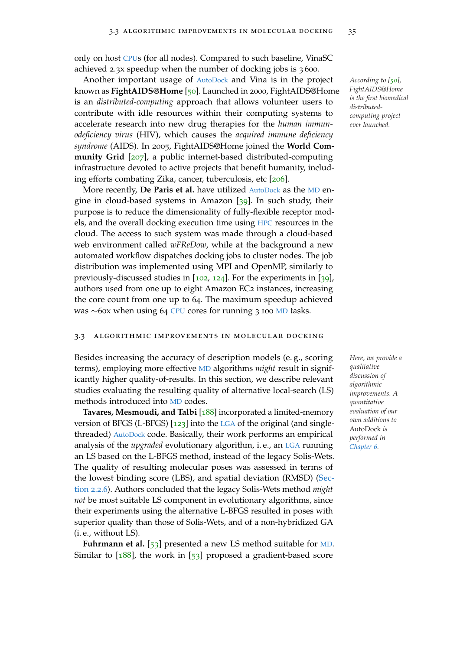only on host [CPU](#page-22-5)s (for all nodes). Compared to such baseline, VinaSC achieved 2.3x speedup when the number of docking jobs is 3 600.

Another important usage of [AutoDock](#page-22-0) and Vina is in the project *According to [[50](#page-150-3)],* known as **FightAIDS@Home** [[50](#page-150-3)]. Launched in 2000, FightAIDS@Home is an *distributed-computing* approach that allows volunteer users to contribute with idle resources within their computing systems to accelerate research into new drug therapies for the *human immunodeficiency virus* (HIV), which causes the *acquired immune deficiency syndrome* (AIDS). In 2005, FightAIDS@Home joined the **World Community Grid** [[207](#page-166-3)], a public internet-based distributed-computing infrastructure devoted to active projects that benefit humanity, including efforts combating Zika, cancer, tuberculosis, etc [[206](#page-166-4)].

More recently, **De Paris et al.** have utilized [AutoDock](#page-22-0) as the [MD](#page-22-2) engine in cloud-based systems in Amazon [[39](#page-149-1)]. In such study, their purpose is to reduce the dimensionality of fully-flexible receptor models, and the overall docking execution time using [HPC](#page-22-10) resources in the cloud. The access to such system was made through a cloud-based web environment called *wFReDow*, while at the background a new automated workflow dispatches docking jobs to cluster nodes. The job distribution was implemented using MPI and OpenMP, similarly to previously-discussed studies in [[102](#page-156-4), [124](#page-158-2)]. For the experiments in [[39](#page-149-1)], authors used from one up to eight Amazon EC2 instances, increasing the core count from one up to 64. The maximum speedup achieved was ∼60x when using 64 [CPU](#page-22-5) cores for running 3 100 [MD](#page-22-2) tasks.

#### 3.3 algorithmic improvements in molecular docking

Besides increasing the accuracy of description models (e. g., scoring *Here, we provide a* terms), employing more effective [MD](#page-22-2) algorithms *might* result in significantly higher quality-of-results. In this section, we describe relevant studies evaluating the resulting quality of alternative local-search (LS) methods introduced into [MD](#page-22-2) codes.

**Tavares, Mesmoudi, and Talbi** [[188](#page-164-3)] incorporated a limited-memory version of BFGS (L-BFGS) [[123](#page-158-3)] into the [LGA](#page-22-1) of the original (and singlethreaded) [AutoDock](#page-22-0) code. Basically, their work performs an empirical analysis of the *upgraded* evolutionary algorithm, i. e., an [LGA](#page-22-1) running an LS based on the L-BFGS method, instead of the legacy Solis-Wets. The quality of resulting molecular poses was assessed in terms of the lowest binding score (LBS), and spatial deviation (RMSD) [\(Sec](#page-41-1)[tion](#page-41-1) 2.2.6). Authors concluded that the legacy Solis-Wets method *might not* be most suitable LS component in evolutionary algorithms, since their experiments using the alternative L-BFGS resulted in poses with superior quality than those of Solis-Wets, and of a non-hybridized GA (i. e., without LS).

Fuhrmann et al. [[53](#page-151-2)] presented a new LS method suitable for [MD](#page-22-2). Similar to  $[188]$  $[188]$  $[188]$ , the work in  $[53]$  $[53]$  $[53]$  proposed a gradient-based score

*FightAIDS@Home is the first biomedical distributedcomputing project ever launched.*

*qualitative discussion of algorithmic improvements. A quantitative evaluation of our own additions to* AutoDock *is performed in [Chapter](#page-96-0) 6.*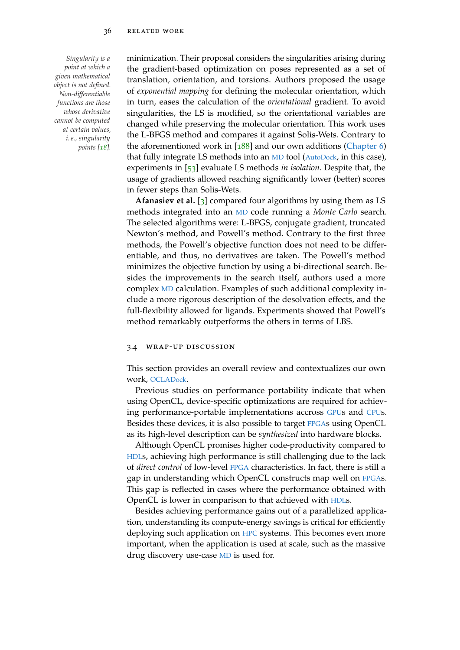*point at which a given mathematical object is not defined. Non-differentiable functions are those whose derivative cannot be computed at certain values, i. e., singularity points [[18](#page-147-2)].*

*Singularity is a* minimization. Their proposal considers the singularities arising during the gradient-based optimization on poses represented as a set of translation, orientation, and torsions. Authors proposed the usage of *exponential mapping* for defining the molecular orientation, which in turn, eases the calculation of the *orientational* gradient. To avoid singularities, the LS is modified, so the orientational variables are changed while preserving the molecular orientation. This work uses the L-BFGS method and compares it against Solis-Wets. Contrary to the aforementioned work in  $[188]$  $[188]$  $[188]$  and our own additions [\(Chapter](#page-96-0) 6) that fully integrate LS methods into an [MD](#page-22-2) tool ([AutoDock](#page-22-0), in this case), experiments in [[53](#page-151-2)] evaluate LS methods *in isolation*. Despite that, the usage of gradients allowed reaching significantly lower (better) scores in fewer steps than Solis-Wets.

> **Afanasiev et al.** [[3](#page-146-1)] compared four algorithms by using them as LS methods integrated into an [MD](#page-22-2) code running a *Monte Carlo* search. The selected algorithms were: L-BFGS, conjugate gradient, truncated Newton's method, and Powell's method. Contrary to the first three methods, the Powell's objective function does not need to be differentiable, and thus, no derivatives are taken. The Powell's method minimizes the objective function by using a bi-directional search. Besides the improvements in the search itself, authors used a more complex [MD](#page-22-2) calculation. Examples of such additional complexity include a more rigorous description of the desolvation effects, and the full-flexibility allowed for ligands. Experiments showed that Powell's method remarkably outperforms the others in terms of LBS.

#### 3.4 wrap-up discussion

This section provides an overall review and contextualizes our own work, [OCLADock](#page-22-9).

Previous studies on performance portability indicate that when using OpenCL, device-specific optimizations are required for achieving performance-portable implementations accross [GPU](#page-22-4)s and [CPU](#page-22-5)s. Besides these devices, it is also possible to target [FPGA](#page-22-3)s using OpenCL as its high-level description can be *synthesized* into hardware blocks.

Although OpenCL promises higher code-productivity compared to [HDL](#page-22-8)s, achieving high performance is still challenging due to the lack of *direct control* of low-level [FPGA](#page-22-3) characteristics. In fact, there is still a gap in understanding which OpenCL constructs map well on [FPGA](#page-22-3)s. This gap is reflected in cases where the performance obtained with OpenCL is lower in comparison to that achieved with [HDL](#page-22-8)s.

Besides achieving performance gains out of a parallelized application, understanding its compute-energy savings is critical for efficiently deploying such application on [HPC](#page-22-10) systems. This becomes even more important, when the application is used at scale, such as the massive drug discovery use-case [MD](#page-22-2) is used for.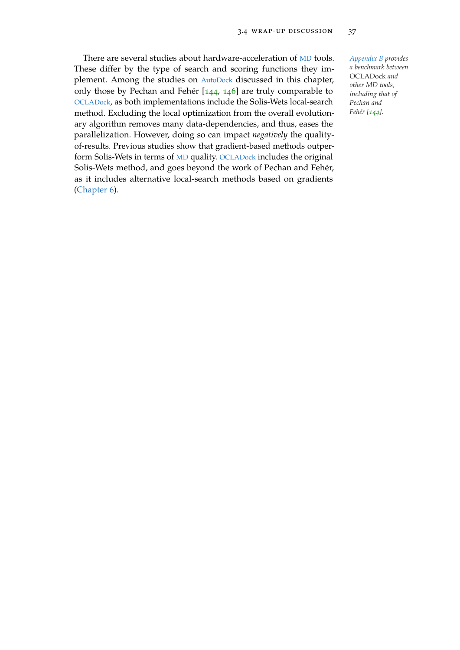There are several studies about hardware-acceleration of [MD](#page-22-2) tools. *[Appendix B](#page-134-0) provides* These differ by the type of search and scoring functions they implement. Among the studies on [AutoDock](#page-22-0) discussed in this chapter, only those by Pechan and Fehér [[144](#page-160-4), [146](#page-160-3)] are truly comparable to [OCLADock](#page-22-9), as both implementations include the Solis-Wets local-search method. Excluding the local optimization from the overall evolutionary algorithm removes many data-dependencies, and thus, eases the parallelization. However, doing so can impact *negatively* the qualityof-results. Previous studies show that gradient-based methods outperform Solis-Wets in terms of [MD](#page-22-2) quality. [OCLADock](#page-22-9) includes the original Solis-Wets method, and goes beyond the work of Pechan and Fehér, as it includes alternative local-search methods based on gradients [\(Chapter](#page-96-0) 6).

*a benchmark between* OCLADock *and other MD tools, including that of Pechan and Fehér [[144](#page-160-4)].*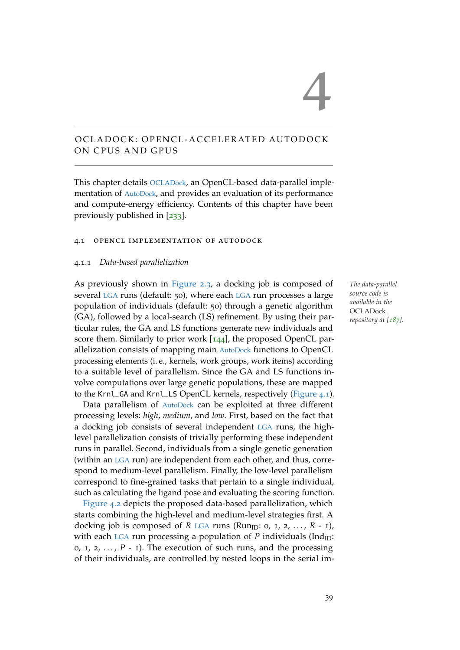# OCLADOCK: OPENCL-ACCELERATED AUTODOCK ON CPUS AND GPUS

This chapter details [OCLADock](#page-22-9), an OpenCL-based data-parallel implementation of [AutoDock](#page-22-0), and provides an evaluation of its performance and compute-energy efficiency. Contents of this chapter have been previously published in [[233](#page-169-0)].

#### 4.1 opencl implementation of autodock

## 4.1.1 *Data-based parallelization*

As previously shown in [Figure](#page-41-0) 2.3, a docking job is composed of *The data-parallel* several [LGA](#page-22-1) runs (default: 50), where each [LGA](#page-22-1) run processes a large population of individuals (default: 50) through a genetic algorithm (GA), followed by a local-search (LS) refinement. By using their particular rules, the GA and LS functions generate new individuals and score them. Similarly to prior work [[144](#page-160-4)], the proposed OpenCL parallelization consists of mapping main [AutoDock](#page-22-0) functions to OpenCL processing elements (i. e., kernels, work groups, work items) according to a suitable level of parallelism. Since the GA and LS functions involve computations over large genetic populations, these are mapped to the Krnl\_GA and Krnl\_LS OpenCL kernels, respectively [\(Figure](#page-63-0) 4.1).

Data parallelism of [AutoDock](#page-22-0) can be exploited at three different processing levels: *high*, *medium*, and *low*. First, based on the fact that a docking job consists of several independent [LGA](#page-22-1) runs, the highlevel parallelization consists of trivially performing these independent runs in parallel. Second, individuals from a single genetic generation (within an [LGA](#page-22-1) run) are independent from each other, and thus, correspond to medium-level parallelism. Finally, the low-level parallelism correspond to fine-grained tasks that pertain to a single individual, such as calculating the ligand pose and evaluating the scoring function.

[Figure](#page-64-0) 4.2 depicts the proposed data-based parallelization, which starts combining the high-level and medium-level strategies first. A docking job is composed of *R* [LGA](#page-22-1) runs (Run<sub>ID</sub>: 0, 1, 2, ..., *R* - 1), with each [LGA](#page-22-1) run processing a population of  $P$  individuals (Ind<sub>ID</sub>: 0, 1, 2,  $\ldots$ ,  $P$  - 1). The execution of such runs, and the processing of their individuals, are controlled by nested loops in the serial im*source code is available in the* **OCLADock** *repository at [[187](#page-164-4)].*

4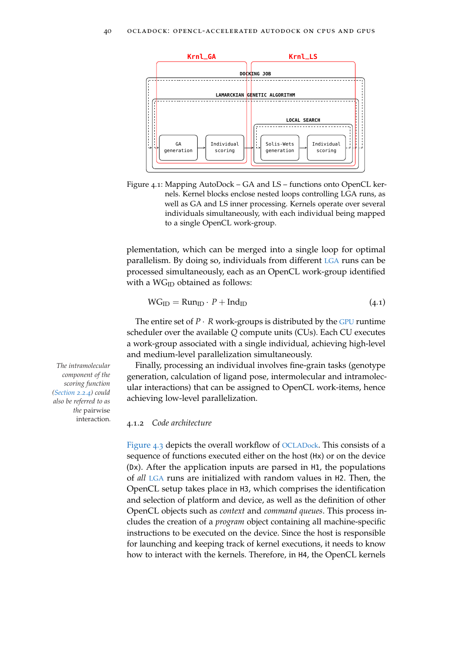<span id="page-63-0"></span>

Figure 4.1: Mapping AutoDock – GA and LS – functions onto OpenCL kernels. Kernel blocks enclose nested loops controlling LGA runs, as well as GA and LS inner processing. Kernels operate over several individuals simultaneously, with each individual being mapped to a single OpenCL work-group.

plementation, which can be merged into a single loop for optimal parallelism. By doing so, individuals from different [LGA](#page-22-1) runs can be processed simultaneously, each as an OpenCL work-group identified with a  $WG_{ID}$  obtained as follows:

$$
WG_{ID} = Run_{ID} \cdot P + Ind_{ID}
$$
 (4.1)

The entire set of  $P \cdot R$  work-groups is distributed by the [GPU](#page-22-4) runtime scheduler over the available *Q* compute units (CUs). Each CU executes a work-group associated with a single individual, achieving high-level and medium-level parallelization simultaneously.

*The intramolecular* Finally, processing an individual involves fine-grain tasks (genotype generation, calculation of ligand pose, intermolecular and intramolecular interactions) that can be assigned to OpenCL work-items, hence achieving low-level parallelization.

## 4.1.2 *Code architecture*

[Figure](#page-66-0) 4.3 depicts the overall workflow of [OCLADock](#page-22-9). This consists of a sequence of functions executed either on the host (Hx) or on the device (Dx). After the application inputs are parsed in H1, the populations of *all* [LGA](#page-22-1) runs are initialized with random values in H2. Then, the OpenCL setup takes place in H3, which comprises the identification and selection of platform and device, as well as the definition of other OpenCL objects such as *context* and *command queues*. This process includes the creation of a *program* object containing all machine-specific instructions to be executed on the device. Since the host is responsible for launching and keeping track of kernel executions, it needs to know how to interact with the kernels. Therefore, in H4, the OpenCL kernels

*component of the scoring function [\(Section](#page-37-2) 2.2.4) could also be referred to as the* pairwise interaction*.*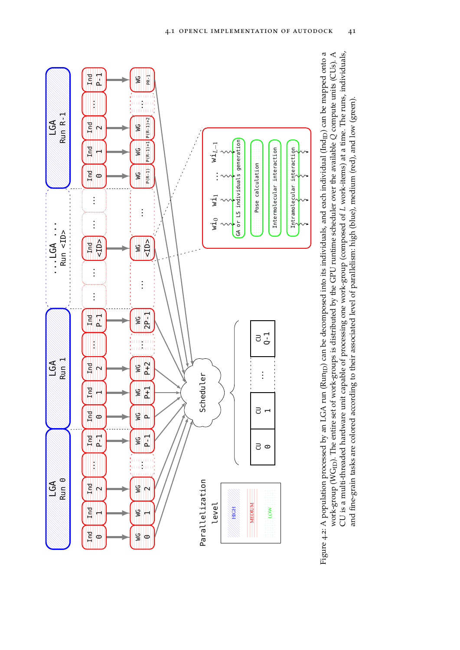<span id="page-64-0"></span>

Figure 4.2: A population processed by an LGA run (Run<sub>ID</sub>) can be decomposed into its individuals, and each individual (Ind<sub>ID</sub>) can be mapped onto a work-group ( $\hat{W}G_{ID}$ ). The entire set of work-groups is distributed by the GPU runtime scheduler over the available Q compute units (CUs). A Figure 4.2: A population processed by an LGA run (Run<sub>ID</sub>) can be decomposed into its individuals, and each individual (Ind<sub>ID</sub>) can be mapped onto a CU is a multi-threaded hardware unit capable of processing one work-group (composed of L work-items) at a time. The runs, individuals, work-group (WGID). The entire set of work-groups is distributed by the GPU runtime scheduler over the available *Q* compute units (CUs). A CU is a multi-threaded hardware unit capable of processing one work-group (composed of *L* work-items) at a time. The runs, individuals, and fine-grain tasks are colored according to their associated level of parallelism: high (blue), medium (red), and low (green). and fine-grain tasks are colored according to their associated level of parallelism: high (blue), medium (red), and low (green).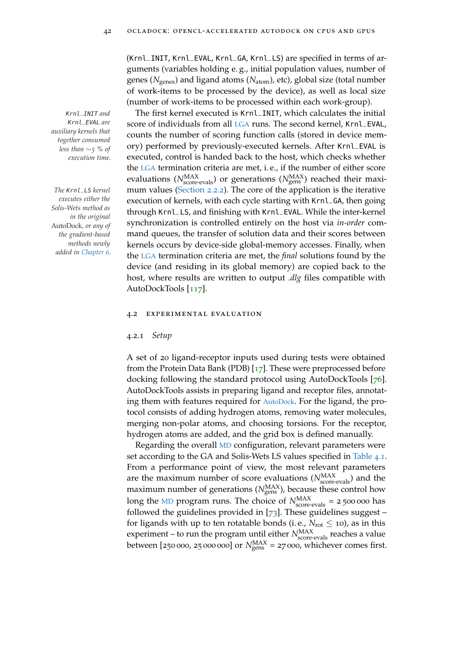(Krnl\_INIT, Krnl\_EVAL, Krnl\_GA, Krnl\_LS) are specified in terms of arguments (variables holding e. g., initial population values, number of genes (*N*genes) and ligand atoms (*N*atom), etc), global size (total number of work-items to be processed by the device), as well as local size (number of work-items to be processed within each work-group).

Krnl\_INIT *and* The first kernel executed is Krnl\_INIT, which calculates the initial score of individuals from all [LGA](#page-22-1) runs. The second kernel, Krnl\_EVAL, counts the number of scoring function calls (stored in device memory) performed by previously-executed kernels. After Krnl\_EVAL is executed, control is handed back to the host, which checks whether the [LGA](#page-22-1) termination criteria are met, i. e., if the number of either score evaluations (*N*<sup>MAX</sup><sub>score-evals</sub>) or generations (*N*<sub>gens</sub>) reached their maxi-*The* Krnl\_LS *kernel* mum values [\(Section](#page-35-1) 2.2.2). The core of the application is the iterative execution of kernels, with each cycle starting with Krnl\_GA, then going through Krnl\_LS, and finishing with Krnl\_EVAL. While the inter-kernel synchronization is controlled entirely on the host via *in-order* command queues, the transfer of solution data and their scores between kernels occurs by device-side global-memory accesses. Finally, when the [LGA](#page-22-1) termination criteria are met, the *final* solutions found by the device (and residing in its global memory) are copied back to the host, where results are written to output *.dlg* files compatible with AutoDockTools [[117](#page-157-1)].

#### 4.2 experimental evaluation

## 4.2.1 *Setup*

A set of 20 ligand-receptor inputs used during tests were obtained from the Protein Data Bank (PDB) [[17](#page-147-3)]. These were preprocessed before docking following the standard protocol using AutoDockTools [[76](#page-153-1)]. AutoDockTools assists in preparing ligand and receptor files, annotating them with features required for [AutoDock](#page-22-0). For the ligand, the protocol consists of adding hydrogen atoms, removing water molecules, merging non-polar atoms, and choosing torsions. For the receptor, hydrogen atoms are added, and the grid box is defined manually.

Regarding the overall [MD](#page-22-2) configuration, relevant parameters were set according to the GA and Solis-Wets LS values specified in [Table](#page-67-0) 4.1. From a performance point of view, the most relevant parameters are the maximum number of score evaluations  $(N_{\text{score-evals}}^{\text{MAX}})$  and the maximum number of generations  $(N_{\text{gens}}^{\text{MAX}})$ , because these control how long the  $MD$  program runs. The choice of  $N_{\text{score-evals}}^{\text{MAX}} = 2500000$  has followed the guidelines provided in  $[73]$  $[73]$  $[73]$ . These guidelines suggest – for ligands with up to ten rotatable bonds (i. e.,  $N_{\text{rot}} \leq 10$ ), as in this experiment – to run the program until either  $N_{\text{score-evals}}^{\text{MAX}}$  reaches a value between [250 000, 25 000 000] or  $N_{\text{gens}}^{\text{MAX}}$  = 27 000, whichever comes first.

Krnl\_EVAL *are auxiliary kernels that together consumed less than* ∼*5 % of execution time.*

*executes either the Solis-Wets method as in the original* AutoDock*, or any of the gradient-based methods newly added in [Chapter](#page-96-0) 6.*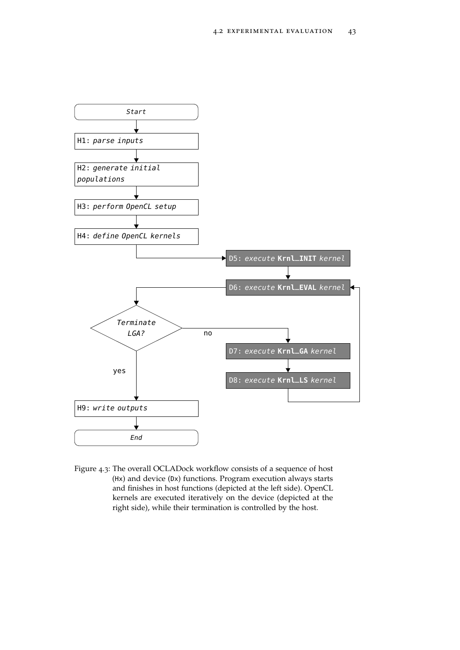<span id="page-66-0"></span>

Figure 4.3: The overall OCLADock workflow consists of a sequence of host (Hx) and device (Dx) functions. Program execution always starts and finishes in host functions (depicted at the left side). OpenCL kernels are executed iteratively on the device (depicted at the right side), while their termination is controlled by the host.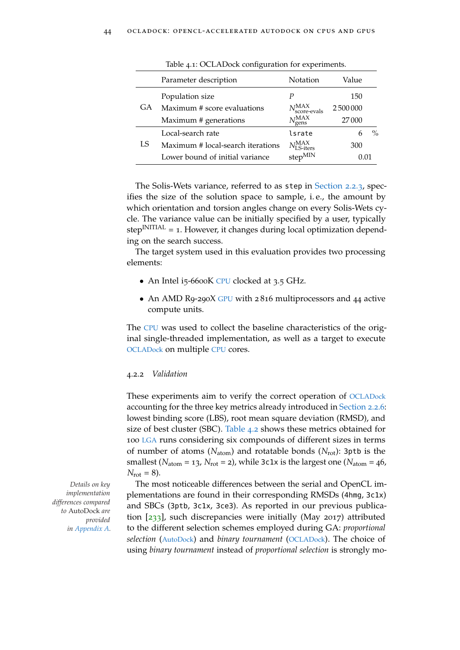<span id="page-67-0"></span>

|    | Parameter description             | Notation                               | Value     |               |
|----|-----------------------------------|----------------------------------------|-----------|---------------|
|    | Population size                   | Р                                      | 150       |               |
| GA | Maximum # score evaluations       | $N_{\rm score\text{-}evals}^{\rm MAX}$ | 2 500 000 |               |
|    | Maximum # generations             | NMAX<br>Pgens                          | 27000     |               |
|    | Local-search rate                 | lsrate                                 | 6         | $\frac{0}{0}$ |
| LS | Maximum # local-search iterations | $N_{\text{LS-iters}}^{\text{MAX}}$     | 300       |               |
|    | Lower bound of initial variance   | $step^{MIN}$                           | 0.01      |               |

Table 4.1: OCLADock configuration for experiments.

The Solis-Wets variance, referred to as step in [Section](#page-36-0) 2.2.3, specifies the size of the solution space to sample, i. e., the amount by which orientation and torsion angles change on every Solis-Wets cycle. The variance value can be initially specified by a user, typically step<sup>INITIAL</sup> = 1. However, it changes during local optimization depending on the search success.

The target system used in this evaluation provides two processing elements:

- An Intel i5-6600K [CPU](#page-22-5) clocked at 3.5 GHz.
- An AMD R9-290X [GPU](#page-22-4) with 2816 multiprocessors and 44 active compute units.

The [CPU](#page-22-5) was used to collect the baseline characteristics of the original single-threaded implementation, as well as a target to execute [OCLADock](#page-22-9) on multiple [CPU](#page-22-5) cores.

#### 4.2.2 *Validation*

These experiments aim to verify the correct operation of [OCLADock](#page-22-9) accounting for the three key metrics already introduced in [Section](#page-41-1) 2.2.6: lowest binding score (LBS), root mean square deviation (RMSD), and size of best cluster (SBC). [Table](#page-68-0) 4.2 shows these metrics obtained for 100 [LGA](#page-22-1) runs considering six compounds of different sizes in terms of number of atoms (*N*atom) and rotatable bonds (*N*rot): 3ptb is the smallest ( $N_{\text{atom}} = 13$ ,  $N_{\text{rot}} = 2$ ), while 3c1x is the largest one ( $N_{\text{atom}} = 46$ ,  $N_{\text{rot}} = 8$ ).

*Details on key* The most noticeable differences between the serial and OpenCL implementations are found in their corresponding RMSDs (4hmg, 3c1x) and SBCs (3ptb, 3c1x, 3ce3). As reported in our previous publication  $[233]$  $[233]$  $[233]$ , such discrepancies were initially (May 2017) attributed to the different selection schemes employed during GA: *proportional selection* ([AutoDock](#page-22-0)) and *binary tournament* ([OCLADock](#page-22-9)). The choice of using *binary tournament* instead of *proportional selection* is strongly mo-

*implementation differences compared to* AutoDock *are provided in [Appendix A.](#page-132-0)*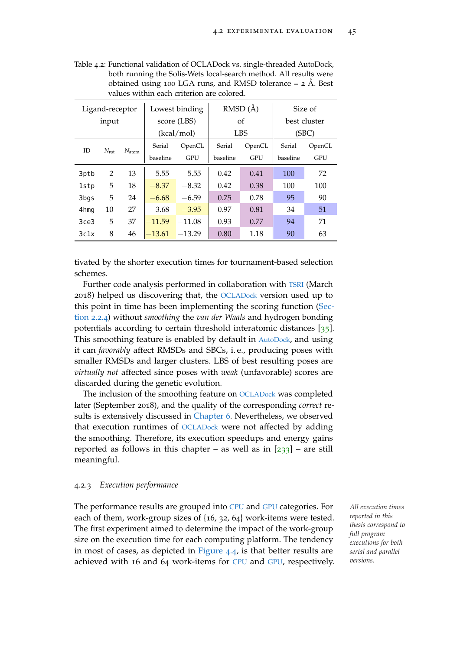<span id="page-68-0"></span>

| Table 4.2: Functional validation of OCLADock vs. single-threaded AutoDock, |
|----------------------------------------------------------------------------|
| both running the Solis-Wets local-search method. All results were          |
| obtained using 100 LGA runs, and RMSD tolerance = $2 \text{ Å}$ . Best     |
| values within each criterion are colored.                                  |

| Ligand-receptor |                |                   |            | Lowest binding | RMSD(A)  |            | Size of      |            |
|-----------------|----------------|-------------------|------------|----------------|----------|------------|--------------|------------|
| input           |                |                   |            | score (LBS)    | οf       |            | best cluster |            |
|                 |                |                   | (kcal/mol) | <b>LBS</b>     |          | (SBC)      |              |            |
| ID.             | $N_{\rm rot}$  | $N_{\text{atom}}$ | Serial     | OpenCL         | Serial   | OpenCL     | Serial       | OpenCL     |
|                 |                |                   | baseline   | GPU            | baseline | <b>GPU</b> | baseline     | <b>GPU</b> |
| 3ptb            | $\overline{2}$ | 13                | $-5.55$    | $-5.55$        | 0.42     | 0.41       | 100          | 72         |
| 1stp            | 5              | 18                | $-8.37$    | $-8.32$        | 0.42     | 0.38       | 100          | 100        |
| 3bgs            | 5              | 24                | $-6.68$    | $-6.59$        | 0.75     | 0.78       | 95           | 90         |
| 4hmg            | 10             | 27                | $-3.68$    | $-3.95$        | 0.97     | 0.81       | 34           | 51         |
| 3ce3            | 5              | 37                | $-11.59$   | $-11.08$       | 0.93     | 0.77       | 94           | 71         |
| 3c1x            | 8              | 46                | $-13.61$   | $-13.29$       | 0.80     | 1.18       | 90           | 63         |

tivated by the shorter execution times for tournament-based selection schemes.

Further code analysis performed in collaboration with [TSRI](#page-22-11) (March 2018) helped us discovering that, the [OCLADock](#page-22-9) version used up to this point in time has been implementing the scoring function [\(Sec](#page-37-2)[tion](#page-37-2) 2.2.4) without *smoothing* the *van der Waals* and hydrogen bonding potentials according to certain threshold interatomic distances [[35](#page-149-2)]. This smoothing feature is enabled by default in [AutoDock](#page-22-0), and using it can *favorably* affect RMSDs and SBCs, i. e., producing poses with smaller RMSDs and larger clusters. LBS of best resulting poses are *virtually not* affected since poses with *weak* (unfavorable) scores are discarded during the genetic evolution.

The inclusion of the smoothing feature on [OCLADock](#page-22-9) was completed later (September 2018), and the quality of the corresponding *correct* results is extensively discussed in [Chapter](#page-96-0) 6. Nevertheless, we observed that execution runtimes of [OCLADock](#page-22-9) were not affected by adding the smoothing. Therefore, its execution speedups and energy gains reported as follows in this chapter – as well as in  $[233]$  $[233]$  $[233]$  – are still meaningful.

# 4.2.3 *Execution performance*

The performance results are grouped into [CPU](#page-22-5) and [GPU](#page-22-4) categories. For *All execution times* each of them, work-group sizes of {16, 32, 64} work-items were tested. The first experiment aimed to determine the impact of the work-group size on the execution time for each computing platform. The tendency in most of cases, as depicted in [Figure](#page-69-0) 4.4, is that better results are achieved with 16 and 64 work-items for [CPU](#page-22-5) and [GPU](#page-22-4), respectively.

*reported in this thesis correspond to full program executions for both serial and parallel versions.*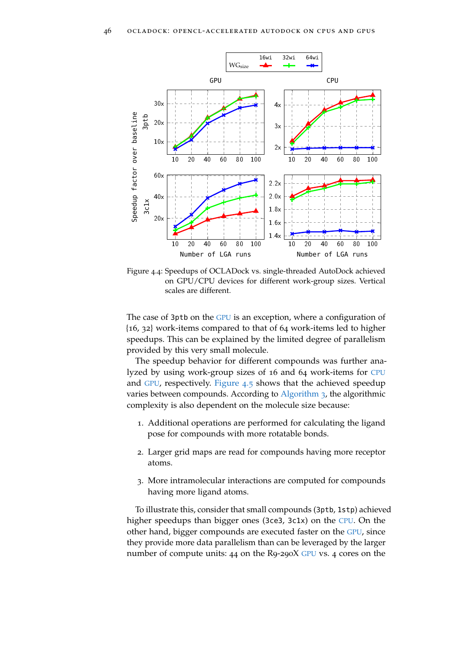<span id="page-69-0"></span>

Figure 4.4: Speedups of OCLADock vs. single-threaded AutoDock achieved on GPU/CPU devices for different work-group sizes. Vertical scales are different.

The case of 3ptb on the [GPU](#page-22-4) is an exception, where a configuration of {16, 32} work-items compared to that of 64 work-items led to higher speedups. This can be explained by the limited degree of parallelism provided by this very small molecule.

The speedup behavior for different compounds was further analyzed by using work-group sizes of 16 and 64 work-items for [CPU](#page-22-5) and [GPU](#page-22-4), respectively. [Figure](#page-71-0) 4.5 shows that the achieved speedup varies between compounds. According to [Algorithm](#page-39-0) 3, the algorithmic complexity is also dependent on the molecule size because:

- 1. Additional operations are performed for calculating the ligand pose for compounds with more rotatable bonds.
- 2. Larger grid maps are read for compounds having more receptor atoms.
- 3. More intramolecular interactions are computed for compounds having more ligand atoms.

To illustrate this, consider that small compounds (3ptb, 1stp) achieved higher speedups than bigger ones (3ce3, 3c1x) on the [CPU](#page-22-5). On the other hand, bigger compounds are executed faster on the [GPU](#page-22-4), since they provide more data parallelism than can be leveraged by the larger number of compute units: 44 on the R9-290X [GPU](#page-22-4) vs. 4 cores on the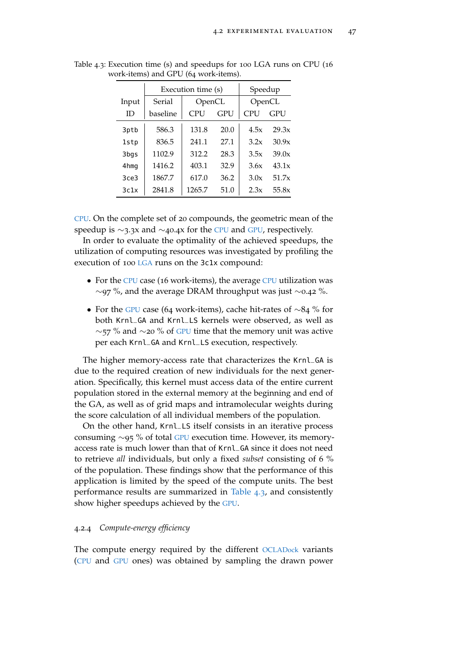|       |          | Execution time (s) | Speedup |            |       |
|-------|----------|--------------------|---------|------------|-------|
| Input | Serial   | OpenCL             |         | OpenCL     |       |
| ID    | baseline | CPU                | GPU     | <b>CPU</b> | GPU   |
| 3ptb  | 586.3    | 131.8              | 20.0    | 4.5x       | 29.3x |
| 1stp  | 836.5    | 241.1              | 27.1    | 3.2x       | 30.9x |
| 3bgs  | 1102.9   | 312.2              | 28.3    | 3.5x       | 39.0x |
| 4hmg  | 1416.2   | 403.1              | 32.9    | 3.6x       | 43.1x |
| 3ce3  | 1867.7   | 617.0              | 36.2    | 3.0x       | 51.7x |
| 3c1x  | 2841.8   | 1265.7             | 51.0    | 2.3x       | 55.8x |

<span id="page-70-0"></span>Table 4.3: Execution time (s) and speedups for 100 LGA runs on CPU (16 work-items) and GPU (64 work-items).

[CPU](#page-22-5). On the complete set of 20 compounds, the geometric mean of the speedup is ∼3.3x and ∼40.4x for the [CPU](#page-22-5) and [GPU](#page-22-4), respectively.

In order to evaluate the optimality of the achieved speedups, the utilization of computing resources was investigated by profiling the execution of 100 [LGA](#page-22-1) runs on the 3c1x compound:

- For the [CPU](#page-22-5) case (16 work-items), the average CPU utilization was ∼97 %, and the average DRAM throughput was just ∼0.42 %.
- For the [GPU](#page-22-4) case (64 work-items), cache hit-rates of ∼84 % for both Krnl\_GA and Krnl\_LS kernels were observed, as well as  $\sim$ 57 % and  $\sim$ 20 % of [GPU](#page-22-4) time that the memory unit was active per each Krnl\_GA and Krnl\_LS execution, respectively.

The higher memory-access rate that characterizes the Krnl\_GA is due to the required creation of new individuals for the next generation. Specifically, this kernel must access data of the entire current population stored in the external memory at the beginning and end of the GA, as well as of grid maps and intramolecular weights during the score calculation of all individual members of the population.

On the other hand, Krnl\_LS itself consists in an iterative process consuming ∼95 % of total [GPU](#page-22-4) execution time. However, its memoryaccess rate is much lower than that of Krnl\_GA since it does not need to retrieve *all* individuals, but only a fixed *subset* consisting of 6 % of the population. These findings show that the performance of this application is limited by the speed of the compute units. The best performance results are summarized in [Table](#page-70-0) 4.3, and consistently show higher speedups achieved by the [GPU](#page-22-4).

## 4.2.4 *Compute-energy efficiency*

The compute energy required by the different [OCLADock](#page-22-9) variants ([CPU](#page-22-5) and [GPU](#page-22-4) ones) was obtained by sampling the drawn power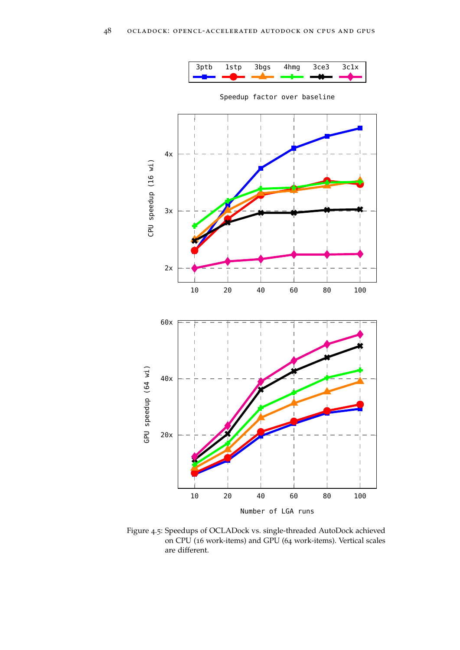

<span id="page-71-0"></span>

Speedup factor over baseline

Figure 4.5: Speedups of OCLADock vs. single-threaded AutoDock achieved on CPU (16 work-items) and GPU (64 work-items). Vertical scales are different.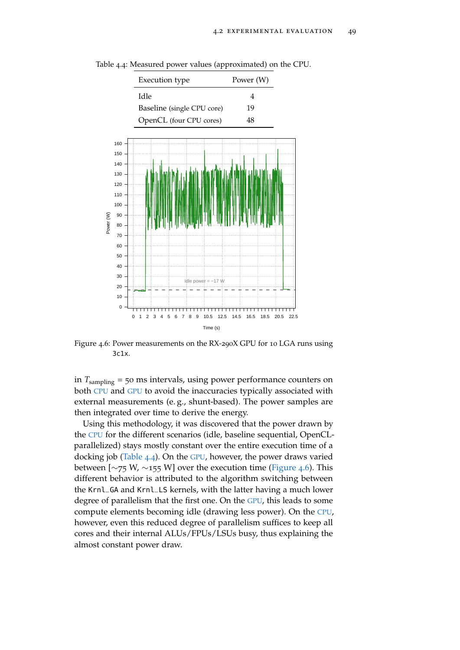<span id="page-72-1"></span>

<span id="page-72-0"></span>Table 4.4: Measured power values (approximated) on the CPU.

Figure 4.6: Power measurements on the RX-290X GPU for 10 LGA runs using 3c1x.

in *T*sampling = 50 ms intervals, using power performance counters on both [CPU](#page-22-0) and [GPU](#page-22-1) to avoid the inaccuracies typically associated with external measurements (e. g., shunt-based). The power samples are then integrated over time to derive the energy.

Using this methodology, it was discovered that the power drawn by the [CPU](#page-22-0) for the different scenarios (idle, baseline sequential, OpenCLparallelized) stays mostly constant over the entire execution time of a docking job [\(Table](#page-72-0) 4.4). On the [GPU](#page-22-1), however, the power draws varied between [ $\sim$ 75 W,  $\sim$ 155 W] over the execution time [\(Figure](#page-72-1) 4.6). This different behavior is attributed to the algorithm switching between the Krnl\_GA and Krnl\_LS kernels, with the latter having a much lower degree of parallelism that the first one. On the [GPU](#page-22-1), this leads to some compute elements becoming idle (drawing less power). On the [CPU](#page-22-0), however, even this reduced degree of parallelism suffices to keep all cores and their internal ALUs/FPUs/LSUs busy, thus explaining the almost constant power draw.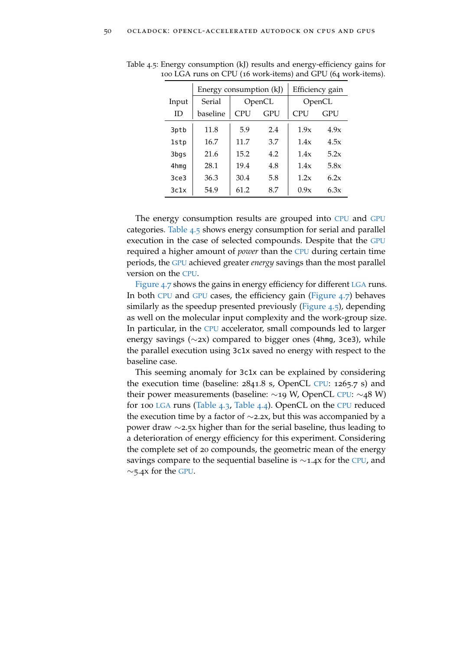|       | Energy consumption (kJ) |            | Efficiency gain |        |            |  |  |
|-------|-------------------------|------------|-----------------|--------|------------|--|--|
| Input | Serial                  |            | OpenCL          | OpenCL |            |  |  |
| ID    | baseline                | <b>CPU</b> | GPU             | CPU    | <b>GPU</b> |  |  |
| 3ptb  | 11.8                    | 5.9        | 2.4             | 1.9x   | 4.9x       |  |  |
| 1stp  | 16.7                    | 11.7       | 3.7             | 1.4x   | 4.5x       |  |  |
| 3bgs  | 21.6                    | 15.2       | 4.2             | 1.4x   | 5.2x       |  |  |
| 4hmg  | 28.1                    | 19.4       | 4.8             | 1.4x   | 5.8x       |  |  |
| 3ce3  | 36.3                    | 30.4       | 5.8             | 1.2x   | 6.2x       |  |  |
| 3c1x  | 54.9                    | 61.2       | 8.7             | 0.9x   | 6.3x       |  |  |

<span id="page-73-0"></span>Table 4.5: Energy consumption (kJ) results and energy-efficiency gains for 100 LGA runs on CPU (16 work-items) and GPU (64 work-items).

The energy consumption results are grouped into [CPU](#page-22-0) and [GPU](#page-22-1) categories. [Table](#page-73-0) 4.5 shows energy consumption for serial and parallel execution in the case of selected compounds. Despite that the [GPU](#page-22-1) required a higher amount of *power* than the [CPU](#page-22-0) during certain time periods, the [GPU](#page-22-1) achieved greater *energy* savings than the most parallel version on the [CPU](#page-22-0).

[Figure](#page-74-0) 4.7 shows the gains in energy efficiency for different [LGA](#page-22-2) runs. In both [CPU](#page-22-0) and [GPU](#page-22-1) cases, the efficiency gain [\(Figure](#page-74-0) 4.7) behaves similarly as the speedup presented previously [\(Figure](#page-71-0) 4.5), depending as well on the molecular input complexity and the work-group size. In particular, in the [CPU](#page-22-0) accelerator, small compounds led to larger energy savings (∼2x) compared to bigger ones (4hmg, 3ce3), while the parallel execution using 3c1x saved no energy with respect to the baseline case.

This seeming anomaly for 3c1x can be explained by considering the execution time (baseline: 2841.8 s, OpenCL [CPU](#page-22-0): 1265.7 s) and their power measurements (baseline: ∼19 W, OpenCL [CPU](#page-22-0): ∼48 W) for 100 [LGA](#page-22-2) runs [\(Table](#page-70-0) 4.3, [Table](#page-72-0) 4.4). OpenCL on the [CPU](#page-22-0) reduced the execution time by a factor of  $\sim$ 2.2x, but this was accompanied by a power draw ∼2.5x higher than for the serial baseline, thus leading to a deterioration of energy efficiency for this experiment. Considering the complete set of 20 compounds, the geometric mean of the energy savings compare to the sequential baseline is ∼1.4x for the [CPU](#page-22-0), and  $\sim$ 5.4x for the [GPU](#page-22-1).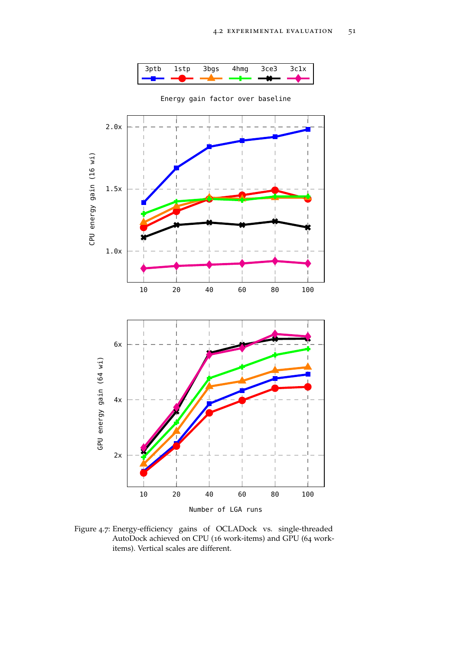

<span id="page-74-0"></span>

Energy gain factor over baseline

Figure 4.7: Energy-efficiency gains of OCLADock vs. single-threaded AutoDock achieved on CPU (16 work-items) and GPU (64 workitems). Vertical scales are different.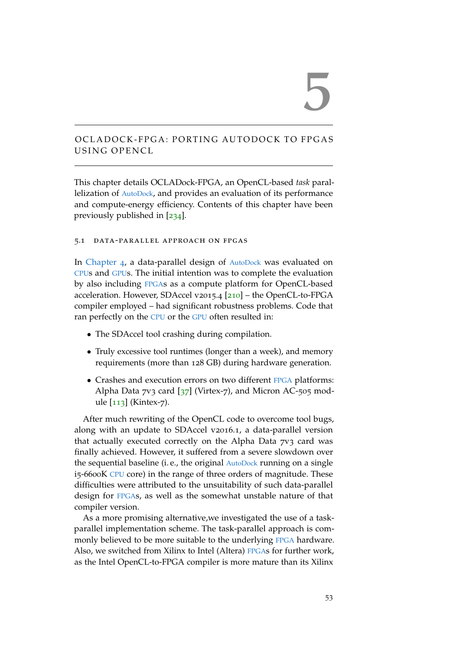# 5

# <span id="page-76-0"></span>OCLADOCK-FPGA: PORTING AUTODOCK TO FPGAS USING OPENCL

This chapter details OCLADock-FPGA, an OpenCL-based *task* parallelization of [AutoDock](#page-22-3), and provides an evaluation of its performance and compute-energy efficiency. Contents of this chapter have been previously published in [[234](#page-169-0)].

## 5.1 data-parallel approach on fpgas

In [Chapter](#page-62-0) 4, a data-parallel design of [AutoDock](#page-22-3) was evaluated on [CPU](#page-22-0)s and [GPU](#page-22-1)s. The initial intention was to complete the evaluation by also including [FPGA](#page-22-4)s as a compute platform for OpenCL-based acceleration. However, SDAccel v2015.4 [[210](#page-166-0)] – the OpenCL-to-FPGA compiler employed – had significant robustness problems. Code that ran perfectly on the [CPU](#page-22-0) or the [GPU](#page-22-1) often resulted in:

- The SDAccel tool crashing during compilation.
- Truly excessive tool runtimes (longer than a week), and memory requirements (more than 128 GB) during hardware generation.
- Crashes and execution errors on two different [FPGA](#page-22-4) platforms: Alpha Data  $7v_3$  card  $\left[\frac{37}{2}\right]$  $\left[\frac{37}{2}\right]$  $\left[\frac{37}{2}\right]$  (Virtex-7), and Micron AC-505 module [[113](#page-157-0)] (Kintex-7).

After much rewriting of the OpenCL code to overcome tool bugs, along with an update to SDAccel v2016.1, a data-parallel version that actually executed correctly on the Alpha Data 7v3 card was finally achieved. However, it suffered from a severe slowdown over the sequential baseline (i. e., the original [AutoDock](#page-22-3) running on a single i5-6600K [CPU](#page-22-0) core) in the range of three orders of magnitude. These difficulties were attributed to the unsuitability of such data-parallel design for [FPGA](#page-22-4)s, as well as the somewhat unstable nature of that compiler version.

As a more promising alternative,we investigated the use of a taskparallel implementation scheme. The task-parallel approach is com-monly believed to be more suitable to the underlying [FPGA](#page-22-4) hardware. Also, we switched from Xilinx to Intel (Altera) [FPGA](#page-22-4)s for further work, as the Intel OpenCL-to-FPGA compiler is more mature than its Xilinx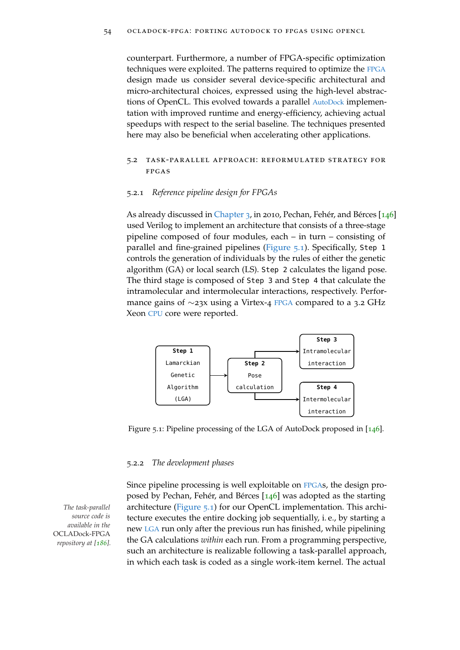counterpart. Furthermore, a number of FPGA-specific optimization techniques were exploited. The patterns required to optimize the [FPGA](#page-22-4) design made us consider several device-specific architectural and micro-architectural choices, expressed using the high-level abstractions of OpenCL. This evolved towards a parallel [AutoDock](#page-22-3) implementation with improved runtime and energy-efficiency, achieving actual speedups with respect to the serial baseline. The techniques presented here may also be beneficial when accelerating other applications.

## 5.2 task-parallel approach: reformulated strategy for fpgas

## 5.2.1 *Reference pipeline design for FPGAs*

As already discussed in [Chapter](#page-44-0) 3, in 2010, Pechan, Fehér, and Bérces [[146](#page-160-0)] used Verilog to implement an architecture that consists of a three-stage pipeline composed of four modules, each – in turn – consisting of parallel and fine-grained pipelines [\(Figure](#page-77-0) 5.1). Specifically, Step 1 controls the generation of individuals by the rules of either the genetic algorithm (GA) or local search (LS). Step 2 calculates the ligand pose. The third stage is composed of Step 3 and Step 4 that calculate the intramolecular and intermolecular interactions, respectively. Performance gains of ∼23x using a Virtex-4 [FPGA](#page-22-4) compared to a 3.2 GHz Xeon [CPU](#page-22-0) core were reported.

<span id="page-77-0"></span>

Figure 5.1: Pipeline processing of the LGA of AutoDock proposed in [[146](#page-160-0)].

## 5.2.2 *The development phases*

*source code is available in the* OCLADock-FPGA *repository at [[186](#page-164-0)].*

Since pipeline processing is well exploitable on [FPGA](#page-22-4)s, the design proposed by Pechan, Fehér, and Bérces [[146](#page-160-0)] was adopted as the starting *The task-parallel* architecture [\(Figure](#page-77-0) 5.1) for our OpenCL implementation. This architecture executes the entire docking job sequentially, i. e., by starting a new [LGA](#page-22-2) run only after the previous run has finished, while pipelining the GA calculations *within* each run. From a programming perspective, such an architecture is realizable following a task-parallel approach, in which each task is coded as a single work-item kernel. The actual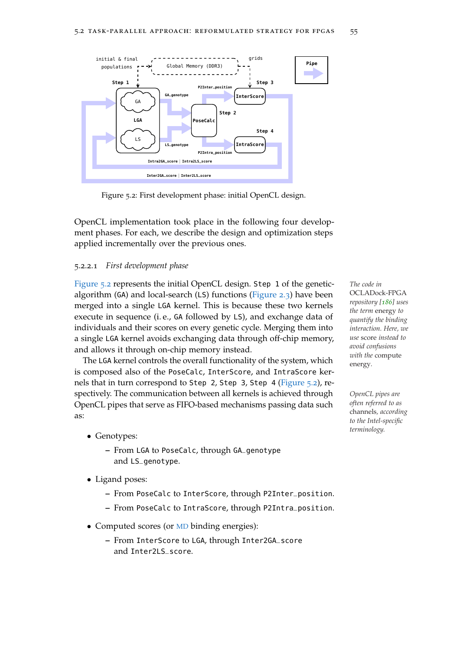<span id="page-78-0"></span>

Figure 5.2: First development phase: initial OpenCL design.

OpenCL implementation took place in the following four development phases. For each, we describe the design and optimization steps applied incrementally over the previous ones.

## <span id="page-78-1"></span>5.2.2.1 *First development phase*

[Figure](#page-78-0) 5.2 represents the initial OpenCL design. Step 1 of the genetic- *The code in* algorithm (GA) and local-search (LS) functions [\(Figure](#page-41-0) 2.3) have been merged into a single LGA kernel. This is because these two kernels execute in sequence (i. e., GA followed by LS), and exchange data of individuals and their scores on every genetic cycle. Merging them into a single LGA kernel avoids exchanging data through off-chip memory, and allows it through on-chip memory instead.

The LGA kernel controls the overall functionality of the system, which is composed also of the PoseCalc, InterScore, and IntraScore kernels that in turn correspond to Step 2, Step 3, Step 4 [\(Figure](#page-78-0) 5.2), respectively. The communication between all kernels is achieved through *OpenCL pipes are* OpenCL pipes that serve as FIFO-based mechanisms passing data such as:

- Genotypes:
	- **–** From LGA to PoseCalc, through GA\_genotype and LS\_genotype.
- Ligand poses:
	- **–** From PoseCalc to InterScore, through P2Inter\_position.
	- **–** From PoseCalc to IntraScore, through P2Intra\_position.
- Computed scores (or [MD](#page-22-5) binding energies):
	- **–** From InterScore to LGA, through Inter2GA\_score and Inter2LS\_score.

OCLADock-FPGA *repository [[186](#page-164-0)] uses the term* energy *to quantify the binding interaction. Here, we use* score *instead to avoid confusions with the* compute energy*.*

*often referred to as* channels*, according to the Intel-specific terminology.*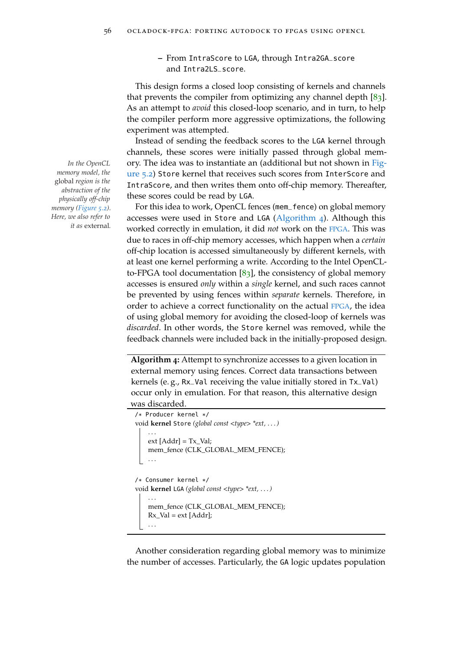**–** From IntraScore to LGA, through Intra2GA\_score and Intra2LS\_score.

This design forms a closed loop consisting of kernels and channels that prevents the compiler from optimizing any channel depth  $[83]$  $[83]$  $[83]$ . As an attempt to *avoid* this closed-loop scenario, and in turn, to help the compiler perform more aggressive optimizations, the following experiment was attempted.

Instead of sending the feedback scores to the LGA kernel through channels, these scores were initially passed through global mem-*In the OpenCL* [ory. The idea was to instantiate an \(additional but not shown in](#page-78-0) [Fig](#page-78-0)[ure](#page-78-0) 5.2) Store kernel that receives such scores from InterScore and IntraScore, and then writes them onto off-chip memory. Thereafter, these scores could be read by LGA.

> For this idea to work, OpenCL fences (mem\_fence) on global memory accesses were used in Store and LGA [\(Algorithm](#page-79-0) 4). Although this worked correctly in emulation, it did *not* work on the [FPGA](#page-22-4). This was due to races in off-chip memory accesses, which happen when a *certain* off-chip location is accessed simultaneously by different kernels, with at least one kernel performing a write. According to the Intel OpenCLto-FPGA tool documentation  $[83]$  $[83]$  $[83]$ , the consistency of global memory accesses is ensured *only* within a *single* kernel, and such races cannot be prevented by using fences within *separate* kernels. Therefore, in order to achieve a correct functionality on the actual [FPGA](#page-22-4), the idea of using global memory for avoiding the closed-loop of kernels was *discarded*. In other words, the Store kernel was removed, while the feedback channels were included back in the initially-proposed design.

**Algorithm 4:** Attempt to synchronize accesses to a given location in external memory using fences. Correct data transactions between kernels (e. g., Rx\_Val receiving the value initially stored in Tx\_Val) occur only in emulation. For that reason, this alternative design was discarded.

```
/* Producer kernel */
void kernel Store (global const <type> *ext, . . . )
    . . .
    ext [Addr] = Tx_Val;
    mem_fence (CLK_GLOBAL_MEM_FENCE);
    . . .
/* Consumer kernel */
void kernel LGA (global const <type> *ext, . . . )
    . . .
    mem_fence (CLK_GLOBAL_MEM_FENCE);
    Rx Val = ext [Addr];
    . . .
```
Another consideration regarding global memory was to minimize the number of accesses. Particularly, the GA logic updates population

*memory model, the* global *region is the abstraction of the physically off-chip memory [\(Figure](#page-78-0) 5.2). Here, we also refer to it as* external*.*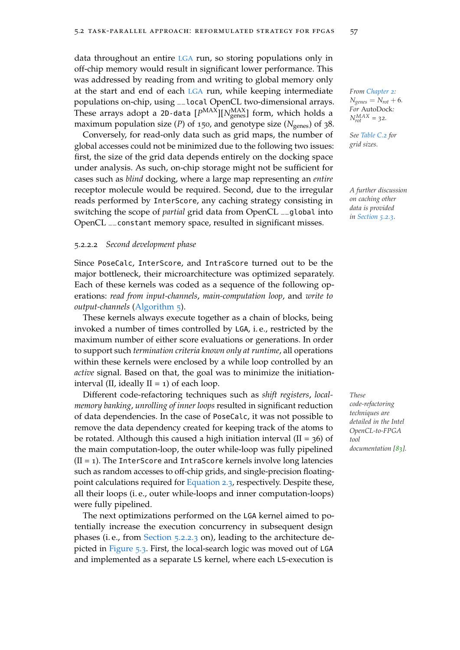data throughout an entire [LGA](#page-22-2) run, so storing populations only in off-chip memory would result in significant lower performance. This was addressed by reading from and writing to global memory only at the start and end of each [LGA](#page-22-2) run, while keeping intermediate *From [Chapter](#page-32-0) 2:* populations on-chip, using \_\_local OpenCL two-dimensional arrays. These arrays adopt a 2D-data  $[P^{\text{MAX}}]|N^{\text{MAX}}_{\text{genes}}|$  form, which holds a maximum population size (*P*) of 150, and genotype size ( $N_{\text{genes}}$ ) of 38.

Conversely, for read-only data such as grid maps, the number of *See [Table C.](#page-140-0)2 for* global accesses could not be minimized due to the following two issues: *grid sizes.* first, the size of the grid data depends entirely on the docking space under analysis. As such, on-chip storage might not be sufficient for cases such as *blind* docking, where a large map representing an *entire* receptor molecule would be required. Second, due to the irregular *A further discussion* reads performed by InterScore, any caching strategy consisting in switching the scope of *partial* grid data from OpenCL \_\_global into OpenCL \_\_constant memory space, resulted in significant misses.

#### <span id="page-80-0"></span>5.2.2.2 *Second development phase*

Since PoseCalc, InterScore, and IntraScore turned out to be the major bottleneck, their microarchitecture was optimized separately. Each of these kernels was coded as a sequence of the following operations: *read from input-channels*, *main-computation loop*, and *write to output-channels* [\(Algorithm](#page-81-0) 5).

These kernels always execute together as a chain of blocks, being invoked a number of times controlled by LGA, i. e., restricted by the maximum number of either score evaluations or generations. In order to support such *termination criteria known only at runtime*, all operations within these kernels were enclosed by a while loop controlled by an *active* signal. Based on that, the goal was to minimize the initiationinterval (II, ideally  $II = 1$ ) of each loop.

Different code-refactoring techniques such as *shift registers*, *local- These memory banking*, *unrolling of inner loops* resulted in significant reduction of data dependencies. In the case of PoseCalc, it was not possible to remove the data dependency created for keeping track of the atoms to be rotated. Although this caused a high initiation interval  $(II = 36)$  of the main computation-loop, the outer while-loop was fully pipelined  $(II = 1)$ . The InterScore and IntraScore kernels involve long latencies such as random accesses to off-chip grids, and single-precision floatingpoint calculations required for [Equation](#page-37-0) 2.3, respectively. Despite these, all their loops (i. e., outer while-loops and inner computation-loops) were fully pipelined.

The next optimizations performed on the LGA kernel aimed to potentially increase the execution concurrency in subsequent design phases (i. e., from [Section](#page-82-0) 5.2.2.3 on), leading to the architecture depicted in [Figure](#page-82-1) 5.3. First, the local-search logic was moved out of LGA and implemented as a separate LS kernel, where each LS-execution is

 $N_{genes} = N_{rot} + 6$ *. For* AutoDock*:*  $N_{rot}^{MAX} = 32.$ 

*on caching other data is provided in [Section](#page-87-0) 5.2.3.*

*code-refactoring techniques are detailed in the Intel OpenCL-to-FPGA tool documentation [[83](#page-154-0)].*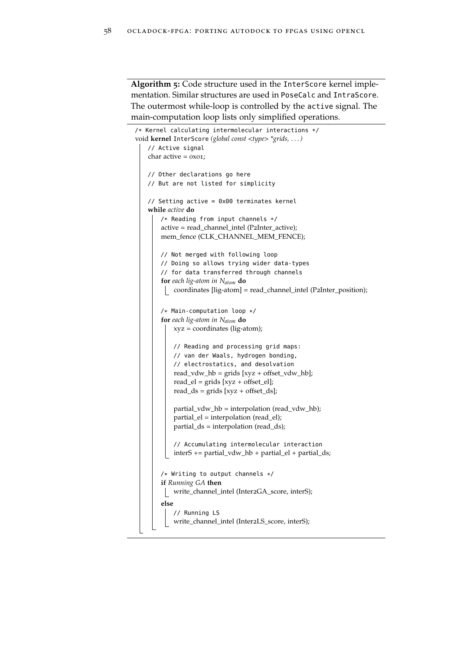**Algorithm 5:** Code structure used in the InterScore kernel implementation. Similar structures are used in PoseCalc and IntraScore. The outermost while-loop is controlled by the active signal. The main-computation loop lists only simplified operations.

```
/* Kernel calculating intermolecular interactions */
void kernel InterScore (global const <type> *grids, . . . )
   // Active signal
   char active = 0x01;
   // Other declarations go here
   // But are not listed for simplicity
   // Setting active = 0x00 terminates kernel
   while active do
       /* Reading from input channels */
       active = read_channel_intel (P2Inter_active);
       mem_fence (CLK_CHANNEL_MEM_FENCE);
       // Not merged with following loop
       // Doing so allows trying wider data-types
       // for data transferred through channels
       for each lig-atom in Natom do
        coordinates [lig-atom] = read_channel_intel (P2Inter_position);
       /* Main-computation loop */
       for each lig-atom in Natom do
           xyz = coordinates (lig-atom);
           // Reading and processing grid maps:
           // van der Waals, hydrogen bonding,
           // electrostatics, and desolvation
           read_vdw_hb = grids [xyz + offset_vdw_hb];
           read_el = grids [xyz + offset_el];
           read_ds = grids [xyz + offset_ds];partial_vdw_hb = interpolation (read_vdw_hb);
           partial_el = interpolation (read_el);
           partial_ds = interpolation (read_ds);
           // Accumulating intermolecular interaction
           interS += partial vdw hb + partial el + partial ds;
       /* Writing to output channels */
       if Running GA then
        | write_channel_intel (Inter2GA_score, interS);
       else
           // Running LS
           write_channel_intel (Inter2LS_score, interS);
```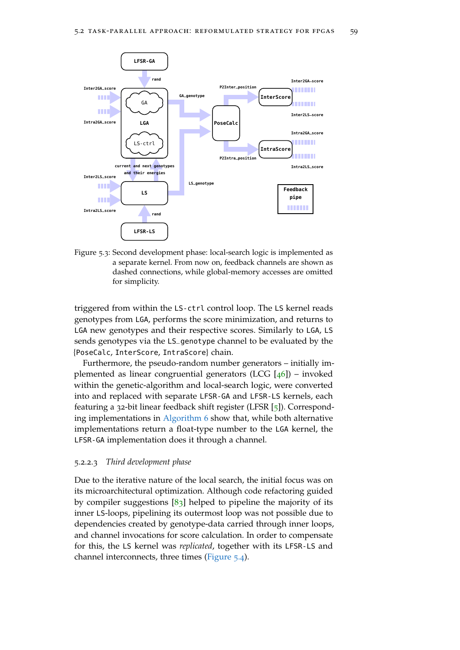<span id="page-82-1"></span>

Figure 5.3: Second development phase: local-search logic is implemented as a separate kernel. From now on, feedback channels are shown as dashed connections, while global-memory accesses are omitted for simplicity.

triggered from within the LS-ctrl control loop. The LS kernel reads genotypes from LGA, performs the score minimization, and returns to LGA new genotypes and their respective scores. Similarly to LGA, LS sends genotypes via the LS\_genotype channel to be evaluated by the {PoseCalc, InterScore, IntraScore} chain.

Furthermore, the pseudo-random number generators – initially implemented as linear congruential generators (LCG  $[46]$  $[46]$  $[46]$ ) – invoked within the genetic-algorithm and local-search logic, were converted into and replaced with separate LFSR-GA and LFSR-LS kernels, each featuring a 32-bit linear feedback shift register (LFSR [[5](#page-146-0)]). Corresponding implementations in [Algorithm](#page-83-0) 6 show that, while both alternative implementations return a float-type number to the LGA kernel, the LFSR-GA implementation does it through a channel.

## <span id="page-82-0"></span>5.2.2.3 *Third development phase*

Due to the iterative nature of the local search, the initial focus was on its microarchitectural optimization. Although code refactoring guided by compiler suggestions  $[83]$  $[83]$  $[83]$  helped to pipeline the majority of its inner LS-loops, pipelining its outermost loop was not possible due to dependencies created by genotype-data carried through inner loops, and channel invocations for score calculation. In order to compensate for this, the LS kernel was *replicated*, together with its LFSR-LS and channel interconnects, three times [\(Figure](#page-83-1) 5.4).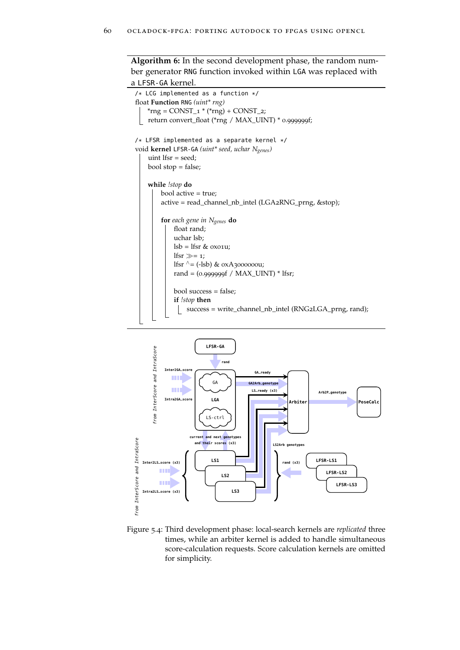**Algorithm 6:** In the second development phase, the random number generator RNG function invoked within LGA was replaced with

```
a LFSR-GA kernel.
 /* LCG implemented as a function */
 float Function RNG (uint* rng)
     *rng = CONST_1 * (*rng) + CONST_2;
     return convert_float (*rng / MAX_UINT) * 0.999999f;
 /* LFSR implemented as a separate kernel */
 void kernel LFSR-GA (uint* seed, uchar Ngenes)
      uint lfsr = seed;
     bool stop = false;
     while !stop do
         bool active = true;
          active = read_channel_nb_intel (LGA2RNG_prng, &stop);
          for each gene in Ngenes do
              float rand;
              uchar lsb;
              lsb = lfsr & 0x01u;
              lfsr \gg = 1;
              lfsr \wedge = (-\text{lsb}) & 0xA3000000u;
              rand = (0.999999f / MAX_UINT) * lfsr;
              bool success = false;
              if !stop then
                  success = write_channel_nb_intel (RNG2LGA_prng, rand);
```
<span id="page-83-1"></span>

Figure 5.4: Third development phase: local-search kernels are *replicated* three times, while an arbiter kernel is added to handle simultaneous score-calculation requests. Score calculation kernels are omitted for simplicity.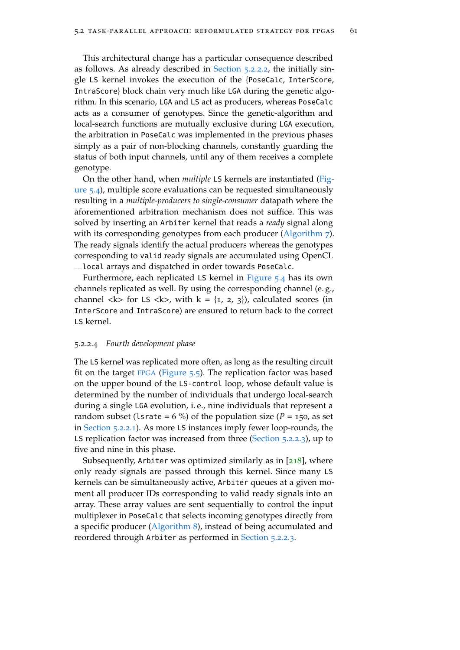This architectural change has a particular consequence described as follows. As already described in [Section](#page-80-0) 5.2.2.2, the initially single LS kernel invokes the execution of the {PoseCalc, InterScore, IntraScore} block chain very much like LGA during the genetic algorithm. In this scenario, LGA and LS act as producers, whereas PoseCalc acts as a consumer of genotypes. Since the genetic-algorithm and local-search functions are mutually exclusive during LGA execution, the arbitration in PoseCalc was implemented in the previous phases simply as a pair of non-blocking channels, constantly guarding the status of both input channels, until any of them receives a complete genotype.

On the other hand, when *multiple* LS kernels are instantiated [\(Fig](#page-83-1)[ure](#page-83-1) 5.4), multiple score evaluations can be requested simultaneously resulting in a *multiple-producers to single-consumer* datapath where the aforementioned arbitration mechanism does not suffice. This was solved by inserting an Arbiter kernel that reads a *ready* signal along with its corresponding genotypes from each producer [\(Algorithm](#page-85-0) 7). The ready signals identify the actual producers whereas the genotypes corresponding to valid ready signals are accumulated using OpenCL \_\_local arrays and dispatched in order towards PoseCalc.

Furthermore, each replicated LS kernel in [Figure](#page-83-1) 5.4 has its own channels replicated as well. By using the corresponding channel (e. g., channel <k> for LS <k>, with  $k = \{1, 2, 3\}$ , calculated scores (in InterScore and IntraScore) are ensured to return back to the correct LS kernel.

## <span id="page-84-0"></span>5.2.2.4 *Fourth development phase*

The LS kernel was replicated more often, as long as the resulting circuit fit on the target [FPGA](#page-22-4) [\(Figure](#page-87-1)  $5.5$ ). The replication factor was based on the upper bound of the LS-control loop, whose default value is determined by the number of individuals that undergo local-search during a single LGA evolution, i. e., nine individuals that represent a random subset (1srate =  $6\%$ ) of the population size ( $P = 150$ , as set in [Section](#page-78-1) 5.2.2.1). As more LS instances imply fewer loop-rounds, the LS replication factor was increased from three [\(Section](#page-82-0) 5.2.2.3), up to five and nine in this phase.

Subsequently, Arbiter was optimized similarly as in [[218](#page-167-0)], where only ready signals are passed through this kernel. Since many LS kernels can be simultaneously active, Arbiter queues at a given moment all producer IDs corresponding to valid ready signals into an array. These array values are sent sequentially to control the input multiplexer in PoseCalc that selects incoming genotypes directly from a specific producer [\(Algorithm](#page-86-0) 8), instead of being accumulated and reordered through Arbiter as performed in [Section](#page-82-0) 5.2.2.3.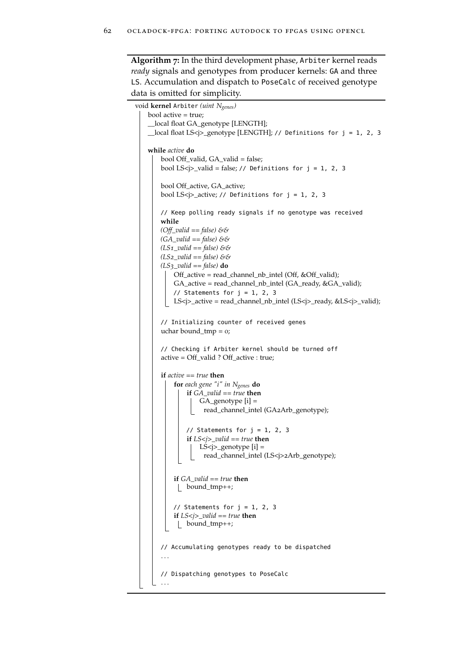**Algorithm 7:** In the third development phase, Arbiter kernel reads *ready* signals and genotypes from producer kernels: GA and three LS. Accumulation and dispatch to PoseCalc of received genotype data is omitted for simplicity.

```
void kernel Arbiter (uint Ngenes)
   bool active = true;
     __local float GA_genotype [LENGTH];
    __local float LS<j>_genotype [LENGTH]; // Definitions for j = 1, 2, 3
   while active do
        bool Off_valid, GA_valid = false;
        bool LS<j>_valid = false; // Definitions for j = 1, 2, 3bool Off_active, GA_active;
        bool LS<j>_active; // Definitions for j = 1, 2, 3
        // Keep polling ready signals if no genotype was received
        while
       (Off_valid == false) &&
       (GA_valid == false) &&
       (LS1_valid == false) &&
       (LS2_valid == false) &&
       (LS3_valid == false) do
           Off_active = read_channel_nb_intel (Off, &Off_valid);
           GA_active = read_channel_nb_intel (GA_ready, &GA_valid);
           // Statements for j = 1, 2, 3LS<j>_active = read_channel_nb_intel (LS<j>_ready, &LS<j>_valid);
        // Initializing counter of received genes
        uchar bound_tmp = 0;
        // Checking if Arbiter kernel should be turned off
        active = Off_valid ? Off_active : true;
        if active == true then
           for each gene "i" in Ngenes do
               if GA_valid == true then
                   GA_genotype [i] =
                    read_channel_intel (GA2Arb_genotype);
               // Statements for j = 1, 2, 3if LS<j>_valid == true then
                   LS<j>_genotype [i] =
                    read_channel_intel (LS<j>2Arb_genotype);
           if GA_valid == true then
            bound_tmp++;
           // Statements for j = 1, 2, 3if LS<j>_valid == true then
            bound_tmp++;
        // Accumulating genotypes ready to be dispatched
        . . .
        // Dispatching genotypes to PoseCalc
        . . .
```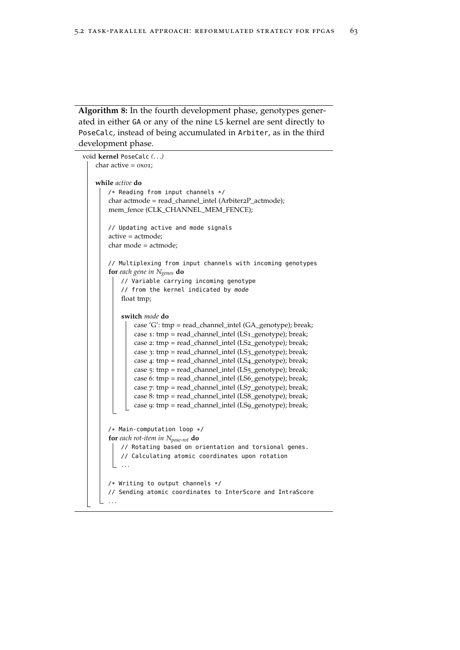**Algorithm 8:** In the fourth development phase, genotypes generated in either GA or any of the nine LS kernel are sent directly to PoseCalc, instead of being accumulated in Arbiter, as in the third development phase.

```
void kernel PoseCalc (. . .)
    char active = 0x01;
   while active do
       /* Reading from input channels */
       char actmode = read_channel_intel (Arbiter2P_actmode);
       mem_fence (CLK_CHANNEL_MEM_FENCE);
       // Updating active and mode signals
       active = actmode;
       char mode = actmode;
       // Multiplexing from input channels with incoming genotypes
       for each gene in Ngenes do
           // Variable carrying incoming genotype
            // from the kernel indicated by mode
           float tmp;
            switch mode do
               case 'G': tmp = read_channel_intel (GA_genotype); break;
               case 1: tmp = read_channel_intel (LS1_genotype); break;
               case 2: tmp = read_channel_intel (LS2_genotype); break;
               case 3: tmp = read_channel_intel (LS3_genotype); break;
               case 4: tmp = read_channel_intel (LS4_genotype); break;
               case 5: tmp = read_channel_intel (LS5_genotype); break;
               case 6: tmp = read_channel_intel (LS6_genotype); break;
               case 7: tmp = read_channel_intel (LS7_genotype); break;
               case 8: tmp = read_channel_intel (LS8_genotype); break;
               case 9: tmp = read_channel_intel (LS9_genotype); break;
       /* Main-computation loop */
       for each rot-item in Npose-rot do
           // Rotating based on orientation and torsional genes.
           // Calculating atomic coordinates upon rotation
           . . .
       /* Writing to output channels */
       // Sending atomic coordinates to InterScore and IntraScore
       . . .
```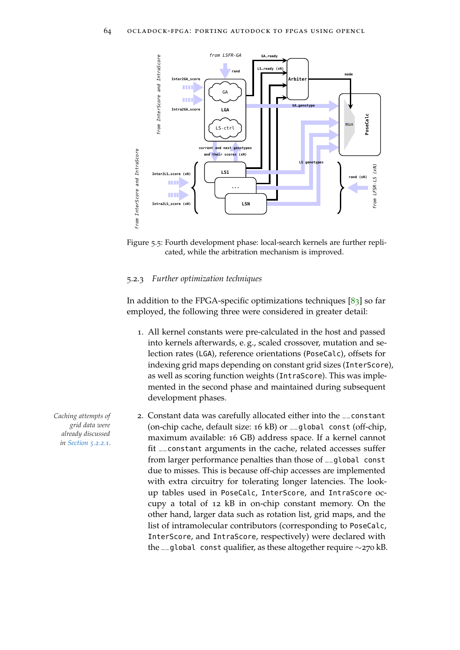<span id="page-87-1"></span>

Figure 5.5: Fourth development phase: local-search kernels are further replicated, while the arbitration mechanism is improved.

## <span id="page-87-0"></span>5.2.3 *Further optimization techniques*

In addition to the FPGA-specific optimizations techniques  $[83]$  $[83]$  $[83]$  so far employed, the following three were considered in greater detail:

- 1. All kernel constants were pre-calculated in the host and passed into kernels afterwards, e. g., scaled crossover, mutation and selection rates (LGA), reference orientations (PoseCalc), offsets for indexing grid maps depending on constant grid sizes (InterScore), as well as scoring function weights (IntraScore). This was implemented in the second phase and maintained during subsequent development phases.
- *Caching attempts of* 2. Constant data was carefully allocated either into the \_\_constant (on-chip cache, default size: 16 kB) or \_\_global const (off-chip, maximum available: 16 GB) address space. If a kernel cannot fit \_\_constant arguments in the cache, related accesses suffer from larger performance penalties than those of \_\_global const due to misses. This is because off-chip accesses are implemented with extra circuitry for tolerating longer latencies. The lookup tables used in PoseCalc, InterScore, and IntraScore occupy a total of 12 kB in on-chip constant memory. On the other hand, larger data such as rotation list, grid maps, and the list of intramolecular contributors (corresponding to PoseCalc, InterScore, and IntraScore, respectively) were declared with the \_\_global const qualifier, as these altogether require ∼270 kB.

*grid data were already discussed in [Section](#page-78-1) 5.2.2.1.*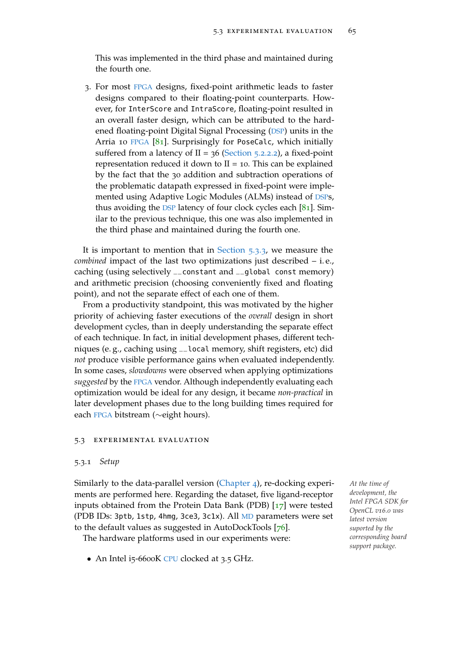This was implemented in the third phase and maintained during the fourth one.

3. For most [FPGA](#page-22-4) designs, fixed-point arithmetic leads to faster designs compared to their floating-point counterparts. However, for InterScore and IntraScore, floating-point resulted in an overall faster design, which can be attributed to the hardened floating-point Digital Signal Processing ([DSP](#page-22-6)) units in the Arria 10 [FPGA](#page-22-4) [[81](#page-154-1)]. Surprisingly for PoseCalc, which initially suffered from a latency of  $II = 36$  [\(Section](#page-80-0) 5.2.2.2), a fixed-point representation reduced it down to  $II = 10$ . This can be explained by the fact that the 30 addition and subtraction operations of the problematic datapath expressed in fixed-point were implemented using Adaptive Logic Modules (ALMs) instead of [DSP](#page-22-6)s, thus avoiding the [DSP](#page-22-6) latency of four clock cycles each  $[81]$  $[81]$  $[81]$ . Similar to the previous technique, this one was also implemented in the third phase and maintained during the fourth one.

It is important to mention that in [Section](#page-90-0) 5.3.3, we measure the *combined* impact of the last two optimizations just described – i. e., caching (using selectively \_\_constant and \_\_global const memory) and arithmetic precision (choosing conveniently fixed and floating point), and not the separate effect of each one of them.

From a productivity standpoint, this was motivated by the higher priority of achieving faster executions of the *overall* design in short development cycles, than in deeply understanding the separate effect of each technique. In fact, in initial development phases, different techniques (e. g., caching using \_\_local memory, shift registers, etc) did *not* produce visible performance gains when evaluated independently. In some cases, *slowdowns* were observed when applying optimizations *suggested* by the [FPGA](#page-22-4) vendor. Although independently evaluating each optimization would be ideal for any design, it became *non-practical* in later development phases due to the long building times required for each [FPGA](#page-22-4) bitstream (∼eight hours).

## 5.3 experimental evaluation

## 5.3.1 *Setup*

Similarly to the data-parallel version [\(Chapter](#page-62-0) 4), re-docking experi- *At the time of* ments are performed here. Regarding the dataset, five ligand-receptor inputs obtained from the Protein Data Bank (PDB) [[17](#page-147-0)] were tested (PDB IDs: 3ptb, 1stp, 4hmg, 3ce3, 3c1x). All [MD](#page-22-5) parameters were set to the default values as suggested in AutoDockTools [[76](#page-153-0)].

The hardware platforms used in our experiments were:

• An Intel i5-6600K [CPU](#page-22-0) clocked at 3.5 GHz.

*development, the Intel FPGA SDK for OpenCL v16.0 was latest version suported by the corresponding board support package.*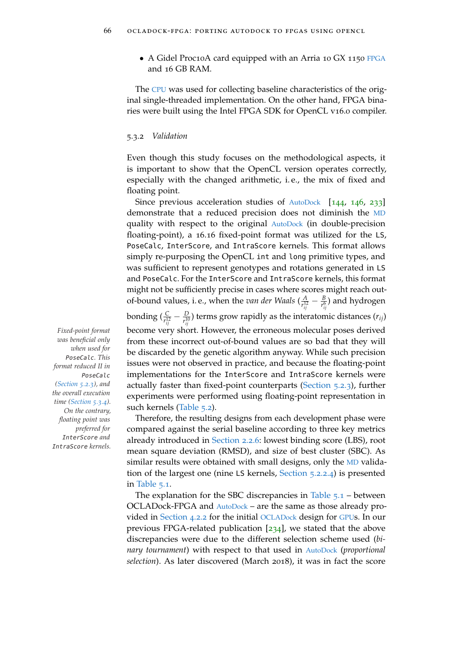• A Gidel Proc10A card equipped with an Arria 10 GX 1150 [FPGA](#page-22-4) and 16 GB RAM.

The [CPU](#page-22-0) was used for collecting baseline characteristics of the original single-threaded implementation. On the other hand, FPGA binaries were built using the Intel FPGA SDK for OpenCL v16.0 compiler.

## 5.3.2 *Validation*

Even though this study focuses on the methodological aspects, it is important to show that the OpenCL version operates correctly, especially with the changed arithmetic, i. e., the mix of fixed and floating point.

Since previous acceleration studies of [AutoDock](#page-22-3) [[144](#page-160-1), [146](#page-160-0), [233](#page-169-1)] demonstrate that a reduced precision does not diminish the [MD](#page-22-5) quality with respect to the original [AutoDock](#page-22-3) (in double-precision floating-point), a 16.16 fixed-point format was utilized for the LS, PoseCalc, InterScore, and IntraScore kernels. This format allows simply re-purposing the OpenCL int and long primitive types, and was sufficient to represent genotypes and rotations generated in LS and PoseCalc. For the InterScore and IntraScore kernels, this format might not be sufficiently precise in cases where scores might reach outof-bound values, i. e., when the *van der Waals* ( $\frac{A}{r^{12}}$  $\frac{A}{r_{ij}^{12}}-\frac{B}{r_{ij}^{6}}$ ) and hydrogen bonding  $(\frac{C}{r_{ij}^{12}} - \frac{D}{r_{ij}^{10}})$  terms grow rapidly as the interatomic distances  $(r_{ij})$ *Fixed-point format* become very short. However, the erroneous molecular poses derived

from these incorrect out-of-bound values are so bad that they will be discarded by the genetic algorithm anyway. While such precision issues were not observed in practice, and because the floating-point implementations for the InterScore and IntraScore kernels were actually faster than fixed-point counterparts [\(Section](#page-87-0) 5.2.3), further experiments were performed using floating-point representation in such kernels [\(Table](#page-91-1) 5.2).

Therefore, the resulting designs from each development phase were compared against the serial baseline according to three key metrics already introduced in [Section](#page-41-1) 2.2.6: lowest binding score (LBS), root mean square deviation (RMSD), and size of best cluster (SBC). As similar results were obtained with small designs, only the [MD](#page-22-5) validation of the largest one (nine LS kernels, [Section](#page-84-0) 5.2.2.4) is presented in [Table](#page-90-1) 5.1.

The explanation for the SBC discrepancies in [Table](#page-90-1)  $5.1$  – between OCLADock-FPGA and [AutoDock](#page-22-3) – are the same as those already provided in [Section](#page-67-0) 4.2.2 for the initial [OCLADock](#page-22-7) design for [GPU](#page-22-1)s. In our previous FPGA-related publication [[234](#page-169-0)], we stated that the above discrepancies were due to the different selection scheme used (*binary tournament*) with respect to that used in [AutoDock](#page-22-3) (*proportional selection*). As later discovered (March 2018), it was in fact the score

*was beneficial only when used for* PoseCalc*. This format reduced II in* PoseCalc *[\(Section](#page-87-0) 5.2.3), and the overall execution time [\(Section](#page-91-0) 5.3.4). On the contrary, floating point was preferred for* InterScore *and* IntraScore *kernels.*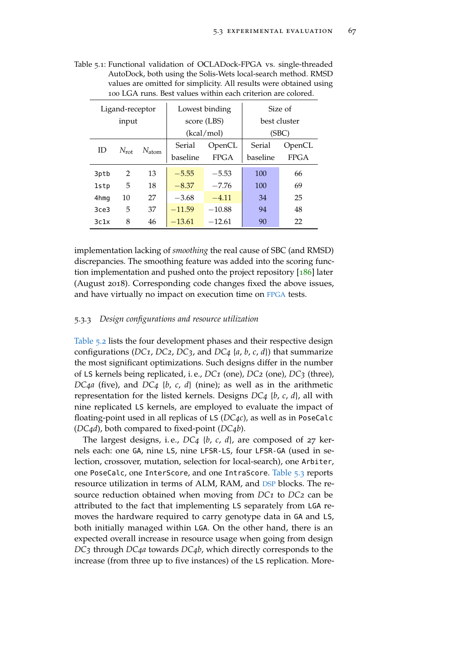|      | Ligand-receptor |                   |          | Lowest binding | Size of  |              |  |  |
|------|-----------------|-------------------|----------|----------------|----------|--------------|--|--|
|      | input           |                   |          | score (LBS)    |          | best cluster |  |  |
|      |                 |                   |          | (kcal/mol)     |          | (SBC)        |  |  |
| ID   | $N_{\rm rot}$   | $N_{\text{atom}}$ | Serial   | OpenCL         | Serial   | OpenCL       |  |  |
|      |                 |                   | baseline | <b>FPGA</b>    | baseline | <b>FPGA</b>  |  |  |
| 3ptb | 2               | 13                | $-5.55$  | $-5.53$        | 100      | 66           |  |  |
| 1stp | 5               | 18                | $-8.37$  | $-7.76$        | 100      | 69           |  |  |
| 4hmg | 10              | 27                | $-3.68$  | $-4.11$        | 34       | 25           |  |  |
| 3ce3 | 5               | 37                | $-11.59$ | $-10.88$       | 94       | 48           |  |  |
| 3c1x | 8               | 46                | $-13.61$ | $-12.61$       | 90       | 22           |  |  |

<span id="page-90-1"></span>Table 5.1: Functional validation of OCLADock-FPGA vs. single-threaded AutoDock, both using the Solis-Wets local-search method. RMSD values are omitted for simplicity. All results were obtained using 100 LGA runs. Best values within each criterion are colored.

implementation lacking of *smoothing* the real cause of SBC (and RMSD) discrepancies. The smoothing feature was added into the scoring function implementation and pushed onto the project repository [[186](#page-164-0)] later (August 2018). Corresponding code changes fixed the above issues, and have virtually no impact on execution time on [FPGA](#page-22-4) tests.

## <span id="page-90-0"></span>5.3.3 *Design configurations and resource utilization*

[Table](#page-91-1) 5.2 lists the four development phases and their respective design configurations (*DC1*, *DC2*, *DC3*, and *DC4* {*a*, *b*, *c*, *d*}) that summarize the most significant optimizations. Such designs differ in the number of LS kernels being replicated, i. e., *DC1* (one), *DC2* (one), *DC3* (three), *DC4a* (five), and *DC4* {*b*, *c*, *d*} (nine); as well as in the arithmetic representation for the listed kernels. Designs *DC4* {*b*, *c*, *d*}, all with nine replicated LS kernels, are employed to evaluate the impact of floating-point used in all replicas of LS (*DC4c*), as well as in PoseCalc (*DC4d*), both compared to fixed-point (*DC4b*).

The largest designs, i. e., *DC4* {*b*, *c*, *d*}, are composed of 27 kernels each: one GA, nine LS, nine LFSR-LS, four LFSR-GA (used in selection, crossover, mutation, selection for local-search), one Arbiter, one PoseCalc, one InterScore, and one IntraScore. [Table](#page-91-2) 5.3 reports resource utilization in terms of ALM, RAM, and [DSP](#page-22-6) blocks. The resource reduction obtained when moving from *DC1* to *DC2* can be attributed to the fact that implementing LS separately from LGA removes the hardware required to carry genotype data in GA and LS, both initially managed within LGA. On the other hand, there is an expected overall increase in resource usage when going from design *DC3* through *DC4a* towards *DC4b*, which directly corresponds to the increase (from three up to five instances) of the LS replication. More-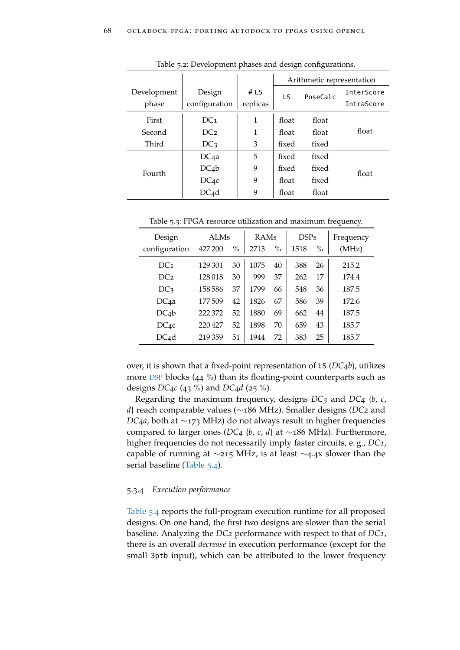<span id="page-91-1"></span>

|             |                   | Arithmetic representation |       |          |                   |
|-------------|-------------------|---------------------------|-------|----------|-------------------|
| Development | Design            | # $LS$                    | LS.   | PoseCalc | <b>InterScore</b> |
| phase       | configuration     | replicas                  |       |          | IntraScore        |
| First       | DC <sub>1</sub>   | 1                         | float | float    |                   |
| Second      | DC <sub>2</sub>   | 1                         | float | float    | float             |
| Third       | DC <sub>3</sub>   | 3                         | fixed | fixed    |                   |
|             | DC <sub>4a</sub>  | 5                         | fixed | fixed    |                   |
| Fourth      | $DC_4b$           | 9                         | fixed | fixed    | float             |
|             | $DC_{4}c$         | 9                         | float | fixed    |                   |
|             | DC <sub>4</sub> d | 9                         | float | float    |                   |

Table 5.2: Development phases and design configurations.

<span id="page-91-2"></span>Table 5.3: FPGA resource utilization and maximum frequency.

| Design            | <b>ALMs</b> |               | RAMs |               | <b>DSPs</b> |               | Frequency |
|-------------------|-------------|---------------|------|---------------|-------------|---------------|-----------|
| configuration     | 427 200     | $\frac{0}{0}$ | 2713 | $\frac{0}{0}$ | 1518        | $\frac{0}{0}$ | (MHz)     |
| DC <sub>1</sub>   | 129 301     | 30            | 1075 | 40            | 388         | 26            | 215.2     |
| DC <sub>2</sub>   | 128018      | 30            | 999  | 37            | 262         | 17            | 174.4     |
| DC <sub>3</sub>   | 158586      | 37            | 1799 | 66            | 548         | 36            | 187.5     |
| DC <sub>4a</sub>  | 177509      | 42            | 1826 | 67            | 586         | 39            | 172.6     |
| $DC_4b$           | 222 372     | 52            | 1880 | 69            | 662         | 44            | 187.5     |
| $DC_{4}c$         | 220427      | 52            | 1898 | 70            | 659         | 43            | 185.7     |
| DC <sub>4</sub> d | 219359      | 51            | 1944 | 72            | 383         | 25            | 185.7     |

over, it is shown that a fixed-point representation of LS (*DC4b*), utilizes more [DSP](#page-22-6) blocks (44 %) than its floating-point counterparts such as designs *DC4c* (43 %) and *DC4d* (25 %).

Regarding the maximum frequency, designs *DC3* and *DC4* {*b*, *c*, *d*} reach comparable values (∼186 MHz). Smaller designs (*DC2* and *DC4a*, both at ∼173 MHz) do not always result in higher frequencies compared to larger ones (*DC4* {*b*, *c*, *d*} at ∼186 MHz). Furthermore, higher frequencies do not necessarily imply faster circuits, e. g., *DC1*, capable of running at ∼215 MHz, is at least ∼4.4x slower than the serial baseline [\(Table](#page-92-0) 5.4).

## <span id="page-91-0"></span>5.3.4 *Execution performance*

[Table](#page-92-0) 5.4 reports the full-program execution runtime for all proposed designs. On one hand, the first two designs are slower than the serial baseline. Analyzing the *DC2* performance with respect to that of *DC1*, there is an overall *decrease* in execution performance (except for the small 3ptb input), which can be attributed to the lower frequency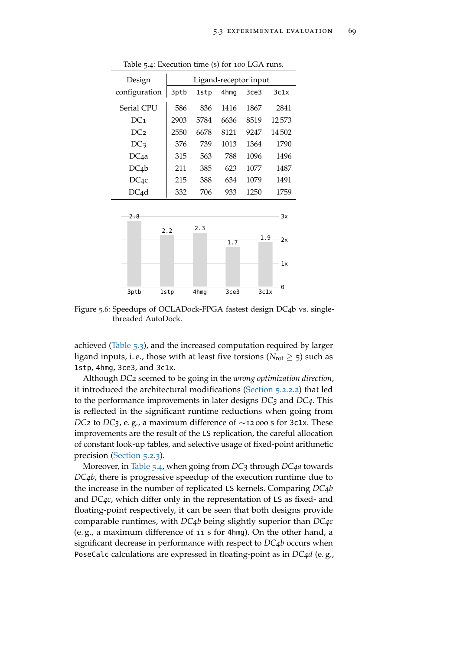<span id="page-92-0"></span>

| Design            | Ligand-receptor input |      |      |      |       |  |  |  |  |
|-------------------|-----------------------|------|------|------|-------|--|--|--|--|
| configuration     | 3ptb                  | lstp | 4hmg | 3ce3 | 3c1x  |  |  |  |  |
| Serial CPU        | 586                   | 836  | 1416 | 1867 | 2841  |  |  |  |  |
| DC <sub>1</sub>   | 2903                  | 5784 | 6636 | 8519 | 12573 |  |  |  |  |
| DC <sub>2</sub>   | 2550                  | 6678 | 8121 | 9247 | 14502 |  |  |  |  |
| DC <sub>3</sub>   | 376                   | 739  | 1013 | 1364 | 1790  |  |  |  |  |
| DC <sub>4</sub> a | 315                   | 563  | 788  | 1096 | 1496  |  |  |  |  |
| $DC_4b$           | 211                   | 385  | 623  | 1077 | 1487  |  |  |  |  |
| $DC_{4}c$         | 215                   | 388  | 634  | 1079 | 1491  |  |  |  |  |
| DC4d              | 332                   | 706  | 933  | 1250 | 1759  |  |  |  |  |

Table 5.4: Execution time (s) for 100 LGA runs.



Figure 5.6: Speedups of OCLADock-FPGA fastest design DC4b vs. singlethreaded AutoDock.

achieved [\(Table](#page-91-2) 5.3), and the increased computation required by larger ligand inputs, i.e., those with at least five torsions ( $N_{\text{rot}} \geq 5$ ) such as 1stp, 4hmg, 3ce3, and 3c1x.

Although *DC2* seemed to be going in the *wrong optimization direction*, it introduced the architectural modifications [\(Section](#page-80-0) 5.2.2.2) that led to the performance improvements in later designs *DC3* and *DC4*. This is reflected in the significant runtime reductions when going from *DC*<sup>2</sup> to *DC*<sup>3</sup>, e.g., a maximum difference of ∼12 000 s for 3c1x. These improvements are the result of the LS replication, the careful allocation of constant look-up tables, and selective usage of fixed-point arithmetic precision [\(Section](#page-87-0) 5.2.3).

Moreover, in [Table](#page-92-0) 5.4, when going from *DC3* through *DC4a* towards *DC4b*, there is progressive speedup of the execution runtime due to the increase in the number of replicated LS kernels. Comparing *DC4b* and *DC4c*, which differ only in the representation of LS as fixed- and floating-point respectively, it can be seen that both designs provide comparable runtimes, with *DC4b* being slightly superior than *DC4c* (e. g., a maximum difference of 11 s for 4hmg). On the other hand, a significant decrease in performance with respect to *DC4b* occurs when PoseCalc calculations are expressed in floating-point as in *DC4d* (e. g.,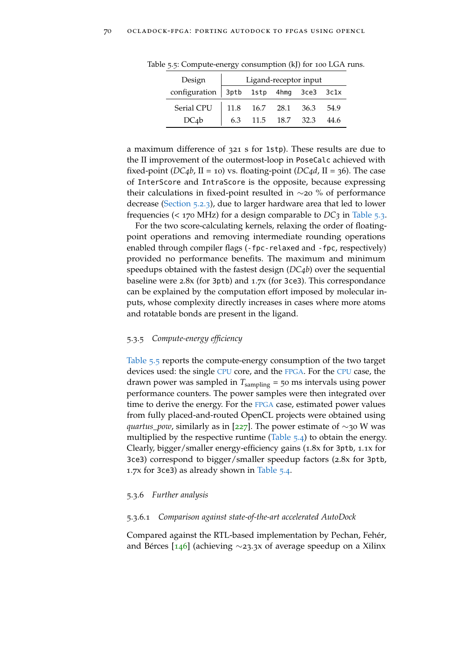| Design                                   |      |                | Ligand-receptor input |      |
|------------------------------------------|------|----------------|-----------------------|------|
| configuration   3ptb 1stp 4hmg 3ce3 3c1x |      |                |                       |      |
| Serial CPU                               | 11.8 |                | 16.7 28.1 36.3 54.9   |      |
| DCab                                     | 6.3  | 11.5 18.7 32.3 |                       | 44.6 |

<span id="page-93-0"></span>Table 5.5: Compute-energy consumption (kJ) for 100 LGA runs.

a maximum difference of 321 s for 1stp). These results are due to the II improvement of the outermost-loop in PoseCalc achieved with fixed-point (*DC*<sub>4</sub>*b*, II = 10) vs. floating-point (*DC*<sub>4</sub>*d*, II = 36). The case of InterScore and IntraScore is the opposite, because expressing their calculations in fixed-point resulted in ∼20 % of performance decrease [\(Section](#page-87-0) 5.2.3), due to larger hardware area that led to lower frequencies (< 170 MHz) for a design comparable to *DC3* in [Table](#page-91-2) 5.3.

For the two score-calculating kernels, relaxing the order of floatingpoint operations and removing intermediate rounding operations enabled through compiler flags (-fpc-relaxed and -fpc, respectively) provided no performance benefits. The maximum and minimum speedups obtained with the fastest design (*DC4b*) over the sequential baseline were 2.8x (for 3ptb) and 1.7x (for 3ce3). This correspondance can be explained by the computation effort imposed by molecular inputs, whose complexity directly increases in cases where more atoms and rotatable bonds are present in the ligand.

## 5.3.5 *Compute-energy efficiency*

[Table](#page-93-0) 5.5 reports the compute-energy consumption of the two target devices used: the single [CPU](#page-22-0) core, and the [FPGA](#page-22-4). For the [CPU](#page-22-0) case, the drawn power was sampled in *T*sampling = 50 ms intervals using power performance counters. The power samples were then integrated over time to derive the energy. For the [FPGA](#page-22-4) case, estimated power values from fully placed-and-routed OpenCL projects were obtained using *quartus\_pow*, similarly as in [[227](#page-168-0)]. The power estimate of ∼30 W was multiplied by the respective runtime [\(Table](#page-92-0)  $5.4$ ) to obtain the energy. Clearly, bigger/smaller energy-efficiency gains (1.8x for 3ptb, 1.1x for 3ce3) correspond to bigger/smaller speedup factors (2.8x for 3ptb, 1.7x for 3ce3) as already shown in [Table](#page-92-0) 5.4.

## 5.3.6 *Further analysis*

## 5.3.6.1 *Comparison against state-of-the-art accelerated AutoDock*

Compared against the RTL-based implementation by Pechan, Fehér, and Bérces [[146](#page-160-0)] (achieving ∼23.3x of average speedup on a Xilinx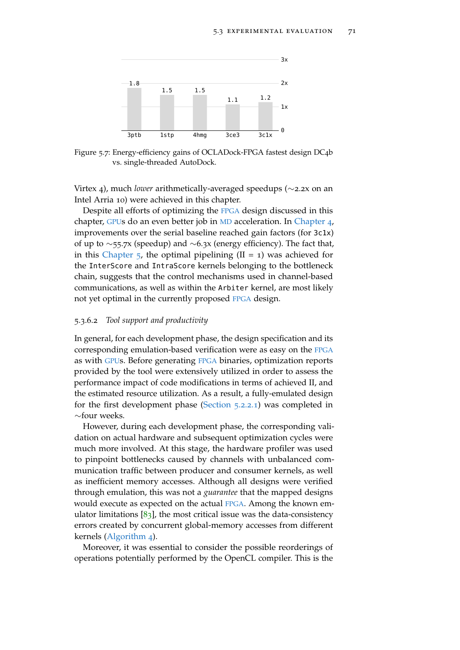

Figure 5.7: Energy-efficiency gains of OCLADock-FPGA fastest design DC4b vs. single-threaded AutoDock.

Virtex 4), much *lower* arithmetically-averaged speedups (∼2.2x on an Intel Arria 10) were achieved in this chapter.

Despite all efforts of optimizing the [FPGA](#page-22-4) design discussed in this chapter, [GPU](#page-22-1)s do an even better job in [MD](#page-22-5) acceleration. In [Chapter](#page-62-0) 4, improvements over the serial baseline reached gain factors (for 3c1x) of up to ∼55.7x (speedup) and ∼6.3x (energy efficiency). The fact that, in this [Chapter](#page-76-0)  $\frac{1}{2}$ , the optimal pipelining (II = 1) was achieved for the InterScore and IntraScore kernels belonging to the bottleneck chain, suggests that the control mechanisms used in channel-based communications, as well as within the Arbiter kernel, are most likely not yet optimal in the currently proposed [FPGA](#page-22-4) design.

## 5.3.6.2 *Tool support and productivity*

In general, for each development phase, the design specification and its corresponding emulation-based verification were as easy on the [FPGA](#page-22-4) as with [GPU](#page-22-1)s. Before generating [FPGA](#page-22-4) binaries, optimization reports provided by the tool were extensively utilized in order to assess the performance impact of code modifications in terms of achieved II, and the estimated resource utilization. As a result, a fully-emulated design for the first development phase [\(Section](#page-78-1) 5.2.2.1) was completed in ∼four weeks.

However, during each development phase, the corresponding validation on actual hardware and subsequent optimization cycles were much more involved. At this stage, the hardware profiler was used to pinpoint bottlenecks caused by channels with unbalanced communication traffic between producer and consumer kernels, as well as inefficient memory accesses. Although all designs were verified through emulation, this was not a *guarantee* that the mapped designs would execute as expected on the actual [FPGA](#page-22-4). Among the known emulator limitations  $[83]$  $[83]$  $[83]$ , the most critical issue was the data-consistency errors created by concurrent global-memory accesses from different kernels [\(Algorithm](#page-79-0) 4).

Moreover, it was essential to consider the possible reorderings of operations potentially performed by the OpenCL compiler. This is the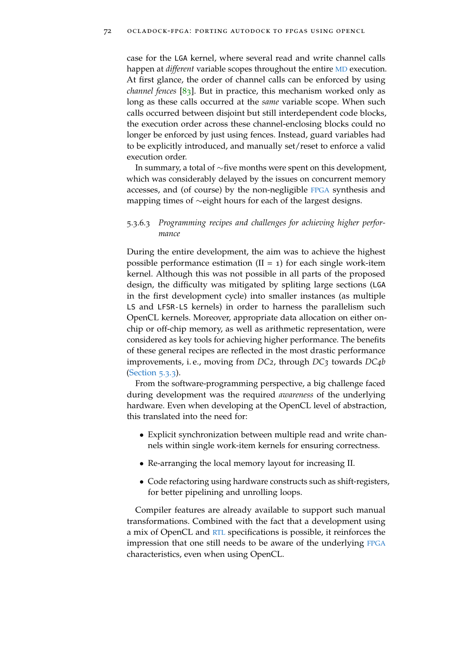case for the LGA kernel, where several read and write channel calls happen at *different* variable scopes throughout the entire [MD](#page-22-5) execution. At first glance, the order of channel calls can be enforced by using *channel fences* [[83](#page-154-0)]. But in practice, this mechanism worked only as long as these calls occurred at the *same* variable scope. When such calls occurred between disjoint but still interdependent code blocks, the execution order across these channel-enclosing blocks could no longer be enforced by just using fences. Instead, guard variables had to be explicitly introduced, and manually set/reset to enforce a valid execution order.

In summary, a total of ∼five months were spent on this development, which was considerably delayed by the issues on concurrent memory accesses, and (of course) by the non-negligible [FPGA](#page-22-4) synthesis and mapping times of ∼eight hours for each of the largest designs.

## 5.3.6.3 *Programming recipes and challenges for achieving higher performance*

During the entire development, the aim was to achieve the highest possible performance estimation  $(II = 1)$  for each single work-item kernel. Although this was not possible in all parts of the proposed design, the difficulty was mitigated by spliting large sections (LGA in the first development cycle) into smaller instances (as multiple LS and LFSR-LS kernels) in order to harness the parallelism such OpenCL kernels. Moreover, appropriate data allocation on either onchip or off-chip memory, as well as arithmetic representation, were considered as key tools for achieving higher performance. The benefits of these general recipes are reflected in the most drastic performance improvements, i. e., moving from *DC2*, through *DC3* towards *DC4b* [\(Section](#page-90-0) 5.3.3).

From the software-programming perspective, a big challenge faced during development was the required *awareness* of the underlying hardware. Even when developing at the OpenCL level of abstraction, this translated into the need for:

- Explicit synchronization between multiple read and write channels within single work-item kernels for ensuring correctness.
- Re-arranging the local memory layout for increasing II.
- Code refactoring using hardware constructs such as shift-registers, for better pipelining and unrolling loops.

Compiler features are already available to support such manual transformations. Combined with the fact that a development using a mix of OpenCL and [RTL](#page-22-8) specifications is possible, it reinforces the impression that one still needs to be aware of the underlying [FPGA](#page-22-4) characteristics, even when using OpenCL.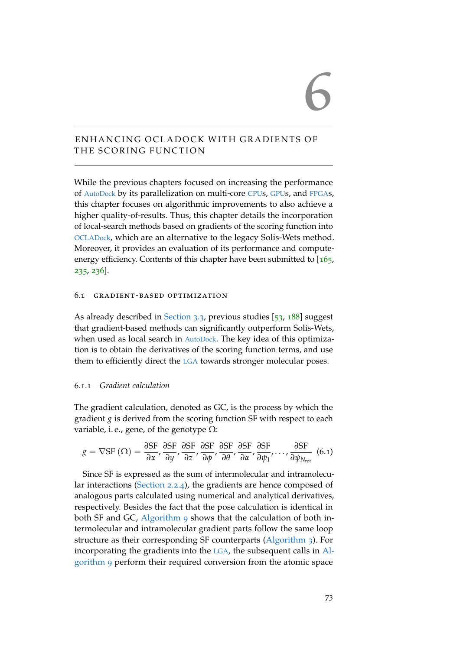# 6

# ENHANCING OCLADOCK WITH GRADIENTS OF THE SCORING FUNCTION

While the previous chapters focused on increasing the performance of [AutoDock](#page-22-3) by its parallelization on multi-core [CPU](#page-22-0)s, [GPU](#page-22-1)s, and [FPGA](#page-22-4)s, this chapter focuses on algorithmic improvements to also achieve a higher quality-of-results. Thus, this chapter details the incorporation of local-search methods based on gradients of the scoring function into [OCLADock](#page-22-7), which are an alternative to the legacy Solis-Wets method. Moreover, it provides an evaluation of its performance and compute-energy efficiency. Contents of this chapter have been submitted to [[165](#page-162-0), [235](#page-169-2), [236](#page-169-3)].

## 6.1 gradient-based optimization

As already described in [Section](#page-58-0) 3.3, previous studies [[53](#page-151-0), [188](#page-164-1)] suggest that gradient-based methods can significantly outperform Solis-Wets, when used as local search in [AutoDock](#page-22-3). The key idea of this optimization is to obtain the derivatives of the scoring function terms, and use them to efficiently direct the [LGA](#page-22-2) towards stronger molecular poses.

## <span id="page-96-1"></span>6.1.1 *Gradient calculation*

The gradient calculation, denoted as GC, is the process by which the gradient *g* is derived from the scoring function SF with respect to each variable, i.e., gene, of the genotype  $\Omega$ :

<span id="page-96-0"></span>
$$
g = \nabla S F(\Omega) = \frac{\partial S F}{\partial x}, \frac{\partial S F}{\partial y}, \frac{\partial S F}{\partial z}, \frac{\partial S F}{\partial \phi}, \frac{\partial S F}{\partial \theta}, \frac{\partial S F}{\partial x}, \frac{\partial S F}{\partial \psi_1}, \dots, \frac{\partial S F}{\partial \psi_{N_{\text{rot}}}} \quad (6.1)
$$

Since SF is expressed as the sum of intermolecular and intramolecular interactions [\(Section](#page-37-1) 2.2.4), the gradients are hence composed of analogous parts calculated using numerical and analytical derivatives, respectively. Besides the fact that the pose calculation is identical in both SF and GC, [Algorithm](#page-97-0) 9 shows that the calculation of both intermolecular and intramolecular gradient parts follow the same loop structure as their corresponding SF counterparts [\(Algorithm](#page-39-0) 3). For incorporating the gradients into the [LGA](#page-22-2), the subsequent calls in [Al](#page-97-0)[gorithm](#page-97-0) 9 perform their required conversion from the atomic space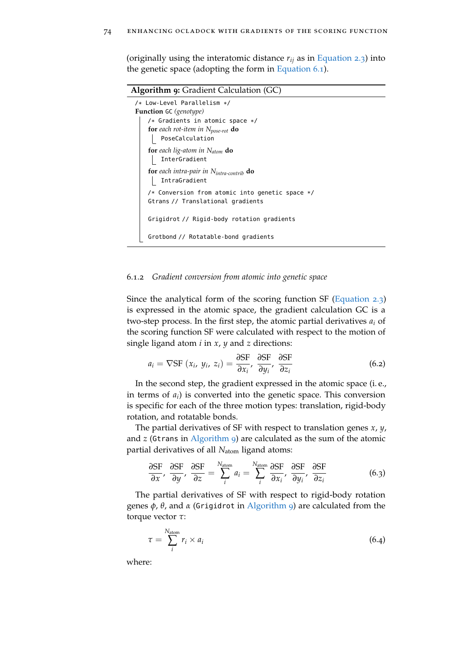(originally using the interatomic distance *rij* as in [Equation](#page-37-0) 2.3) into the genetic space (adopting the form in [Equation](#page-96-0)  $6.1$ ).

<span id="page-97-0"></span>

| <b>Algorithm 9:</b> Gradient Calculation (GC)               |
|-------------------------------------------------------------|
| /* Low-Level Parallelism */                                 |
| <b>Function</b> GC (genotype)                               |
| /* Gradients in atomic space $*/$                           |
| for each rot-item in $N_{pose-rot}$ do                      |
| PoseCalculation                                             |
| <b>for</b> each lig-atom in $N_{atom}$ <b>do</b>            |
| InterGradient                                               |
| <b>for</b> each intra-pair in $N_{intra-contrib}$ <b>do</b> |
| IntraGradient                                               |
| /* Conversion from atomic into genetic space $*/$           |
| Gtrans // Translational gradients                           |
|                                                             |
| Grigidrot // Rigid-body rotation gradients                  |
| Grotbond // Rotatable-bond gradients                        |

## <span id="page-97-2"></span>6.1.2 *Gradient conversion from atomic into genetic space*

Since the analytical form of the scoring function SF [\(Equation](#page-37-0) 2.3) is expressed in the atomic space, the gradient calculation GC is a two-step process. In the first step, the atomic partial derivatives  $a_i$  of the scoring function SF were calculated with respect to the motion of single ligand atom *i* in *x*, *y* and *z* directions:

$$
a_i = \nabla \text{SF} \ (x_i, \ y_i, \ z_i) = \frac{\partial \text{SF}}{\partial x_i}, \ \frac{\partial \text{SF}}{\partial y_i}, \ \frac{\partial \text{SF}}{\partial z_i}
$$
 (6.2)

In the second step, the gradient expressed in the atomic space (i. e., in terms of *a<sup>i</sup>* ) is converted into the genetic space. This conversion is specific for each of the three motion types: translation, rigid-body rotation, and rotatable bonds.

The partial derivatives of SF with respect to translation genes *x*, *y*, and *z* (Gtrans in [Algorithm](#page-97-0) 9) are calculated as the sum of the atomic partial derivatives of all *N*<sub>atom</sub> ligand atoms:

$$
\frac{\partial SF}{\partial x}, \frac{\partial SF}{\partial y}, \frac{\partial SF}{\partial z} = \sum_{i}^{N_{atom}} a_{i} = \sum_{i}^{N_{atom}} \frac{\partial SF}{\partial x_{i}}, \frac{\partial SF}{\partial y_{i}}, \frac{\partial SF}{\partial z_{i}}
$$
(6.3)

The partial derivatives of SF with respect to rigid-body rotation genes *φ*, *θ*, and *α* (Grigidrot in [Algorithm](#page-97-0) 9) are calculated from the torque vector *τ*:

<span id="page-97-1"></span>
$$
\tau = \sum_{i}^{N_{\text{atom}}} r_i \times a_i \tag{6.4}
$$

where: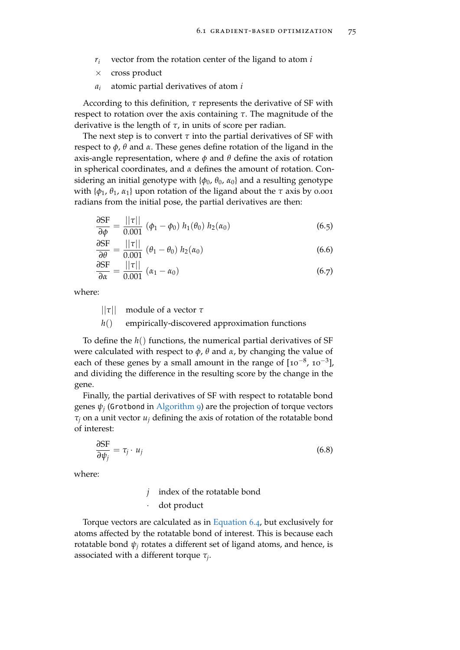- *r<sup>i</sup>* vector from the rotation center of the ligand to atom *i*
- × cross product
- *a<sup>i</sup>* atomic partial derivatives of atom *i*

According to this definition, *τ* represents the derivative of SF with respect to rotation over the axis containing *τ*. The magnitude of the derivative is the length of *τ*, in units of score per radian.

The next step is to convert  $\tau$  into the partial derivatives of SF with respect to *φ*, *θ* and *α*. These genes define rotation of the ligand in the axis-angle representation, where  $\phi$  and  $\theta$  define the axis of rotation in spherical coordinates, and *α* defines the amount of rotation. Considering an initial genotype with {*φ*0, *θ*0, *α*0} and a resulting genotype with  ${\phi_1, \theta_1, \alpha_1}$  upon rotation of the ligand about the  $\tau$  axis by 0.001 radians from the initial pose, the partial derivatives are then:

$$
\frac{\partial SF}{\partial \phi} = \frac{||\tau||}{0.001} \ (\phi_1 - \phi_0) \ h_1(\theta_0) \ h_2(\alpha_0) \tag{6.5}
$$

$$
\frac{\partial SF}{\partial \theta} = \frac{||\tau||}{0.001} \ (\theta_1 - \theta_0) \ h_2(\alpha_0)
$$
\n(6.6)

$$
\frac{\partial SF}{\partial \alpha} = \frac{||\tau||}{0.001} (\alpha_1 - \alpha_0)
$$
 (6.7)

where:

||*τ*|| module of a vector *τ*

*h*() empirically-discovered approximation functions

To define the *h*() functions, the numerical partial derivatives of SF were calculated with respect to *φ*, *θ* and *α*, by changing the value of each of these genes by a small amount in the range of  $[10^{-8}, 10^{-3}]$ , and dividing the difference in the resulting score by the change in the gene.

Finally, the partial derivatives of SF with respect to rotatable bond  $genes \psi_j$  (Grotbond in  $\overline{Algorithm}$  $\overline{Algorithm}$  $\overline{Algorithm}$  9) are the projection of torque vectors *τ<sup>j</sup>* on a unit vector *u<sup>j</sup>* defining the axis of rotation of the rotatable bond of interest:

$$
\frac{\partial SF}{\partial \psi_j} = \tau_j \cdot u_j \tag{6.8}
$$

where:

*j* index of the rotatable bond dot product

Torque vectors are calculated as in [Equation](#page-97-1) 6.4, but exclusively for atoms affected by the rotatable bond of interest. This is because each rotatable bond  $\psi_i$  rotates a different set of ligand atoms, and hence, is associated with a different torque *τ<sup>j</sup>* .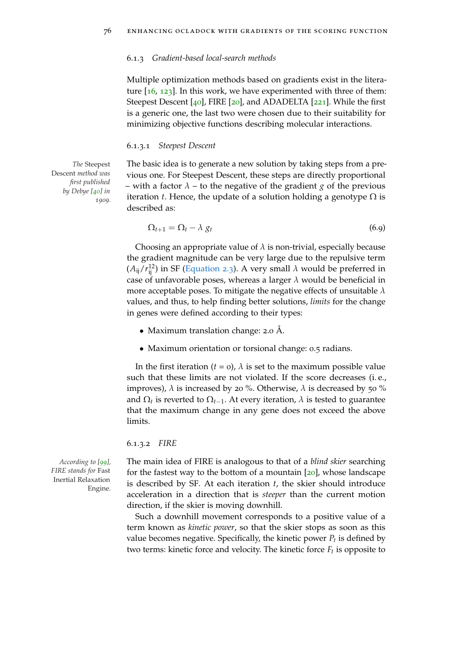#### 6.1.3 *Gradient-based local-search methods*

Multiple optimization methods based on gradients exist in the literature  $[16, 123]$  $[16, 123]$  $[16, 123]$  $[16, 123]$  $[16, 123]$ . In this work, we have experimented with three of them: Steepest Descent [[40](#page-149-1)], FIRE [[20](#page-148-0)], and ADADELTA [[221](#page-167-1)]. While the first is a generic one, the last two were chosen due to their suitability for minimizing objective functions describing molecular interactions.

## 6.1.3.1 *Steepest Descent*

Descent *method was first published by Debye [[40](#page-149-1)] in 1909.*

*The* Steepest The basic idea is to generate a new solution by taking steps from a previous one. For Steepest Descent, these steps are directly proportional – with a factor  $\lambda$  – to the negative of the gradient *g* of the previous iteration *t*. Hence, the update of a solution holding a genotype  $\Omega$  is described as:

$$
\Omega_{t+1} = \Omega_t - \lambda \ g_t \tag{6.9}
$$

Choosing an appropriate value of  $\lambda$  is non-trivial, especially because the gradient magnitude can be very large due to the repulsive term  $(A_{ij}/r_{ij}^{12})$  in SF [\(Equation](#page-37-0) 2.3). A very small  $\lambda$  would be preferred in case of unfavorable poses, whereas a larger *λ* would be beneficial in more acceptable poses. To mitigate the negative effects of unsuitable *λ* values, and thus, to help finding better solutions, *limits* for the change in genes were defined according to their types:

- Maximum translation change: 2.0 Å.
- Maximum orientation or torsional change: 0.5 radians.

In the first iteration ( $t = o$ ),  $\lambda$  is set to the maximum possible value such that these limits are not violated. If the score decreases (i. e., improves),  $λ$  is increased by 20 %. Otherwise,  $λ$  is decreased by 50 % and  $\Omega_t$  is reverted to  $\Omega_{t-1}$ . At every iteration,  $\lambda$  is tested to guarantee that the maximum change in any gene does not exceed the above limits.

6.1.3.2 *FIRE*

*FIRE stands for* Fast Inertial Relaxation Engine*.*

*According to [[99](#page-155-0)],* The main idea of FIRE is analogous to that of a *blind skier* searching for the fastest way to the bottom of a mountain  $[20]$  $[20]$  $[20]$ , whose landscape is described by SF. At each iteration *t*, the skier should introduce acceleration in a direction that is *steeper* than the current motion direction, if the skier is moving downhill.

> Such a downhill movement corresponds to a positive value of a term known as *kinetic power*, so that the skier stops as soon as this value becomes negative. Specifically, the kinetic power *P<sup>t</sup>* is defined by two terms: kinetic force and velocity. The kinetic force *F<sup>t</sup>* is opposite to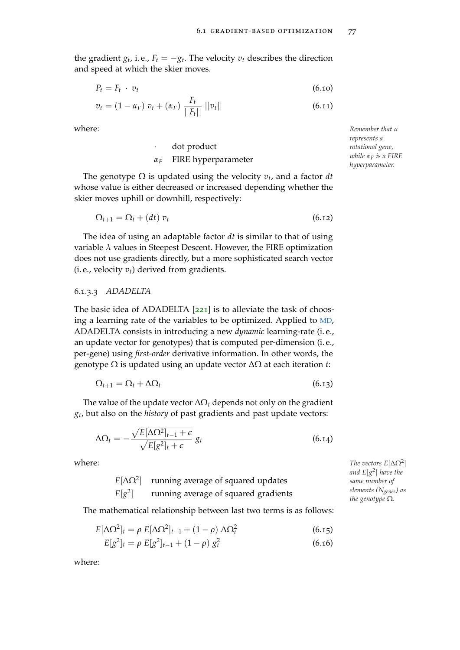the gradient  $g_t$ , i.e.,  $F_t = -g_t$ . The velocity  $v_t$  describes the direction and speed at which the skier moves.

$$
P_t = F_t \cdot v_t \tag{6.10}
$$

$$
v_t = (1 - \alpha_F) v_t + (\alpha_F) \frac{F_t}{||F_t||} ||v_t|| \qquad (6.11)
$$

dot product

## *α<sup>F</sup>* FIRE hyperparameter

The genotype Ω is updated using the velocity *v<sup>t</sup>* , and a factor *dt* whose value is either decreased or increased depending whether the skier moves uphill or downhill, respectively:

$$
\Omega_{t+1} = \Omega_t + (dt) v_t \tag{6.12}
$$

The idea of using an adaptable factor *dt* is similar to that of using variable *λ* values in Steepest Descent. However, the FIRE optimization does not use gradients directly, but a more sophisticated search vector (i. e., velocity *vt*) derived from gradients.

## <span id="page-100-1"></span>6.1.3.3 *ADADELTA*

The basic idea of ADADELTA [[221](#page-167-1)] is to alleviate the task of choosing a learning rate of the variables to be optimized. Applied to [MD](#page-22-5), ADADELTA consists in introducing a new *dynamic* learning-rate (i. e., an update vector for genotypes) that is computed per-dimension (i. e., per-gene) using *first-order* derivative information. In other words, the genotype Ω is updated using an update vector ∆Ω at each iteration *t*:

$$
\Omega_{t+1} = \Omega_t + \Delta \Omega_t \tag{6.13}
$$

The value of the update vector  $\Delta\Omega_t$  depends not only on the gradient *gt* , but also on the *history* of past gradients and past update vectors:

$$
\Delta\Omega_t = -\frac{\sqrt{E[\Delta\Omega^2]_{t-1} + \epsilon}}{\sqrt{E[g^2]_t + \epsilon}} g_t
$$
\n(6.14)

<span id="page-100-0"></span> $E[\Delta Ω^2]$ running average of squared updates  $E[g^2]$ running average of squared gradients

The mathematical relationship between last two terms is as follows:

$$
E[\Delta\Omega^2]_t = \rho E[\Delta\Omega^2]_{t-1} + (1-\rho)\Delta\Omega_t^2
$$
\n(6.15)

$$
E[g^{2}]_{t} = \rho E[g^{2}]_{t-1} + (1 - \rho) g_{t}^{2}
$$
\n(6.16)

where:

where: *Remember that α represents a rotational gene, while α<sup>F</sup> is a FIRE hyperparameter.*

 $\blacksquare$  *The vectors E*[ $\Delta\Omega^2$ ] *and E*[*g* 2 ] *have the same number of elements (Ngenes) as the genotype* Ω*.*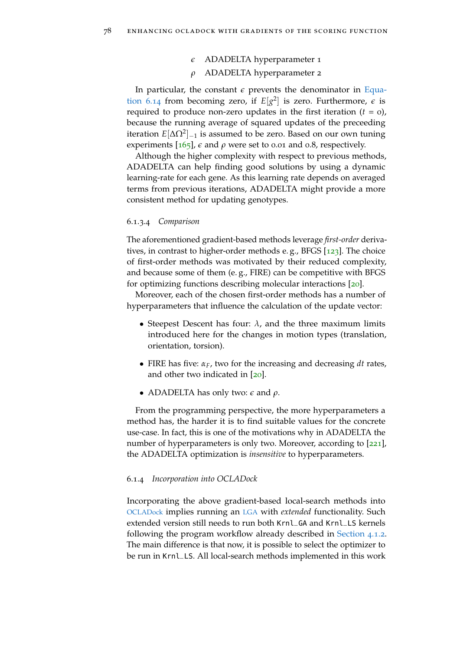## *e* ADADELTA hyperparameter 1

## *ρ* ADADELTA hyperparameter 2

In particular, the constant  $\epsilon$  prevents the denominator in [Equa](#page-100-0)[tion](#page-100-0) 6.14 from becoming zero, if  $E[g^2]$  is zero. Furthermore,  $\epsilon$  is required to produce non-zero updates in the first iteration  $(t = 0)$ , because the running average of squared updates of the preceeding iteration *E*[∆Ω<sup>2</sup> ]−<sup>1</sup> is assumed to be zero. Based on our own tuning experiments  $[165]$  $[165]$  $[165]$ ,  $\epsilon$  and  $\rho$  were set to 0.01 and 0.8, respectively.

Although the higher complexity with respect to previous methods, ADADELTA can help finding good solutions by using a dynamic learning-rate for each gene. As this learning rate depends on averaged terms from previous iterations, ADADELTA might provide a more consistent method for updating genotypes.

## 6.1.3.4 *Comparison*

The aforementioned gradient-based methods leverage *first-order* derivatives, in contrast to higher-order methods e.g., BFGS  $[123]$  $[123]$  $[123]$ . The choice of first-order methods was motivated by their reduced complexity, and because some of them (e. g., FIRE) can be competitive with BFGS for optimizing functions describing molecular interactions [[20](#page-148-0)].

Moreover, each of the chosen first-order methods has a number of hyperparameters that influence the calculation of the update vector:

- Steepest Descent has four:  $\lambda$ , and the three maximum limits introduced here for the changes in motion types (translation, orientation, torsion).
- FIRE has five: *αF*, two for the increasing and decreasing *dt* rates, and other two indicated in [[20](#page-148-0)].
- ADADELTA has only two: *e* and *ρ*.

From the programming perspective, the more hyperparameters a method has, the harder it is to find suitable values for the concrete use-case. In fact, this is one of the motivations why in ADADELTA the number of hyperparameters is only two. Moreover, according to [[221](#page-167-1)], the ADADELTA optimization is *insensitive* to hyperparameters.

## 6.1.4 *Incorporation into OCLADock*

Incorporating the above gradient-based local-search methods into [OCLADock](#page-22-7) implies running an [LGA](#page-22-2) with *extended* functionality. Such extended version still needs to run both Krnl\_GA and Krnl\_LS kernels following the program workflow already described in [Section](#page-63-0) 4.1.2. The main difference is that now, it is possible to select the optimizer to be run in Krnl\_LS. All local-search methods implemented in this work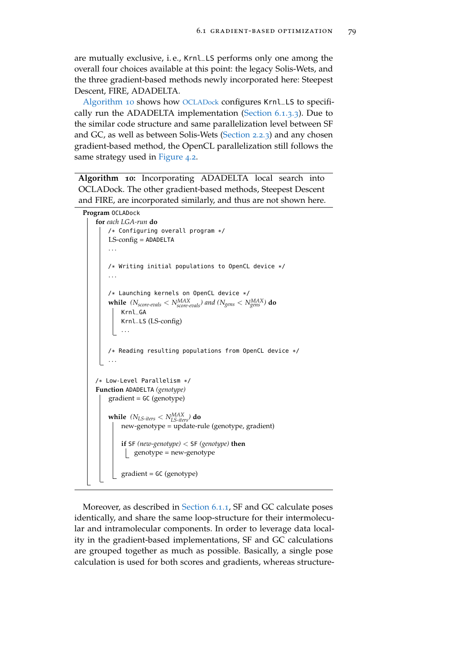are mutually exclusive, i. e., Krnl\_LS performs only one among the overall four choices available at this point: the legacy Solis-Wets, and the three gradient-based methods newly incorporated here: Steepest Descent, FIRE, ADADELTA.

[Algorithm](#page-102-0) 10 shows how [OCLADock](#page-22-7) configures Krnl\_LS to specifically run the ADADELTA implementation [\(Section](#page-100-1) 6.1.3.3). Due to the similar code structure and same parallelization level between SF and GC, as well as between Solis-Wets [\(Section](#page-36-0) 2.2.3) and any chosen gradient-based method, the OpenCL parallelization still follows the same strategy used in [Figure](#page-64-0) 4.2.

**Algorithm 10:** Incorporating ADADELTA local search into OCLADock. The other gradient-based methods, Steepest Descent and FIRE, are incorporated similarly, and thus are not shown here.

```
Program OCLADock
```

```
for each LGA-run do
    /* Configuring overall program */
    LS-config = ADADELTA
    . . .
    /* Writing initial populations to OpenCL device */
     . . .
    /* Launching kernels on OpenCL device */
    while (N_{score-evals} < N_{score-evals}^{MAX}) and (N_{gens} < N_{gens}^{MAX}) do
        Krnl_GA
        Krnl_LS (LS-config)
        . . .
    /* Reading resulting populations from OpenCL device */
    . . .
/* Low-Level Parallelism */
Function ADADELTA (genotype)
    gradient = GC (genotype)
    while (N_{LS\text{-}iters} < N_{LS\text{-}iters}^{MAX}) do
        new-genotype = update-rule (genotype, gradient)
        if SF (new-genotype) < SF (genotype) then
          \log genotype = new-genotype
        gradient = GC (genotype)
```
Moreover, as described in [Section](#page-96-1) 6.1.1, SF and GC calculate poses identically, and share the same loop-structure for their intermolecular and intramolecular components. In order to leverage data locality in the gradient-based implementations, SF and GC calculations are grouped together as much as possible. Basically, a single pose calculation is used for both scores and gradients, whereas structure-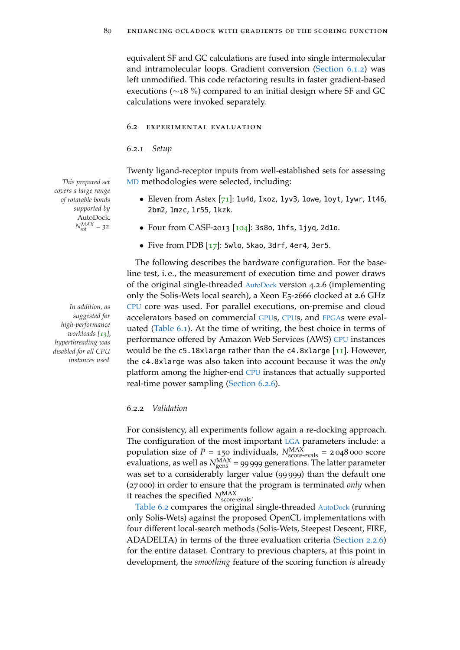equivalent SF and GC calculations are fused into single intermolecular and intramolecular loops. Gradient conversion [\(Section](#page-97-2) 6.1.2) was left unmodified. This code refactoring results in faster gradient-based executions (∼18 %) compared to an initial design where SF and GC calculations were invoked separately.

#### 6.2 experimental evaluation

6.2.1 *Setup*

Twenty ligand-receptor inputs from well-established sets for assessing *This prepared set* [MD](#page-22-5) methodologies were selected, including:

- Eleven from Astex  $[71]$  $[71]$  $[71]$ : 1u4d, 1xoz, 1yv3, 1owe, 1oyt, 1ywr, 1t46, 2bm2, 1mzc, 1r55, 1kzk.
- Four from CASF-2013 [[104](#page-156-0)]: 3s8o, 1hfs, 1jyq, 2d1o.
- Five from PDB  $[17]$  $[17]$  $[17]$ : 5wlo, 5kao, 3drf, 4er4, 3er5.

The following describes the hardware configuration. For the baseline test, i. e., the measurement of execution time and power draws of the original single-threaded [AutoDock](#page-22-3) version 4.2.6 (implementing only the Solis-Wets local search), a Xeon E5-2666 clocked at 2.6 GHz *In addition, as* [CPU](#page-22-0) core was used. For parallel executions, on-premise and cloud accelerators based on commercial [GPU](#page-22-1)s, [CPU](#page-22-0)s, and [FPGA](#page-22-4)s were evaluated [\(Table](#page-104-0) 6.1). At the time of writing, the best choice in terms of performance offered by Amazon Web Services (AWS) [CPU](#page-22-0) instances would be the  $c5.18x$ large rather than the  $c4.8x$ large [[11](#page-147-3)]. However, the c4.8xlarge was also taken into account because it was the *only* platform among the higher-end [CPU](#page-22-0) instances that actually supported real-time power sampling [\(Section](#page-116-0) 6.2.6).

## 6.2.2 *Validation*

For consistency, all experiments follow again a re-docking approach. The configuration of the most important [LGA](#page-22-2) parameters include: a population size of  $P = 150$  individuals,  $N_{\text{score-evals}}^{\text{MAX}} = 2048000$  score evaluations, as well as  $N_{\text{gens}}^{\text{MAX}}$  = 99 999 generations. The latter parameter was set to a considerably larger value (99 999) than the default one (27 000) in order to ensure that the program is terminated *only* when it reaches the specified  $N_{\text{score-evals}}^{\text{MAX}}$ .

[Table](#page-105-0) 6.2 compares the original single-threaded [AutoDock](#page-22-3) (running only Solis-Wets) against the proposed OpenCL implementations with four different local-search methods (Solis-Wets, Steepest Descent, FIRE, ADADELTA) in terms of the three evaluation criteria [\(Section](#page-41-1) 2.2.6) for the entire dataset. Contrary to previous chapters, at this point in development, the *smoothing* feature of the scoring function *is* already

*covers a large range of rotatable bonds supported by* AutoDock*:*  $N_{rot}^{MAX} = 32.$ 

*suggested for high-performance workloads [[13](#page-147-2)], hyperthreading was disabled for all CPU instances used.*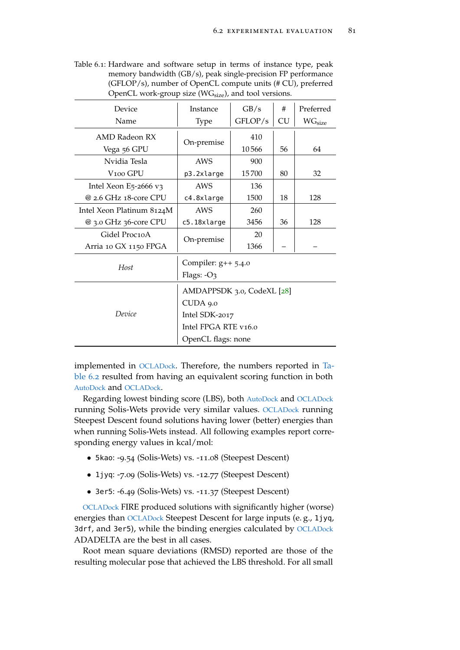<span id="page-104-0"></span>Table 6.1: Hardware and software setup in terms of instance type, peak memory bandwidth (GB/s), peak single-precision FP performance (GFLOP/s), number of OpenCL compute units (# CU), preferred OpenCL work-group size  $(WG<sub>size</sub>)$ , and tool versions.

| Device                    | Instance                   | GB/s    | #         | Preferred        |  |  |  |
|---------------------------|----------------------------|---------|-----------|------------------|--|--|--|
| Name                      | <b>Type</b>                | GFLOP/s | <b>CU</b> | $\rm W G_{size}$ |  |  |  |
| AMD Radeon RX             | On-premise                 | 410     |           |                  |  |  |  |
| Vega 56 GPU               |                            | 10566   | 56        | 64               |  |  |  |
| Nvidia Tesla              | AWS                        | 900     |           |                  |  |  |  |
| V <sub>100</sub> GPU      | p3.2xlarge                 | 15700   | 80        | 32               |  |  |  |
| Intel Xeon E5-2666 $v_3$  | AWS                        | 136     |           |                  |  |  |  |
| @ 2.6 GHz 18-core CPU     | c4.8xlarge                 | 1500    | 18        | 128              |  |  |  |
| Intel Xeon Platinum 8124M | AWS                        | 260     |           |                  |  |  |  |
| @ 3.0 GHz 36-core CPU     | c5.18xlarge                | 3456    | 36        | 128              |  |  |  |
| Gidel Proc10A             | On-premise                 | 20      |           |                  |  |  |  |
| Arria 10 GX 1150 FPGA     |                            | 1366    |           |                  |  |  |  |
|                           | Compiler: $g++$ 5.4.0      |         |           |                  |  |  |  |
| Host                      | Flags: $-O3$               |         |           |                  |  |  |  |
|                           | AMDAPPSDK 3.0, CodeXL [28] |         |           |                  |  |  |  |
|                           | CUDA 9.0                   |         |           |                  |  |  |  |
| Device                    | Intel SDK-2017             |         |           |                  |  |  |  |
|                           | Intel FPGA RTE v16.0       |         |           |                  |  |  |  |
|                           | OpenCL flags: none         |         |           |                  |  |  |  |

implemented in [OCLADock](#page-22-7). Therefore, the numbers reported in [Ta](#page-105-0)[ble](#page-105-0) 6.2 resulted from having an equivalent scoring function in both [AutoDock](#page-22-3) and [OCLADock](#page-22-7).

Regarding lowest binding score (LBS), both [AutoDock](#page-22-3) and [OCLADock](#page-22-7) running Solis-Wets provide very similar values. [OCLADock](#page-22-7) running Steepest Descent found solutions having lower (better) energies than when running Solis-Wets instead. All following examples report corresponding energy values in kcal/mol:

- 5kao: -9.54 (Solis-Wets) vs. -11.08 (Steepest Descent)
- 1jyq: -7.09 (Solis-Wets) vs. -12.77 (Steepest Descent)
- 3er5: -6.49 (Solis-Wets) vs. -11.37 (Steepest Descent)

[OCLADock](#page-22-7) FIRE produced solutions with significantly higher (worse) energies than [OCLADock](#page-22-7) Steepest Descent for large inputs (e. g., 1jyq, 3drf, and 3er5), while the binding energies calculated by [OCLADock](#page-22-7) ADADELTA are the best in all cases.

Root mean square deviations (RMSD) reported are those of the resulting molecular pose that achieved the LBS threshold. For all small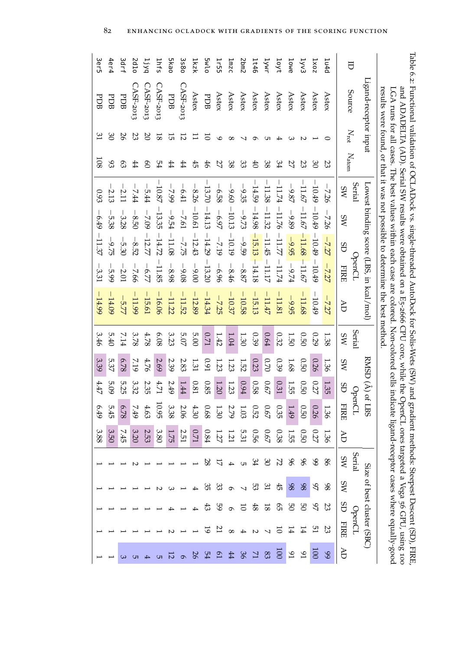<span id="page-105-0"></span>

| 3er5             | 4er4     | <b>3drf</b> | 2d10               | 1j yq         | $2n$ fs            | <b>Skao</b> | 3580           | 1kzk           | <b>5wlo</b>    | 1r55                | Jmzc           | 2 <sub>bm2</sub> | 1t46     | IWVL     | loyt             | lowe             | 1yv3             | 1x0z     | 1u4d     |                | Ħ      |                                         |                                                                                                                                                                                                                                                                                                                                                                                                                                                                                                                     |
|------------------|----------|-------------|--------------------|---------------|--------------------|-------------|----------------|----------------|----------------|---------------------|----------------|------------------|----------|----------|------------------|------------------|------------------|----------|----------|----------------|--------|-----------------------------------------|---------------------------------------------------------------------------------------------------------------------------------------------------------------------------------------------------------------------------------------------------------------------------------------------------------------------------------------------------------------------------------------------------------------------------------------------------------------------------------------------------------------------|
| PDB              | PDB      | PDB         | $\text{CAST-2013}$ | CASF-2013     | $\text{CAST-2013}$ | PDB         | $C$ ASF-2013   | Astex          | PDB            | Astex               | Astex          | Astex            | Astex    | Astex    | Astex            | Astex            | Astex            | Astex    | Astex    | Source         |        | Ligand-receptor input                   | lable 6.2: Functional validation of OCLADock vs. single-threaded AutoDock for Solis-Wets (SW) and gradient methods: Steepest Descent (SD), FIRE<br>results were counted, or that it was not possible to determine the best method<br>and ADADELTA (AD). Serial SW results were obtained on a E5-2666 CPU core, while the OpenCL ones targeted a Vega 56 GPU, using 100<br>LGA runs for all cases. The best values within each case are colored. Non-colored cells indicate ligand-receptor cases where equally-good |
| 31               | 30       | 26          | $23\,$             | $\Omega$      | $\overline{8}$     | 15          | $\overline{5}$ | $\overline{1}$ | $\overline{5}$ | $\circ$             | $\infty$       | ↘                | Ó        | GП       | 4                | ယ                | N                |          | ○        | $\rm N_{rot}$  |        |                                         |                                                                                                                                                                                                                                                                                                                                                                                                                                                                                                                     |
| $\overline{108}$ | 93       | $^{63}$     | #                  | $\mathcal{S}$ | 54                 | #           | #              | 45             | 46             | 27                  | 38             | 33               | f        | 38       | 34               | 27               | 23               | 30       | 23       | $\rm N_{atom}$ |        |                                         |                                                                                                                                                                                                                                                                                                                                                                                                                                                                                                                     |
| 0.93             | 2.13     | 2.11        | 计方                 | $-5.44$       | 10.87              | $-7.99$     | $-6.41$        | $-8.26$        | 13.70          | $-6.58$             | $-9.60$        | $-9.35$          | 14.59    | 11.38    | 11.74            | $-9.87$          | 11.67            | $-10.49$ | $-7.26$  | SW             | Serial |                                         |                                                                                                                                                                                                                                                                                                                                                                                                                                                                                                                     |
| $-6.49$          | $-5.38$  | $-3.28$     | $-8.50$            | $-7.09$       | $-13.35$           | $-9.54$     | $-7.61$        | $-10.61$       | $-14.13$       | $-6.97$             | $-10.13$       | $-9.73$          | $-14.98$ | $-11.32$ | $-11.76$         | $-9.89$          | 11.67            | $-10.49$ | $-726$   | <b>NS</b>      |        |                                         |                                                                                                                                                                                                                                                                                                                                                                                                                                                                                                                     |
| $-11.37$         | $-9.75$  | $-5.30$     | $-8.52$            | $-12.77$      | $-14.72$           | $-11.08$    | $-7.75$        | $-12.43$       | $-14.29$       | $-7.19$             | $-10.19$       | $-9.59$          | $-15.13$ | $-11.45$ | $-11.77$         | $-9.95$          | $-11.68$         | $-10.49$ | $-7.27$  | GS             |        |                                         |                                                                                                                                                                                                                                                                                                                                                                                                                                                                                                                     |
| $-3.31$          | $-5.99$  | 2.01        | $-7.66$            | $-6.77$       | $-11.85$           | $-8.98$     | $-9.08$        | $-9.00$        | $-13.20$       | $-6.96$             | $-8.46$        | $-8.87$          | $-14.18$ | $-11.17$ | $-11.74$         | $-9.74$          | $11.67\,$        | $-10.49$ | $-7.27$  | <b>FIRE</b>    | OpenCL |                                         |                                                                                                                                                                                                                                                                                                                                                                                                                                                                                                                     |
| $-14.99$         | $-14.09$ | $-5.77$     | 11.99              | 15.61         | $-16.06$           | $-11.22$    | 11.52          | $-12.89$       | $-14.34$       | $-7.25$             | $-10.37$       | $-10.58$         | $-15.13$ | $-11.47$ | $-11.81$         | $-9.95$          | 11.68            | $-10.49$ | $-7.27$  | AD             |        | Lowest binding score (LBS, in kcal/mol) |                                                                                                                                                                                                                                                                                                                                                                                                                                                                                                                     |
| 3.46             | 5.40     | 7.14        | 3.78               | $4.78$        | 6.08               | 3.23        | 5.07           | 5.00           | 0.71           | 1.42                | $1.04\,$       | $1.30\,$         | 0.39     | $0.64\,$ | 0.32             | 1.50             | 0.50             | 0.29     | 1.38     | SW             | Serial |                                         |                                                                                                                                                                                                                                                                                                                                                                                                                                                                                                                     |
| 3.39             | 5.37     | 6.78        | 7.19               | 4.76          | 2.69               | 2.39        | 2.83           | 1.31           | $16.0\,$       | 1.23                | 1.23           | $1.52\,$         | 0.23     | 0.70     | 0.39             | 1.68             | 0.50             | 0.26     | 1.36     | SW             |        | RMSD (Å)                                |                                                                                                                                                                                                                                                                                                                                                                                                                                                                                                                     |
| $4.47$           | 5.09     | 5.25        | 3.32               | 2.35          | $4.71\,$           | 2.49        | 1.44           | $0.81\,$       | 0.85           | 1.20                | $1.23\,$       | $6.94\,$         | 0.58     | $0.67\,$ | 0.31             | 1.55             | 0.50             | 0.27     | 1.35     | GS             |        |                                         |                                                                                                                                                                                                                                                                                                                                                                                                                                                                                                                     |
| 679              | 5.45     | 87.3        | 7.49               | 4.63          | 10.95              | 3.38        | 2.06           | 4.30           | 89.0           | 1.30                | 2.79           | 1.03             | 0.52     | 0.67     | 0.35             | 1.49             | 0.50             | 0.26     | 1.36     | <b>FIRE</b>    | OpenCL | of LBS                                  |                                                                                                                                                                                                                                                                                                                                                                                                                                                                                                                     |
| 3.88             | 3.50     | 7.45        | 3.20               | 2.53          | 3.80               | 1.75        | 2.51           | $0.71\,$       | $0.84\,$       | 1.27                | 1.21           | 5.31             | 950      | 0.67     | 0.38             | 1.55             | 0.50             | 0.27     | 1.36     | Ъ              |        |                                         |                                                                                                                                                                                                                                                                                                                                                                                                                                                                                                                     |
|                  |          |             |                    |               |                    |             |                |                |                | 5                   | $\overline{4}$ | Gп               | 34       | SO       | 22               | 96               | 96               | 99       | 98       | SW             | Serial |                                         |                                                                                                                                                                                                                                                                                                                                                                                                                                                                                                                     |
|                  |          |             |                    |               |                    |             |                | 4              | 35             | 33                  | $\sigma$       | $\overline{ }$   | 53       | 31       | £                | 98               | 86               | 97       | 86       | SW             |        |                                         |                                                                                                                                                                                                                                                                                                                                                                                                                                                                                                                     |
|                  |          |             |                    |               |                    |             |                |                | 43             | SS                  | $\sigma$       | $\overline{5}$   | 48       | $^{8}$   | S)               | g                | g                | SZ       | 23       | GS             |        |                                         |                                                                                                                                                                                                                                                                                                                                                                                                                                                                                                                     |
|                  |          |             |                    |               |                    |             |                |                | ত              | 21                  | $\infty$       |                  |          |          | 5                | $\mathbf 4$      | 14               | 51       | 23       | <b>FIRE</b>    | OpenCL | Size of best cluster (SBC)              |                                                                                                                                                                                                                                                                                                                                                                                                                                                                                                                     |
|                  |          |             |                    |               |                    |             |                |                | 54             | $\overline{\omega}$ | 44             |                  |          | 83       | $\overline{500}$ | $\mathfrak{g}_1$ | $\mathfrak{g}_1$ | 100      | $\delta$ | AD             |        |                                         |                                                                                                                                                                                                                                                                                                                                                                                                                                                                                                                     |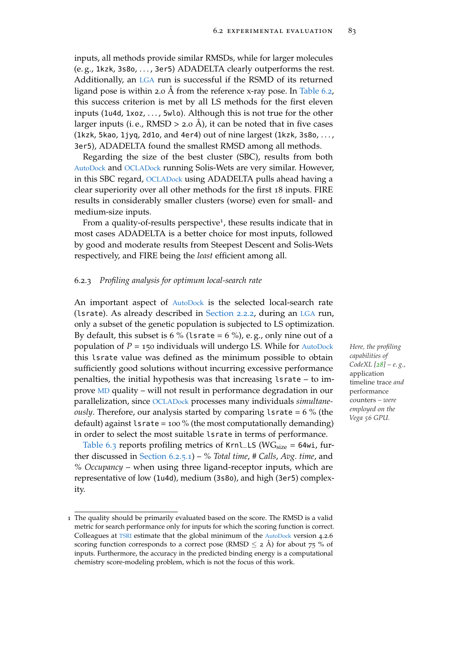inputs, all methods provide similar RMSDs, while for larger molecules (e. g., 1kzk, 3s8o, . . . , 3er5) ADADELTA clearly outperforms the rest. Additionally, an [LGA](#page-22-2) run is successful if the RSMD of its returned ligand pose is within 2.0 Å from the reference x-ray pose. In [Table](#page-105-0) 6.2, this success criterion is met by all LS methods for the first eleven inputs (1u4d, 1xoz, . . . , 5wlo). Although this is not true for the other larger inputs (i. e., RMSD  $>$  2.0 Å), it can be noted that in five cases (1kzk, 5kao, 1jyq, 2d1o, and 4er4) out of nine largest (1kzk, 3s8o, ..., 3er5), ADADELTA found the smallest RMSD among all methods.

Regarding the size of the best cluster (SBC), results from both [AutoDock](#page-22-3) and [OCLADock](#page-22-7) running Solis-Wets are very similar. However, in this SBC regard, [OCLADock](#page-22-7) using ADADELTA pulls ahead having a clear superiority over all other methods for the first 18 inputs. FIRE results in considerably smaller clusters (worse) even for small- and medium-size inputs.

From a quality-of-results perspective<sup>1</sup>, these results indicate that in most cases ADADELTA is a better choice for most inputs, followed by good and moderate results from Steepest Descent and Solis-Wets respectively, and FIRE being the *least* efficient among all.

## 6.2.3 *Profiling analysis for optimum local-search rate*

An important aspect of [AutoDock](#page-22-3) is the selected local-search rate (lsrate). As already described in [Section](#page-35-0) 2.2.2, during an [LGA](#page-22-2) run, only a subset of the genetic population is subjected to LS optimization. By default, this subset is 6 % (lsrate =  $6$  %), e.g., only nine out of a population of *P* = 150 individuals will undergo LS. While for [AutoDock](#page-22-3) *Here, the profiling* this lsrate value was defined as the minimum possible to obtain sufficiently good solutions without incurring excessive performance penalties, the initial hypothesis was that increasing lsrate – to improve [MD](#page-22-5) quality – will not result in performance degradation in our parallelization, since [OCLADock](#page-22-7) processes many individuals *simultaneously*. Therefore, our analysis started by comparing lsrate = 6 % (the default) against  $lsrate = 100 %$  (the most computationally demanding) in order to select the most suitable lsrate in terms of performance.

[Table](#page-107-0) 6.3 reports profiling metrics of Krnl\_LS ( $WG<sub>size</sub> = 64$ wi, further discussed in [Section](#page-111-0) 6.2.5.1) – *% Total time*, *# Calls*, *Avg. time*, and *% Occupancy* – when using three ligand-receptor inputs, which are representative of low (1u4d), medium (3s8o), and high (3er5) complexity.

*capabilities of CodeXL [[28](#page-148-1)] – e. g.,* application timeline trace *and* performance counters *– were employed on the Vega 56 GPU.*

<sup>1</sup> The quality should be primarily evaluated based on the score. The RMSD is a valid metric for search performance only for inputs for which the scoring function is correct. Colleagues at [TSRI](#page-22-9) estimate that the global minimum of the [AutoDock](#page-22-3) version 4.2.6 scoring function corresponds to a correct pose (RMSD  $\leq$  2 Å) for about 75 % of inputs. Furthermore, the accuracy in the predicted binding energy is a computational chemistry score-modeling problem, which is not the focus of this work.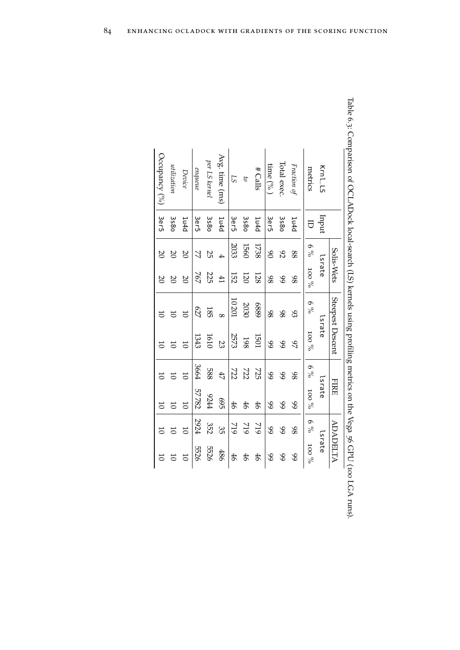<span id="page-107-0"></span>

|                 |                   | Solis-Wets     |                 |          | Steepest Descent |       | <b>FIRE</b>    |                | ADADELTA |
|-----------------|-------------------|----------------|-----------------|----------|------------------|-------|----------------|----------------|----------|
| Krnl_LS         | Indur             |                | lsrate          |          | Lsrate           |       | lsrate         |                | lsrate   |
| metrics         |                   | $6\%$          | $\%$ oor        | $6\%$    | $\%$ oor         | $6\%$ | $\sqrt{6}$ OOI | $6\%$          | $\%$ oor |
| Fraction of     | 1u4d              | 88             | 86              | 93       | 87               | 86    | $\mathscr{S}$  | 86             | 89       |
| Total exec.     | 3580              | 82             | 99              | 86       | 89               | 89    | $\delta$       | 89             | 89       |
| time (% )       | 3er5              | 8 <sup>o</sup> | 86              | 86       | $\infty$         | 89    | $\mathscr{S}$  | 89             | 89       |
| #Calls          | 1 <sub>u4d</sub>  | 1738           | 128             | 6889     | <b>LOGI</b>      | 725   | 46             | 719            | 46       |
| 5               | <b>3s8o</b>       | 1560           | 120             | 2030     | 198              | 727   | 46             | 719            | 46       |
| LS              | 3e r5             | 2033           | 152             | 10201    | 2573             | 727   | 46             | 719            | 46       |
| Avg. time (ms)  | 1 <sub>u</sub> 4d |                | $\overline{41}$ | $\infty$ | 23               | 47    | 695            | 35             | 486      |
| per LS kernel   | 3s80              | ΣŚ             | 225             | 185      | 1610             | 889   | 9244           | 352            | 5526     |
| enqueue         | 3er5              | Ź              | 767             | 627      | 1343             | 3664  | 57782          | 1924           | 5526     |
| Device          | 1u4d              | $\overline{8}$ | $\overline{c}$  |          |                  |       |                | $\overline{C}$ |          |
| utilization     | 3580              | Ρ              | $\overline{0}$  |          |                  |       |                |                |          |
| Occupancy $(%)$ | 3er5              | $\infty$       | $\overline{0}$  |          |                  |       |                | $\overline{0}$ |          |

| l<br>١                                                                                                                          |
|---------------------------------------------------------------------------------------------------------------------------------|
|                                                                                                                                 |
| - איני הייני המיני לאיני הייני הייני הייני הייני הייני הייני הייני הייני הייני הייני הייני הייני הייני הייני ה<br>$\frac{1}{2}$ |
| j                                                                                                                               |
|                                                                                                                                 |
|                                                                                                                                 |
| DISTURBANCE INC. INC. NEWSLET<br>;<br>;                                                                                         |
| I<br>נ<br>ק<br>١<br>١                                                                                                           |
| i<br> <br> <br>l                                                                                                                |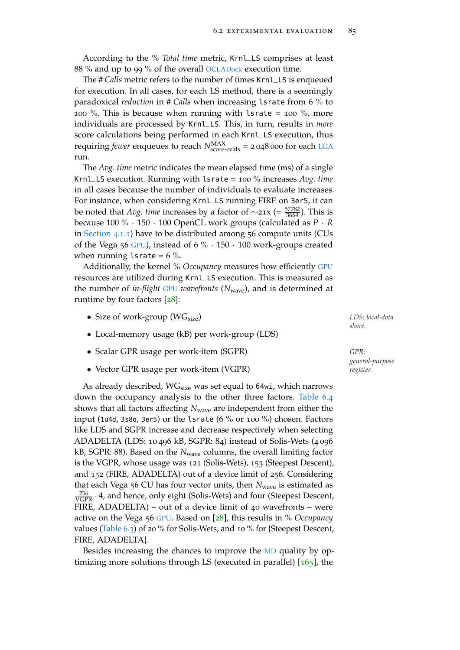According to the *% Total time* metric, Krnl\_LS comprises at least 88 % and up to 99 % of the overall [OCLADock](#page-22-0) execution time.

The *# Calls* metric refers to the number of times Krnl\_LS is enqueued for execution. In all cases, for each LS method, there is a seemingly paradoxical *reduction* in *# Calls* when increasing lsrate from 6 % to 100 %. This is because when running with lsrate = 100 %, more individuals are processed by Krnl\_LS. This, in turn, results in *more* score calculations being performed in each Krnl\_LS execution, thus requiring *fewer* enqueues to reach  $N_{\text{score-evals}}^{\text{MAX}}$  = 2 048 000 for each [LGA](#page-22-1) run.

The *Avg. time* metric indicates the mean elapsed time (ms) of a single Krnl\_LS execution. Running with lsrate = 100 % increases *Avg. time* in all cases because the number of individuals to evaluate increases. For instance, when considering Krnl\_LS running FIRE on 3er5, it can be noted that *Avg. time* increases by a factor of ∼21x (=  $\frac{57782}{3664}$ ). This is because 100 % · 150 · 100 OpenCL work groups (calculated as *P* · *R* in [Section](#page-62-0) 4.1.1) have to be distributed among 56 compute units (CUs of the Vega 56 [GPU](#page-22-2)), instead of  $6\% \cdot 150 \cdot 100$  work-groups created when running lsrate =  $6\%$ .

Additionally, the kernel *% Occupancy* measures how efficiently [GPU](#page-22-2) resources are utilized during Krnl\_LS execution. This is measured as the number of *in-flight* [GPU](#page-22-2) *wavefronts* (*N*wave), and is determined at runtime by four factors [[28](#page-148-0)]:

- Size of work-group (WGsize) *LDS: local-data*
- Local-memory usage (kB) per work-group (LDS)
- Scalar GPR usage per work-item (SGPR) *GPR:*
- Vector GPR usage per work-item (VGPR) *register.*

As already described,  $WG_{size}$  was set equal to 64wi, which narrows down the occupancy analysis to the other three factors. [Table](#page-109-0) 6.4 shows that all factors affecting *N*wave are independent from either the input (1u4d, 3s8o, 3er5) or the lsrate (6  $\%$  or 100  $\%$ ) chosen. Factors like LDS and SGPR increase and decrease respectively when selecting ADADELTA (LDS: 10 496 kB, SGPR: 84) instead of Solis-Wets (4 096 kB, SGPR: 88). Based on the *N*wave columns, the overall limiting factor is the VGPR, whose usage was 121 (Solis-Wets), 153 (Steepest Descent), and 152 (FIRE, ADADELTA) out of a device limit of 256. Considering that each Vega 56 CU has four vector units, then N<sub>wave</sub> is estimated as  $\frac{256}{VGPR} \cdot 4$ , and hence, only eight (Solis-Wets) and four (Steepest Descent, FIRE, ADADELTA) – out of a device limit of 40 wavefronts – were active on the Vega 56 [GPU](#page-22-2). Based on [[28](#page-148-0)], this results in *% Occupancy* values [\(Table](#page-107-0) 6.3) of 20 % for Solis-Wets, and 10 % for {Steepest Descent, FIRE, ADADELTA}.

Besides increasing the chances to improve the [MD](#page-22-3) quality by optimizing more solutions through LS (executed in parallel)  $[165]$  $[165]$  $[165]$ , the

*share.*

*general-purpose*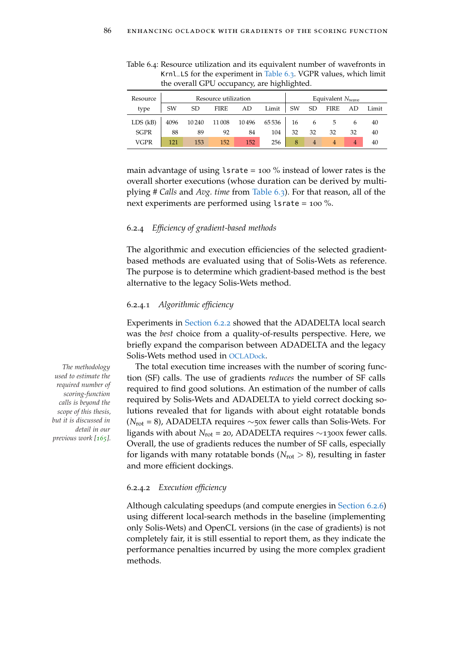| Resource     |      |       | Resource utilization |       |       | Equivalent $N_{\text{wave}}$ |                |             |    |       |  |
|--------------|------|-------|----------------------|-------|-------|------------------------------|----------------|-------------|----|-------|--|
| type         | SW   | SD    | <b>FIRE</b>          | AD    | Limit | SW                           | <b>SD</b>      | <b>FIRE</b> | AD | Limit |  |
| $LDS$ $(kB)$ | 4096 | 10240 | 11008                | 10496 | 65536 | 16                           |                | 5           | 6  | 40    |  |
| <b>SGPR</b>  | 88   | 89    | 92                   | 84    | 104   | 32                           | 32             | 32          | 32 | 40    |  |
| VGPR         | 121  | 153   | 152                  | 152   | 256   | 8                            | $\overline{4}$ |             | 4  | 40    |  |

<span id="page-109-0"></span>Table 6.4: Resource utilization and its equivalent number of wavefronts in Krnl\_LS for the experiment in [Table](#page-107-0) 6.3. VGPR values, which limit the overall GPU occupancy, are highlighted.

main advantage of using  $lsrate = 100\%$  instead of lower rates is the overall shorter executions (whose duration can be derived by multiplying *# Calls* and *Avg. time* from [Table](#page-107-0) 6.3). For that reason, all of the next experiments are performed using lsrate = 100 %.

## 6.2.4 *Efficiency of gradient-based methods*

The algorithmic and execution efficiencies of the selected gradientbased methods are evaluated using that of Solis-Wets as reference. The purpose is to determine which gradient-based method is the best alternative to the legacy Solis-Wets method.

### 6.2.4.1 *Algorithmic efficiency*

Experiments in [Section](#page-103-0) 6.2.2 showed that the ADADELTA local search was the *best* choice from a quality-of-results perspective. Here, we briefly expand the comparison between ADADELTA and the legacy Solis-Wets method used in [OCLADock](#page-22-0).

*The methodology* The total execution time increases with the number of scoring function (SF) calls. The use of gradients *reduces* the number of SF calls required to find good solutions. An estimation of the number of calls required by Solis-Wets and ADADELTA to yield correct docking solutions revealed that for ligands with about eight rotatable bonds (*N*rot = 8), ADADELTA requires ∼50x fewer calls than Solis-Wets. For ligands with about *N*rot = 20, ADADELTA requires ∼1300x fewer calls. Overall, the use of gradients reduces the number of SF calls, especially for ligands with many rotatable bonds  $(N_{\text{rot}} > 8)$ , resulting in faster and more efficient dockings.

## 6.2.4.2 *Execution efficiency*

Although calculating speedups (and compute energies in [Section](#page-116-0) 6.2.6) using different local-search methods in the baseline (implementing only Solis-Wets) and OpenCL versions (in the case of gradients) is not completely fair, it is still essential to report them, as they indicate the performance penalties incurred by using the more complex gradient methods.

*used to estimate the required number of scoring-function calls is beyond the scope of this thesis, but it is discussed in detail in our previous work [[165](#page-162-0)].*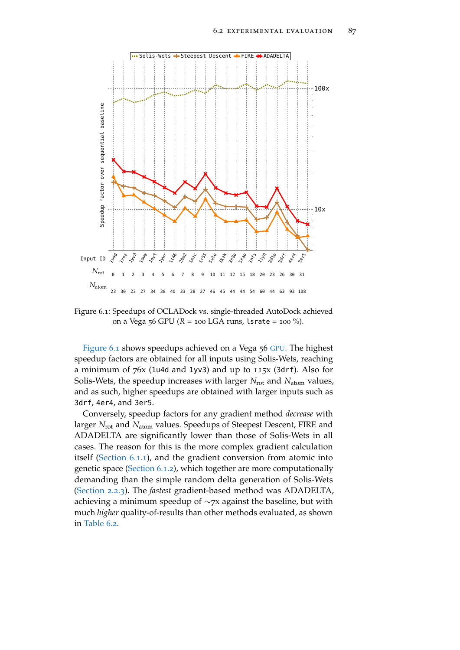<span id="page-110-0"></span>

Figure 6.1: Speedups of OCLADock vs. single-threaded AutoDock achieved on a Vega 56 GPU (*R* = 100 LGA runs, lsrate = 100 %).

[Figure](#page-110-0) 6.1 shows speedups achieved on a Vega 56 [GPU](#page-22-2). The highest speedup factors are obtained for all inputs using Solis-Wets, reaching a minimum of 76x (1u4d and 1yv3) and up to 115x (3drf). Also for Solis-Wets, the speedup increases with larger *N*<sub>rot</sub> and *N*<sub>atom</sub> values, and as such, higher speedups are obtained with larger inputs such as 3drf, 4er4, and 3er5.

Conversely, speedup factors for any gradient method *decrease* with larger *N*<sub>rot</sub> and *N*<sub>atom</sub> values. Speedups of Steepest Descent, FIRE and ADADELTA are significantly lower than those of Solis-Wets in all cases. The reason for this is the more complex gradient calculation itself [\(Section](#page-96-0) 6.1.1), and the gradient conversion from atomic into genetic space [\(Section](#page-97-0) 6.1.2), which together are more computationally demanding than the simple random delta generation of Solis-Wets [\(Section](#page-36-0) 2.2.3). The *fastest* gradient-based method was ADADELTA, achieving a minimum speedup of ∼7x against the baseline, but with much *higher* quality-of-results than other methods evaluated, as shown in [Table](#page-105-0) 6.2.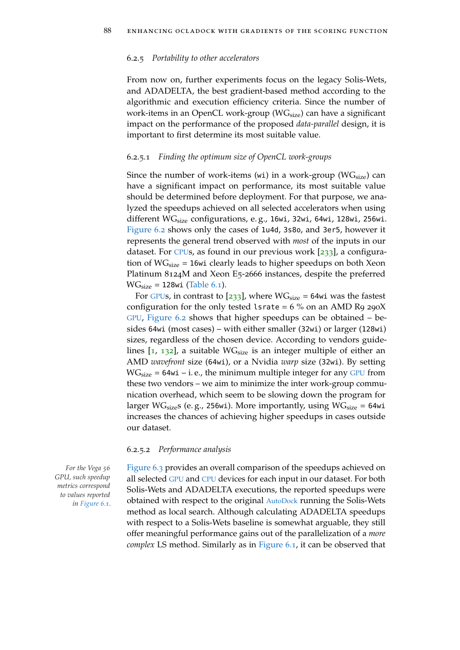#### <span id="page-111-0"></span>6.2.5 *Portability to other accelerators*

From now on, further experiments focus on the legacy Solis-Wets, and ADADELTA, the best gradient-based method according to the algorithmic and execution efficiency criteria. Since the number of work-items in an OpenCL work-group ( $WG<sub>size</sub>$ ) can have a significant impact on the performance of the proposed *data-parallel* design, it is important to first determine its most suitable value.

#### 6.2.5.1 *Finding the optimum size of OpenCL work-groups*

Since the number of work-items (wi) in a work-group ( $WG<sub>size</sub>$ ) can have a significant impact on performance, its most suitable value should be determined before deployment. For that purpose, we analyzed the speedups achieved on all selected accelerators when using different WG<sub>size</sub> configurations, e.g., 16wi, 32wi, 64wi, 128wi, 256wi. [Figure](#page-112-0) 6.2 shows only the cases of 1u4d, 3s8o, and 3er5, however it represents the general trend observed with *most* of the inputs in our dataset. For [CPU](#page-22-4)s, as found in our previous work  $[233]$  $[233]$  $[233]$ , a configuration of  $WG_{size}$  = 16wi clearly leads to higher speedups on both Xeon Platinum 8124M and Xeon E5-2666 instances, despite the preferred  $WG<sub>size</sub> = 128wi (Table 6.1).$  $WG<sub>size</sub> = 128wi (Table 6.1).$  $WG<sub>size</sub> = 128wi (Table 6.1).$ 

For [GPU](#page-22-2)s, in contrast to  $[233]$  $[233]$  $[233]$ , where  $WG<sub>size</sub> = 64wi$  was the fastest configuration for the only tested lsrate =  $6\%$  on an AMD R9 290X [GPU](#page-22-2), [Figure](#page-112-0) 6.2 shows that higher speedups can be obtained – besides 64wi (most cases) – with either smaller (32wi) or larger (128wi) sizes, regardless of the chosen device. According to vendors guidelines  $[1, 132]$  $[1, 132]$  $[1, 132]$  $[1, 132]$  $[1, 132]$ , a suitable W $G<sub>size</sub>$  is an integer multiple of either an AMD *wavefront* size (64wi), or a Nvidia *warp* size (32wi). By setting  $WG<sub>size</sub> = 64wi - i.e.,$  the minimum multiple integer for any [GPU](#page-22-2) from these two vendors – we aim to minimize the inter work-group communication overhead, which seem to be slowing down the program for larger WG<sub>size</sub>s (e.g., 256wi). More importantly, using WG<sub>size</sub> = 64wi increases the chances of achieving higher speedups in cases outside our dataset.

#### 6.2.5.2 *Performance analysis*

*GPU, such speedup metrics correspond to values reported in [Figure](#page-110-0) 6.1.*

*For the Vega*  $56$  [Figure](#page-113-0) 6.3 provides an overall comparison of the speedups achieved on all selected [GPU](#page-22-2) and [CPU](#page-22-4) devices for each input in our dataset. For both Solis-Wets and ADADELTA executions, the reported speedups were obtained with respect to the original [AutoDock](#page-22-5) running the Solis-Wets method as local search. Although calculating ADADELTA speedups with respect to a Solis-Wets baseline is somewhat arguable, they still offer meaningful performance gains out of the parallelization of a *more complex* LS method. Similarly as in [Figure](#page-110-0) 6.1, it can be observed that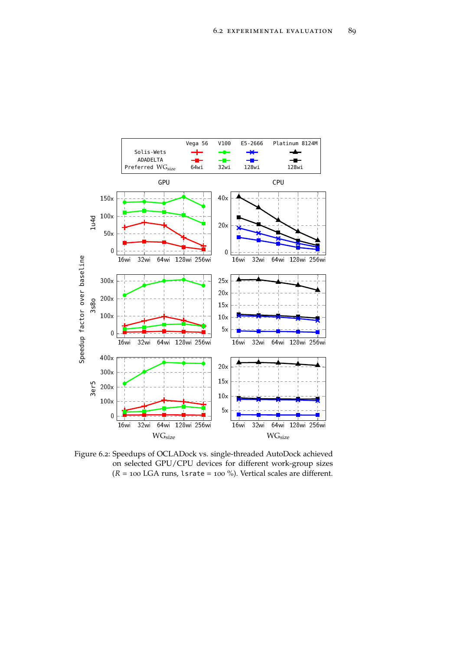<span id="page-112-0"></span>

Figure 6.2: Speedups of OCLADock vs. single-threaded AutoDock achieved on selected GPU/CPU devices for different work-group sizes  $(R = 100$  LGA runs, lsrate = 100 %). Vertical scales are different.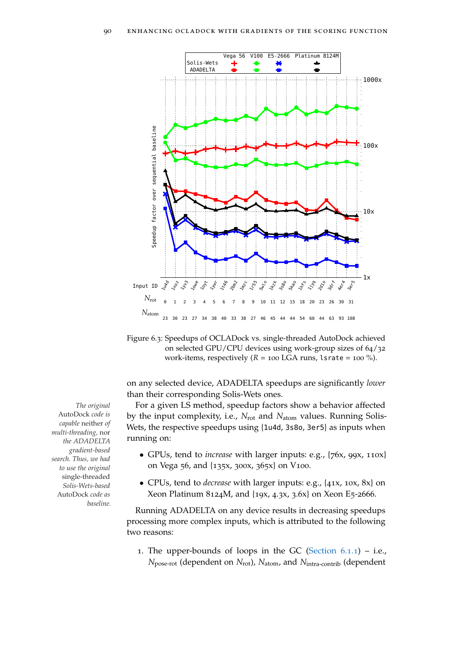<span id="page-113-0"></span>

<span id="page-113-1"></span>Figure 6.3: Speedups of OCLADock vs. single-threaded AutoDock achieved on selected GPU/CPU devices using work-group sizes of 64/32 work-items, respectively  $(R = 100$  LGA runs, lsrate =  $100$  %).

on any selected device, ADADELTA speedups are significantly *lower* than their corresponding Solis-Wets ones.

*The original* For a given LS method, speedup factors show a behavior affected by the input complexity, i.e., *N*rot and *N*atom values. Running Solis-Wets, the respective speedups using {1u4d, 3s8o, 3er5} as inputs when running on:

- GPUs, tend to *increase* with larger inputs: e.g., {76x, 99x, 110x} on Vega 56, and {135x, 300x, 365x} on V100.
- CPUs, tend to *decrease* with larger inputs: e.g., {41x, 10x, 8x} on Xeon Platinum 8124M, and {19x, 4.3x, 3.6x} on Xeon E5-2666.

Running ADADELTA on any device results in decreasing speedups processing more complex inputs, which is attributed to the following two reasons:

1. The upper-bounds of loops in the GC [\(Section](#page-96-0)  $6.1.1$ ) – i.e., *N*pose-rot (dependent on *N*rot), *N*atom, and *N*intra-contrib (dependent

AutoDock *code is capable* neither *of multi-threading,* nor *the ADADELTA gradient-based search. Thus, we had to use the original* single-threaded *Solis-Wets-based* AutoDock *code as baseline.*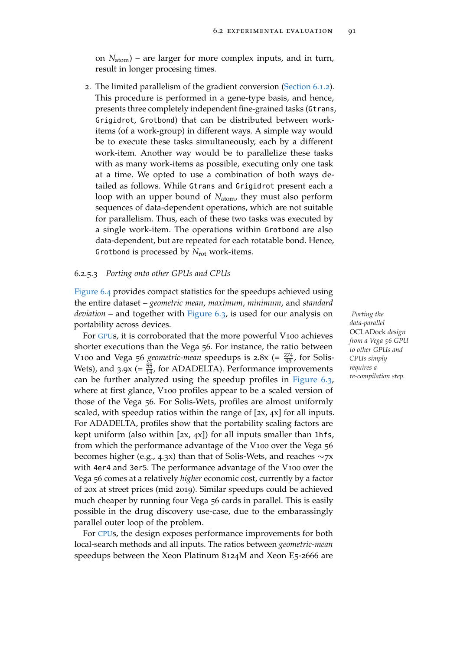on *N*atom) – are larger for more complex inputs, and in turn, result in longer procesing times.

2. The limited parallelism of the gradient conversion [\(Section](#page-97-0) 6.1.2). This procedure is performed in a gene-type basis, and hence, presents three completely independent fine-grained tasks (Gtrans, Grigidrot, Grotbond) that can be distributed between workitems (of a work-group) in different ways. A simple way would be to execute these tasks simultaneously, each by a different work-item. Another way would be to parallelize these tasks with as many work-items as possible, executing only one task at a time. We opted to use a combination of both ways detailed as follows. While Gtrans and Grigidrot present each a loop with an upper bound of *N*<sub>atom</sub>, they must also perform sequences of data-dependent operations, which are not suitable for parallelism. Thus, each of these two tasks was executed by a single work-item. The operations within Grotbond are also data-dependent, but are repeated for each rotatable bond. Hence, Grotbond is processed by *N*rot work-items.

## 6.2.5.3 *Porting onto other GPUs and CPUs*

[Figure](#page-115-0) 6.4 provides compact statistics for the speedups achieved using the entire dataset – *geometric mean*, *maximum*, *minimum*, and *standard deviation* – and together with [Figure](#page-113-0) 6.3, is used for our analysis on *Porting the* portability across devices.

For [GPU](#page-22-2)s, it is corroborated that the more powerful V100 achieves shorter executions than the Vega 56. For instance, the ratio between V100 and Vega 56 *geometric-mean* speedups is  $2.8x = \frac{274}{95}$ , for Solis-Wets), and  $3.9x$  (=  $\frac{55}{14}$ , for ADADELTA). Performance improvements can be further analyzed using the speedup profiles in [Figure](#page-113-0) 6.3, where at first glance, V<sub>100</sub> profiles appear to be a scaled version of those of the Vega 56. For Solis-Wets, profiles are almost uniformly scaled, with speedup ratios within the range of [2x, 4x] for all inputs. For ADADELTA, profiles show that the portability scaling factors are kept uniform (also within  $[2x, 4x]$ ) for all inputs smaller than 1hfs, from which the performance advantage of the V100 over the Vega 56 becomes higher (e.g., 4.3x) than that of Solis-Wets, and reaches ∼7x with 4er4 and 3er5. The performance advantage of the V100 over the Vega 56 comes at a relatively *higher* economic cost, currently by a factor of 20x at street prices (mid 2019). Similar speedups could be achieved much cheaper by running four Vega 56 cards in parallel. This is easily possible in the drug discovery use-case, due to the embarassingly parallel outer loop of the problem.

For [CPU](#page-22-4)s, the design exposes performance improvements for both local-search methods and all inputs. The ratios between *geometric-mean* speedups between the Xeon Platinum 8124M and Xeon E5-2666 are

*data-parallel* OCLADock *design from a Vega 56 GPU to other GPUs and CPUs simply requires a re-compilation step.*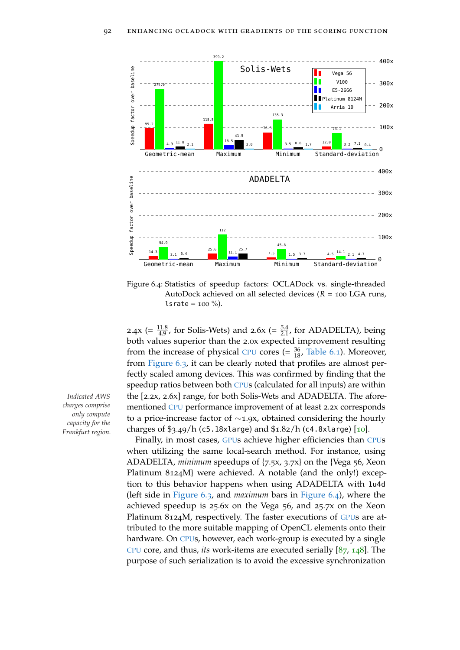<span id="page-115-0"></span>

Figure 6.4: Statistics of speedup factors: OCLADock vs. single-threaded AutoDock achieved on all selected devices (*R* = 100 LGA runs, lsrate =  $100\%$ ).

2.4x (=  $\frac{11.8}{4.9}$ , for Solis-Wets) and 2.6x (=  $\frac{5.4}{2.1}$ , for ADADELTA), being both values superior than the 2.0x expected improvement resulting from the increase of physical [CPU](#page-22-4) cores (=  $\frac{36}{18}$ , [Table](#page-104-0) 6.1). Moreover, from [Figure](#page-113-0) 6.3, it can be clearly noted that profiles are almost perfectly scaled among devices. This was confirmed by finding that the speedup ratios between both [CPU](#page-22-4)s (calculated for all inputs) are within *Indicated AWS* the [2.2x, 2.6x] range, for both Solis-Wets and ADADELTA. The aforementioned [CPU](#page-22-4) performance improvement of at least 2.2x corresponds to a price-increase factor of ∼1.9x, obtained considering the hourly charges of \$3.49/h (c5.18xlarge) and \$1.82/h (c4.8xlarge) [[10](#page-147-0)].

> Finally, in most cases, [GPU](#page-22-2)s achieve higher efficiencies than [CPU](#page-22-4)s when utilizing the same local-search method. For instance, using ADADELTA, *minimum* speedups of {7.5x, 3.7x} on the {Vega 56, Xeon Platinum 8124M} were achieved. A notable (and the only!) exception to this behavior happens when using ADADELTA with 1u4d (left side in [Figure](#page-113-0) 6.3, and *maximum* bars in [Figure](#page-115-0) 6.4), where the achieved speedup is 25.6x on the Vega 56, and 25.7x on the Xeon Platinum 8124M, respectively. The faster executions of [GPU](#page-22-2)s are attributed to the more suitable mapping of OpenCL elements onto their hardware. On [CPU](#page-22-4)s, however, each work-group is executed by a single [CPU](#page-22-4) core, and thus, *its* work-items are executed serially [[87](#page-154-0), [148](#page-160-0)]. The purpose of such serialization is to avoid the excessive synchronization

*charges comprise only compute capacity for the Frankfurt region.*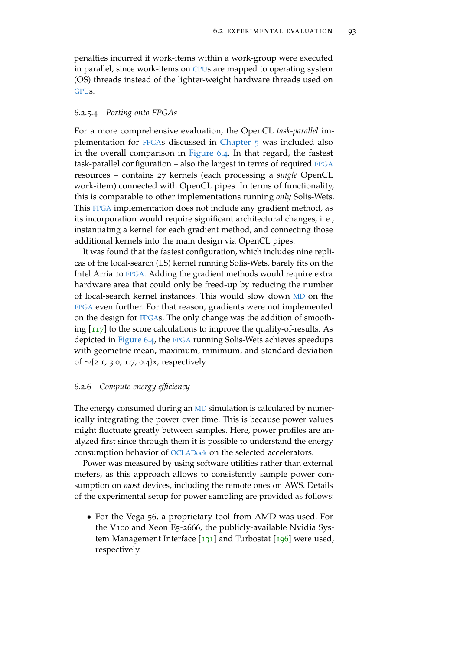penalties incurred if work-items within a work-group were executed in parallel, since work-items on [CPU](#page-22-4)s are mapped to operating system (OS) threads instead of the lighter-weight hardware threads used on [GPU](#page-22-2)s.

## 6.2.5.4 *Porting onto FPGAs*

For a more comprehensive evaluation, the OpenCL *task-parallel* implementation for [FPGA](#page-22-6)s discussed in [Chapter](#page-76-0) 5 was included also in the overall comparison in [Figure](#page-115-0) 6.4. In that regard, the fastest task-parallel configuration – also the largest in terms of required [FPGA](#page-22-6) resources – contains 27 kernels (each processing a *single* OpenCL work-item) connected with OpenCL pipes. In terms of functionality, this is comparable to other implementations running *only* Solis-Wets. This [FPGA](#page-22-6) implementation does not include any gradient method, as its incorporation would require significant architectural changes, i. e., instantiating a kernel for each gradient method, and connecting those additional kernels into the main design via OpenCL pipes.

It was found that the fastest configuration, which includes nine replicas of the local-search (LS) kernel running Solis-Wets, barely fits on the Intel Arria 10 [FPGA](#page-22-6). Adding the gradient methods would require extra hardware area that could only be freed-up by reducing the number of local-search kernel instances. This would slow down [MD](#page-22-3) on the [FPGA](#page-22-6) even further. For that reason, gradients were not implemented on the design for [FPGA](#page-22-6)s. The only change was the addition of smoothing  $[117]$  $[117]$  $[117]$  to the score calculations to improve the quality-of-results. As depicted in [Figure](#page-115-0) 6.4, the [FPGA](#page-22-6) running Solis-Wets achieves speedups with geometric mean, maximum, minimum, and standard deviation of ∼{2.1, 3.0, 1.7, 0.4}x, respectively.

# <span id="page-116-0"></span>6.2.6 *Compute-energy efficiency*

The energy consumed during an [MD](#page-22-3) simulation is calculated by numerically integrating the power over time. This is because power values might fluctuate greatly between samples. Here, power profiles are analyzed first since through them it is possible to understand the energy consumption behavior of [OCLADock](#page-22-0) on the selected accelerators.

Power was measured by using software utilities rather than external meters, as this approach allows to consistently sample power consumption on *most* devices, including the remote ones on AWS. Details of the experimental setup for power sampling are provided as follows:

• For the Vega 56, a proprietary tool from AMD was used. For the V100 and Xeon E5-2666, the publicly-available Nvidia System Management Interface  $[131]$  $[131]$  $[131]$  and Turbostat  $[196]$  $[196]$  $[196]$  were used, respectively.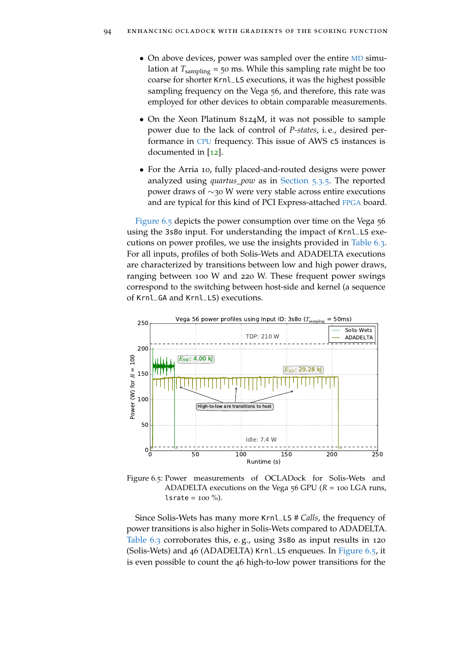- On above devices, power was sampled over the entire [MD](#page-22-3) simulation at  $T_{sampling}$  = 50 ms. While this sampling rate might be too coarse for shorter Krnl\_LS executions, it was the highest possible sampling frequency on the Vega 56, and therefore, this rate was employed for other devices to obtain comparable measurements.
- On the Xeon Platinum 8124M, it was not possible to sample power due to the lack of control of *P-states*, i. e., desired performance in [CPU](#page-22-4) frequency. This issue of AWS c5 instances is documented in [[12](#page-147-1)].
- For the Arria 10, fully placed-and-routed designs were power analyzed using *quartus\_pow* as in [Section](#page-93-0) 5.3.5. The reported power draws of ∼30 W were very stable across entire executions and are typical for this kind of PCI Express-attached [FPGA](#page-22-6) board.

[Figure](#page-117-0) 6.5 depicts the power consumption over time on the Vega 56 using the 3s8o input. For understanding the impact of Krnl\_LS executions on power profiles, we use the insights provided in [Table](#page-107-0) 6.3. For all inputs, profiles of both Solis-Wets and ADADELTA executions are characterized by transitions between low and high power draws, ranging between 100 W and 220 W. These frequent power swings correspond to the switching between host-side and kernel (a sequence of Krnl\_GA and Krnl\_LS) executions.

<span id="page-117-0"></span>

Figure 6.5: Power measurements of OCLADock for Solis-Wets and ADADELTA executions on the Vega 56 GPU (*R* = 100 LGA runs,  $lsrate = 100 %$ .

Since Solis-Wets has many more Krnl\_LS *# Calls*, the frequency of power transitions is also higher in Solis-Wets compared to ADADELTA. [Table](#page-107-0) 6.3 corroborates this, e. g., using 3s8o as input results in 120 (Solis-Wets) and 46 (ADADELTA) Krnl\_LS enqueues. In [Figure](#page-117-0) 6.5, it is even possible to count the 46 high-to-low power transitions for the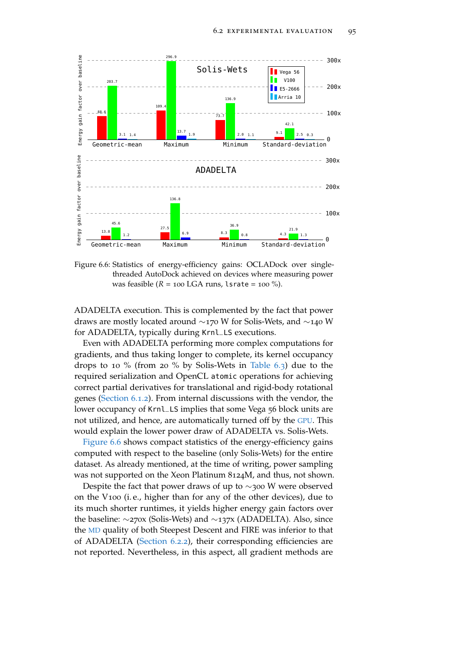<span id="page-118-0"></span>

Figure 6.6: Statistics of energy-efficiency gains: OCLADock over singlethreaded AutoDock achieved on devices where measuring power was feasible  $(R = 100 \text{ LGA runs}, \text{lsrate} = 100 \text{ %}).$ 

ADADELTA execution. This is complemented by the fact that power draws are mostly located around ∼170 W for Solis-Wets, and ∼140 W for ADADELTA, typically during Krnl\_LS executions.

Even with ADADELTA performing more complex computations for gradients, and thus taking longer to complete, its kernel occupancy drops to 10 % (from 20 % by Solis-Wets in [Table](#page-107-0) 6.3) due to the required serialization and OpenCL atomic operations for achieving correct partial derivatives for translational and rigid-body rotational genes [\(Section](#page-97-0) 6.1.2). From internal discussions with the vendor, the lower occupancy of Krnl\_LS implies that some Vega 56 block units are not utilized, and hence, are automatically turned off by the [GPU](#page-22-2). This would explain the lower power draw of ADADELTA vs. Solis-Wets.

[Figure](#page-118-0) 6.6 shows compact statistics of the energy-efficiency gains computed with respect to the baseline (only Solis-Wets) for the entire dataset. As already mentioned, at the time of writing, power sampling was not supported on the Xeon Platinum 8124M, and thus, not shown.

Despite the fact that power draws of up to ∼300 W were observed on the V100 (i. e., higher than for any of the other devices), due to its much shorter runtimes, it yields higher energy gain factors over the baseline: ∼270x (Solis-Wets) and ∼137x (ADADELTA). Also, since the [MD](#page-22-3) quality of both Steepest Descent and FIRE was inferior to that of ADADELTA [\(Section](#page-103-0) 6.2.2), their corresponding efficiencies are not reported. Nevertheless, in this aspect, all gradient methods are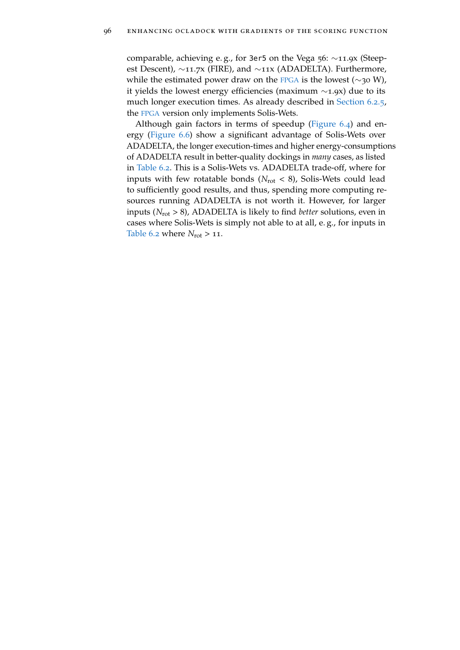comparable, achieving e. g., for 3er5 on the Vega 56: ∼11.9x (Steepest Descent), ∼11.7x (FIRE), and ∼11x (ADADELTA). Furthermore, while the estimated power draw on the [FPGA](#page-22-6) is the lowest ( $\sim$ 30 W), it yields the lowest energy efficiencies (maximum ∼1.9x) due to its much longer execution times. As already described in [Section](#page-111-0) 6.2.5, the [FPGA](#page-22-6) version only implements Solis-Wets.

Although gain factors in terms of speedup [\(Figure](#page-115-0) 6.4) and energy [\(Figure](#page-118-0) 6.6) show a significant advantage of Solis-Wets over ADADELTA, the longer execution-times and higher energy-consumptions of ADADELTA result in better-quality dockings in *many* cases, as listed in [Table](#page-105-0) 6.2. This is a Solis-Wets vs. ADADELTA trade-off, where for inputs with few rotatable bonds ( $N_{\text{rot}} < 8$ ), Solis-Wets could lead to sufficiently good results, and thus, spending more computing resources running ADADELTA is not worth it. However, for larger inputs (*N*rot > 8), ADADELTA is likely to find *better* solutions, even in cases where Solis-Wets is simply not able to at all, e. g., for inputs in [Table](#page-105-0) 6.2 where  $N_{\text{rot}} > 11$ .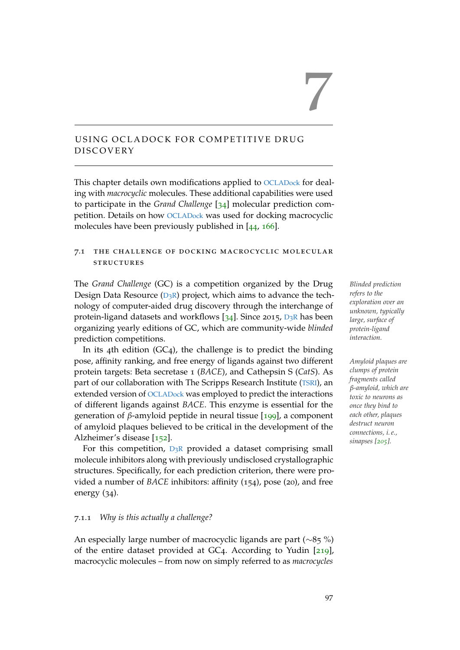# <span id="page-120-0"></span>USING OCLADOCK FOR COMPETITIVE DRUG **DISCOVERY**

This chapter details own modifications applied to [OCLADock](#page-22-0) for dealing with *macrocyclic* molecules. These additional capabilities were used to participate in the *Grand Challenge* [[34](#page-149-0)] molecular prediction competition. Details on how [OCLADock](#page-22-0) was used for docking macrocyclic molecules have been previously published in [[44](#page-150-0), [166](#page-162-1)].

# 7.1 the challenge of docking macrocyclic molecular **STRUCTURES**

The *Grand Challenge* (GC) is a competition organized by the Drug *Blinded prediction* [D](#page-22-7)esign Data Resource  $(D_3R)$  project, which aims to advance the technology of computer-aided drug discovery through the interchange of protein-ligand datasets and workflows  $[34]$  $[34]$  $[34]$ . Since 2015,  $D_3R$  $D_3R$  has been organizing yearly editions of GC, which are community-wide *blinded* prediction competitions.

In its 4th edition  $(GC_4)$ , the challenge is to predict the binding pose, affinity ranking, and free energy of ligands against two different *Amyloid plaques are* protein targets: Beta secretase 1 (*BACE*), and Cathepsin S (*CatS*). As part of our collaboration with The Scripps Research Institute ([TSRI](#page-22-8)), an extended version of [OCLADock](#page-22-0) was employed to predict the interactions of different ligands against *BACE*. This enzyme is essential for the generation of *β*-amyloid peptide in neural tissue [[199](#page-165-1)], a component of amyloid plaques believed to be critical in the development of the Alzheimer's disease [[152](#page-160-1)].

For this competition,  $D_3R$  $D_3R$  provided a dataset comprising small molecule inhibitors along with previously undisclosed crystallographic structures. Specifically, for each prediction criterion, there were provided a number of *BACE* inhibitors: affinity (154), pose (20), and free energy (34).

## 7.1.1 *Why is this actually a challenge?*

An especially large number of macrocyclic ligands are part (∼85 %) of the entire dataset provided at GC4. According to Yudin [[219](#page-167-0)], macrocyclic molecules – from now on simply referred to as *macrocycles*

*refers to the exploration over an unknown, typically large, surface of protein-ligand interaction.*

7

*clumps of protein fragments called β-amyloid, which are toxic to neurons as once they bind to each other, plaques destruct neuron connections, i. e., sinapses [[205](#page-166-0)].*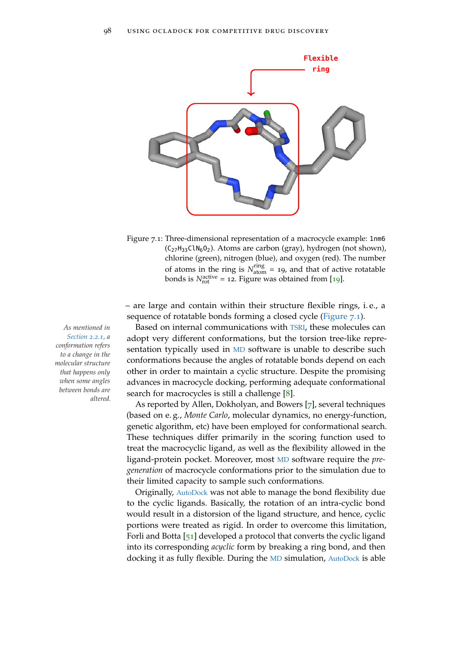<span id="page-121-0"></span>

Figure 7.1: Three-dimensional representation of a macrocycle example: 1nm6  $(C_{27}H_{33}C1N_6O_2)$ . Atoms are carbon (gray), hydrogen (not shown), chlorine (green), nitrogen (blue), and oxygen (red). The number of atoms in the ring is  $N_{\text{atom}}^{\text{ring}} = 19$ , and that of active rotatable bonds is  $N_{\text{rot}}^{\text{active}} = 12$ . Figure was obtained from [[19](#page-148-1)].

– are large and contain within their structure flexible rings, i. e., a sequence of rotatable bonds forming a closed cycle [\(Figure](#page-121-0) 7.1).

*As mentioned in* Based on internal communications with [TSRI](#page-22-8), these molecules can adopt very different conformations, but the torsion tree-like representation typically used in [MD](#page-22-3) software is unable to describe such conformations because the angles of rotatable bonds depend on each other in order to maintain a cyclic structure. Despite the promising advances in macrocycle docking, performing adequate conformational search for macrocycles is still a challenge [[8](#page-146-1)].

> As reported by Allen, Dokholyan, and Bowers [[7](#page-146-2)], several techniques (based on e. g., *Monte Carlo*, molecular dynamics, no energy-function, genetic algorithm, etc) have been employed for conformational search. These techniques differ primarily in the scoring function used to treat the macrocyclic ligand, as well as the flexibility allowed in the ligand-protein pocket. Moreover, most [MD](#page-22-3) software require the *pregeneration* of macrocycle conformations prior to the simulation due to their limited capacity to sample such conformations.

> Originally, [AutoDock](#page-22-5) was not able to manage the bond flexibility due to the cyclic ligands. Basically, the rotation of an intra-cyclic bond would result in a distorsion of the ligand structure, and hence, cyclic portions were treated as rigid. In order to overcome this limitation, Forli and Botta [[51](#page-151-0)] developed a protocol that converts the cyclic ligand into its corresponding *acyclic* form by breaking a ring bond, and then docking it as fully flexible. During the [MD](#page-22-3) simulation, [AutoDock](#page-22-5) is able

*[Section](#page-34-0) 2.2.1, a conformation refers to a change in the molecular structure that happens only when some angles between bonds are altered.*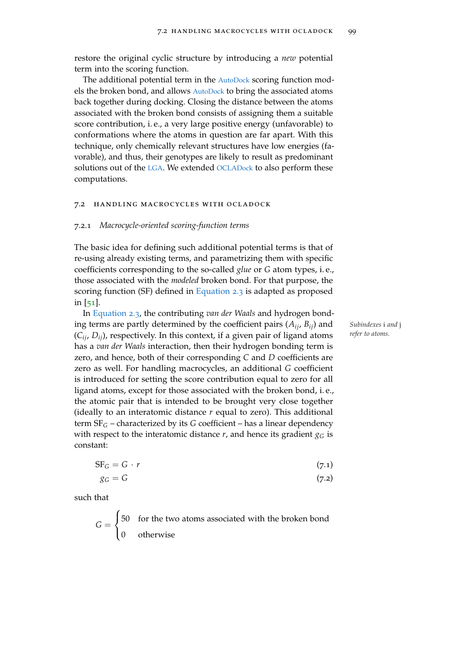restore the original cyclic structure by introducing a *new* potential term into the scoring function.

The additional potential term in the [AutoDock](#page-22-5) scoring function models the broken bond, and allows [AutoDock](#page-22-5) to bring the associated atoms back together during docking. Closing the distance between the atoms associated with the broken bond consists of assigning them a suitable score contribution, i. e., a very large positive energy (unfavorable) to conformations where the atoms in question are far apart. With this technique, only chemically relevant structures have low energies (favorable), and thus, their genotypes are likely to result as predominant solutions out of the [LGA](#page-22-1). We extended [OCLADock](#page-22-0) to also perform these computations.

#### 7.2 handling macrocycles with ocladock

#### 7.2.1 *Macrocycle-oriented scoring-function terms*

The basic idea for defining such additional potential terms is that of re-using already existing terms, and parametrizing them with specific coefficients corresponding to the so-called *glue* or *G* atom types, i. e., those associated with the *modeled* broken bond. For that purpose, the scoring function (SF) defined in [Equation](#page-37-0) 2.3 is adapted as proposed in [[51](#page-151-0)].

In [Equation](#page-37-0) 2.3, the contributing *van der Waals* and hydrogen bonding terms are partly determined by the coefficient pairs  $(A_{ij}, B_{ij})$  and *Subindexes* i *and* j<br>(C<sub>i</sub> D<sub>i</sub>) respectively In this context if a given pair of ligand atoms *refer to atoms*.  $(C_{ii}, D_{ii})$ , respectively. In this context, if a given pair of ligand atoms has a *van der Waals* interaction, then their hydrogen bonding term is zero, and hence, both of their corresponding *C* and *D* coefficients are zero as well. For handling macrocycles, an additional *G* coefficient is introduced for setting the score contribution equal to zero for all ligand atoms, except for those associated with the broken bond, i. e., the atomic pair that is intended to be brought very close together (ideally to an interatomic distance *r* equal to zero). This additional term SF*<sup>G</sup>* – characterized by its *G* coefficient – has a linear dependency with respect to the interatomic distance  $r$ , and hence its gradient  $g_G$  is constant:

$$
SF_G = G \cdot r \tag{7.1}
$$

$$
g_G = G \tag{7.2}
$$

such that

$$
G = \begin{cases} 50 & \text{for the two atoms associated with the broken bond} \\ 0 & \text{otherwise} \end{cases}
$$

<span id="page-122-0"></span>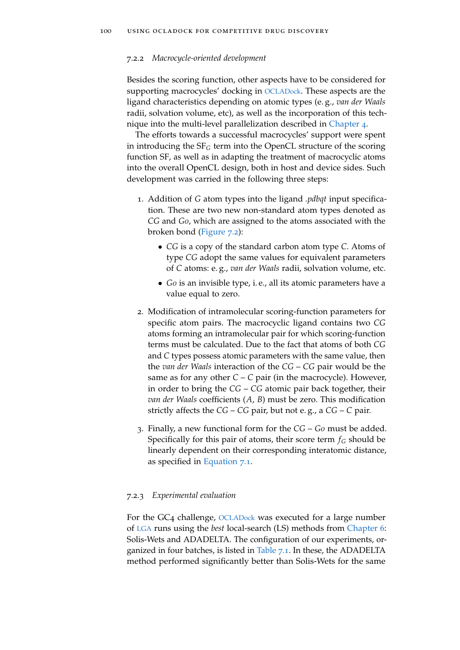#### 7.2.2 *Macrocycle-oriented development*

Besides the scoring function, other aspects have to be considered for supporting macrocycles' docking in [OCLADock](#page-22-0). These aspects are the ligand characteristics depending on atomic types (e. g., *van der Waals* radii, solvation volume, etc), as well as the incorporation of this technique into the multi-level parallelization described in [Chapter](#page-62-1) 4.

The efforts towards a successful macrocycles' support were spent in introducing the SF*<sup>G</sup>* term into the OpenCL structure of the scoring function SF, as well as in adapting the treatment of macrocyclic atoms into the overall OpenCL design, both in host and device sides. Such development was carried in the following three steps:

- 1. Addition of *G* atom types into the ligand *.pdbqt* input specification. These are two new non-standard atom types denoted as *CG* and *G0*, which are assigned to the atoms associated with the broken bond [\(Figure](#page-124-0) 7.2):
	- *CG* is a copy of the standard carbon atom type *C*. Atoms of type *CG* adopt the same values for equivalent parameters of *C* atoms: e. g., *van der Waals* radii, solvation volume, etc.
	- *G0* is an invisible type, i. e., all its atomic parameters have a value equal to zero.
- 2. Modification of intramolecular scoring-function parameters for specific atom pairs. The macrocyclic ligand contains two *CG* atoms forming an intramolecular pair for which scoring-function terms must be calculated. Due to the fact that atoms of both *CG* and *C* types possess atomic parameters with the same value, then the *van der Waals* interaction of the *CG* – *CG* pair would be the same as for any other  $C - C$  pair (in the macrocycle). However, in order to bring the *CG* – *CG* atomic pair back together, their *van der Waals* coefficients (*A*, *B*) must be zero. This modification strictly affects the *CG* – *CG* pair, but not e. g., a *CG* – *C* pair.
- 3. Finally, a new functional form for the *CG G0* must be added. Specifically for this pair of atoms, their score term  $f_G$  should be linearly dependent on their corresponding interatomic distance, as specified in [Equation](#page-122-0) 7.1.

## 7.2.3 *Experimental evaluation*

For the GC<sub>4</sub> challenge, OCLAD<sub>ock</sub> was executed for a large number of [LGA](#page-22-1) runs using the *best* local-search (LS) methods from [Chapter](#page-96-1) 6: Solis-Wets and ADADELTA. The configuration of our experiments, or-ganized in four batches, is listed in [Table](#page-124-1)  $7.1$ . In these, the ADADELTA method performed significantly better than Solis-Wets for the same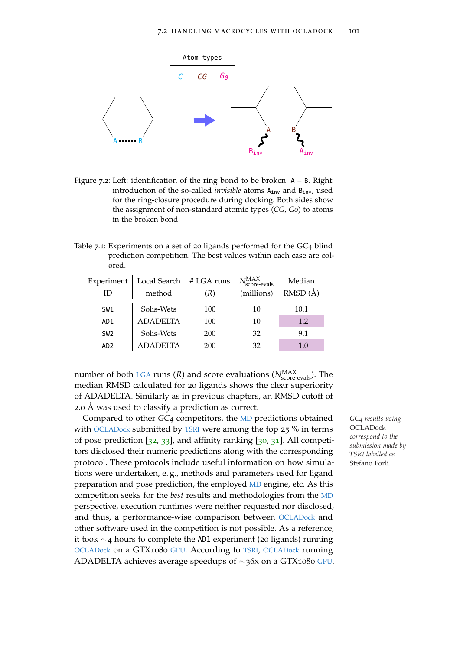<span id="page-124-0"></span>

Figure 7.2: Left: identification of the ring bond to be broken: <sup>A</sup> – <sup>B</sup>. Right: introduction of the so-called *invisible* atoms A<sub>inv</sub> and B<sub>inv</sub>, used for the ring-closure procedure during docking. Both sides show the assignment of non-standard atomic types (*CG*, *G0*) to atoms in the broken bond.

<span id="page-124-1"></span>Table 7.1: Experiments on a set of 20 ligands performed for the GC4 blind prediction competition. The best values within each case are colored.

| Experiment<br>ID | Local Search<br>method | # LGA runs<br>(R) | $N$ MAX<br>score-evals<br>(millions) | Median<br>$RMSD(\AA)$ |
|------------------|------------------------|-------------------|--------------------------------------|-----------------------|
| SW1              | Solis-Wets             | 100               | 10                                   | 10.1                  |
| AD1              | <b>ADADELTA</b>        | 100               | 10                                   | 1.2                   |
| SW <sub>2</sub>  | Solis-Wets             | 200               | 32                                   | 9.1                   |
| AD <sub>2</sub>  | <b>ADADELTA</b>        | 200               | 32                                   | 1.0                   |

number of both [LGA](#page-22-1) runs  $(R)$  and score evaluations  $(N_{\text{score-evals}}^{\text{MAX}})$ . The median RMSD calculated for 20 ligands shows the clear superiority of ADADELTA. Similarly as in previous chapters, an RMSD cutoff of 2.0 Å was used to classify a prediction as correct.

Compared to other *GC4* competitors, the [MD](#page-22-3) predictions obtained *GC4 results using* with [OCLADock](#page-22-0) submitted by [TSRI](#page-22-8) were among the top 25 % in terms of pose prediction  $[32, 33]$  $[32, 33]$  $[32, 33]$  $[32, 33]$  $[32, 33]$ , and affinity ranking  $[30, 31]$  $[30, 31]$  $[30, 31]$  $[30, 31]$  $[30, 31]$ . All competitors disclosed their numeric predictions along with the corresponding protocol. These protocols include useful information on how simulations were undertaken, e. g., methods and parameters used for ligand preparation and pose prediction, the employed [MD](#page-22-3) engine, etc. As this competition seeks for the *best* results and methodologies from the [MD](#page-22-3) perspective, execution runtimes were neither requested nor disclosed, and thus, a performance-wise comparison between [OCLADock](#page-22-0) and other software used in the competition is not possible. As a reference, it took ∼4 hours to complete the AD1 experiment (20 ligands) running [OCLADock](#page-22-0) on a GTX1080 [GPU](#page-22-2). According to [TSRI](#page-22-8), [OCLADock](#page-22-0) running ADADELTA achieves average speedups of ∼36x on a GTX1080 [GPU](#page-22-2).

**OCLADock** *correspond to the submission made by TSRI labelled as* Stefano Forli*.*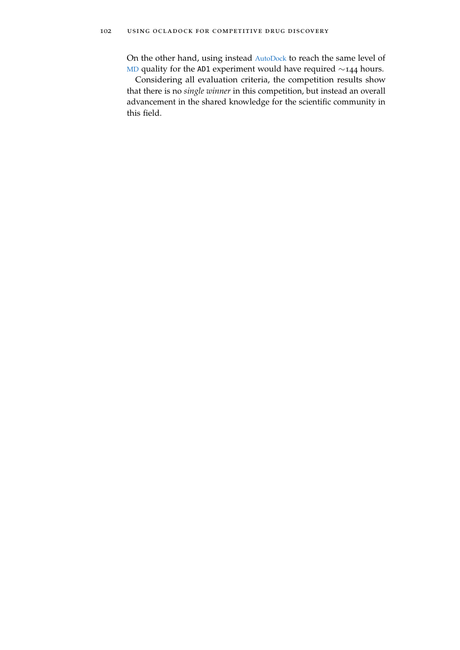On the other hand, using instead [AutoDock](#page-22-5) to reach the same level of [MD](#page-22-3) quality for the AD1 experiment would have required ~144 hours.

Considering all evaluation criteria, the competition results show that there is no *single winner* in this competition, but instead an overall advancement in the shared knowledge for the scientific community in this field.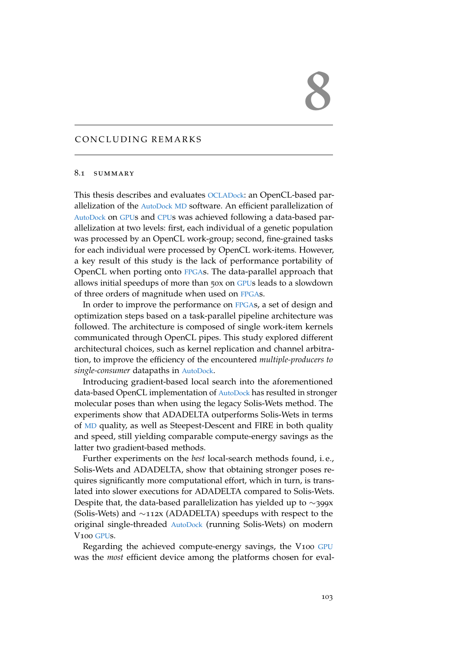# 8

# CONCLUDING REMARKS

## 8.1 SUMMARY

This thesis describes and evaluates [OCLADock](#page-22-0): an OpenCL-based parallelization of the [AutoDock](#page-22-5) [MD](#page-22-3) software. An efficient parallelization of [AutoDock](#page-22-5) on [GPU](#page-22-2)s and [CPU](#page-22-4)s was achieved following a data-based parallelization at two levels: first, each individual of a genetic population was processed by an OpenCL work-group; second, fine-grained tasks for each individual were processed by OpenCL work-items. However, a key result of this study is the lack of performance portability of OpenCL when porting onto [FPGA](#page-22-6)s. The data-parallel approach that allows initial speedups of more than 50x on [GPU](#page-22-2)s leads to a slowdown of three orders of magnitude when used on [FPGA](#page-22-6)s.

In order to improve the performance on [FPGA](#page-22-6)s, a set of design and optimization steps based on a task-parallel pipeline architecture was followed. The architecture is composed of single work-item kernels communicated through OpenCL pipes. This study explored different architectural choices, such as kernel replication and channel arbitration, to improve the efficiency of the encountered *multiple-producers to single-consumer* datapaths in [AutoDock](#page-22-5).

Introducing gradient-based local search into the aforementioned data-based OpenCL implementation of [AutoDock](#page-22-5) has resulted in stronger molecular poses than when using the legacy Solis-Wets method. The experiments show that ADADELTA outperforms Solis-Wets in terms of [MD](#page-22-3) quality, as well as Steepest-Descent and FIRE in both quality and speed, still yielding comparable compute-energy savings as the latter two gradient-based methods.

Further experiments on the *best* local-search methods found, i. e., Solis-Wets and ADADELTA, show that obtaining stronger poses requires significantly more computational effort, which in turn, is translated into slower executions for ADADELTA compared to Solis-Wets. Despite that, the data-based parallelization has yielded up to ∼399x (Solis-Wets) and ∼112x (ADADELTA) speedups with respect to the original single-threaded [AutoDock](#page-22-5) (running Solis-Wets) on modern V100 [GPU](#page-22-2)s.

Regarding the achieved compute-energy savings, the V100 [GPU](#page-22-2) was the *most* efficient device among the platforms chosen for eval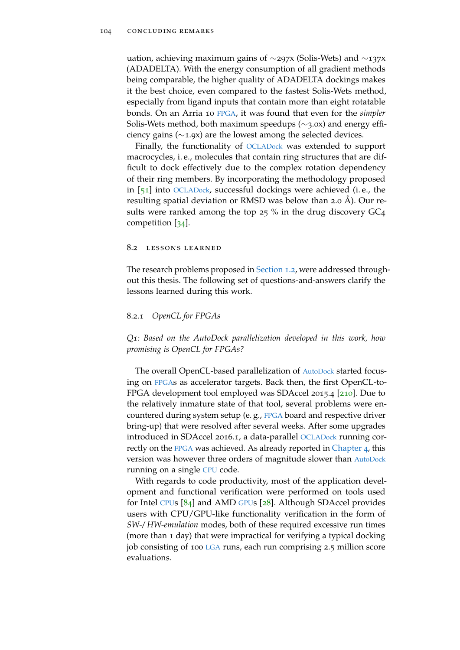uation, achieving maximum gains of ∼297x (Solis-Wets) and ∼137x (ADADELTA). With the energy consumption of all gradient methods being comparable, the higher quality of ADADELTA dockings makes it the best choice, even compared to the fastest Solis-Wets method, especially from ligand inputs that contain more than eight rotatable bonds. On an Arria 10 [FPGA](#page-22-6), it was found that even for the *simpler* Solis-Wets method, both maximum speedups (∼3.0x) and energy efficiency gains (∼1.9x) are the lowest among the selected devices.

Finally, the functionality of [OCLADock](#page-22-0) was extended to support macrocycles, i. e., molecules that contain ring structures that are difficult to dock effectively due to the complex rotation dependency of their ring members. By incorporating the methodology proposed in [[51](#page-151-0)] into [OCLADock](#page-22-0), successful dockings were achieved (i. e., the resulting spatial deviation or RMSD was below than 2.0 Å). Our results were ranked among the top 25 % in the drug discovery GC4 competition [[34](#page-149-0)].

#### 8.2 lessons learned

The research problems proposed in [Section](#page-26-0) 1.2, were addressed throughout this thesis. The following set of questions-and-answers clarify the lessons learned during this work.

# <span id="page-127-0"></span>8.2.1 *OpenCL for FPGAs*

*Q1: Based on the AutoDock parallelization developed in this work, how promising is OpenCL for FPGAs?*

The overall OpenCL-based parallelization of [AutoDock](#page-22-5) started focusing on [FPGA](#page-22-6)s as accelerator targets. Back then, the first OpenCL-to-FPGA development tool employed was SDAccel 2015.4 [[210](#page-166-1)]. Due to the relatively inmature state of that tool, several problems were encountered during system setup (e. g., [FPGA](#page-22-6) board and respective driver bring-up) that were resolved after several weeks. After some upgrades introduced in SDAccel 2016.1, a data-parallel [OCLADock](#page-22-0) running cor-rectly on the [FPGA](#page-22-6) was achieved. As already reported in [Chapter](#page-62-1) 4, this version was however three orders of magnitude slower than [AutoDock](#page-22-5) running on a single [CPU](#page-22-4) code.

With regards to code productivity, most of the application development and functional verification were performed on tools used for Intel [CPU](#page-22-4)s [[84](#page-154-1)] and AMD [GPU](#page-22-2)s [[28](#page-148-0)]. Although SDAccel provides users with CPU/GPU-like functionality verification in the form of *SW-/ HW-emulation* modes, both of these required excessive run times (more than 1 day) that were impractical for verifying a typical docking job consisting of 100 [LGA](#page-22-1) runs, each run comprising 2.5 million score evaluations.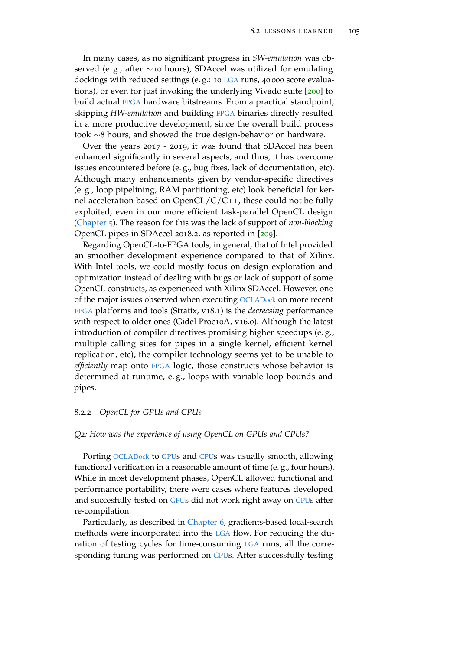In many cases, as no significant progress in *SW-emulation* was observed (e. g., after ∼10 hours), SDAccel was utilized for emulating dockings with reduced settings (e. g.: 10 [LGA](#page-22-1) runs, 40 000 score evaluations), or even for just invoking the underlying Vivado suite [[200](#page-165-2)] to build actual [FPGA](#page-22-6) hardware bitstreams. From a practical standpoint, skipping *HW-emulation* and building [FPGA](#page-22-6) binaries directly resulted in a more productive development, since the overall build process took ∼8 hours, and showed the true design-behavior on hardware.

Over the years 2017 - 2019, it was found that SDAccel has been enhanced significantly in several aspects, and thus, it has overcome issues encountered before (e. g., bug fixes, lack of documentation, etc). Although many enhancements given by vendor-specific directives (e. g., loop pipelining, RAM partitioning, etc) look beneficial for kernel acceleration based on  $OpenCL/C/C++,$  these could not be fully exploited, even in our more efficient task-parallel OpenCL design [\(Chapter](#page-76-0) 5). The reason for this was the lack of support of *non-blocking* OpenCL pipes in SDAccel 2018.2, as reported in [[209](#page-166-2)].

Regarding OpenCL-to-FPGA tools, in general, that of Intel provided an smoother development experience compared to that of Xilinx. With Intel tools, we could mostly focus on design exploration and optimization instead of dealing with bugs or lack of support of some OpenCL constructs, as experienced with Xilinx SDAccel. However, one of the major issues observed when executing [OCLADock](#page-22-0) on more recent [FPGA](#page-22-6) platforms and tools (Stratix, v18.1) is the *decreasing* performance with respect to older ones (Gidel Proc10A, v16.0). Although the latest introduction of compiler directives promising higher speedups (e. g., multiple calling sites for pipes in a single kernel, efficient kernel replication, etc), the compiler technology seems yet to be unable to *efficiently* map onto [FPGA](#page-22-6) logic, those constructs whose behavior is determined at runtime, e. g., loops with variable loop bounds and pipes.

## 8.2.2 *OpenCL for GPUs and CPUs*

## *Q2: How was the experience of using OpenCL on GPUs and CPUs?*

Porting [OCLADock](#page-22-0) to [GPU](#page-22-2)s and [CPU](#page-22-4)s was usually smooth, allowing functional verification in a reasonable amount of time (e. g., four hours). While in most development phases, OpenCL allowed functional and performance portability, there were cases where features developed and succesfully tested on [GPU](#page-22-2)s did not work right away on [CPU](#page-22-4)s after re-compilation.

Particularly, as described in [Chapter](#page-96-1) 6, gradients-based local-search methods were incorporated into the [LGA](#page-22-1) flow. For reducing the duration of testing cycles for time-consuming [LGA](#page-22-1) runs, all the corresponding tuning was performed on [GPU](#page-22-2)s. After successfully testing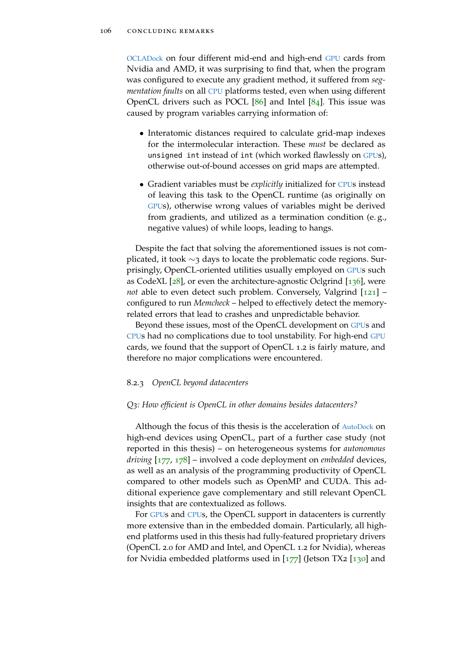[OCLADock](#page-22-0) on four different mid-end and high-end [GPU](#page-22-2) cards from Nvidia and AMD, it was surprising to find that, when the program was configured to execute any gradient method, it suffered from *segmentation faults* on all [CPU](#page-22-4) platforms tested, even when using different OpenCL drivers such as POCL  $[86]$  $[86]$  $[86]$  and Intel  $[84]$  $[84]$  $[84]$ . This issue was caused by program variables carrying information of:

- Interatomic distances required to calculate grid-map indexes for the intermolecular interaction. These *must* be declared as unsigned int instead of int (which worked flawlessly on [GPU](#page-22-2)s), otherwise out-of-bound accesses on grid maps are attempted.
- Gradient variables must be *explicitly* initialized for [CPU](#page-22-4)s instead of leaving this task to the OpenCL runtime (as originally on [GPU](#page-22-2)s), otherwise wrong values of variables might be derived from gradients, and utilized as a termination condition (e. g., negative values) of while loops, leading to hangs.

Despite the fact that solving the aforementioned issues is not complicated, it took ∼3 days to locate the problematic code regions. Surprisingly, OpenCL-oriented utilities usually employed on [GPU](#page-22-2)s such as CodeXL  $[28]$  $[28]$  $[28]$ , or even the architecture-agnostic Oclgrind  $[136]$  $[136]$  $[136]$ , were *not* able to even detect such problem. Conversely, Valgrind [[121](#page-158-0)] – configured to run *Memcheck* – helped to effectively detect the memoryrelated errors that lead to crashes and unpredictable behavior.

Beyond these issues, most of the OpenCL development on [GPU](#page-22-2)s and [CPU](#page-22-4)s had no complications due to tool unstability. For high-end [GPU](#page-22-2) cards, we found that the support of OpenCL 1.2 is fairly mature, and therefore no major complications were encountered.

#### 8.2.3 *OpenCL beyond datacenters*

#### *Q3: How efficient is OpenCL in other domains besides datacenters?*

Although the focus of this thesis is the acceleration of [AutoDock](#page-22-5) on high-end devices using OpenCL, part of a further case study (not reported in this thesis) – on heterogeneous systems for *autonomous driving* [[177](#page-163-0), [178](#page-163-1)] – involved a code deployment on *embedded* devices, as well as an analysis of the programming productivity of OpenCL compared to other models such as OpenMP and CUDA. This additional experience gave complementary and still relevant OpenCL insights that are contextualized as follows.

For [GPU](#page-22-2)s and [CPU](#page-22-4)s, the OpenCL support in datacenters is currently more extensive than in the embedded domain. Particularly, all highend platforms used in this thesis had fully-featured proprietary drivers (OpenCL 2.0 for AMD and Intel, and OpenCL 1.2 for Nvidia), whereas for Nvidia embedded platforms used in  $[177]$  $[177]$  $[177]$  (Jetson TX2  $[130]$  $[130]$  $[130]$  and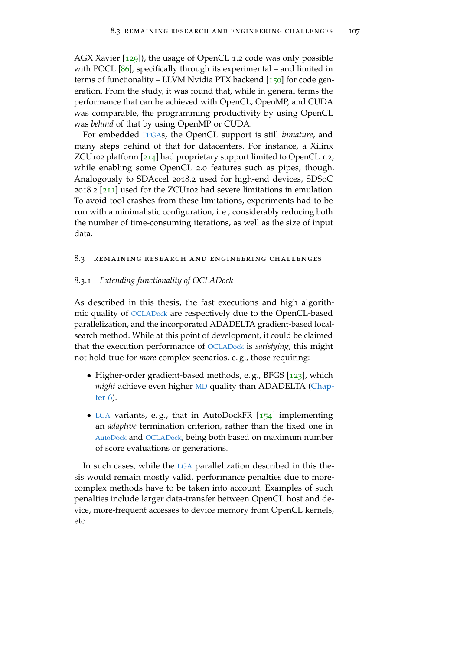AGX Xavier [[129](#page-158-1)]), the usage of OpenCL 1.2 code was only possible with POCL [[86](#page-154-2)], specifically through its experimental – and limited in terms of functionality – LLVM Nvidia PTX backend [[150](#page-160-2)] for code generation. From the study, it was found that, while in general terms the performance that can be achieved with OpenCL, OpenMP, and CUDA was comparable, the programming productivity by using OpenCL was *behind* of that by using OpenMP or CUDA.

For embedded [FPGA](#page-22-6)s, the OpenCL support is still *inmature*, and many steps behind of that for datacenters. For instance, a Xilinx ZCU102 platform [[214](#page-167-1)] had proprietary support limited to OpenCL 1.2, while enabling some OpenCL 2.0 features such as pipes, though. Analogously to SDAccel 2018.2 used for high-end devices, SDSoC 2018.2 [[211](#page-166-3)] used for the ZCU102 had severe limitations in emulation. To avoid tool crashes from these limitations, experiments had to be run with a minimalistic configuration, i. e., considerably reducing both the number of time-consuming iterations, as well as the size of input data.

### 8.3 remaining research and engineering challenges

#### 8.3.1 *Extending functionality of OCLADock*

As described in this thesis, the fast executions and high algorithmic quality of [OCLADock](#page-22-0) are respectively due to the OpenCL-based parallelization, and the incorporated ADADELTA gradient-based localsearch method. While at this point of development, it could be claimed that the execution performance of [OCLADock](#page-22-0) is *satisfying*, this might not hold true for *more* complex scenarios, e. g., those requiring:

- Higher-order gradient-based methods, e.g., BFGS [[123](#page-158-2)], which *might* achieve even higher [MD](#page-22-3) quality than ADADELTA [\(Chap](#page-96-1)[ter](#page-96-1) 6).
- [LGA](#page-22-1) variants, e. g., that in AutoDockFR [[154](#page-161-0)] implementing an *adaptive* termination criterion, rather than the fixed one in [AutoDock](#page-22-5) and [OCLADock](#page-22-0), being both based on maximum number of score evaluations or generations.

In such cases, while the [LGA](#page-22-1) parallelization described in this thesis would remain mostly valid, performance penalties due to morecomplex methods have to be taken into account. Examples of such penalties include larger data-transfer between OpenCL host and device, more-frequent accesses to device memory from OpenCL kernels, etc.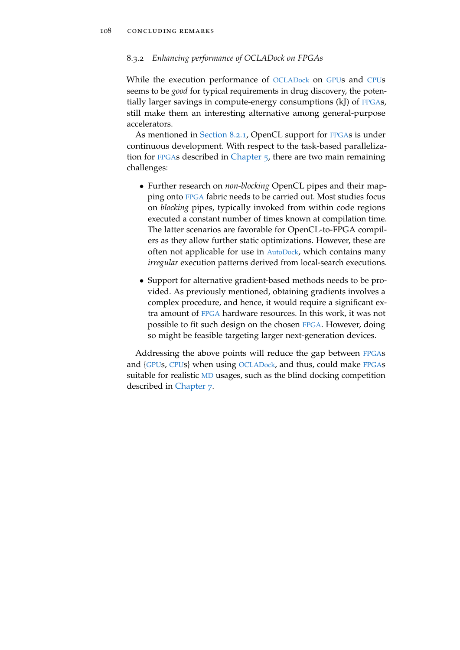## 8.3.2 *Enhancing performance of OCLADock on FPGAs*

While the execution performance of [OCLADock](#page-22-0) on [GPU](#page-22-2)s and [CPU](#page-22-4)s seems to be *good* for typical requirements in drug discovery, the potentially larger savings in compute-energy consumptions (kJ) of [FPGA](#page-22-6)s, still make them an interesting alternative among general-purpose accelerators.

As mentioned in [Section](#page-127-0) 8.2.1, OpenCL support for [FPGA](#page-22-6)s is under continuous development. With respect to the task-based parallelization for [FPGA](#page-22-6)s described in [Chapter](#page-76-0) 5, there are two main remaining challenges:

- Further research on *non-blocking* OpenCL pipes and their mapping onto [FPGA](#page-22-6) fabric needs to be carried out. Most studies focus on *blocking* pipes, typically invoked from within code regions executed a constant number of times known at compilation time. The latter scenarios are favorable for OpenCL-to-FPGA compilers as they allow further static optimizations. However, these are often not applicable for use in [AutoDock](#page-22-5), which contains many *irregular* execution patterns derived from local-search executions.
- Support for alternative gradient-based methods needs to be provided. As previously mentioned, obtaining gradients involves a complex procedure, and hence, it would require a significant extra amount of [FPGA](#page-22-6) hardware resources. In this work, it was not possible to fit such design on the chosen [FPGA](#page-22-6). However, doing so might be feasible targeting larger next-generation devices.

Addressing the above points will reduce the gap between [FPGA](#page-22-6)s and {[GPU](#page-22-2)s, [CPU](#page-22-4)s} when using [OCLADock](#page-22-0), and thus, could make [FPGA](#page-22-6)s suitable for realistic [MD](#page-22-3) usages, such as the blind docking competition described in [Chapter](#page-120-0) 7.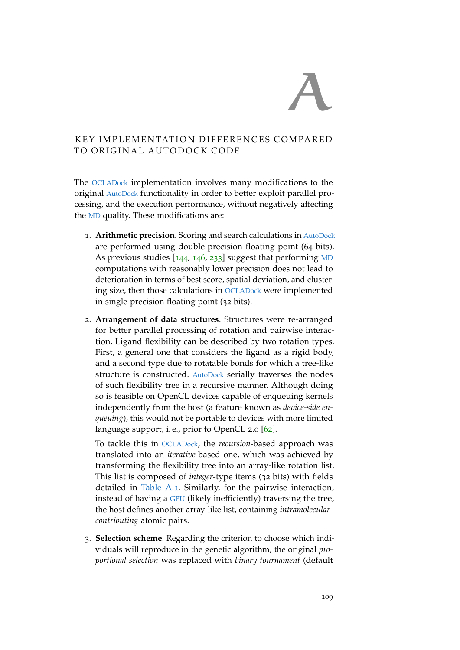# A

# KEY IMPLEMENTATION DIFFERENCES COMPARED TO ORIGINAL AUTODOCK CODE

The [OCLADock](#page-22-0) implementation involves many modifications to the original [AutoDock](#page-22-5) functionality in order to better exploit parallel processing, and the execution performance, without negatively affecting the [MD](#page-22-3) quality. These modifications are:

- 1. **Arithmetic precision**. Scoring and search calculations in [AutoDock](#page-22-5) are performed using double-precision floating point (64 bits). As previous studies  $[144, 146, 233]$  $[144, 146, 233]$  $[144, 146, 233]$  $[144, 146, 233]$  $[144, 146, 233]$  $[144, 146, 233]$  $[144, 146, 233]$  suggest that performing [MD](#page-22-3) computations with reasonably lower precision does not lead to deterioration in terms of best score, spatial deviation, and clustering size, then those calculations in [OCLADock](#page-22-0) were implemented in single-precision floating point (32 bits).
- 2. **Arrangement of data structures**. Structures were re-arranged for better parallel processing of rotation and pairwise interaction. Ligand flexibility can be described by two rotation types. First, a general one that considers the ligand as a rigid body, and a second type due to rotatable bonds for which a tree-like structure is constructed. [AutoDock](#page-22-5) serially traverses the nodes of such flexibility tree in a recursive manner. Although doing so is feasible on OpenCL devices capable of enqueuing kernels independently from the host (a feature known as *device-side enqueuing*), this would not be portable to devices with more limited language support, i.e., prior to OpenCL 2.0 [[62](#page-152-0)].

To tackle this in [OCLADock](#page-22-0), the *recursion*-based approach was translated into an *iterative*-based one, which was achieved by transforming the flexibility tree into an array-like rotation list. This list is composed of *integer*-type items (32 bits) with fields detailed in [Table A.](#page-133-0)1. Similarly, for the pairwise interaction, instead of having a [GPU](#page-22-2) (likely inefficiently) traversing the tree, the host defines another array-like list, containing *intramolecularcontributing* atomic pairs.

3. **Selection scheme**. Regarding the criterion to choose which individuals will reproduce in the genetic algorithm, the original *proportional selection* was replaced with *binary tournament* (default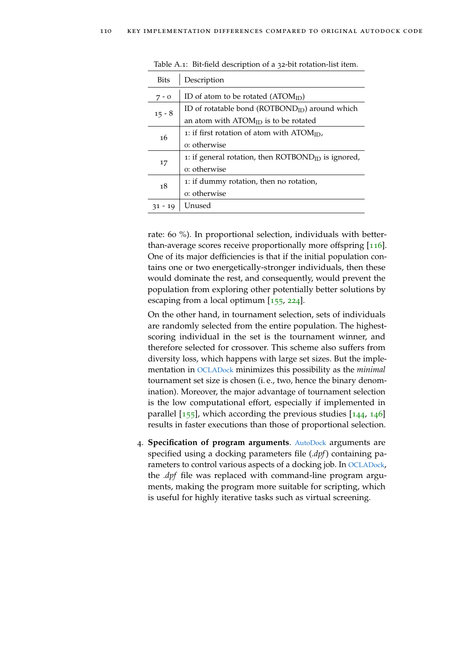| <b>Bits</b> | Description                                                    |  |  |  |  |  |
|-------------|----------------------------------------------------------------|--|--|--|--|--|
| $7 - 0$     | ID of atom to be rotated ( $\text{ATOM}_{ID}$ )                |  |  |  |  |  |
| $15 - 8$    | ID of rotatable bond ( $\text{ROTBOND}_{ID}$ ) around which    |  |  |  |  |  |
|             | an atom with $\text{ATOM}_{\text{ID}}$ is to be rotated        |  |  |  |  |  |
| 16          | 1: if first rotation of atom with $ATOMID$ ,                   |  |  |  |  |  |
|             | o: otherwise                                                   |  |  |  |  |  |
|             | 1: if general rotation, then $\text{ROTBOND}_{ID}$ is ignored, |  |  |  |  |  |
| 17          | o: otherwise                                                   |  |  |  |  |  |
| 18          | 1: if dummy rotation, then no rotation,                        |  |  |  |  |  |
|             | o: otherwise                                                   |  |  |  |  |  |
| 31 - 19     | Unused                                                         |  |  |  |  |  |

<span id="page-133-0"></span>Table A.1: Bit-field description of a 32-bit rotation-list item.

rate: 60 %). In proportional selection, individuals with betterthan-average scores receive proportionally more offspring [[116](#page-157-1)]. One of its major defficiencies is that if the initial population contains one or two energetically-stronger individuals, then these would dominate the rest, and consequently, would prevent the population from exploring other potentially better solutions by escaping from a local optimum [[155](#page-161-1), [224](#page-168-0)].

On the other hand, in tournament selection, sets of individuals are randomly selected from the entire population. The highestscoring individual in the set is the tournament winner, and therefore selected for crossover. This scheme also suffers from diversity loss, which happens with large set sizes. But the implementation in [OCLADock](#page-22-0) minimizes this possibility as the *minimal* tournament set size is chosen (i. e., two, hence the binary denomination). Moreover, the major advantage of tournament selection is the low computational effort, especially if implemented in parallel  $[155]$  $[155]$  $[155]$ , which according the previous studies  $[144, 146]$  $[144, 146]$  $[144, 146]$  $[144, 146]$  $[144, 146]$ results in faster executions than those of proportional selection.

4. **Specification of program arguments**. [AutoDock](#page-22-5) arguments are specified using a docking parameters file (*.dpf*) containing parameters to control various aspects of a docking job. In [OCLADock](#page-22-0), the *.dpf* file was replaced with command-line program arguments, making the program more suitable for scripting, which is useful for highly iterative tasks such as virtual screening.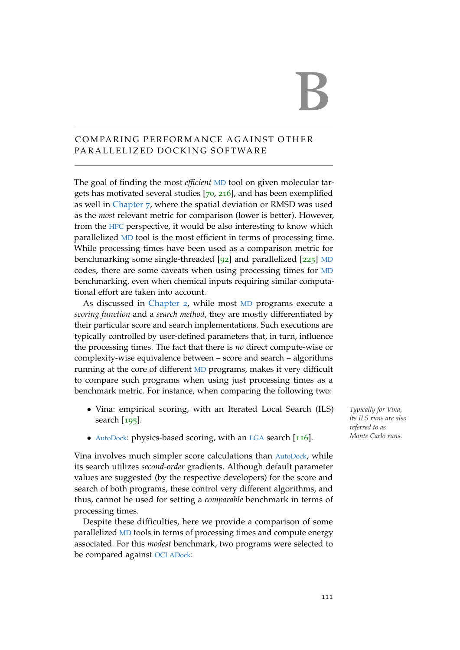# B

# COMPARING PERFORMANCE AGAINST OTHER PARALLELIZED DOCKING SOFTWARE

The goal of finding the most *efficient* [MD](#page-22-3) tool on given molecular targets has motivated several studies [[70](#page-152-1), [216](#page-167-2)], and has been exemplified as well in [Chapter](#page-120-0) 7, where the spatial deviation or RMSD was used as the *most* relevant metric for comparison (lower is better). However, from the [HPC](#page-22-9) perspective, it would be also interesting to know which parallelized [MD](#page-22-3) tool is the most efficient in terms of processing time. While processing times have been used as a comparison metric for benchmarking some single-threaded [[92](#page-155-0)] and parallelized [[225](#page-168-1)] [MD](#page-22-3) codes, there are some caveats when using processing times for [MD](#page-22-3) benchmarking, even when chemical inputs requiring similar computational effort are taken into account.

As discussed in [Chapter](#page-32-0) 2, while most [MD](#page-22-3) programs execute a *scoring function* and a *search method*, they are mostly differentiated by their particular score and search implementations. Such executions are typically controlled by user-defined parameters that, in turn, influence the processing times. The fact that there is *no* direct compute-wise or complexity-wise equivalence between – score and search – algorithms running at the core of different [MD](#page-22-3) programs, makes it very difficult to compare such programs when using just processing times as a benchmark metric. For instance, when comparing the following two:

- Vina: empirical scoring, with an Iterated Local Search (ILS) *Typically for Vina,* search [[195](#page-165-3)].
- [AutoDock](#page-22-5): physics-based scoring, with an [LGA](#page-22-1) search [[116](#page-157-1)].

Vina involves much simpler score calculations than [AutoDock](#page-22-5), while its search utilizes *second-order* gradients. Although default parameter values are suggested (by the respective developers) for the score and search of both programs, these control very different algorithms, and thus, cannot be used for setting a *comparable* benchmark in terms of processing times.

Despite these difficulties, here we provide a comparison of some parallelized [MD](#page-22-3) tools in terms of processing times and compute energy associated. For this *modest* benchmark, two programs were selected to be compared against [OCLADock](#page-22-0):

*its ILS runs are also referred to as Monte Carlo runs.*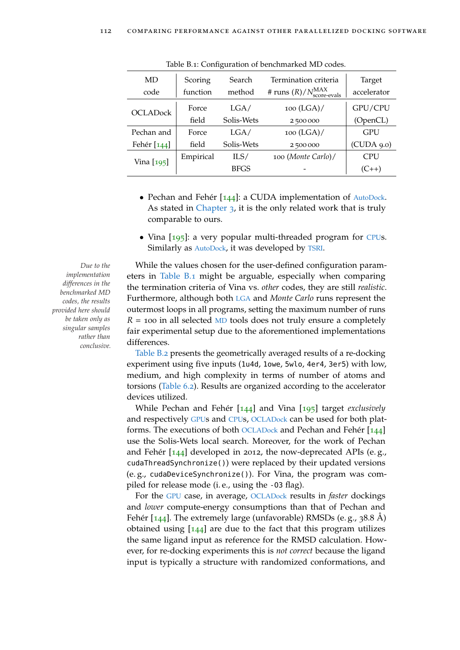<span id="page-135-0"></span>

| MD<br>code      | Scoring<br>function | Search<br>method | Termination criteria<br># runs $(R)/N_{\text{score-evals}}^{\text{MAX}}$ | Target<br>accelerator |
|-----------------|---------------------|------------------|--------------------------------------------------------------------------|-----------------------|
|                 |                     |                  |                                                                          |                       |
| <b>OCLADock</b> | Force               | LGA/             | $100$ (LGA)/                                                             | GPU/CPU               |
|                 | field               | Solis-Wets       | 2 500 000                                                                | (OpenCL)              |
| Pechan and      | Force               | LGA/             | $100$ (LGA)/                                                             | <b>GPU</b>            |
| Fehér [144]     | field               | Solis-Wets       | 2 500 000                                                                | (CUDA 9.0)            |
| Vina [195]      | Empirical           | ILS/             | 100 (Monte Carlo)/                                                       | <b>CPU</b>            |
|                 |                     | <b>BFGS</b>      |                                                                          | $(C_{++})$            |

Table B.1: Configuration of benchmarked MD codes.

- Pechan and Fehér [[144](#page-160-3)]: a CUDA implementation of [AutoDock](#page-22-5). As stated in [Chapter](#page-44-0) 3, it is the only related work that is truly comparable to ours.
- Vina [[195](#page-165-3)]: a very popular multi-threaded program for [CPU](#page-22-4)s. Similarly as [AutoDock](#page-22-5), it was developed by [TSRI](#page-22-8).

*implementation differences in the benchmarked MD codes, the results provided here should be taken only as singular samples rather than conclusive.*

*Due to the* While the values chosen for the user-defined configuration parameters in [Table B.](#page-135-0)1 might be arguable, especially when comparing the termination criteria of Vina vs. *other* codes, they are still *realistic*. Furthermore, although both [LGA](#page-22-1) and *Monte Carlo* runs represent the outermost loops in all programs, setting the maximum number of runs  $R = 100$  in all selected [MD](#page-22-3) tools does not truly ensure a completely fair experimental setup due to the aforementioned implementations differences.

> [Table B.](#page-136-0)2 presents the geometrically averaged results of a re-docking experiment using five inputs (1u4d, 1owe, 5wlo, 4er4, 3er5) with low, medium, and high complexity in terms of number of atoms and torsions [\(Table](#page-105-0) 6.2). Results are organized according to the accelerator devices utilized.

> While Pechan and Fehér [[144](#page-160-3)] and Vina [[195](#page-165-3)] target *exclusively* and respectively [GPU](#page-22-2)s and [CPU](#page-22-4)s, [OCLADock](#page-22-0) can be used for both platforms. The executions of both [OCLADock](#page-22-0) and Pechan and Fehér [[144](#page-160-3)] use the Solis-Wets local search. Moreover, for the work of Pechan and Fehér [[144](#page-160-3)] developed in 2012, the now-deprecated APIs (e. g., cudaThreadSynchronize()) were replaced by their updated versions (e. g., cudaDeviceSynchronize()). For Vina, the program was compiled for release mode (i. e., using the -O3 flag).

> For the [GPU](#page-22-2) case, in average, [OCLADock](#page-22-0) results in *faster* dockings and *lower* compute-energy consumptions than that of Pechan and Fehér  $[144]$  $[144]$  $[144]$ . The extremely large (unfavorable) RMSDs (e.g., 38.8 Å) obtained using  $[144]$  $[144]$  $[144]$  are due to the fact that this program utilizes the same ligand input as reference for the RMSD calculation. However, for re-docking experiments this is *not correct* because the ligand input is typically a structure with randomized conformations, and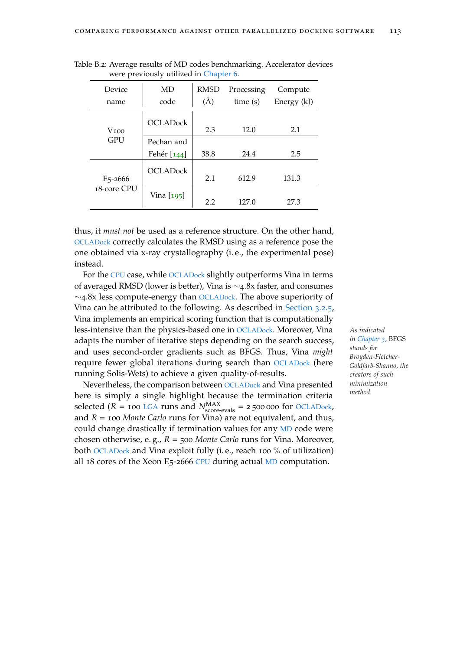| Device<br>name       | MD<br>code      | <b>RMSD</b><br>$\rm(\AA)$ | Processing<br>time(s) | Compute<br>Energy (kJ) |
|----------------------|-----------------|---------------------------|-----------------------|------------------------|
| V100                 | <b>OCLADock</b> | 2.3                       | 12.0                  | 2.1                    |
| <b>GPU</b>           | Pechan and      |                           |                       |                        |
|                      | Fehér [144]     | 38.8                      | 24.4                  | 2.5                    |
| E <sub>5</sub> -2666 | <b>OCLADock</b> | 2.1                       | 612.9                 | 131.3                  |
| 18-core CPU          | Vina [195]      | 2.2                       | 127.0                 | 27.3                   |

<span id="page-136-0"></span>Table B.2: Average results of MD codes benchmarking. Accelerator devices were previously utilized in [Chapter](#page-96-1) 6.

thus, it *must not* be used as a reference structure. On the other hand, [OCLADock](#page-22-0) correctly calculates the RMSD using as a reference pose the one obtained via x-ray crystallography (i. e., the experimental pose) instead.

For the [CPU](#page-22-4) case, while [OCLADock](#page-22-0) slightly outperforms Vina in terms of averaged RMSD (lower is better), Vina is ∼4.8x faster, and consumes  $\sim$ 4.8x less compute-energy than OCLAD<sub>ock</sub>. The above superiority of Vina can be attributed to the following. As described in [Section](#page-56-0) 3.2.5, Vina implements an empirical scoring function that is computationally less-intensive than the physics-based one in [OCLADock](#page-22-0). Moreover, Vina *As indicated* adapts the number of iterative steps depending on the search success, and uses second-order gradients such as BFGS. Thus, Vina *might* require fewer global iterations during search than [OCLADock](#page-22-0) (here running Solis-Wets) to achieve a given quality-of-results.

Nevertheless, the comparison between [OCLADock](#page-22-0) and Vina presented here is simply a single highlight because the termination criteria selected ( $R = 100$  [LGA](#page-22-1) runs and  $N_{\text{score-evals}}^{\text{MAX}} = 2500000$  for OCLAD<sub>ock</sub>, and *R* = 100 *Monte Carlo* runs for Vina) are not equivalent, and thus, could change drastically if termination values for any [MD](#page-22-3) code were chosen otherwise, e. g., *R* = 500 *Monte Carlo* runs for Vina. Moreover, both [OCLADock](#page-22-0) and Vina exploit fully (i. e., reach 100 % of utilization) all 18 cores of the Xeon E5-2666 [CPU](#page-22-4) during actual [MD](#page-22-3) computation.

*in [Chapter](#page-44-0) 3,* BFGS *stands for Broyden-Fletcher-Goldfarb-Shanno, the creators of such minimization method.*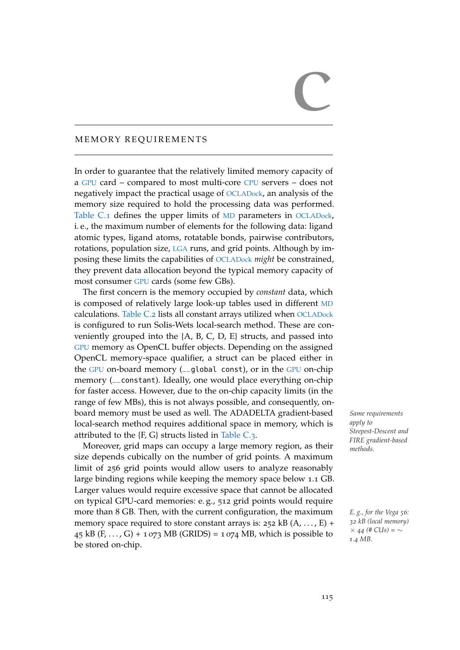# MEMORY REOUIREMENTS

In order to guarantee that the relatively limited memory capacity of a [GPU](#page-22-2) card – compared to most multi-core [CPU](#page-22-4) servers – does not negatively impact the practical usage of [OCLADock](#page-22-0), an analysis of the memory size required to hold the processing data was performed. [Table C.](#page-139-0)1 defines the upper limits of [MD](#page-22-3) parameters in [OCLADock](#page-22-0), i. e., the maximum number of elements for the following data: ligand atomic types, ligand atoms, rotatable bonds, pairwise contributors, rotations, population size, [LGA](#page-22-1) runs, and grid points. Although by imposing these limits the capabilities of [OCLADock](#page-22-0) *might* be constrained, they prevent data allocation beyond the typical memory capacity of most consumer [GPU](#page-22-2) cards (some few GBs).

The first concern is the memory occupied by *constant* data, which is composed of relatively large look-up tables used in different [MD](#page-22-3) calculations. [Table C.](#page-140-0)2 lists all constant arrays utilized when [OCLADock](#page-22-0) is configured to run Solis-Wets local-search method. These are conveniently grouped into the  ${A, B, C, D, E}$  structs, and passed into [GPU](#page-22-2) memory as OpenCL buffer objects. Depending on the assigned OpenCL memory-space qualifier, a struct can be placed either in the [GPU](#page-22-2) on-board memory (\_\_global const), or in the [GPU](#page-22-2) on-chip memory (\_\_constant). Ideally, one would place everything on-chip for faster access. However, due to the on-chip capacity limits (in the range of few MBs), this is not always possible, and consequently, onboard memory must be used as well. The ADADELTA gradient-based *Same requirements* local-search method requires additional space in memory, which is attributed to the {F, G} structs listed in [Table C.](#page-141-0)3.

Moreover, grid maps can occupy a large memory region, as their size depends cubically on the number of grid points. A maximum limit of 256 grid points would allow users to analyze reasonably large binding regions while keeping the memory space below 1.1 GB. Larger values would require excessive space that cannot be allocated on typical GPU-card memories: e. g., 512 grid points would require more than 8 GB. Then, with the current configuration, the maximum *E. g., for the Vega <sup>56</sup>:* memory space required to store constant arrays is:  $252$  kB (A, ..., E) + 45 kB (F, ..., G) + 1 073 MB (GRIDS) = 1 074 MB, which is possible to be stored on-chip.

*apply to Steepest-Descent and FIRE gradient-based methods.*

*32 kB (local memory)* × *44 (# CUs) =* ∼ *1.4 MB.*

 $\overline{C}$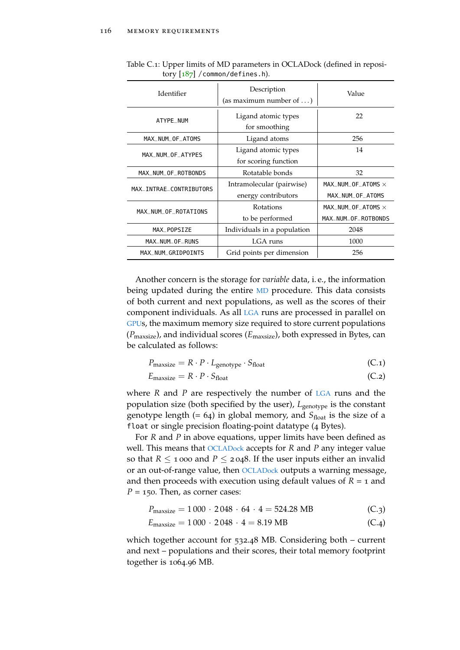| Identifier              | Description<br>(as maximum number of $\dots$ ) | Value                     |
|-------------------------|------------------------------------------------|---------------------------|
| ATYPE NUM               | Ligand atomic types<br>for smoothing           | 22                        |
| MAX_NUM_OF_ATOMS        | Ligand atoms                                   | 256                       |
| MAX NUM OF ATYPES       | Ligand atomic types                            | 14                        |
|                         | for scoring function                           |                           |
| MAX_NUM_OF_ROTBONDS     | Rotatable bonds                                | 32                        |
| MAX INTRAE CONTRIBUTORS | Intramolecular (pairwise)                      | MAX NUM OF ATOMS $\times$ |
|                         | energy contributors                            | MAX_NUM_OF_ATOMS          |
| MAX_NUM_OF_ROTATIONS    | Rotations                                      | MAX NUM OF ATOMS $\times$ |
|                         | to be performed                                | MAX NUM OF ROTBONDS       |
| MAX_POPSIZE             | Individuals in a population                    | 2048                      |
| MAX_NUM_OF_RUNS         | LGA runs                                       | 1000                      |
| MAX_NUM_GRIDPOINTS      | Grid points per dimension                      | 256                       |

<span id="page-139-0"></span>Table C.1: Upper limits of MD parameters in OCLADock (defined in repository  $[187]$  $[187]$  $[187]$  / common/defines.h).

Another concern is the storage for *variable* data, i. e., the information being updated during the entire [MD](#page-22-3) procedure. This data consists of both current and next populations, as well as the scores of their component individuals. As all [LGA](#page-22-1) runs are processed in parallel on [GPU](#page-22-2)s, the maximum memory size required to store current populations (*P*maxsize), and individual scores (*E*maxsize), both expressed in Bytes, can be calculated as follows:

$$
P_{\text{maxsize}} = R \cdot P \cdot L_{\text{genotype}} \cdot S_{\text{float}} \tag{C.1}
$$

 $E_{\text{maxsize}} = R \cdot P \cdot S_{\text{float}}$  (C.2)

where *R* and *P* are respectively the number of [LGA](#page-22-1) runs and the population size (both specified by the user),  $L_{\text{genotype}}$  is the constant genotype length  $(= 64)$  in global memory, and  $S<sub>float</sub>$  is the size of a float or single precision floating-point datatype (4 Bytes).

For *R* and *P* in above equations, upper limits have been defined as well. This means that [OCLADock](#page-22-0) accepts for *R* and *P* any integer value so that  $R \le 1$  000 and  $P \le 2048$ . If the user inputs either an invalid or an out-of-range value, then [OCLADock](#page-22-0) outputs a warning message, and then proceeds with execution using default values of  $R = 1$  and  $P = 150$ . Then, as corner cases:

$$
P_{\text{maxsize}} = 1000 \cdot 2048 \cdot 64 \cdot 4 = 524.28 \text{ MB}
$$
 (C.3)

$$
E_{\text{maxsize}} = 1000 \cdot 2048 \cdot 4 = 8.19 \text{ MB} \tag{C.4}
$$

which together account for 532.48 MB. Considering both – current and next – populations and their scores, their total memory footprint together is 1064.96 MB.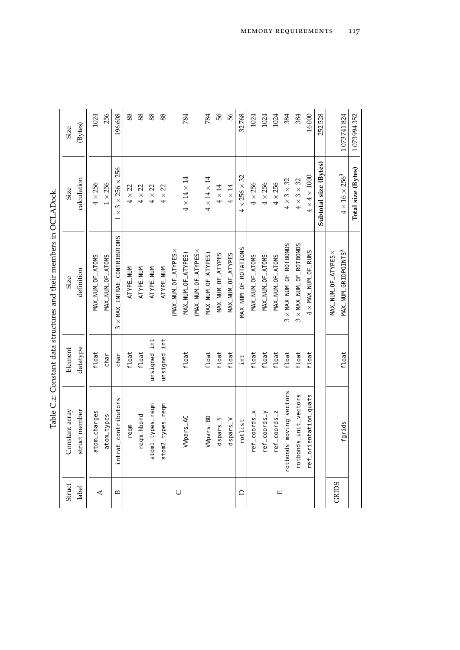<span id="page-140-0"></span>

|                                                                    | <b>Size</b><br>Size | (Bytes)<br>calculation | 1024<br>$4\times256$ | 256<br>$1\times256$ | 196608<br>$3 \times 256 \times 256$<br>$\times$ | 88<br>$4 \times 22$ | 88<br>$4\times22$ |                  | 88<br>$4\times22$ | 88<br>$4\times22$ |                      | 784<br>$4 \times 14 \times 14$ |                      | 784<br>$4 \times 14 \times 14$ | 99<br>$4\times14$ | 99<br>$4\times14$ | 32768<br>$4 \times 256 \times 32$ | 1024<br>$4 \times 256$ | 1024<br>$4\times256$ | 1024<br>$4\times256$ | 384<br>$4 \times 3 \times 32$  | 384<br>$4\times3\times32$      | 16000<br>$4 \times 4 \times 1000$ | 252528<br>Subtotal size (Bytes) |                    | 1073741824<br>$4\times16\times256^3$ |
|--------------------------------------------------------------------|---------------------|------------------------|----------------------|---------------------|-------------------------------------------------|---------------------|-------------------|------------------|-------------------|-------------------|----------------------|--------------------------------|----------------------|--------------------------------|-------------------|-------------------|-----------------------------------|------------------------|----------------------|----------------------|--------------------------------|--------------------------------|-----------------------------------|---------------------------------|--------------------|--------------------------------------|
| Table C.2: Constant data structures and their members in OCLADock. | Size                | definition             | MAX_NUM_OF_ATOMS     | MAX_NUM_OF_ATOMS    | $\times$ MAX_INTRAE_CONTRIBUTORS<br>$\omega$    | ATYPE_NUM           | ATYPE_NUM         | ATYPE_NUM        | ATYPE_NUM         |                   | (MAX_NUM_OF_ATYPES × | MAX_NUM_OF_ATYPES)             | (MAX_NUM_OF_ATYPES × | MAX_NUM_OF_ATYPES)             | MAX_NUM_OF_ATYPES | MAX_NUM_OF_ATYPES | MAX_NUM_OF_ROTATIONS              | MAX_NUM_OF_ATOMS       | MAX_NUM_OF_ATOMS     | MAX_NUM_OF_ATOMS     | $3 \times$ MAX_NUM_OF_ROTBONDS | $3 \times$ MAX_NUM_OF_ROTBONDS | $4 \times$ MAX_NUM_OF_RUNS        |                                 | MAX_NUM_OF_ATYPES× | MAX_NUM_GRIDPOINTS3                  |
|                                                                    | Element             | datatype               | float                | char                | char                                            | float               | float             | unsigned int     | unsigned int      |                   |                      | float                          |                      | float                          | float             | float             | int                               | float                  | float                | float                | float                          | float                          | float                             |                                 |                    | float                                |
|                                                                    | Constant array      | struct member          | atom_charges         | atom_types          | intraE_contributors                             | reqm                | reqm_hbond        | atom1_types_reqm | atom2_types_reqm  |                   |                      | Wpars_AC                       |                      | Wpars_BD                       | dspars_S          | dspars_V          | rotlist                           | ref_coords_x           | ref_coords_y         | ref_coords_z         | rotbonds_moving_vectors        | rotbonds_unit_vectors          | ref_orientation_quats             |                                 |                    | fgrids                               |
|                                                                    | Struct              | label                  |                      | ⋖                   | $\mathbf{r}$                                    |                     |                   |                  |                   |                   |                      | $\cup$                         |                      |                                |                   |                   | $\Box$                            |                        |                      |                      | $\Box$                         |                                |                                   |                                 |                    | GRIDS                                |

| Table C.2: Constant data structures and their members in OCLADock. |
|--------------------------------------------------------------------|
|                                                                    |
|                                                                    |
|                                                                    |
|                                                                    |
|                                                                    |
|                                                                    |
|                                                                    |
|                                                                    |
|                                                                    |
|                                                                    |
|                                                                    |
|                                                                    |
|                                                                    |
|                                                                    |
|                                                                    |
|                                                                    |
|                                                                    |
|                                                                    |
|                                                                    |
|                                                                    |
|                                                                    |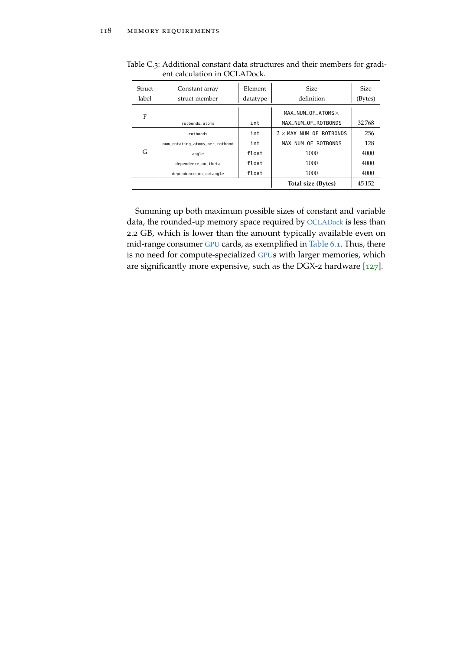| Struct | Constant array                 | Element  | <b>Size</b>                                                  | <b>Size</b> |
|--------|--------------------------------|----------|--------------------------------------------------------------|-------------|
| label  | struct member                  | datatype | definition                                                   | (Bytes)     |
| F      |                                |          | $MAX$ _NUM_OF_ATOMS $\times$                                 |             |
|        | rothonds atoms                 | int      | MAX NUM OF ROTBONDS                                          | 32768       |
|        | rothonds                       | int      | $2 \times$ MAX_NUM_OF_ROTBONDS                               | 256         |
|        | num_rotating_atoms_per_rotbond | int      | MAX_NUM_OF_ROTBONDS                                          | 128         |
| G      | angle                          | float    | 1000<br>1000<br>float<br>1000<br>float<br>Total size (Bytes) | 4000        |
|        | dependence_on_theta            |          |                                                              | 4000        |
|        | dependence_on_rotangle         |          |                                                              | 4000        |
|        |                                |          |                                                              | 45152       |

<span id="page-141-0"></span>Table C.3: Additional constant data structures and their members for gradient calculation in OCLADock.

Summing up both maximum possible sizes of constant and variable data, the rounded-up memory space required by [OCLADock](#page-22-0) is less than 2.2 GB, which is lower than the amount typically available even on mid-range consumer [GPU](#page-22-2) cards, as exemplified in [Table](#page-104-0) 6.1. Thus, there is no need for compute-specialized [GPU](#page-22-2)s with larger memories, which are significantly more expensive, such as the DGX-2 hardware [[127](#page-158-3)].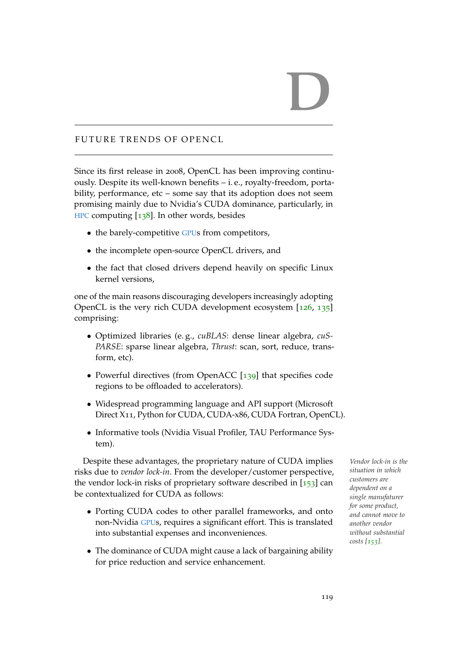# D

# FUTURE TRENDS OF OPENCL

Since its first release in 2008, OpenCL has been improving continuously. Despite its well-known benefits – i. e., royalty-freedom, portability, performance, etc – some say that its adoption does not seem promising mainly due to Nvidia's CUDA dominance, particularly, in [HPC](#page-22-9) computing [[138](#page-159-4)]. In other words, besides

- the barely-competitive [GPU](#page-22-2)s from competitors,
- the incomplete open-source OpenCL drivers, and
- the fact that closed drivers depend heavily on specific Linux kernel versions,

one of the main reasons discouraging developers increasingly adopting OpenCL is the very rich CUDA development ecosystem [[126](#page-158-4), [135](#page-159-5)] comprising:

- Optimized libraries (e. g., *cuBLAS*: dense linear algebra, *cuS-PARSE*: sparse linear algebra, *Thrust*: scan, sort, reduce, transform, etc).
- Powerful directives (from OpenACC [[139](#page-159-6)] that specifies code regions to be offloaded to accelerators).
- Widespread programming language and API support (Microsoft Direct X11, Python for CUDA, CUDA-x86, CUDA Fortran, OpenCL).
- Informative tools (Nvidia Visual Profiler, TAU Performance System).

Despite these advantages, the proprietary nature of CUDA implies *Vendor lock-in is the* risks due to *vendor lock-in*. From the developer/customer perspective, the vendor lock-in risks of proprietary software described in  $[153]$  $[153]$  $[153]$  can be contextualized for CUDA as follows:

- Porting CUDA codes to other parallel frameworks, and onto non-Nvidia [GPU](#page-22-2)s, requires a significant effort. This is translated into substantial expenses and inconveniences.
- The dominance of CUDA might cause a lack of bargaining ability for price reduction and service enhancement.

*situation in which customers are dependent on a single manufaturer for some product, and cannot move to another vendor without substantial costs [[153](#page-161-2)].*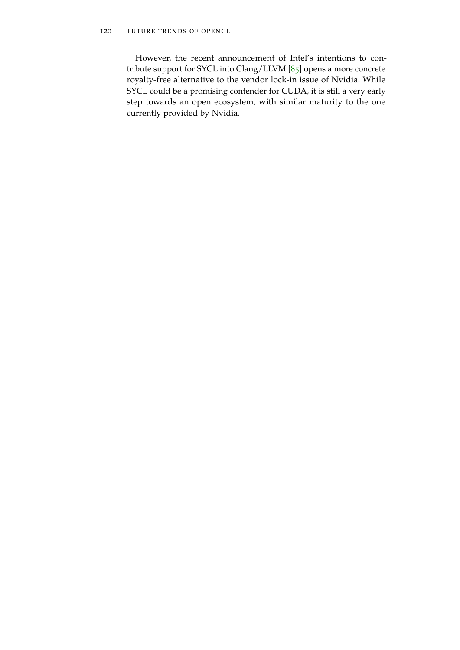However, the recent announcement of Intel's intentions to contribute support for SYCL into Clang/LLVM [[85](#page-154-3)] opens a more concrete royalty-free alternative to the vendor lock-in issue of Nvidia. While SYCL could be a promising contender for CUDA, it is still a very early step towards an open ecosystem, with similar maturity to the one currently provided by Nvidia.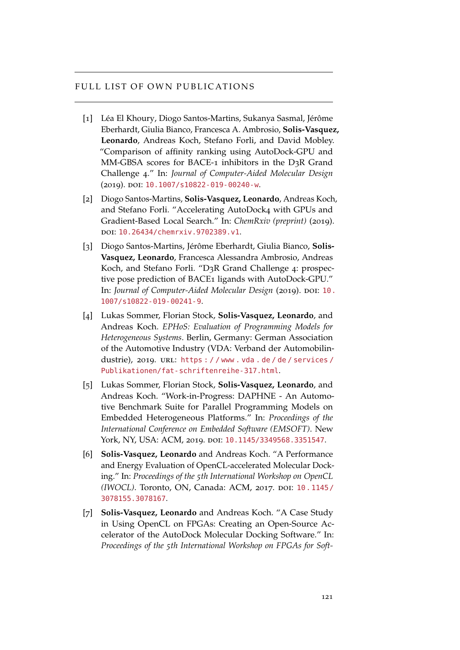## FULL LIST OF OWN PUBLICATIONS

- [1] Léa El Khoury, Diogo Santos-Martins, Sukanya Sasmal, Jérôme Eberhardt, Giulia Bianco, Francesca A. Ambrosio, **Solis-Vasquez, Leonardo**, Andreas Koch, Stefano Forli, and David Mobley. "Comparison of affinity ranking using AutoDock-GPU and MM-GBSA scores for BACE-1 inhibitors in the D3R Grand Challenge 4." In: *Journal of Computer-Aided Molecular Design* (2019). doi: [10.1007/s10822-019-00240-w](http://dx.doi.org/10.1007/s10822-019-00240-w).
- [2] Diogo Santos-Martins, **Solis-Vasquez, Leonardo**, Andreas Koch, and Stefano Forli. "Accelerating AutoDock4 with GPUs and Gradient-Based Local Search." In: *ChemRxiv (preprint)* (2019). doi: [10.26434/chemrxiv.9702389.v1](http://dx.doi.org/10.26434/chemrxiv.9702389.v1).
- [3] Diogo Santos-Martins, Jérôme Eberhardt, Giulia Bianco, **Solis-Vasquez, Leonardo**, Francesca Alessandra Ambrosio, Andreas Koch, and Stefano Forli. "D3R Grand Challenge 4: prospective pose prediction of BACE1 ligands with AutoDock-GPU." In: *Journal of Computer-Aided Molecular Design* (2019). DOI: [10.](http://dx.doi.org/10.1007/s10822-019-00241-9) [1007/s10822-019-00241-9](http://dx.doi.org/10.1007/s10822-019-00241-9).
- [4] Lukas Sommer, Florian Stock, **Solis-Vasquez, Leonardo**, and Andreas Koch. *EPHoS: Evaluation of Programming Models for Heterogeneous Systems*. Berlin, Germany: German Association of the Automotive Industry (VDA: Verband der Automobilindustrie), 2019. URL: https://www.vda.de/de/services/ [Publikationen/fat-schriftenreihe-317.html](https://www.vda.de/de/services/Publikationen/fat-schriftenreihe-317.html).
- [5] Lukas Sommer, Florian Stock, **Solis-Vasquez, Leonardo**, and Andreas Koch. "Work-in-Progress: DAPHNE - An Automotive Benchmark Suite for Parallel Programming Models on Embedded Heterogeneous Platforms." In: *Proceedings of the International Conference on Embedded Software (EMSOFT)*. New York, NY, USA: ACM, 2019. DOI: [10.1145/3349568.3351547](http://dx.doi.org/10.1145/3349568.3351547).
- [6] **Solis-Vasquez, Leonardo** and Andreas Koch. "A Performance and Energy Evaluation of OpenCL-accelerated Molecular Docking." In: *Proceedings of the 5th International Workshop on OpenCL (IWOCL)*. Toronto, ON, Canada: ACM, 2017. poi: [10.1145/](http://dx.doi.org/10.1145/3078155.3078167) [3078155.3078167](http://dx.doi.org/10.1145/3078155.3078167).
- [7] **Solis-Vasquez, Leonardo** and Andreas Koch. "A Case Study in Using OpenCL on FPGAs: Creating an Open-Source Accelerator of the AutoDock Molecular Docking Software." In: *Proceedings of the 5th International Workshop on FPGAs for Soft-*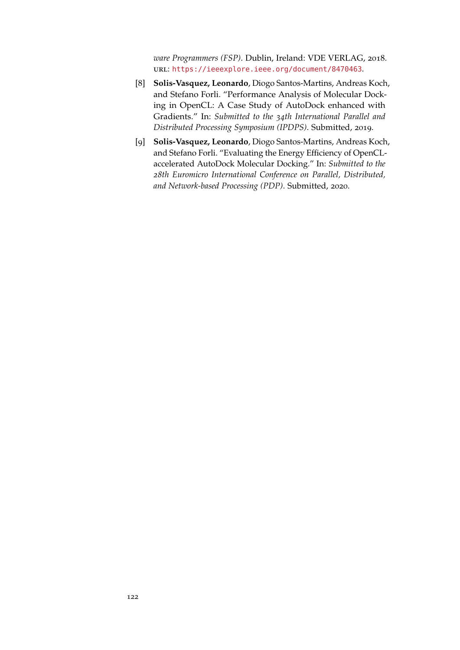*ware Programmers (FSP)*. Dublin, Ireland: VDE VERLAG, 2018. url: <https://ieeexplore.ieee.org/document/8470463>.

- [8] **Solis-Vasquez, Leonardo**, Diogo Santos-Martins, Andreas Koch, and Stefano Forli. "Performance Analysis of Molecular Docking in OpenCL: A Case Study of AutoDock enhanced with Gradients." In: *Submitted to the 34th International Parallel and Distributed Processing Symposium (IPDPS)*. Submitted, 2019.
- [9] **Solis-Vasquez, Leonardo**, Diogo Santos-Martins, Andreas Koch, and Stefano Forli. "Evaluating the Energy Efficiency of OpenCLaccelerated AutoDock Molecular Docking." In: *Submitted to the 28th Euromicro International Conference on Parallel, Distributed, and Network-based Processing (PDP)*. Submitted, 2020.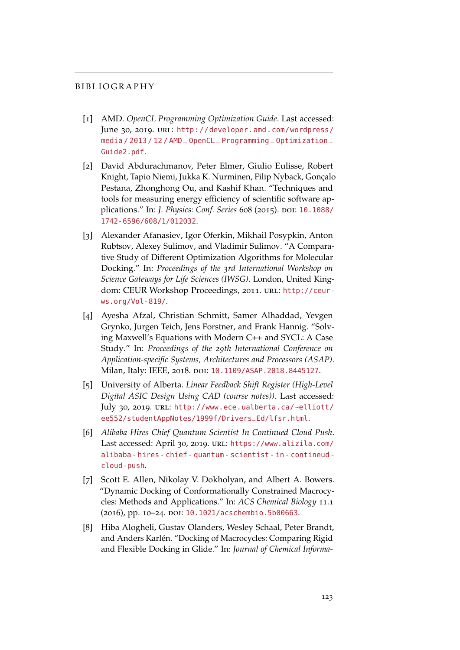## **BIBLIOGRAPHY**

- [1] AMD. *OpenCL Programming Optimization Guide*. Last accessed: June 30, 2019. URL: [http://developer.amd.com/wordpress/](http://developer.amd.com/wordpress/media/2013/12/AMD_OpenCL_Programming_Optimization_Guide2.pdf) [media / 2013 / 12 / AMD](http://developer.amd.com/wordpress/media/2013/12/AMD_OpenCL_Programming_Optimization_Guide2.pdf) \_ OpenCL \_ Programming \_ Optimization \_ [Guide2.pdf](http://developer.amd.com/wordpress/media/2013/12/AMD_OpenCL_Programming_Optimization_Guide2.pdf).
- [2] David Abdurachmanov, Peter Elmer, Giulio Eulisse, Robert Knight, Tapio Niemi, Jukka K. Nurminen, Filip Nyback, Gonçalo Pestana, Zhonghong Ou, and Kashif Khan. "Techniques and tools for measuring energy efficiency of scientific software applications." In: *J. Physics: Conf. Series* 608 (2015). DOI: [10.1088/](http://dx.doi.org/10.1088/1742-6596/608/1/012032) [1742-6596/608/1/012032](http://dx.doi.org/10.1088/1742-6596/608/1/012032).
- [3] Alexander Afanasiev, Igor Oferkin, Mikhail Posypkin, Anton Rubtsov, Alexey Sulimov, and Vladimir Sulimov. "A Comparative Study of Different Optimization Algorithms for Molecular Docking." In: *Proceedings of the 3rd International Workshop on Science Gateways for Life Sciences (IWSG)*. London, United Kingdom: CEUR Workshop Proceedings, 2011. URL: [http://ceur](http://ceur-ws.org/Vol-819/)[ws.org/Vol-819/](http://ceur-ws.org/Vol-819/).
- [4] Ayesha Afzal, Christian Schmitt, Samer Alhaddad, Yevgen Grynko, Jurgen Teich, Jens Forstner, and Frank Hannig. "Solving Maxwell's Equations with Modern C++ and SYCL: A Case Study." In: *Proceedings of the 29th International Conference on Application-specific Systems, Architectures and Processors (ASAP)*. Milan, Italy: IEEE, 2018. DOI: [10.1109/ASAP.2018.8445127](http://dx.doi.org/10.1109/ASAP.2018.8445127).
- [5] University of Alberta. *Linear Feedback Shift Register (High-Level Digital ASIC Design Using CAD (course notes))*. Last accessed: July 30, 2019. url: [http://www.ece.ualberta.ca/~elliott/](http://www.ece.ualberta.ca/~elliott/ee552/studentAppNotes/1999f/Drivers_Ed/lfsr.html) [ee552/studentAppNotes/1999f/Drivers\\_Ed/lfsr.html](http://www.ece.ualberta.ca/~elliott/ee552/studentAppNotes/1999f/Drivers_Ed/lfsr.html).
- [6] *Alibaba Hires Chief Quantum Scientist In Continued Cloud Push*. Last accessed: April 30, 2019. url: [https://www.alizila.com/](https://www.alizila.com/alibaba-hires-chief-quantum-scientist-in-contineud-cloud-push) [alibaba - hires - chief - quantum - scientist - in - contineud](https://www.alizila.com/alibaba-hires-chief-quantum-scientist-in-contineud-cloud-push)  [cloud-push](https://www.alizila.com/alibaba-hires-chief-quantum-scientist-in-contineud-cloud-push).
- [7] Scott E. Allen, Nikolay V. Dokholyan, and Albert A. Bowers. "Dynamic Docking of Conformationally Constrained Macrocycles: Methods and Applications." In: *ACS Chemical Biology* 11.1 (2016), pp. 10-24. DOI: [10.1021/acschembio.5b00663](http://dx.doi.org/10.1021/acschembio.5b00663).
- [8] Hiba Alogheli, Gustav Olanders, Wesley Schaal, Peter Brandt, and Anders Karlén. "Docking of Macrocycles: Comparing Rigid and Flexible Docking in Glide." In: *Journal of Chemical Informa-*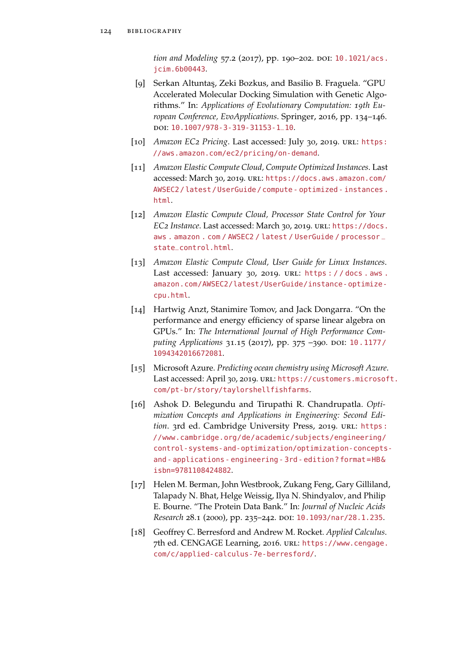*tion and Modeling* 57.2 (2017), pp. 190–202. DOI: [10.1021/acs.](http://dx.doi.org/10.1021/acs.jcim.6b00443) [jcim.6b00443](http://dx.doi.org/10.1021/acs.jcim.6b00443).

- [9] Serkan Altuntaş, Zeki Bozkus, and Basilio B. Fraguela. "GPU Accelerated Molecular Docking Simulation with Genetic Algorithms." In: *Applications of Evolutionary Computation: 19th European Conference, EvoApplications*. Springer, 2016, pp. 134–146. doi: [10.1007/978-3-319-31153-1\\_10](http://dx.doi.org/10.1007/978-3-319-31153-1_10).
- [10] *Amazon EC<sub>2</sub> Pricing*. Last accessed: July 30, 2019. URL: [https:](https://aws.amazon.com/ec2/pricing/on-demand) [//aws.amazon.com/ec2/pricing/on-demand](https://aws.amazon.com/ec2/pricing/on-demand).
- [11] *Amazon Elastic Compute Cloud, Compute Optimized Instances*. Last accessed: March 30, 2019. url: [https://docs.aws.amazon.com/](https://docs.aws.amazon.com/AWSEC2/latest/UserGuide/compute-optimized-instances.html) [AWSEC2 / latest / UserGuide / compute - optimized - instances .](https://docs.aws.amazon.com/AWSEC2/latest/UserGuide/compute-optimized-instances.html) [html](https://docs.aws.amazon.com/AWSEC2/latest/UserGuide/compute-optimized-instances.html).
- [12] *Amazon Elastic Compute Cloud, Processor State Control for Your EC2 Instance*. Last accessed: March 30, 2019. url: [https://docs.](https://docs.aws.amazon.com/AWSEC2/latest/UserGuide/processor_state_control.html) [aws . amazon . com / AWSEC2 / latest / UserGuide / processor](https://docs.aws.amazon.com/AWSEC2/latest/UserGuide/processor_state_control.html) \_ [state\\_control.html](https://docs.aws.amazon.com/AWSEC2/latest/UserGuide/processor_state_control.html).
- [13] *Amazon Elastic Compute Cloud, User Guide for Linux Instances*. Last accessed: January 30, 2019. URL: [https : / / docs . aws .](https://docs.aws.amazon.com/AWSEC2/latest/UserGuide/instance-optimize-cpu.html) [amazon.com/AWSEC2/latest/UserGuide/instance-optimize](https://docs.aws.amazon.com/AWSEC2/latest/UserGuide/instance-optimize-cpu.html)[cpu.html](https://docs.aws.amazon.com/AWSEC2/latest/UserGuide/instance-optimize-cpu.html).
- [14] Hartwig Anzt, Stanimire Tomov, and Jack Dongarra. "On the performance and energy efficiency of sparse linear algebra on GPUs." In: *The International Journal of High Performance Com-*puting Applications 31.15 (2017), pp. 375 -390. DOI: [10.1177/](http://dx.doi.org/10.1177/1094342016672081) [1094342016672081](http://dx.doi.org/10.1177/1094342016672081).
- [15] Microsoft Azure. *Predicting ocean chemistry using Microsoft Azure*. Last accessed: April 30, 2019. URL: [https://customers.microsof](https://customers.microsoft.com/pt-br/story/taylorshellfishfarms)t. [com/pt-br/story/taylorshellfishfarms](https://customers.microsoft.com/pt-br/story/taylorshellfishfarms).
- [16] Ashok D. Belegundu and Tirupathi R. Chandrupatla. *Optimization Concepts and Applications in Engineering: Second Edi*tion. 3rd ed. Cambridge University Press, 2019. URL: [https:](https://www.cambridge.org/de/academic/subjects/engineering/control-systems-and-optimization/optimization-concepts-and-applications-engineering-3rd-edition?format=HB&isbn=9781108424882) [//www.cambridge.org/de/academic/subjects/engineering/](https://www.cambridge.org/de/academic/subjects/engineering/control-systems-and-optimization/optimization-concepts-and-applications-engineering-3rd-edition?format=HB&isbn=9781108424882) [control-systems-and-optimization/optimization-concepts](https://www.cambridge.org/de/academic/subjects/engineering/control-systems-and-optimization/optimization-concepts-and-applications-engineering-3rd-edition?format=HB&isbn=9781108424882)[and- applications- engineering- 3rd- edition?format=HB&](https://www.cambridge.org/de/academic/subjects/engineering/control-systems-and-optimization/optimization-concepts-and-applications-engineering-3rd-edition?format=HB&isbn=9781108424882) [isbn=9781108424882](https://www.cambridge.org/de/academic/subjects/engineering/control-systems-and-optimization/optimization-concepts-and-applications-engineering-3rd-edition?format=HB&isbn=9781108424882).
- [17] Helen M. Berman, John Westbrook, Zukang Feng, Gary Gilliland, Talapady N. Bhat, Helge Weissig, Ilya N. Shindyalov, and Philip E. Bourne. "The Protein Data Bank." In: *Journal of Nucleic Acids Research* 28.1 (2000), pp. 235-242. DOI: [10.1093/nar/28.1.235](http://dx.doi.org/10.1093/nar/28.1.235).
- [18] Geoffrey C. Berresford and Andrew M. Rocket. *Applied Calculus*. 7th ed. CENGAGE Learning, 2016. url: [https://www.cengage.](https://www.cengage.com/c/applied-calculus-7e-berresford/) [com/c/applied-calculus-7e-berresford/](https://www.cengage.com/c/applied-calculus-7e-berresford/).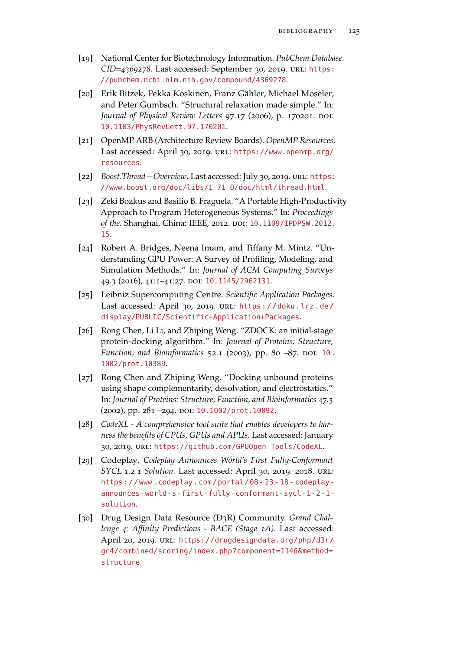- [19] National Center for Biotechnology Information. *PubChem Database. CID=4369278*. Last accessed: September 30, 2019. url: [https:](https://pubchem.ncbi.nlm.nih.gov/compound/4369278) [//pubchem.ncbi.nlm.nih.gov/compound/4369278](https://pubchem.ncbi.nlm.nih.gov/compound/4369278).
- [20] Erik Bitzek, Pekka Koskinen, Franz Gähler, Michael Moseler, and Peter Gumbsch. "Structural relaxation made simple." In: *Journal of Physical Review Letters* 97.17 (2006), p. 170201. DOI: [10.1103/PhysRevLett.97.170201](http://dx.doi.org/10.1103/PhysRevLett.97.170201).
- [21] OpenMP ARB (Architecture Review Boards). *OpenMP Resources*. Last accessed: April 30, 2019. URL: [https://www.openmp.org/](https://www.openmp.org/resources) [resources](https://www.openmp.org/resources).
- [22] *Boost.Thread Overview. Last accessed: July 30, 2019. url: [https:](https://www.boost.org/doc/libs/1_71_0/doc/html/thread.html)* [//www.boost.org/doc/libs/1\\_71\\_0/doc/html/thread.html](https://www.boost.org/doc/libs/1_71_0/doc/html/thread.html).
- [23] Zeki Bozkus and Basilio B. Fraguela. "A Portable High-Productivity Approach to Program Heterogeneous Systems." In: *Proceedings of the*. Shanghai, China: IEEE, 2012. doi: [10.1109/IPDPSW.2012.](http://dx.doi.org/10.1109/IPDPSW.2012.15) [15](http://dx.doi.org/10.1109/IPDPSW.2012.15).
- [24] Robert A. Bridges, Neena Imam, and Tiffany M. Mintz. "Understanding GPU Power: A Survey of Profiling, Modeling, and Simulation Methods." In: *Journal of ACM Computing Surveys* 49.3 (2016), 41:1–41:27. doi: [10.1145/2962131](http://dx.doi.org/10.1145/2962131).
- [25] Leibniz Supercomputing Centre. *Scientific Application Packages*. Last accessed: April 30, 2019. URL: https://doku.lrz.de/ [display/PUBLIC/Scientific+Application+Packages](https://doku.lrz.de/display/PUBLIC/Scientific+Application+Packages).
- [26] Rong Chen, Li Li, and Zhiping Weng. "ZDOCK: an initial-stage protein-docking algorithm." In: *Journal of Proteins: Structure, Function, and Bioinformatics* 52.1 (2003), pp. 80 -87. DOI: 10. [1002/prot.10389](http://dx.doi.org/10.1002/prot.10389).
- [27] Rong Chen and Zhiping Weng. "Docking unbound proteins using shape complementarity, desolvation, and electrostatics." In: *Journal of Proteins: Structure, Function, and Bioinformatics* 47.3 (2002), pp. 281 -294. DOI: [10.1002/prot.10092](http://dx.doi.org/10.1002/prot.10092).
- [28] *CodeXL A comprehensive tool suite that enables developers to harness the benefits of CPUs, GPUs and APUs.* Last accessed: January 30, 2019. url: <https://github.com/GPUOpen-Tools/CodeXL>.
- [29] Codeplay. *Codeplay Announces World's First Fully-Conformant SYCL 1.2.1 Solution.* Last accessed: April 30, 2019. 2018. url: [https : / / www . codeplay . com / portal / 08 - 23 - 18 - codeplay](https://www.codeplay.com/portal/08-23-18-codeplay-announces-world-s-first-fully-conformant-sycl-1-2-1-solution)  [announces-world-s-first-fully-conformant-sycl-1-2-1](https://www.codeplay.com/portal/08-23-18-codeplay-announces-world-s-first-fully-conformant-sycl-1-2-1-solution) [solution](https://www.codeplay.com/portal/08-23-18-codeplay-announces-world-s-first-fully-conformant-sycl-1-2-1-solution).
- [30] Drug Design Data Resource (D3R) Community. *Grand Challenge 4: Affinity Predictions - BACE (Stage 1A)*. Last accessed: April 20, 2019. url: [https://drugdesigndata.org/php/d3r/](https://drugdesigndata.org/php/d3r/gc4/combined/scoring/index.php?component=1146&method=structure) [gc4/combined/scoring/index.php?component=1146&method=](https://drugdesigndata.org/php/d3r/gc4/combined/scoring/index.php?component=1146&method=structure) [structure](https://drugdesigndata.org/php/d3r/gc4/combined/scoring/index.php?component=1146&method=structure).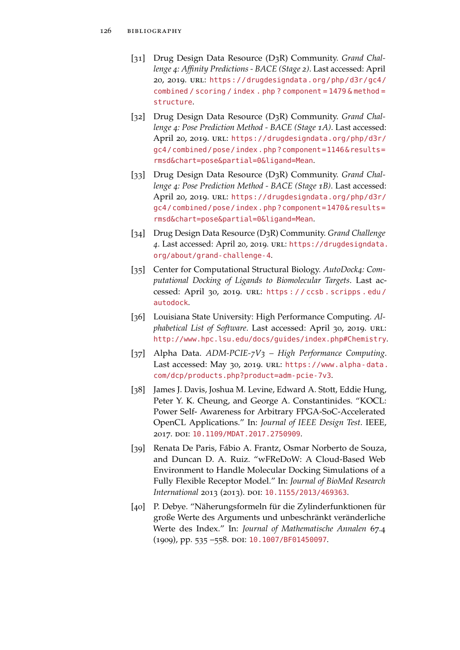- [31] Drug Design Data Resource (D3R) Community. *Grand Challenge 4: Affinity Predictions - BACE (Stage 2)*. Last accessed: April 20, 2019. url: [https://drugdesigndata.org/php/d3r/gc4/](https://drugdesigndata.org/php/d3r/gc4/combined/scoring/index.php?component=1479&method=structure) [combined / scoring / index . php ? component = 1479 & method =](https://drugdesigndata.org/php/d3r/gc4/combined/scoring/index.php?component=1479&method=structure) [structure](https://drugdesigndata.org/php/d3r/gc4/combined/scoring/index.php?component=1479&method=structure).
- [32] Drug Design Data Resource (D3R) Community. *Grand Challenge 4: Pose Prediction Method - BACE (Stage 1A)*. Last accessed: April 20, 2019. URL: [https://drugdesigndata.org/php/d3r/](https://drugdesigndata.org/php/d3r/gc4/combined/pose/index.php?component=1146&results=rmsd&chart=pose&partial=0&ligand=Mean) [gc4/combined/pose/index.php?component=1146&results=](https://drugdesigndata.org/php/d3r/gc4/combined/pose/index.php?component=1146&results=rmsd&chart=pose&partial=0&ligand=Mean) [rmsd&chart=pose&partial=0&ligand=Mean](https://drugdesigndata.org/php/d3r/gc4/combined/pose/index.php?component=1146&results=rmsd&chart=pose&partial=0&ligand=Mean).
- [33] Drug Design Data Resource (D3R) Community. *Grand Challenge 4: Pose Prediction Method - BACE (Stage 1B)*. Last accessed: April 20, 2019. url: [https://drugdesigndata.org/php/d3r/](https://drugdesigndata.org/php/d3r/gc4/combined/pose/index.php?component=1470&results=rmsd&chart=pose&partial=0&ligand=Mean) [gc4/combined/pose/index.php?component=1470&results=](https://drugdesigndata.org/php/d3r/gc4/combined/pose/index.php?component=1470&results=rmsd&chart=pose&partial=0&ligand=Mean) [rmsd&chart=pose&partial=0&ligand=Mean](https://drugdesigndata.org/php/d3r/gc4/combined/pose/index.php?component=1470&results=rmsd&chart=pose&partial=0&ligand=Mean).
- [34] Drug Design Data Resource (D3R) Community. *Grand Challenge 4*. Last accessed: April 20, 2019. url: [https://drugdesigndata.](https://drugdesigndata.org/about/grand-challenge-4) [org/about/grand-challenge-4](https://drugdesigndata.org/about/grand-challenge-4).
- [35] Center for Computational Structural Biology. *AutoDock4: Computational Docking of Ligands to Biomolecular Targets*. Last accessed: April 30, 2019. url: [https : / / ccsb . scripps . edu /](https://ccsb.scripps.edu/autodock) [autodock](https://ccsb.scripps.edu/autodock).
- [36] Louisiana State University: High Performance Computing. *Alphabetical List of Software*. Last accessed: April 30, 2019. url: <http://www.hpc.lsu.edu/docs/guides/index.php#Chemistry>.
- [37] Alpha Data. *ADM-PCIE-7V3 High Performance Computing*. Last accessed: May 30, 2019. URL: [https://www.alpha-data.](https://www.alpha-data.com/dcp/products.php?product=adm-pcie-7v3) [com/dcp/products.php?product=adm-pcie-7v3](https://www.alpha-data.com/dcp/products.php?product=adm-pcie-7v3).
- [38] James J. Davis, Joshua M. Levine, Edward A. Stott, Eddie Hung, Peter Y. K. Cheung, and George A. Constantinides. "KOCL: Power Self- Awareness for Arbitrary FPGA-SoC-Accelerated OpenCL Applications." In: *Journal of IEEE Design Test*. IEEE, 2017. doi: [10.1109/MDAT.2017.2750909](http://dx.doi.org/10.1109/MDAT.2017.2750909).
- [39] Renata De Paris, Fábio A. Frantz, Osmar Norberto de Souza, and Duncan D. A. Ruiz. "wFReDoW: A Cloud-Based Web Environment to Handle Molecular Docking Simulations of a Fully Flexible Receptor Model." In: *Journal of BioMed Research International* 2013 (2013). DOI: [10.1155/2013/469363](http://dx.doi.org/10.1155/2013/469363).
- [40] P. Debye. "Näherungsformeln für die Zylinderfunktionen für große Werte des Arguments und unbeschränkt veränderliche Werte des Index." In: *Journal of Mathematische Annalen* 67.4 (1909), pp. 535 –558. doi: [10.1007/BF01450097](http://dx.doi.org/10.1007/BF01450097).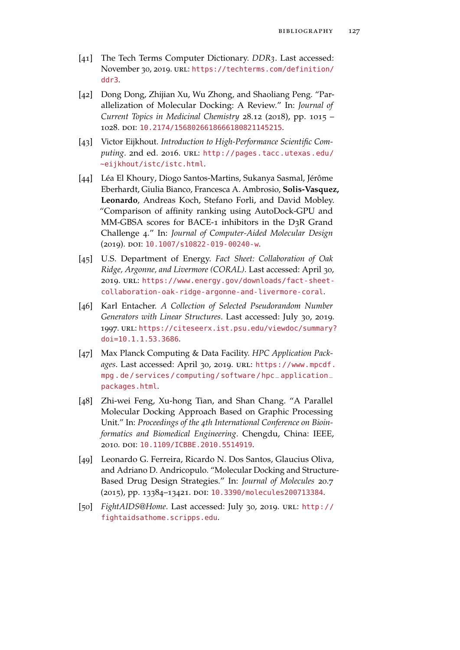- [41] The Tech Terms Computer Dictionary. *DDR3*. Last accessed: November 30, 2019. url: [https://techterms.com/definition/](https://techterms.com/definition/ddr3) [ddr3](https://techterms.com/definition/ddr3).
- [42] Dong Dong, Zhijian Xu, Wu Zhong, and Shaoliang Peng. "Parallelization of Molecular Docking: A Review." In: *Journal of Current Topics in Medicinal Chemistry* 28.12 (2018), pp. 1015 – 1028. doi: [10.2174/1568026618666180821145215](http://dx.doi.org/10.2174/1568026618666180821145215).
- [43] Victor Eijkhout. *Introduction to High-Performance Scientific Com*puting. 2nd ed. 2016. URL: [http://pages.tacc.utexas.edu/](http://pages.tacc.utexas.edu/~eijkhout/istc/istc.html) [~eijkhout/istc/istc.html](http://pages.tacc.utexas.edu/~eijkhout/istc/istc.html).
- [44] Léa El Khoury, Diogo Santos-Martins, Sukanya Sasmal, Jérôme Eberhardt, Giulia Bianco, Francesca A. Ambrosio, **Solis-Vasquez, Leonardo**, Andreas Koch, Stefano Forli, and David Mobley. "Comparison of affinity ranking using AutoDock-GPU and MM-GBSA scores for BACE-1 inhibitors in the D3R Grand Challenge 4." In: *Journal of Computer-Aided Molecular Design* (2019). doi: [10.1007/s10822-019-00240-w](http://dx.doi.org/10.1007/s10822-019-00240-w).
- [45] U.S. Department of Energy. *Fact Sheet: Collaboration of Oak Ridge, Argonne, and Livermore (CORAL)*. Last accessed: April 30, 2019. url: [https://www.energy.gov/downloads/fact-sheet](https://www.energy.gov/downloads/fact-sheet-collaboration-oak-ridge-argonne-and-livermore-coral)[collaboration-oak-ridge-argonne-and-livermore-coral](https://www.energy.gov/downloads/fact-sheet-collaboration-oak-ridge-argonne-and-livermore-coral).
- [46] Karl Entacher. *A Collection of Selected Pseudorandom Number Generators with Linear Structures*. Last accessed: July 30, 2019. 1997. url: [https://citeseerx.ist.psu.edu/viewdoc/summary?](https://citeseerx.ist.psu.edu/viewdoc/summary?doi=10.1.1.53.3686) [doi=10.1.1.53.3686](https://citeseerx.ist.psu.edu/viewdoc/summary?doi=10.1.1.53.3686).
- [47] Max Planck Computing & Data Facility. *HPC Application Packages*. Last accessed: April 30, 2019. url: [https://www.mpcdf.](https://www.mpcdf.mpg.de/services/computing/software/hpc_application_packages.html) [mpg . de / services / computing / software / hpc\\_application\\_](https://www.mpcdf.mpg.de/services/computing/software/hpc_application_packages.html) [packages.html](https://www.mpcdf.mpg.de/services/computing/software/hpc_application_packages.html).
- [48] Zhi-wei Feng, Xu-hong Tian, and Shan Chang. "A Parallel Molecular Docking Approach Based on Graphic Processing Unit." In: *Proceedings of the 4th International Conference on Bioinformatics and Biomedical Engineering*. Chengdu, China: IEEE, 2010. doi: [10.1109/ICBBE.2010.5514919](http://dx.doi.org/10.1109/ICBBE.2010.5514919).
- [49] Leonardo G. Ferreira, Ricardo N. Dos Santos, Glaucius Oliva, and Adriano D. Andricopulo. "Molecular Docking and Structure-Based Drug Design Strategies." In: *Journal of Molecules* 20.7 (2015), pp. 13384-13421. DOI: [10.3390/molecules200713384](http://dx.doi.org/10.3390/molecules200713384).
- [50] *FightAIDS@Home*. Last accessed: July 30, 2019. url: [http://](http://fightaidsathome.scripps.edu) [fightaidsathome.scripps.edu](http://fightaidsathome.scripps.edu).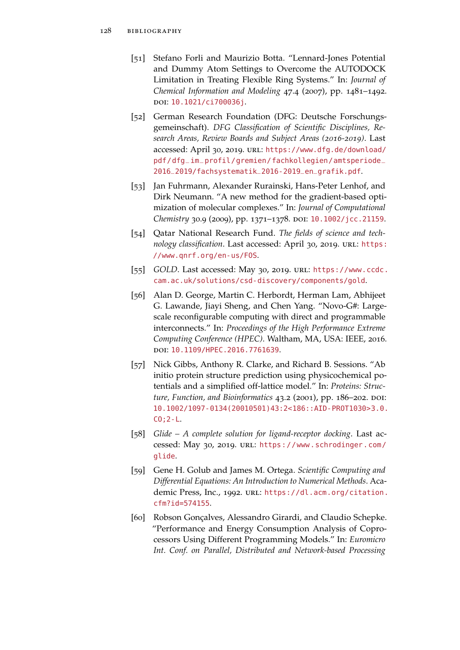- [51] Stefano Forli and Maurizio Botta. "Lennard-Jones Potential and Dummy Atom Settings to Overcome the AUTODOCK Limitation in Treating Flexible Ring Systems." In: *Journal of Chemical Information and Modeling* 47.4 (2007), pp. 1481–1492. doi: [10.1021/ci700036j](http://dx.doi.org/10.1021/ci700036j).
- [52] German Research Foundation (DFG: Deutsche Forschungsgemeinschaft). *DFG Classification of Scientific Disciplines, Research Areas, Review Boards and Subject Areas (2016-2019)*. Last accessed: April 30, 2019. URL: [https://www.dfg.de/download/](https://www.dfg.de/download/pdf/dfg_im_profil/gremien/fachkollegien/amtsperiode_2016_2019/fachsystematik_2016-2019_en_grafik.pdf) [pdf/dfg\\_im\\_profil/gremien/fachkollegien/amtsperiode\\_](https://www.dfg.de/download/pdf/dfg_im_profil/gremien/fachkollegien/amtsperiode_2016_2019/fachsystematik_2016-2019_en_grafik.pdf) [2016\\_2019/fachsystematik\\_2016-2019\\_en\\_grafik.pdf](https://www.dfg.de/download/pdf/dfg_im_profil/gremien/fachkollegien/amtsperiode_2016_2019/fachsystematik_2016-2019_en_grafik.pdf).
- [53] Jan Fuhrmann, Alexander Rurainski, Hans-Peter Lenhof, and Dirk Neumann. "A new method for the gradient-based optimization of molecular complexes." In: *Journal of Computational Chemistry* 30.9 (2009), pp. 1371-1378. DOI: [10.1002/jcc.21159](http://dx.doi.org/10.1002/jcc.21159).
- [54] Qatar National Research Fund. *The fields of science and tech*nology classification. Last accessed: April 30, 2019. URL: [https:](https://www.qnrf.org/en-us/FOS) [//www.qnrf.org/en-us/FOS](https://www.qnrf.org/en-us/FOS).
- [55] *GOLD*. Last accessed: May 30, 2019. url: [https://www.ccdc.](https://www.ccdc.cam.ac.uk/solutions/csd-discovery/components/gold) [cam.ac.uk/solutions/csd-discovery/components/gold](https://www.ccdc.cam.ac.uk/solutions/csd-discovery/components/gold).
- [56] Alan D. George, Martin C. Herbordt, Herman Lam, Abhijeet G. Lawande, Jiayi Sheng, and Chen Yang. "Novo-G#: Largescale reconfigurable computing with direct and programmable interconnects." In: *Proceedings of the High Performance Extreme Computing Conference (HPEC)*. Waltham, MA, USA: IEEE, 2016. doi: [10.1109/HPEC.2016.7761639](http://dx.doi.org/10.1109/HPEC.2016.7761639).
- [57] Nick Gibbs, Anthony R. Clarke, and Richard B. Sessions. "Ab initio protein structure prediction using physicochemical potentials and a simplified off-lattice model." In: *Proteins: Struc*ture, Function, and Bioinformatics 43.2 (2001), pp. 186-202. DOI: [10.1002/1097-0134\(20010501\)43:2<186::AID-PROT1030>3.0.](http://dx.doi.org/10.1002/1097-0134(20010501)43:2<186::AID-PROT1030>3.0.CO;2-L) [CO;2-L](http://dx.doi.org/10.1002/1097-0134(20010501)43:2<186::AID-PROT1030>3.0.CO;2-L).
- [58] *Glide A complete solution for ligand-receptor docking*. Last accessed: May 30, 2019. url: [https://www.schrodinger.com/](https://www.schrodinger.com/glide) [glide](https://www.schrodinger.com/glide).
- [59] Gene H. Golub and James M. Ortega. *Scientific Computing and Differential Equations: An Introduction to Numerical Methods*. Academic Press, Inc., 1992. URL: [https://dl.acm.org/citation.](https://dl.acm.org/citation.cfm?id=574155) [cfm?id=574155](https://dl.acm.org/citation.cfm?id=574155).
- [60] Robson Gonçalves, Alessandro Girardi, and Claudio Schepke. "Performance and Energy Consumption Analysis of Coprocessors Using Different Programming Models." In: *Euromicro Int. Conf. on Parallel, Distributed and Network-based Processing*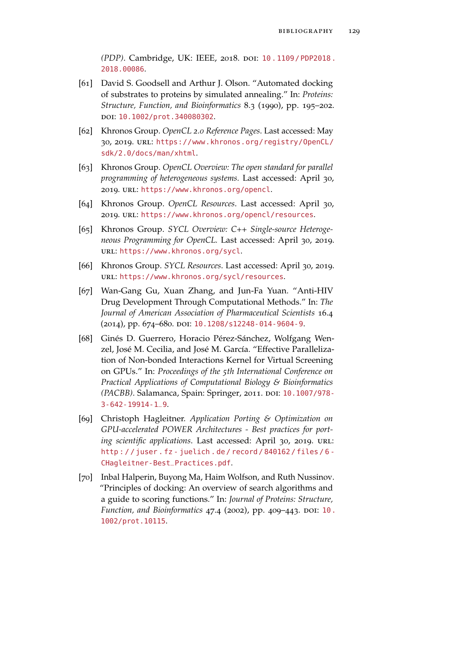*(PDP)*. Cambridge, UK: IEEE, 2018. poi: 10. 1109 / PDP2018. [2018.00086](http://dx.doi.org/10.1109/PDP2018.2018.00086).

- [61] David S. Goodsell and Arthur J. Olson. "Automated docking of substrates to proteins by simulated annealing." In: *Proteins: Structure, Function, and Bioinformatics* 8.3 (1990), pp. 195–202. doi: [10.1002/prot.340080302](http://dx.doi.org/10.1002/prot.340080302).
- [62] Khronos Group. *OpenCL 2.0 Reference Pages*. Last accessed: May 30, 2019. url: [https://www.khronos.org/registry/OpenCL/](https://www.khronos.org/registry/OpenCL/sdk/2.0/docs/man/xhtml) [sdk/2.0/docs/man/xhtml](https://www.khronos.org/registry/OpenCL/sdk/2.0/docs/man/xhtml).
- [63] Khronos Group. *OpenCL Overview: The open standard for parallel programming of heterogeneous systems.* Last accessed: April 30, 2019. url: <https://www.khronos.org/opencl>.
- [64] Khronos Group. *OpenCL Resources*. Last accessed: April 30, 2019. url: <https://www.khronos.org/opencl/resources>.
- [65] Khronos Group. *SYCL Overview: C++ Single-source Heterogeneous Programming for OpenCL.* Last accessed: April 30, 2019. url: <https://www.khronos.org/sycl>.
- [66] Khronos Group. *SYCL Resources*. Last accessed: April 30, 2019. url: <https://www.khronos.org/sycl/resources>.
- [67] Wan-Gang Gu, Xuan Zhang, and Jun-Fa Yuan. "Anti-HIV Drug Development Through Computational Methods." In: *The Journal of American Association of Pharmaceutical Scientists* 16.4 (2014), pp. 674–680. doi: [10.1208/s12248-014-9604-9](http://dx.doi.org/10.1208/s12248-014-9604-9).
- [68] Ginés D. Guerrero, Horacio Pérez-Sánchez, Wolfgang Wenzel, José M. Cecilia, and José M. García. "Effective Parallelization of Non-bonded Interactions Kernel for Virtual Screening on GPUs." In: *Proceedings of the 5th International Conference on Practical Applications of Computational Biology & Bioinformatics (PACBB)*. Salamanca, Spain: Springer, 2011. DOI: [10.1007/978-](http://dx.doi.org/10.1007/978-3-642-19914-1_9) [3-642-19914-1\\_9](http://dx.doi.org/10.1007/978-3-642-19914-1_9).
- [69] Christoph Hagleitner. *Application Porting & Optimization on GPU-accelerated POWER Architectures - Best practices for porting scientific applications*. Last accessed: April 30, 2019. url: [http : / / juser . fz - juelich . de / record / 840162 / files / 6 -](http://juser.fz-juelich.de/record/840162/files/6-CHagleitner-Best_Practices.pdf) [CHagleitner-Best\\_Practices.pdf](http://juser.fz-juelich.de/record/840162/files/6-CHagleitner-Best_Practices.pdf).
- [70] Inbal Halperin, Buyong Ma, Haim Wolfson, and Ruth Nussinov. "Principles of docking: An overview of search algorithms and a guide to scoring functions." In: *Journal of Proteins: Structure, Function, and Bioinformatics 47.4 (2002), pp. 409-443. DOI: [10.](http://dx.doi.org/10.1002/prot.10115)* [1002/prot.10115](http://dx.doi.org/10.1002/prot.10115).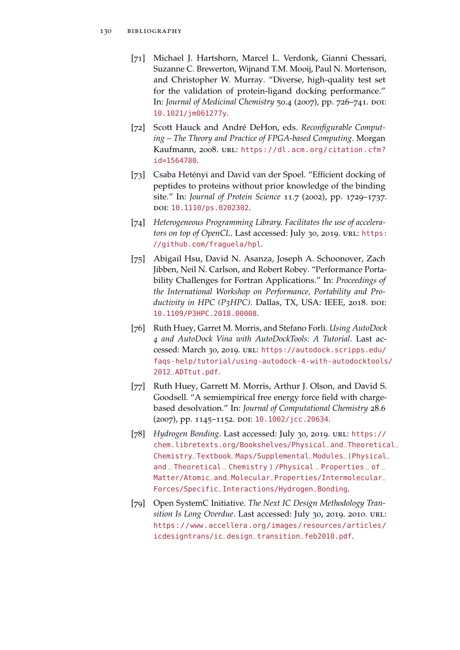- [71] Michael J. Hartshorn, Marcel L. Verdonk, Gianni Chessari, Suzanne C. Brewerton, Wijnand T.M. Mooij, Paul N. Mortenson, and Christopher W. Murray. "Diverse, high-quality test set for the validation of protein-ligand docking performance." In: *Journal of Medicinal Chemistry* 50.4 (2007), pp. 726-741. DOI: [10.1021/jm061277y](http://dx.doi.org/10.1021/jm061277y).
- [72] Scott Hauck and André DeHon, eds. *Reconfigurable Computing – The Theory and Practice of FPGA-based Computing*. Morgan Kaufmann, 2008. URL: [https://dl.acm.org/citation.cfm?](https://dl.acm.org/citation.cfm?id=1564780) [id=1564780](https://dl.acm.org/citation.cfm?id=1564780).
- [73] Csaba Hetényi and David van der Spoel. "Efficient docking of peptides to proteins without prior knowledge of the binding site." In: *Journal of Protein Science* 11.7 (2002), pp. 1729–1737. doi: [10.1110/ps.0202302](http://dx.doi.org/10.1110/ps.0202302).
- [74] *Heterogeneous Programming Library. Facilitates the use of accelerators on top of OpenCL*. Last accessed: July 30, 2019. URL: [https:](https://github.com/fraguela/hpl) [//github.com/fraguela/hpl](https://github.com/fraguela/hpl).
- [75] Abigail Hsu, David N. Asanza, Joseph A. Schoonover, Zach Jibben, Neil N. Carlson, and Robert Robey. "Performance Portability Challenges for Fortran Applications." In: *Proceedings of the International Workshop on Performance, Portability and Productivity in HPC (P<sub>3</sub>HPC)*. Dallas, TX, USA: IEEE, 2018. poi: [10.1109/P3HPC.2018.00008](http://dx.doi.org/10.1109/P3HPC.2018.00008).
- [76] Ruth Huey, Garret M. Morris, and Stefano Forli. *Using AutoDock 4 and AutoDock Vina with AutoDockTools: A Tutorial*. Last accessed: March 30, 2019. url: [https://autodock.scripps.edu/](https://autodock.scripps.edu/faqs-help/tutorial/using-autodock-4-with-autodocktools/2012_ADTtut.pdf) [faqs-help/tutorial/using-autodock-4-with-autodocktools](https://autodock.scripps.edu/faqs-help/tutorial/using-autodock-4-with-autodocktools/2012_ADTtut.pdf)/ [2012\\_ADTtut.pdf](https://autodock.scripps.edu/faqs-help/tutorial/using-autodock-4-with-autodocktools/2012_ADTtut.pdf).
- [77] Ruth Huey, Garrett M. Morris, Arthur J. Olson, and David S. Goodsell. "A semiempirical free energy force field with chargebased desolvation." In: *Journal of Computational Chemistry* 28.6 (2007), pp. 1145-1152. DOI: [10.1002/jcc.20634](http://dx.doi.org/10.1002/jcc.20634).
- [78] *Hydrogen Bonding*. Last accessed: July 30, 2019. URL: [https://](https://chem.libretexts.org/Bookshelves/Physical_and_Theoretical_Chemistry_Textbook_Maps/Supplemental_Modules_(Physical_and_Theoretical_Chemistry)/Physical_Properties_of_Matter/Atomic_and_Molecular_Properties/Intermolecular_Forces/Specific_Interactions/Hydrogen_Bonding) [chem.libretexts.org/Bookshelves/Physical\\_and\\_Theoretic](https://chem.libretexts.org/Bookshelves/Physical_and_Theoretical_Chemistry_Textbook_Maps/Supplemental_Modules_(Physical_and_Theoretical_Chemistry)/Physical_Properties_of_Matter/Atomic_and_Molecular_Properties/Intermolecular_Forces/Specific_Interactions/Hydrogen_Bonding)al\_ [Chemistry\\_Textbook\\_Maps/Supplemental\\_Modules\\_\(Physical](https://chem.libretexts.org/Bookshelves/Physical_and_Theoretical_Chemistry_Textbook_Maps/Supplemental_Modules_(Physical_and_Theoretical_Chemistry)/Physical_Properties_of_Matter/Atomic_and_Molecular_Properties/Intermolecular_Forces/Specific_Interactions/Hydrogen_Bonding)\_ and \_ Theoretical \_ Chemistry ) / Physical \_ Properties \_ of \_ [Matter/Atomic\\_and\\_Molecular\\_Properties/Intermolecular\\_](https://chem.libretexts.org/Bookshelves/Physical_and_Theoretical_Chemistry_Textbook_Maps/Supplemental_Modules_(Physical_and_Theoretical_Chemistry)/Physical_Properties_of_Matter/Atomic_and_Molecular_Properties/Intermolecular_Forces/Specific_Interactions/Hydrogen_Bonding) [Forces/Specific\\_Interactions/Hydrogen\\_Bonding](https://chem.libretexts.org/Bookshelves/Physical_and_Theoretical_Chemistry_Textbook_Maps/Supplemental_Modules_(Physical_and_Theoretical_Chemistry)/Physical_Properties_of_Matter/Atomic_and_Molecular_Properties/Intermolecular_Forces/Specific_Interactions/Hydrogen_Bonding).
- [79] Open SystemC Initiative. *The Next IC Design Methodology Transition Is Long Overdue*. Last accessed: July 30, 2019. 2010. url: [https://www.accellera.org/images/resources/articles/](https://www.accellera.org/images/resources/articles/icdesigntrans/ic_design_transition_feb2010.pdf) [icdesigntrans/ic\\_design\\_transition\\_feb2010.pdf](https://www.accellera.org/images/resources/articles/icdesigntrans/ic_design_transition_feb2010.pdf).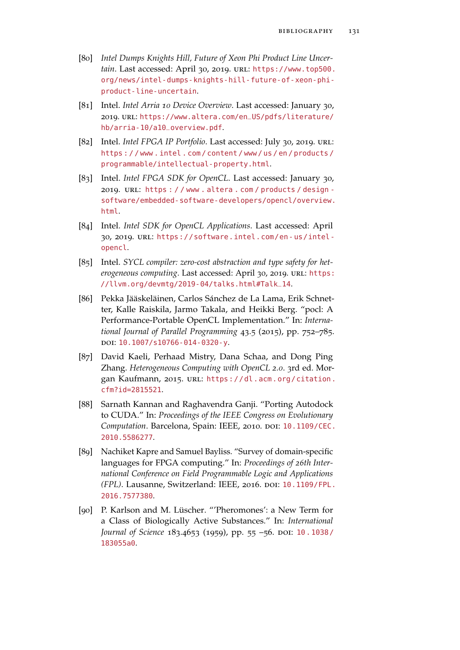- [80] *Intel Dumps Knights Hill, Future of Xeon Phi Product Line Uncertain*. Last accessed: April 30, 2019. url: [https://www.top500.](https://www.top500.org/news/intel-dumps-knights-hill-future-of-xeon-phi-product-line-uncertain) [org/news/intel-dumps-knights-hill-future-of-xeon-phi](https://www.top500.org/news/intel-dumps-knights-hill-future-of-xeon-phi-product-line-uncertain)[product-line-uncertain](https://www.top500.org/news/intel-dumps-knights-hill-future-of-xeon-phi-product-line-uncertain).
- [81] Intel. *Intel Arria 10 Device Overview*. Last accessed: January 30, 2019. url: [https://www.altera.com/en\\_US/pdfs/literature/](https://www.altera.com/en_US/pdfs/literature/hb/arria-10/a10_overview.pdf) [hb/arria-10/a10\\_overview.pdf](https://www.altera.com/en_US/pdfs/literature/hb/arria-10/a10_overview.pdf).
- [82] Intel. *Intel FPGA IP Portfolio*. Last accessed: July 30, 2019. url: [https : / / www . intel . com / content / www / us / en / products /](https://www.intel.com/content/www/us/en/products/programmable/intellectual-property.html) [programmable/intellectual-property.html](https://www.intel.com/content/www/us/en/products/programmable/intellectual-property.html).
- [83] Intel. *Intel FPGA SDK for OpenCL*. Last accessed: January 30, 2019. URL: https : / / www.altera.com / products / design [software/embedded-software-developers/opencl/overview.](https://www.altera.com/products/design-software/embedded-software-developers/opencl/overview.html) [html](https://www.altera.com/products/design-software/embedded-software-developers/opencl/overview.html).
- [84] Intel. *Intel SDK for OpenCL Applications*. Last accessed: April 30, 2019. url: [https://software.intel.com/en- us/intel](https://software.intel.com/en-us/intel-opencl)[opencl](https://software.intel.com/en-us/intel-opencl).
- [85] Intel. *SYCL compiler: zero-cost abstraction and type safety for het*erogeneous computing. Last accessed: April 30, 2019. URL: [https:](https://llvm.org/devmtg/2019-04/talks.html#Talk_14) [//llvm.org/devmtg/2019-04/talks.html#Talk\\_14](https://llvm.org/devmtg/2019-04/talks.html#Talk_14).
- [86] Pekka Jääskeläinen, Carlos Sánchez de La Lama, Erik Schnetter, Kalle Raiskila, Jarmo Takala, and Heikki Berg. "pocl: A Performance-Portable OpenCL Implementation." In: *International Journal of Parallel Programming* 43.5 (2015), pp. 752–785. doi: [10.1007/s10766-014-0320-y](http://dx.doi.org/10.1007/s10766-014-0320-y).
- [87] David Kaeli, Perhaad Mistry, Dana Schaa, and Dong Ping Zhang. *Heterogeneous Computing with OpenCL 2.0*. 3rd ed. Morgan Kaufmann, 2015. URL: [https://dl.acm.org/citation.](https://dl.acm.org/citation.cfm?id=2815521) [cfm?id=2815521](https://dl.acm.org/citation.cfm?id=2815521).
- [88] Sarnath Kannan and Raghavendra Ganji. "Porting Autodock to CUDA." In: *Proceedings of the IEEE Congress on Evolutionary Computation*. Barcelona, Spain: IEEE, 2010. DOI: [10.1109/CEC.](http://dx.doi.org/10.1109/CEC.2010.5586277) [2010.5586277](http://dx.doi.org/10.1109/CEC.2010.5586277).
- [89] Nachiket Kapre and Samuel Bayliss. "Survey of domain-specific languages for FPGA computing." In: *Proceedings of 26th International Conference on Field Programmable Logic and Applications (FPL)*. Lausanne, Switzerland: IEEE, 2016. doi: [10.1109/FPL.](http://dx.doi.org/10.1109/FPL.2016.7577380) [2016.7577380](http://dx.doi.org/10.1109/FPL.2016.7577380).
- [90] P. Karlson and M. Lüscher. "'Pheromones': a New Term for a Class of Biologically Active Substances." In: *International Journal of Science* 183.4653 (1959), pp. 55 -56. DOI: 10. 1038/ [183055a0](http://dx.doi.org/10.1038/183055a0).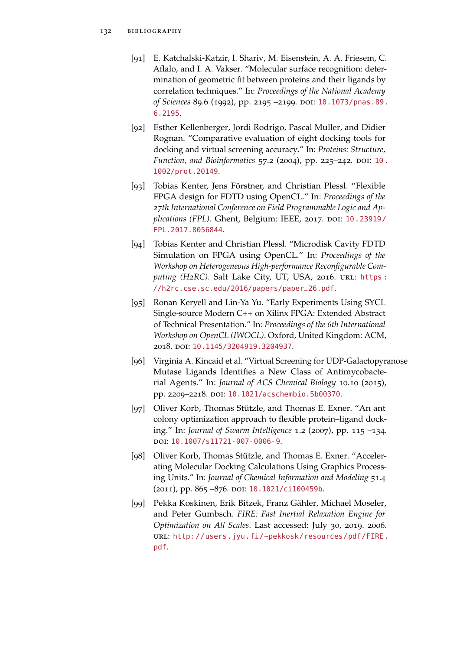- [91] E. Katchalski-Katzir, I. Shariv, M. Eisenstein, A. A. Friesem, C. Aflalo, and I. A. Vakser. "Molecular surface recognition: determination of geometric fit between proteins and their ligands by correlation techniques." In: *Proceedings of the National Academy* of Sciences 89.6 (1992), pp. 2195 -2199. DOI: [10.1073/pnas.89.](http://dx.doi.org/10.1073/pnas.89.6.2195) [6.2195](http://dx.doi.org/10.1073/pnas.89.6.2195).
- [92] Esther Kellenberger, Jordi Rodrigo, Pascal Muller, and Didier Rognan. "Comparative evaluation of eight docking tools for docking and virtual screening accuracy." In: *Proteins: Structure, Function, and Bioinformatics* 57.2 (2004), pp. 225-242. DOI: [10.](http://dx.doi.org/10.1002/prot.20149) [1002/prot.20149](http://dx.doi.org/10.1002/prot.20149).
- [93] Tobias Kenter, Jens Förstner, and Christian Plessl. "Flexible FPGA design for FDTD using OpenCL." In: *Proceedings of the 27th International Conference on Field Programmable Logic and Applications (FPL)*. Ghent, Belgium: IEEE, 2017. doi: [10.23919/](http://dx.doi.org/10.23919/FPL.2017.8056844) [FPL.2017.8056844](http://dx.doi.org/10.23919/FPL.2017.8056844).
- [94] Tobias Kenter and Christian Plessl. "Microdisk Cavity FDTD Simulation on FPGA using OpenCL." In: *Proceedings of the Workshop on Heterogeneous High-performance Reconfigurable Computing (H2RC)*. Salt Lake City, UT, USA, 2016. url: [https :](https://h2rc.cse.sc.edu/2016/papers/paper_26.pdf) [//h2rc.cse.sc.edu/2016/papers/paper\\_26.pdf](https://h2rc.cse.sc.edu/2016/papers/paper_26.pdf).
- [95] Ronan Keryell and Lin-Ya Yu. "Early Experiments Using SYCL Single-source Modern C++ on Xilinx FPGA: Extended Abstract of Technical Presentation." In: *Proceedings of the 6th International Workshop on OpenCL (IWOCL)*. Oxford, United Kingdom: ACM, 2018. doi: [10.1145/3204919.3204937](http://dx.doi.org/10.1145/3204919.3204937).
- [96] Virginia A. Kincaid et al. "Virtual Screening for UDP-Galactopyranose Mutase Ligands Identifies a New Class of Antimycobacterial Agents." In: *Journal of ACS Chemical Biology* 10.10 (2015), pp. 2209–2218. doi: [10.1021/acschembio.5b00370](http://dx.doi.org/10.1021/acschembio.5b00370).
- [97] Oliver Korb, Thomas Stützle, and Thomas E. Exner. "An ant colony optimization approach to flexible protein–ligand docking." In: *Journal of Swarm Intelligence* 1.2 (2007), pp. 115 –134. doi: [10.1007/s11721-007-0006-9](http://dx.doi.org/10.1007/s11721-007-0006-9).
- [98] Oliver Korb, Thomas Stützle, and Thomas E. Exner. "Accelerating Molecular Docking Calculations Using Graphics Processing Units." In: *Journal of Chemical Information and Modeling* 51.4 (2011), pp. 865 -876. DOI: [10.1021/ci100459b](http://dx.doi.org/10.1021/ci100459b).
- [99] Pekka Koskinen, Erik Bitzek, Franz Gähler, Michael Moseler, and Peter Gumbsch. *FIRE: Fast Inertial Relaxation Engine for Optimization on All Scales*. Last accessed: July 30, 2019. 2006. url: [http://users.jyu.fi/~pekkosk/resources/pdf/FIRE.](http://users.jyu.fi/~pekkosk/resources/pdf/FIRE.pdf) [pdf](http://users.jyu.fi/~pekkosk/resources/pdf/FIRE.pdf).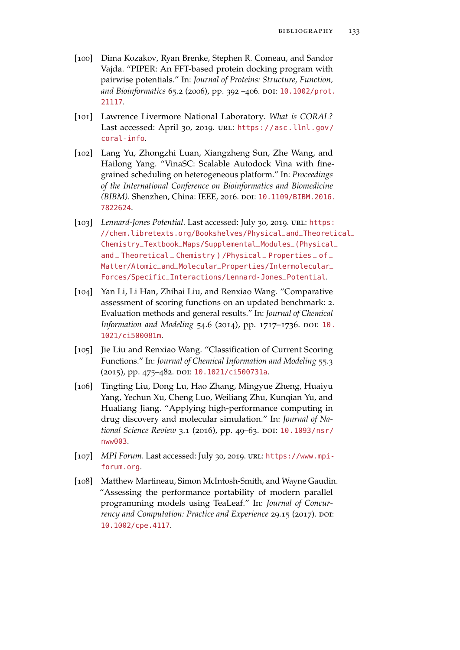- [100] Dima Kozakov, Ryan Brenke, Stephen R. Comeau, and Sandor Vajda. "PIPER: An FFT-based protein docking program with pairwise potentials." In: *Journal of Proteins: Structure, Function,* and Bioinformatics 65.2 (2006), pp. 392 -406. DOI: [10.1002/prot.](http://dx.doi.org/10.1002/prot.21117) [21117](http://dx.doi.org/10.1002/prot.21117).
- [101] Lawrence Livermore National Laboratory. *What is CORAL?* Last accessed: April 30, 2019. URL: [https://asc.llnl.gov/](https://asc.llnl.gov/coral-info) [coral-info](https://asc.llnl.gov/coral-info).
- [102] Lang Yu, Zhongzhi Luan, Xiangzheng Sun, Zhe Wang, and Hailong Yang. "VinaSC: Scalable Autodock Vina with finegrained scheduling on heterogeneous platform." In: *Proceedings of the International Conference on Bioinformatics and Biomedicine (BIBM)*. Shenzhen, China: IEEE, 2016. doi: [10.1109/BIBM.2016.](http://dx.doi.org/10.1109/BIBM.2016.7822624) [7822624](http://dx.doi.org/10.1109/BIBM.2016.7822624).
- [103] *Lennard-Jones Potential*. Last accessed: July 30, 2019. URL: [https:](https://chem.libretexts.org/Bookshelves/Physical_and_Theoretical_Chemistry_Textbook_Maps/Supplemental_Modules_(Physical_and_Theoretical_Chemistry)/Physical_Properties_of_Matter/Atomic_and_Molecular_Properties/Intermolecular_Forces/Specific_Interactions/Lennard-Jones_Potential) [//chem.libretexts.org/Bookshelves/Physical\\_and\\_Theoreti](https://chem.libretexts.org/Bookshelves/Physical_and_Theoretical_Chemistry_Textbook_Maps/Supplemental_Modules_(Physical_and_Theoretical_Chemistry)/Physical_Properties_of_Matter/Atomic_and_Molecular_Properties/Intermolecular_Forces/Specific_Interactions/Lennard-Jones_Potential)cal\_ [Chemistry\\_Textbook\\_Maps/Supplemental\\_Modules\\_\(Physical](https://chem.libretexts.org/Bookshelves/Physical_and_Theoretical_Chemistry_Textbook_Maps/Supplemental_Modules_(Physical_and_Theoretical_Chemistry)/Physical_Properties_of_Matter/Atomic_and_Molecular_Properties/Intermolecular_Forces/Specific_Interactions/Lennard-Jones_Potential)\_ and \_ Theoretical \_ Chemistry ) / Physical \_ Properties \_ of \_ [Matter/Atomic\\_and\\_Molecular\\_Properties/Intermolecular\\_](https://chem.libretexts.org/Bookshelves/Physical_and_Theoretical_Chemistry_Textbook_Maps/Supplemental_Modules_(Physical_and_Theoretical_Chemistry)/Physical_Properties_of_Matter/Atomic_and_Molecular_Properties/Intermolecular_Forces/Specific_Interactions/Lennard-Jones_Potential) [Forces/Specific\\_Interactions/Lennard-Jones\\_Potential](https://chem.libretexts.org/Bookshelves/Physical_and_Theoretical_Chemistry_Textbook_Maps/Supplemental_Modules_(Physical_and_Theoretical_Chemistry)/Physical_Properties_of_Matter/Atomic_and_Molecular_Properties/Intermolecular_Forces/Specific_Interactions/Lennard-Jones_Potential).
- [104] Yan Li, Li Han, Zhihai Liu, and Renxiao Wang. "Comparative assessment of scoring functions on an updated benchmark: 2. Evaluation methods and general results." In: *Journal of Chemical Information and Modeling* 54.6 (2014), pp. 1717-1736. DOI: [10.](http://dx.doi.org/10.1021/ci500081m) [1021/ci500081m](http://dx.doi.org/10.1021/ci500081m).
- [105] Jie Liu and Renxiao Wang. "Classification of Current Scoring Functions." In: *Journal of Chemical Information and Modeling* 55.3 (2015), pp. 475-482. DOI: [10.1021/ci500731a](http://dx.doi.org/10.1021/ci500731a).
- [106] Tingting Liu, Dong Lu, Hao Zhang, Mingyue Zheng, Huaiyu Yang, Yechun Xu, Cheng Luo, Weiliang Zhu, Kunqian Yu, and Hualiang Jiang. "Applying high-performance computing in drug discovery and molecular simulation." In: *Journal of National Science Review* 3.1 (2016), pp. 49–63. DOI: [10.1093/nsr/](http://dx.doi.org/10.1093/nsr/nww003) [nww003](http://dx.doi.org/10.1093/nsr/nww003).
- [107] *MPI Forum*. Last accessed: July 30, 2019. url: [https://www.mpi](https://www.mpi-forum.org)[forum.org](https://www.mpi-forum.org).
- [108] Matthew Martineau, Simon McIntosh-Smith, and Wayne Gaudin. "Assessing the performance portability of modern parallel programming models using TeaLeaf." In: *Journal of Concurrency and Computation: Practice and Experience* 29.15 (2017). DOI: [10.1002/cpe.4117](http://dx.doi.org/10.1002/cpe.4117).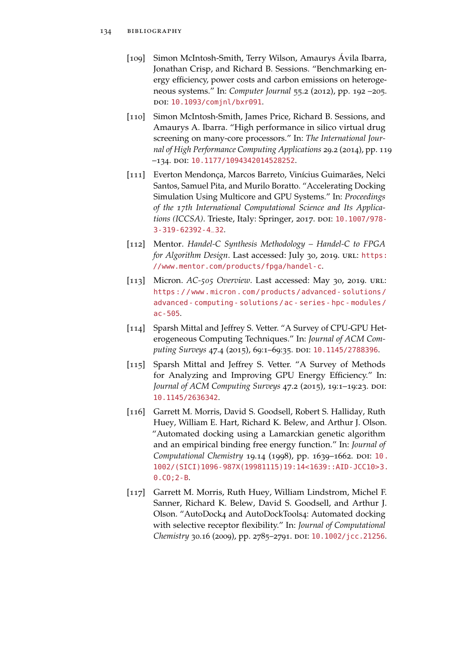- [109] Simon McIntosh-Smith, Terry Wilson, Amaurys Ávila Ibarra, Jonathan Crisp, and Richard B. Sessions. "Benchmarking energy efficiency, power costs and carbon emissions on heterogeneous systems." In: *Computer Journal* 55.2 (2012), pp. 192 –205. doi: [10.1093/comjnl/bxr091](http://dx.doi.org/10.1093/comjnl/bxr091).
- [110] Simon McIntosh-Smith, James Price, Richard B. Sessions, and Amaurys A. Ibarra. "High performance in silico virtual drug screening on many-core processors." In: *The International Journal of High Performance Computing Applications* 29.2 (2014), pp. 119 –134. doi: [10.1177/1094342014528252](http://dx.doi.org/10.1177/1094342014528252).
- [111] Everton Mendonça, Marcos Barreto, Vinícius Guimarães, Nelci Santos, Samuel Pita, and Murilo Boratto. "Accelerating Docking Simulation Using Multicore and GPU Systems." In: *Proceedings of the 17th International Computational Science and Its Applica-*tions (ICCSA). Trieste, Italy: Springer, 2017. DOI: [10.1007/978-](http://dx.doi.org/10.1007/978-3-319-62392-4_32) [3-319-62392-4\\_32](http://dx.doi.org/10.1007/978-3-319-62392-4_32).
- [112] Mentor. *Handel-C Synthesis Methodology Handel-C to FPGA for Algorithm Design*. Last accessed: July 30, 2019. URL: [https:](https://www.mentor.com/products/fpga/handel-c) [//www.mentor.com/products/fpga/handel-c](https://www.mentor.com/products/fpga/handel-c).
- [113] Micron. *AC-505 Overview*. Last accessed: May 30, 2019. url: [https://www.micron.com/products/advanced- solutions/](https://www.micron.com/products/advanced-solutions/advanced-computing-solutions/ac-series-hpc-modules/ac-505) [advanced- computing- solutions/ac- series- hpc- modules/](https://www.micron.com/products/advanced-solutions/advanced-computing-solutions/ac-series-hpc-modules/ac-505) [ac-505](https://www.micron.com/products/advanced-solutions/advanced-computing-solutions/ac-series-hpc-modules/ac-505).
- [114] Sparsh Mittal and Jeffrey S. Vetter. "A Survey of CPU-GPU Heterogeneous Computing Techniques." In: *Journal of ACM Computing Surveys* 47.4 (2015), 69:1–69:35. doi: [10.1145/2788396](http://dx.doi.org/10.1145/2788396).
- [115] Sparsh Mittal and Jeffrey S. Vetter. "A Survey of Methods for Analyzing and Improving GPU Energy Efficiency." In: Journal of ACM Computing Surveys 47.2 (2015), 19:1-19:23. DOI: [10.1145/2636342](http://dx.doi.org/10.1145/2636342).
- [116] Garrett M. Morris, David S. Goodsell, Robert S. Halliday, Ruth Huey, William E. Hart, Richard K. Belew, and Arthur J. Olson. "Automated docking using a Lamarckian genetic algorithm and an empirical binding free energy function." In: *Journal of Computational Chemistry* 19.14 (1998), pp. 1639–1662. DOI: [10.](http://dx.doi.org/10.1002/(SICI)1096-987X(19981115)19:14<1639::AID-JCC10>3.0.CO;2-B) [1002/\(SICI\)1096-987X\(19981115\)19:14<1639::AID-JCC10>3.](http://dx.doi.org/10.1002/(SICI)1096-987X(19981115)19:14<1639::AID-JCC10>3.0.CO;2-B) [0.CO;2-B](http://dx.doi.org/10.1002/(SICI)1096-987X(19981115)19:14<1639::AID-JCC10>3.0.CO;2-B).
- [117] Garrett M. Morris, Ruth Huey, William Lindstrom, Michel F. Sanner, Richard K. Belew, David S. Goodsell, and Arthur J. Olson. "AutoDock4 and AutoDockTools4: Automated docking with selective receptor flexibility." In: *Journal of Computational Chemistry* 30.16 (2009), pp. 2785-2791. DOI: [10.1002/jcc.21256](http://dx.doi.org/10.1002/jcc.21256).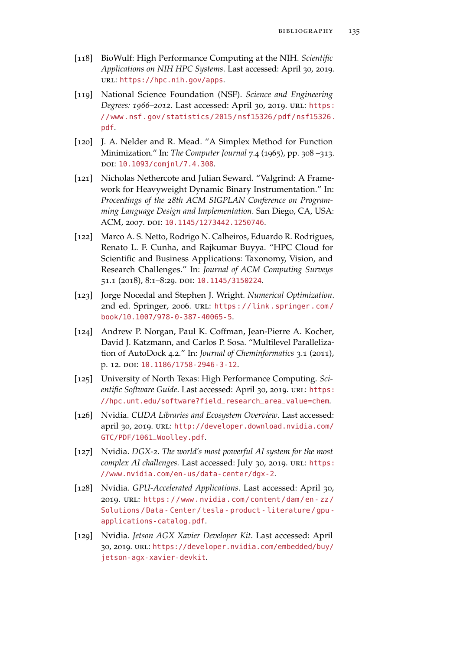- [118] BioWulf: High Performance Computing at the NIH. *Scientific Applications on NIH HPC Systems*. Last accessed: April 30, 2019. url: <https://hpc.nih.gov/apps>.
- [119] National Science Foundation (NSF). *Science and Engineering Degrees: 1966–2012*. Last accessed: April 30, 2019. url: [https:](https://www.nsf.gov/statistics/2015/nsf15326/pdf/nsf15326.pdf) [//www.nsf.gov/statistics/2015/nsf15326/pdf/nsf15326.](https://www.nsf.gov/statistics/2015/nsf15326/pdf/nsf15326.pdf) [pdf](https://www.nsf.gov/statistics/2015/nsf15326/pdf/nsf15326.pdf).
- [120] J. A. Nelder and R. Mead. "A Simplex Method for Function Minimization." In: *The Computer Journal* 7.4 (1965), pp. 308 –313. doi: [10.1093/comjnl/7.4.308](http://dx.doi.org/10.1093/comjnl/7.4.308).
- [121] Nicholas Nethercote and Julian Seward. "Valgrind: A Framework for Heavyweight Dynamic Binary Instrumentation." In: *Proceedings of the 28th ACM SIGPLAN Conference on Programming Language Design and Implementation*. San Diego, CA, USA: ACM, 2007. doi: [10.1145/1273442.1250746](http://dx.doi.org/10.1145/1273442.1250746).
- [122] Marco A. S. Netto, Rodrigo N. Calheiros, Eduardo R. Rodrigues, Renato L. F. Cunha, and Rajkumar Buyya. "HPC Cloud for Scientific and Business Applications: Taxonomy, Vision, and Research Challenges." In: *Journal of ACM Computing Surveys* 51.1 (2018), 8:1–8:29. doi: [10.1145/3150224](http://dx.doi.org/10.1145/3150224).
- [123] Jorge Nocedal and Stephen J. Wright. *Numerical Optimization*. 2nd ed. Springer, 2006. url: [https://link.springer.com/](https://link.springer.com/book/10.1007/978-0-387-40065-5) [book/10.1007/978-0-387-40065-5](https://link.springer.com/book/10.1007/978-0-387-40065-5).
- [124] Andrew P. Norgan, Paul K. Coffman, Jean-Pierre A. Kocher, David J. Katzmann, and Carlos P. Sosa. "Multilevel Parallelization of AutoDock 4.2." In: *Journal of Cheminformatics* 3.1 (2011), p. 12. doi: [10.1186/1758-2946-3-12](http://dx.doi.org/10.1186/1758-2946-3-12).
- [125] University of North Texas: High Performance Computing. *Scientific Software Guide*. Last accessed: April 30, 2019. URL: [https:](https://hpc.unt.edu/software?field_research_area_value=chem) [//hpc.unt.edu/software?field\\_research\\_area\\_value=chem](https://hpc.unt.edu/software?field_research_area_value=chem).
- [126] Nvidia. *CUDA Libraries and Ecosystem Overview*. Last accessed: april 30, 2019. url: [http://developer.download.nvidia.com/](http://developer.download.nvidia.com/GTC/PDF/1061_Woolley.pdf) [GTC/PDF/1061\\_Woolley.pdf](http://developer.download.nvidia.com/GTC/PDF/1061_Woolley.pdf).
- [127] Nvidia. *DGX-2. The world's most powerful AI system for the most* complex AI challenges. Last accessed: July 30, 2019. URL: [https:](https://www.nvidia.com/en-us/data-center/dgx-2) [//www.nvidia.com/en-us/data-center/dgx-2](https://www.nvidia.com/en-us/data-center/dgx-2).
- [128] Nvidia. *GPU-Accelerated Applications*. Last accessed: April 30, 2019. url: [https://www.nvidia.com/content/dam/en- zz/](https://www.nvidia.com/content/dam/en-zz/Solutions/Data-Center/tesla-product-literature/gpu-applications-catalog.pdf) [Solutions / Data - Center / tesla - product - literature / gpu](https://www.nvidia.com/content/dam/en-zz/Solutions/Data-Center/tesla-product-literature/gpu-applications-catalog.pdf)  [applications-catalog.pdf](https://www.nvidia.com/content/dam/en-zz/Solutions/Data-Center/tesla-product-literature/gpu-applications-catalog.pdf).
- [129] Nvidia. *Jetson AGX Xavier Developer Kit*. Last accessed: April 30, 2019. url: [https://developer.nvidia.com/embedded/buy/](https://developer.nvidia.com/embedded/buy/jetson-agx-xavier-devkit) [jetson-agx-xavier-devkit](https://developer.nvidia.com/embedded/buy/jetson-agx-xavier-devkit).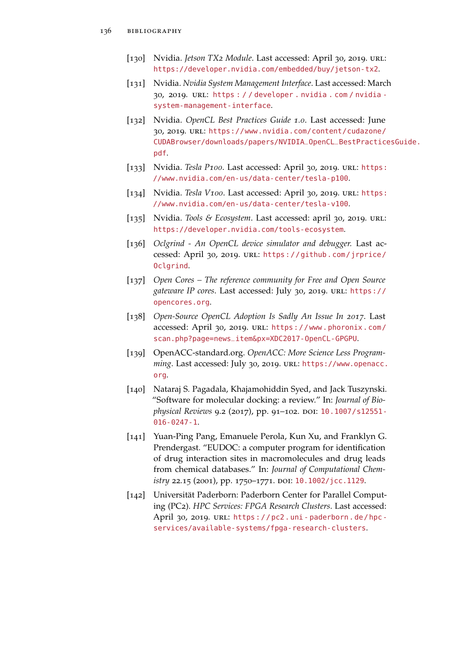- [130] Nvidia. *Jetson TX2 Module*. Last accessed: April 30, 2019. url: <https://developer.nvidia.com/embedded/buy/jetson-tx2>.
- [131] Nvidia. *Nvidia System Management Interface*. Last accessed: March 30, 2019. url: [https : / / developer . nvidia . com / nvidia](https://developer.nvidia.com/nvidia-system-management-interface)  [system-management-interface](https://developer.nvidia.com/nvidia-system-management-interface).
- [132] Nvidia. *OpenCL Best Practices Guide 1.0*. Last accessed: June 30, 2019. url: [https://www.nvidia.com/content/cudazone/](https://www.nvidia.com/content/cudazone/CUDABrowser/downloads/papers/NVIDIA_OpenCL_BestPracticesGuide.pdf) [CUDABrowser/downloads/papers/NVIDIA\\_OpenCL\\_BestPractic](https://www.nvidia.com/content/cudazone/CUDABrowser/downloads/papers/NVIDIA_OpenCL_BestPracticesGuide.pdf)esGuide. [pdf](https://www.nvidia.com/content/cudazone/CUDABrowser/downloads/papers/NVIDIA_OpenCL_BestPracticesGuide.pdf).
- [133] Nvidia. *Tesla P100*. Last accessed: April 30, 2019. url: [https:](https://www.nvidia.com/en-us/data-center/tesla-p100) [//www.nvidia.com/en-us/data-center/tesla-p100](https://www.nvidia.com/en-us/data-center/tesla-p100).
- [134] Nvidia. *Tesla V100*. Last accessed: April 30, 2019. url: [https:](https://www.nvidia.com/en-us/data-center/tesla-v100) [//www.nvidia.com/en-us/data-center/tesla-v100](https://www.nvidia.com/en-us/data-center/tesla-v100).
- [135] Nvidia. *Tools & Ecosystem*. Last accessed: april 30, 2019. url: <https://developer.nvidia.com/tools-ecosystem>.
- [136] *Oclgrind An OpenCL device simulator and debugger.* Last accessed: April 30, 2019. url: [https://github.com/jrprice/](https://github.com/jrprice/Oclgrind) [Oclgrind](https://github.com/jrprice/Oclgrind).
- [137] *Open Cores The reference community for Free and Open Source gateware IP cores*. Last accessed: July 30, 2019. url: [https://](https://opencores.org) [opencores.org](https://opencores.org).
- [138] *Open-Source OpenCL Adoption Is Sadly An Issue In 2017*. Last accessed: April 30, 2019. url: [https://www.phoronix.com/](https://www.phoronix.com/scan.php?page=news_item&px=XDC2017-OpenCL-GPGPU) [scan.php?page=news\\_item&px=XDC2017-OpenCL-GPGPU](https://www.phoronix.com/scan.php?page=news_item&px=XDC2017-OpenCL-GPGPU).
- [139] OpenACC-standard.org. *OpenACC: More Science Less Programming*. Last accessed: July 30, 2019. url: [https://www.openacc.](https://www.openacc.org) [org](https://www.openacc.org).
- [140] Nataraj S. Pagadala, Khajamohiddin Syed, and Jack Tuszynski. "Software for molecular docking: a review." In: *Journal of Biophysical Reviews* 9.2 (2017), pp. 91-102. DOI: [10.1007/s12551-](http://dx.doi.org/10.1007/s12551-016-0247-1) [016-0247-1](http://dx.doi.org/10.1007/s12551-016-0247-1).
- [141] Yuan-Ping Pang, Emanuele Perola, Kun Xu, and Franklyn G. Prendergast. "EUDOC: a computer program for identification of drug interaction sites in macromolecules and drug leads from chemical databases." In: *Journal of Computational Chemistry* 22.15 (2001), pp. 1750-1771. DOI: [10.1002/jcc.1129](http://dx.doi.org/10.1002/jcc.1129).
- [142] Universität Paderborn: Paderborn Center for Parallel Computing (PC2). *HPC Services: FPGA Research Clusters*. Last accessed: April 30, 2019. URL: https://pc2.uni-paderborn.de/hpc[services/available-systems/fpga-research-clusters](https://pc2.uni-paderborn.de/hpc-services/available-systems/fpga-research-clusters).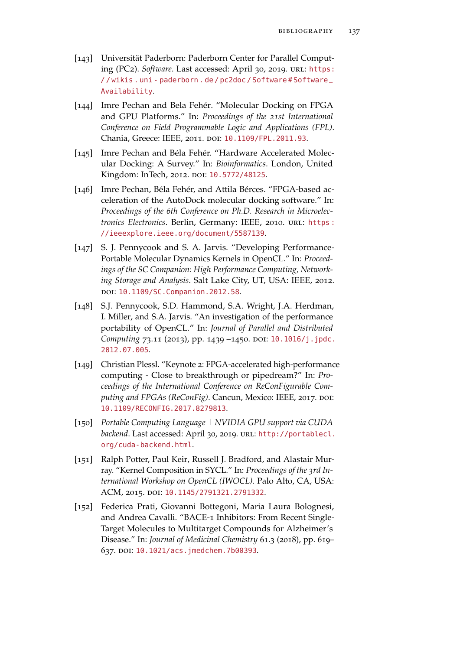- [143] Universität Paderborn: Paderborn Center for Parallel Computing (PC2). *Software*. Last accessed: April 30, 2019. url: [https:](https://wikis.uni-paderborn.de/pc2doc/Software#Software_Availability) // wikis . uni - paderborn . de/ pc2doc/ Software# Software\_ [Availability](https://wikis.uni-paderborn.de/pc2doc/Software#Software_Availability).
- [144] Imre Pechan and Bela Fehér. "Molecular Docking on FPGA and GPU Platforms." In: *Proceedings of the 21st International Conference on Field Programmable Logic and Applications (FPL)*. Chania, Greece: IEEE, 2011. DOI: [10.1109/FPL.2011.93](http://dx.doi.org/10.1109/FPL.2011.93).
- [145] Imre Pechan and Béla Fehér. "Hardware Accelerated Molecular Docking: A Survey." In: *Bioinformatics*. London, United Kingdom: InTech, 2012. poi: [10.5772/48125](http://dx.doi.org/10.5772/48125).
- [146] Imre Pechan, Béla Fehér, and Attila Bérces. "FPGA-based acceleration of the AutoDock molecular docking software." In: *Proceedings of the 6th Conference on Ph.D. Research in Microelectronics Electronics. Berlin, Germany: IEEE, 2010. URL: https:* [//ieeexplore.ieee.org/document/5587139](https://ieeexplore.ieee.org/document/5587139).
- [147] S. J. Pennycook and S. A. Jarvis. "Developing Performance-Portable Molecular Dynamics Kernels in OpenCL." In: *Proceedings of the SC Companion: High Performance Computing, Networking Storage and Analysis*. Salt Lake City, UT, USA: IEEE, 2012. doi: [10.1109/SC.Companion.2012.58](http://dx.doi.org/10.1109/SC.Companion.2012.58).
- [148] S.J. Pennycook, S.D. Hammond, S.A. Wright, J.A. Herdman, I. Miller, and S.A. Jarvis. "An investigation of the performance portability of OpenCL." In: *Journal of Parallel and Distributed Computing* 73.11 (2013), pp. 1439 -1450. DOI: [10.1016/j.jpdc.](http://dx.doi.org/10.1016/j.jpdc.2012.07.005) [2012.07.005](http://dx.doi.org/10.1016/j.jpdc.2012.07.005).
- [149] Christian Plessl. "Keynote 2: FPGA-accelerated high-performance computing - Close to breakthrough or pipedream?" In: *Proceedings of the International Conference on ReConFigurable Com*puting and FPGAs (ReConFig). Cancun, Mexico: IEEE, 2017. DOI: [10.1109/RECONFIG.2017.8279813](http://dx.doi.org/10.1109/RECONFIG.2017.8279813).
- [150] *Portable Computing Language | NVIDIA GPU support via CUDA* backend. Last accessed: April 30, 2019. URL: [http://portablecl.](http://portablecl.org/cuda-backend.html) [org/cuda-backend.html](http://portablecl.org/cuda-backend.html).
- [151] Ralph Potter, Paul Keir, Russell J. Bradford, and Alastair Murray. "Kernel Composition in SYCL." In: *Proceedings of the 3rd International Workshop on OpenCL (IWOCL)*. Palo Alto, CA, USA: ACM, 2015. doi: [10.1145/2791321.2791332](http://dx.doi.org/10.1145/2791321.2791332).
- [152] Federica Prati, Giovanni Bottegoni, Maria Laura Bolognesi, and Andrea Cavalli. "BACE-1 Inhibitors: From Recent Single-Target Molecules to Multitarget Compounds for Alzheimer's Disease." In: *Journal of Medicinal Chemistry* 61.3 (2018), pp. 619– 637. DOI: [10.1021/acs.jmedchem.7b00393](http://dx.doi.org/10.1021/acs.jmedchem.7b00393).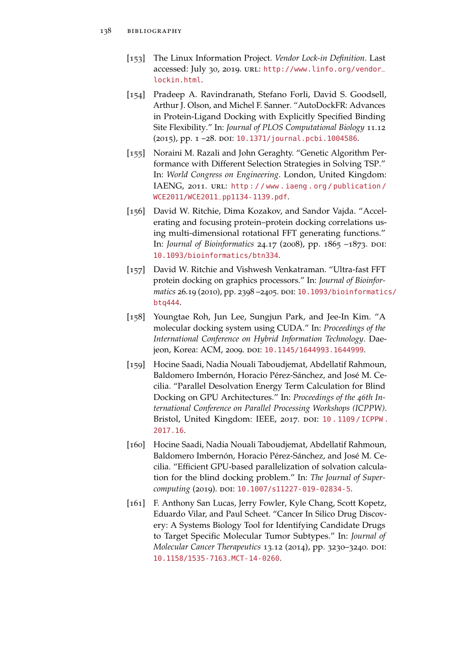- [153] The Linux Information Project. *Vendor Lock-in Definition*. Last accessed: July 30, 2019. URL: [http://www.linfo.org/vendor\\_](http://www.linfo.org/vendor_lockin.html) [lockin.html](http://www.linfo.org/vendor_lockin.html).
- [154] Pradeep A. Ravindranath, Stefano Forli, David S. Goodsell, Arthur J. Olson, and Michel F. Sanner. "AutoDockFR: Advances in Protein-Ligand Docking with Explicitly Specified Binding Site Flexibility." In: *Journal of PLOS Computational Biology* 11.12 (2015), pp. 1-28. DOI: [10.1371/journal.pcbi.1004586](http://dx.doi.org/10.1371/journal.pcbi.1004586).
- [155] Noraini M. Razali and John Geraghty. "Genetic Algorithm Performance with Different Selection Strategies in Solving TSP." In: *World Congress on Engineering*. London, United Kingdom: IAENG, 2011. URL: http://www.iaeng.org/publication/ [WCE2011/WCE2011\\_pp1134-1139.pdf](http://www.iaeng.org/publication/WCE2011/WCE2011_pp1134-1139.pdf).
- [156] David W. Ritchie, Dima Kozakov, and Sandor Vajda. "Accelerating and focusing protein–protein docking correlations using multi-dimensional rotational FFT generating functions." In: *Journal of Bioinformatics* 24.17 (2008), pp. 1865 -1873. DOI: [10.1093/bioinformatics/btn334](http://dx.doi.org/10.1093/bioinformatics/btn334).
- [157] David W. Ritchie and Vishwesh Venkatraman. "Ultra-fast FFT protein docking on graphics processors." In: *Journal of Bioinfor-*matics 26.19 (2010), pp. 2398 -2405. DOI: [10.1093/bioinformatic](http://dx.doi.org/10.1093/bioinformatics/btq444)s/ [btq444](http://dx.doi.org/10.1093/bioinformatics/btq444).
- [158] Youngtae Roh, Jun Lee, Sungjun Park, and Jee-In Kim. "A molecular docking system using CUDA." In: *Proceedings of the International Conference on Hybrid Information Technology*. Dae-jeon, Korea: ACM, 2009. DOI: [10.1145/1644993.1644999](http://dx.doi.org/10.1145/1644993.1644999).
- [159] Hocine Saadi, Nadia Nouali Taboudjemat, Abdellatif Rahmoun, Baldomero Imbernón, Horacio Pérez-Sánchez, and José M. Cecilia. "Parallel Desolvation Energy Term Calculation for Blind Docking on GPU Architectures." In: *Proceedings of the 46th International Conference on Parallel Processing Workshops (ICPPW)*. Bristol, United Kingdom: IEEE, 2017. DOI: 10.1109/ICPPW. [2017.16](http://dx.doi.org/10.1109/ICPPW.2017.16).
- [160] Hocine Saadi, Nadia Nouali Taboudjemat, Abdellatif Rahmoun, Baldomero Imbernón, Horacio Pérez-Sánchez, and José M. Cecilia. "Efficient GPU-based parallelization of solvation calculation for the blind docking problem." In: *The Journal of Supercomputing* (2019). DOI: [10.1007/s11227-019-02834-5](http://dx.doi.org/10.1007/s11227-019-02834-5).
- [161] F. Anthony San Lucas, Jerry Fowler, Kyle Chang, Scott Kopetz, Eduardo Vilar, and Paul Scheet. "Cancer In Silico Drug Discovery: A Systems Biology Tool for Identifying Candidate Drugs to Target Specific Molecular Tumor Subtypes." In: *Journal of Molecular Cancer Therapeutics* 13.12 (2014), pp. 3230–3240. DOI: [10.1158/1535-7163.MCT-14-0260](http://dx.doi.org/10.1158/1535-7163.MCT-14-0260).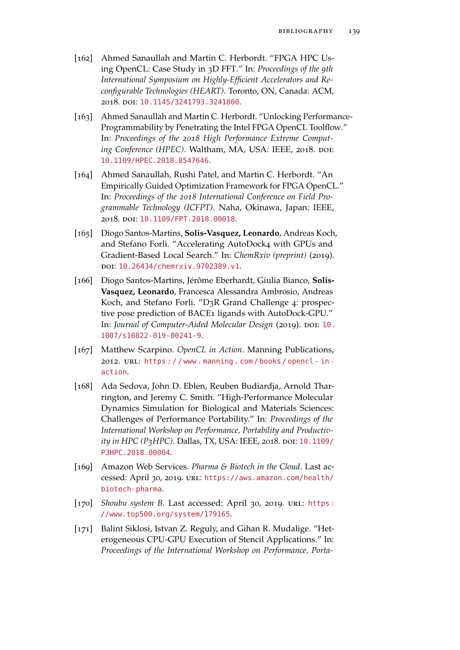- [162] Ahmed Sanaullah and Martin C. Herbordt. "FPGA HPC Using OpenCL: Case Study in 3D FFT." In: *Proceedings of the 9th International Symposium on Highly-Efficient Accelerators and Reconfigurable Technologies (HEART)*. Toronto, ON, Canada: ACM, 2018. doi: [10.1145/3241793.3241800](http://dx.doi.org/10.1145/3241793.3241800).
- [163] Ahmed Sanaullah and Martin C. Herbordt. "Unlocking Performance-Programmability by Penetrating the Intel FPGA OpenCL Toolflow." In: *Proceedings of the 2018 High Performance Extreme Comput*ing Conference (HPEC). Waltham, MA, USA: IEEE, 2018. DOI: [10.1109/HPEC.2018.8547646](http://dx.doi.org/10.1109/HPEC.2018.8547646).
- [164] Ahmed Sanaullah, Rushi Patel, and Martin C. Herbordt. "An Empirically Guided Optimization Framework for FPGA OpenCL." In: *Proceedings of the 2018 International Conference on Field Programmable Technology (ICFPT)*. Naha, Okinawa, Japan: IEEE, 2018. doi: [10.1109/FPT.2018.00018](http://dx.doi.org/10.1109/FPT.2018.00018).
- [165] Diogo Santos-Martins, **Solis-Vasquez, Leonardo**, Andreas Koch, and Stefano Forli. "Accelerating AutoDock4 with GPUs and Gradient-Based Local Search." In: *ChemRxiv (preprint)* (2019). doi: [10.26434/chemrxiv.9702389.v1](http://dx.doi.org/10.26434/chemrxiv.9702389.v1).
- [166] Diogo Santos-Martins, Jérôme Eberhardt, Giulia Bianco, **Solis-Vasquez, Leonardo**, Francesca Alessandra Ambrosio, Andreas Koch, and Stefano Forli. "D3R Grand Challenge 4: prospective pose prediction of BACE1 ligands with AutoDock-GPU." In: *Journal of Computer-Aided Molecular Design* (2019). DOI: [10.](http://dx.doi.org/10.1007/s10822-019-00241-9) [1007/s10822-019-00241-9](http://dx.doi.org/10.1007/s10822-019-00241-9).
- [167] Matthew Scarpino. *OpenCL in Action*. Manning Publications, 2012. url: [https : / / www . manning . com / books / opencl - in](https://www.manning.com/books/opencl-in-action)  [action](https://www.manning.com/books/opencl-in-action).
- [168] Ada Sedova, John D. Eblen, Reuben Budiardja, Arnold Tharrington, and Jeremy C. Smith. "High-Performance Molecular Dynamics Simulation for Biological and Materials Sciences: Challenges of Performance Portability." In: *Proceedings of the International Workshop on Performance, Portability and Productivity in HPC (P3HPC)*. Dallas, TX, USA: IEEE, 2018. doi: [10.1109/](http://dx.doi.org/10.1109/P3HPC.2018.00004) [P3HPC.2018.00004](http://dx.doi.org/10.1109/P3HPC.2018.00004).
- [169] Amazon Web Services. *Pharma & Biotech in the Cloud*. Last accessed: April 30, 2019. url: [https://aws.amazon.com/health/](https://aws.amazon.com/health/biotech-pharma) [biotech-pharma](https://aws.amazon.com/health/biotech-pharma).
- [170] *Shoubu system B*. Last accessed: April 30, 2019. URL: [https :](https://www.top500.org/system/179165) [//www.top500.org/system/179165](https://www.top500.org/system/179165).
- [171] Balint Siklosi, Istvan Z. Reguly, and Gihan R. Mudalige. "Heterogeneous CPU-GPU Execution of Stencil Applications." In: *Proceedings of the International Workshop on Performance, Porta-*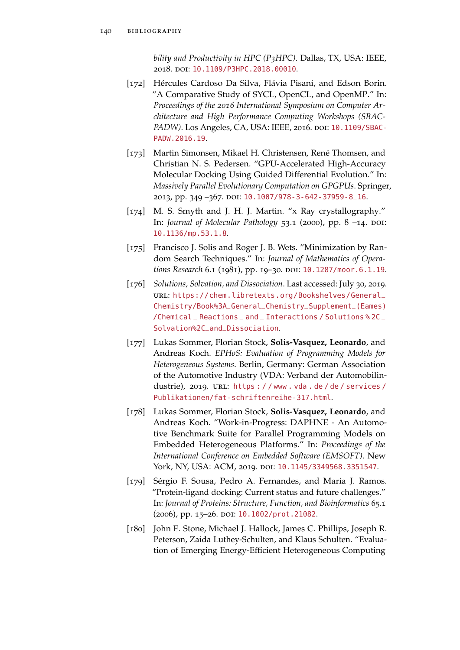*bility and Productivity in HPC (P3HPC)*. Dallas, TX, USA: IEEE, 2018. doi: [10.1109/P3HPC.2018.00010](http://dx.doi.org/10.1109/P3HPC.2018.00010).

- [172] Hércules Cardoso Da Silva, Flávia Pisani, and Edson Borin. "A Comparative Study of SYCL, OpenCL, and OpenMP." In: *Proceedings of the 2016 International Symposium on Computer Architecture and High Performance Computing Workshops (SBAC-PADW*). Los Angeles, CA, USA: IEEE, 2016. doi: [10.1109/SBAC-](http://dx.doi.org/10.1109/SBAC-PADW.2016.19)[PADW.2016.19](http://dx.doi.org/10.1109/SBAC-PADW.2016.19).
- [173] Martin Simonsen, Mikael H. Christensen, René Thomsen, and Christian N. S. Pedersen. "GPU-Accelerated High-Accuracy Molecular Docking Using Guided Differential Evolution." In: *Massively Parallel Evolutionary Computation on GPGPUs*. Springer, 2013, pp. 349 –367. doi: [10.1007/978-3-642-37959-8\\_16](http://dx.doi.org/10.1007/978-3-642-37959-8_16).
- [174] M. S. Smyth and J. H. J. Martin. "x Ray crystallography." In: *Journal of Molecular Pathology* 53.1 (2000), pp. 8 -14. DOI: [10.1136/mp.53.1.8](http://dx.doi.org/10.1136/mp.53.1.8).
- [175] Francisco J. Solis and Roger J. B. Wets. "Minimization by Random Search Techniques." In: *Journal of Mathematics of Operations Research* 6.1 (1981), pp. 19–30. DOI: [10.1287/moor.6.1.19](http://dx.doi.org/10.1287/moor.6.1.19).
- [176] *Solutions, Solvation, and Dissociation*. Last accessed: July 30, 2019. url: [https://chem.libretexts.org/Bookshelves/General\\_](https://chem.libretexts.org/Bookshelves/General_Chemistry/Book%3A_General_Chemistry_Supplement_(Eames)/Chemical_Reactions_and_Interactions/Solutions%2C_Solvation%2C_and_Dissociation) [Chemistry/Book%3A\\_General\\_Chemistry\\_Supplement\\_\(Eames\)](https://chem.libretexts.org/Bookshelves/General_Chemistry/Book%3A_General_Chemistry_Supplement_(Eames)/Chemical_Reactions_and_Interactions/Solutions%2C_Solvation%2C_and_Dissociation) /Chemical \_ Reactions \_ and \_ [Interactions / Solutions % 2C](https://chem.libretexts.org/Bookshelves/General_Chemistry/Book%3A_General_Chemistry_Supplement_(Eames)/Chemical_Reactions_and_Interactions/Solutions%2C_Solvation%2C_and_Dissociation) \_ [Solvation%2C\\_and\\_Dissociation](https://chem.libretexts.org/Bookshelves/General_Chemistry/Book%3A_General_Chemistry_Supplement_(Eames)/Chemical_Reactions_and_Interactions/Solutions%2C_Solvation%2C_and_Dissociation).
- [177] Lukas Sommer, Florian Stock, **Solis-Vasquez, Leonardo**, and Andreas Koch. *EPHoS: Evaluation of Programming Models for Heterogeneous Systems*. Berlin, Germany: German Association of the Automotive Industry (VDA: Verband der Automobilindustrie), 2019. URL: https : / / www.vda.de/de/services/ [Publikationen/fat-schriftenreihe-317.html](https://www.vda.de/de/services/Publikationen/fat-schriftenreihe-317.html).
- [178] Lukas Sommer, Florian Stock, **Solis-Vasquez, Leonardo**, and Andreas Koch. "Work-in-Progress: DAPHNE - An Automotive Benchmark Suite for Parallel Programming Models on Embedded Heterogeneous Platforms." In: *Proceedings of the International Conference on Embedded Software (EMSOFT)*. New York, NY, USA: ACM, 2019. doi: [10.1145/3349568.3351547](http://dx.doi.org/10.1145/3349568.3351547).
- [179] Sérgio F. Sousa, Pedro A. Fernandes, and Maria J. Ramos. "Protein-ligand docking: Current status and future challenges." In: *Journal of Proteins: Structure, Function, and Bioinformatics* 65.1 (2006), pp. 15-26. DOI: [10.1002/prot.21082](http://dx.doi.org/10.1002/prot.21082).
- [180] John E. Stone, Michael J. Hallock, James C. Phillips, Joseph R. Peterson, Zaida Luthey-Schulten, and Klaus Schulten. "Evaluation of Emerging Energy-Efficient Heterogeneous Computing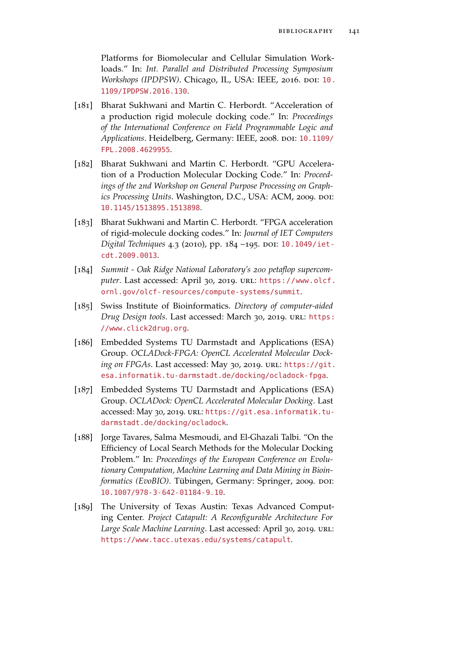Platforms for Biomolecular and Cellular Simulation Workloads." In: *Int. Parallel and Distributed Processing Symposium Workshops (IPDPSW)*. Chicago, IL, USA: IEEE, 2016. DOI: [10.](http://dx.doi.org/10.1109/IPDPSW.2016.130) [1109/IPDPSW.2016.130](http://dx.doi.org/10.1109/IPDPSW.2016.130).

- [181] Bharat Sukhwani and Martin C. Herbordt. "Acceleration of a production rigid molecule docking code." In: *Proceedings of the International Conference on Field Programmable Logic and* Applications. Heidelberg, Germany: IEEE, 2008. DOI: [10.1109/](http://dx.doi.org/10.1109/FPL.2008.4629955) [FPL.2008.4629955](http://dx.doi.org/10.1109/FPL.2008.4629955).
- [182] Bharat Sukhwani and Martin C. Herbordt. "GPU Acceleration of a Production Molecular Docking Code." In: *Proceedings of the 2nd Workshop on General Purpose Processing on Graphics Processing Units. Washington, D.C., USA: ACM, 2009. doi:* [10.1145/1513895.1513898](http://dx.doi.org/10.1145/1513895.1513898).
- [183] Bharat Sukhwani and Martin C. Herbordt. "FPGA acceleration of rigid-molecule docking codes." In: *Journal of IET Computers Digital Techniques* 4.3 (2010), pp. 184 -195. DOI: [10.1049/iet](http://dx.doi.org/10.1049/iet-cdt.2009.0013)[cdt.2009.0013](http://dx.doi.org/10.1049/iet-cdt.2009.0013).
- [184] *Summit Oak Ridge National Laboratory's 200 petaflop supercom*puter. Last accessed: April 30, 2019. URL: [https://www.olcf.](https://www.olcf.ornl.gov/olcf-resources/compute-systems/summit) [ornl.gov/olcf-resources/compute-systems/summit](https://www.olcf.ornl.gov/olcf-resources/compute-systems/summit).
- [185] Swiss Institute of Bioinformatics. *Directory of computer-aided Drug Design tools*. Last accessed: March 30, 2019. url: [https:](https://www.click2drug.org) [//www.click2drug.org](https://www.click2drug.org).
- [186] Embedded Systems TU Darmstadt and Applications (ESA) Group. *OCLADock-FPGA: OpenCL Accelerated Molecular Dock*ing on FPGAs. Last accessed: May 30, 2019. URL: [https://git.](https://git.esa.informatik.tu-darmstadt.de/docking/ocladock-fpga) [esa.informatik.tu-darmstadt.de/docking/ocladock-fpga](https://git.esa.informatik.tu-darmstadt.de/docking/ocladock-fpga).
- [187] Embedded Systems TU Darmstadt and Applications (ESA) Group. *OCLADock: OpenCL Accelerated Molecular Docking*. Last accessed: May 30, 2019. URL: [https://git.esa.informatik.tu](https://git.esa.informatik.tu-darmstadt.de/docking/ocladock)[darmstadt.de/docking/ocladock](https://git.esa.informatik.tu-darmstadt.de/docking/ocladock).
- [188] Jorge Tavares, Salma Mesmoudi, and El-Ghazali Talbi. "On the Efficiency of Local Search Methods for the Molecular Docking Problem." In: *Proceedings of the European Conference on Evolutionary Computation, Machine Learning and Data Mining in Bioinformatics (EvoBIO)*. Tübingen, Germany: Springer, 2009. DOI: [10.1007/978-3-642-01184-9\\_10](http://dx.doi.org/10.1007/978-3-642-01184-9_10).
- [189] The University of Texas Austin: Texas Advanced Computing Center. *Project Catapult: A Reconfigurable Architecture For Large Scale Machine Learning*. Last accessed: April 30, 2019. url: <https://www.tacc.utexas.edu/systems/catapult>.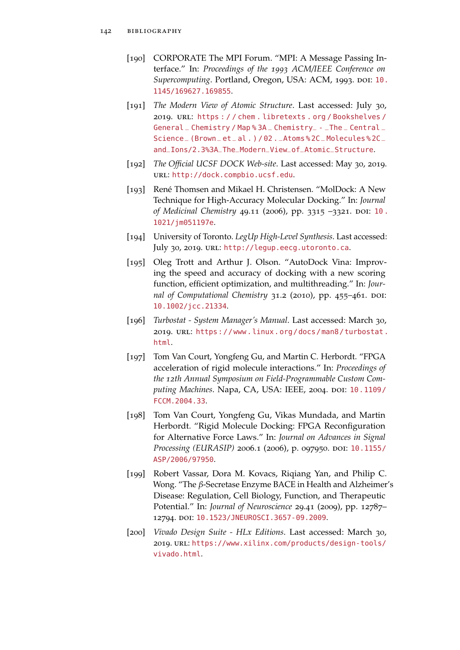- [190] CORPORATE The MPI Forum. "MPI: A Message Passing Interface." In: *Proceedings of the 1993 ACM/IEEE Conference on Supercomputing*. Portland, Oregon, USA: ACM, 1993. DOI: [10.](http://dx.doi.org/10.1145/169627.169855) [1145/169627.169855](http://dx.doi.org/10.1145/169627.169855).
- [191] *The Modern View of Atomic Structure*. Last accessed: July 30, 2019. url: [https : / / chem . libretexts . org / Bookshelves /](https://chem.libretexts.org/Bookshelves/General_Chemistry/Map%3A_Chemistry_-_The_Central_Science_(Brown_et_al.)/02._Atoms%2C_Molecules%2C_and_Ions/2.3%3A_The_Modern_View_of_Atomic_Structure) General \_ Chemistry / Map%3A \_ Chemistry \_- \_ The \_ Central \_ Science \_ (Brown \_ et \_ al . ) / 02 . \_Atoms % 2C \_ [Molecules % 2C](https://chem.libretexts.org/Bookshelves/General_Chemistry/Map%3A_Chemistry_-_The_Central_Science_(Brown_et_al.)/02._Atoms%2C_Molecules%2C_and_Ions/2.3%3A_The_Modern_View_of_Atomic_Structure) \_ [and\\_Ions/2.3%3A\\_The\\_Modern\\_View\\_of\\_Atomic\\_Structure](https://chem.libretexts.org/Bookshelves/General_Chemistry/Map%3A_Chemistry_-_The_Central_Science_(Brown_et_al.)/02._Atoms%2C_Molecules%2C_and_Ions/2.3%3A_The_Modern_View_of_Atomic_Structure).
- [192] *The Official UCSF DOCK Web-site*. Last accessed: May 30, 2019. url: <http://dock.compbio.ucsf.edu>.
- [193] René Thomsen and Mikael H. Christensen. "MolDock: A New Technique for High-Accuracy Molecular Docking." In: *Journal of Medicinal Chemistry* 49.11 (2006), pp. 3315 -3321. DOI: 10. [1021/jm051197e](http://dx.doi.org/10.1021/jm051197e).
- [194] University of Toronto. *LegUp High-Level Synthesis*. Last accessed: July 30, 2019. URL: <http://legup.eecg.utoronto.ca>.
- [195] Oleg Trott and Arthur J. Olson. "AutoDock Vina: Improving the speed and accuracy of docking with a new scoring function, efficient optimization, and multithreading." In: *Journal of Computational Chemistry* 31.2 (2010), pp. 455-461. DOI: [10.1002/jcc.21334](http://dx.doi.org/10.1002/jcc.21334).
- [196] *Turbostat System Manager's Manual*. Last accessed: March 30, 2019. url: [https://www.linux.org/docs/man8/turbostat.](https://www.linux.org/docs/man8/turbostat.html) [html](https://www.linux.org/docs/man8/turbostat.html).
- [197] Tom Van Court, Yongfeng Gu, and Martin C. Herbordt. "FPGA acceleration of rigid molecule interactions." In: *Proceedings of the 12th Annual Symposium on Field-Programmable Custom Com-*puting Machines. Napa, CA, USA: IEEE, 2004. poi: [10.1109/](http://dx.doi.org/10.1109/FCCM.2004.33) [FCCM.2004.33](http://dx.doi.org/10.1109/FCCM.2004.33).
- [198] Tom Van Court, Yongfeng Gu, Vikas Mundada, and Martin Herbordt. "Rigid Molecule Docking: FPGA Reconfiguration for Alternative Force Laws." In: *Journal on Advances in Signal Processing (EURASIP)* 2006.1 (2006), p. 097950. DOI: [10.1155/](http://dx.doi.org/10.1155/ASP/2006/97950) [ASP/2006/97950](http://dx.doi.org/10.1155/ASP/2006/97950).
- [199] Robert Vassar, Dora M. Kovacs, Riqiang Yan, and Philip C. Wong. "The *β*-Secretase Enzyme BACE in Health and Alzheimer's Disease: Regulation, Cell Biology, Function, and Therapeutic Potential." In: *Journal of Neuroscience* 29.41 (2009), pp. 12787– 12794. doi: [10.1523/JNEUROSCI.3657-09.2009](http://dx.doi.org/10.1523/JNEUROSCI.3657-09.2009).
- [200] *Vivado Design Suite HLx Editions*. Last accessed: March 30, 2019. url: [https://www.xilinx.com/products/design-tools/](https://www.xilinx.com/products/design-tools/vivado.html) [vivado.html](https://www.xilinx.com/products/design-tools/vivado.html).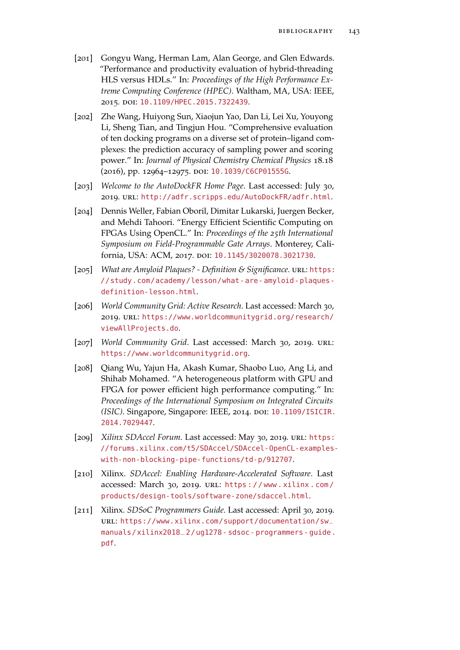- [201] Gongyu Wang, Herman Lam, Alan George, and Glen Edwards. "Performance and productivity evaluation of hybrid-threading HLS versus HDLs." In: *Proceedings of the High Performance Extreme Computing Conference (HPEC)*. Waltham, MA, USA: IEEE, 2015. doi: [10.1109/HPEC.2015.7322439](http://dx.doi.org/10.1109/HPEC.2015.7322439).
- [202] Zhe Wang, Huiyong Sun, Xiaojun Yao, Dan Li, Lei Xu, Youyong Li, Sheng Tian, and Tingjun Hou. "Comprehensive evaluation of ten docking programs on a diverse set of protein–ligand complexes: the prediction accuracy of sampling power and scoring power." In: *Journal of Physical Chemistry Chemical Physics* 18.18 (2016), pp. 12964–12975. doi: [10.1039/C6CP01555G](http://dx.doi.org/10.1039/C6CP01555G).
- [203] *Welcome to the AutoDockFR Home Page*. Last accessed: July 30, 2019. url: <http://adfr.scripps.edu/AutoDockFR/adfr.html>.
- [204] Dennis Weller, Fabian Oboril, Dimitar Lukarski, Juergen Becker, and Mehdi Tahoori. "Energy Efficient Scientific Computing on FPGAs Using OpenCL." In: *Proceedings of the 25th International Symposium on Field-Programmable Gate Arrays*. Monterey, Cali-fornia, USA: ACM, 2017. poi: [10.1145/3020078.3021730](http://dx.doi.org/10.1145/3020078.3021730).
- [205] *What are Amyloid Plaques? Definition & Significance.* unlest [https:](https://study.com/academy/lesson/what-are-amyloid-plaques-definition-lesson.html) [//study.com/academy/lesson/what- are- amyloid- plaques](https://study.com/academy/lesson/what-are-amyloid-plaques-definition-lesson.html)[definition-lesson.html](https://study.com/academy/lesson/what-are-amyloid-plaques-definition-lesson.html).
- [206] *World Community Grid: Active Research*. Last accessed: March 30, 2019. url: [https://www.worldcommunitygrid.org/research/](https://www.worldcommunitygrid.org/research/viewAllProjects.do) [viewAllProjects.do](https://www.worldcommunitygrid.org/research/viewAllProjects.do).
- [207] *World Community Grid*. Last accessed: March 30, 2019. url: <https://www.worldcommunitygrid.org>.
- [208] Qiang Wu, Yajun Ha, Akash Kumar, Shaobo Luo, Ang Li, and Shihab Mohamed. "A heterogeneous platform with GPU and FPGA for power efficient high performance computing." In: *Proceedings of the International Symposium on Integrated Circuits (ISIC)*. Singapore, Singapore: IEEE, 2014. doi: [10.1109/ISICIR.](http://dx.doi.org/10.1109/ISICIR.2014.7029447) [2014.7029447](http://dx.doi.org/10.1109/ISICIR.2014.7029447).
- [209] *Xilinx SDAccel Forum.* Last accessed: May 30, 2019. URL: [https:](https://forums.xilinx.com/t5/SDAccel/SDAccel-OpenCL-examples-with-non-blocking-pipe-functions/td-p/912707) [//forums.xilinx.com/t5/SDAccel/SDAccel-OpenCL-examples](https://forums.xilinx.com/t5/SDAccel/SDAccel-OpenCL-examples-with-non-blocking-pipe-functions/td-p/912707)[with-non-blocking-pipe-functions/td-p/912707](https://forums.xilinx.com/t5/SDAccel/SDAccel-OpenCL-examples-with-non-blocking-pipe-functions/td-p/912707).
- [210] Xilinx. *SDAccel: Enabling Hardware-Accelerated Software*. Last accessed: March 30, 2019. url: [https : / / www . xilinx . com /](https://www.xilinx.com/products/design-tools/software-zone/sdaccel.html) [products/design-tools/software-zone/sdaccel.html](https://www.xilinx.com/products/design-tools/software-zone/sdaccel.html).
- [211] Xilinx. *SDSoC Programmers Guide*. Last accessed: April 30, 2019. url: [https://www.xilinx.com/support/documentation/sw\\_](https://www.xilinx.com/support/documentation/sw_manuals/xilinx2018_2/ug1278-sdsoc-programmers-guide.pdf) [manuals/xilinx2018\\_2/ug1278- sdsoc- programmers- guide.](https://www.xilinx.com/support/documentation/sw_manuals/xilinx2018_2/ug1278-sdsoc-programmers-guide.pdf) [pdf](https://www.xilinx.com/support/documentation/sw_manuals/xilinx2018_2/ug1278-sdsoc-programmers-guide.pdf).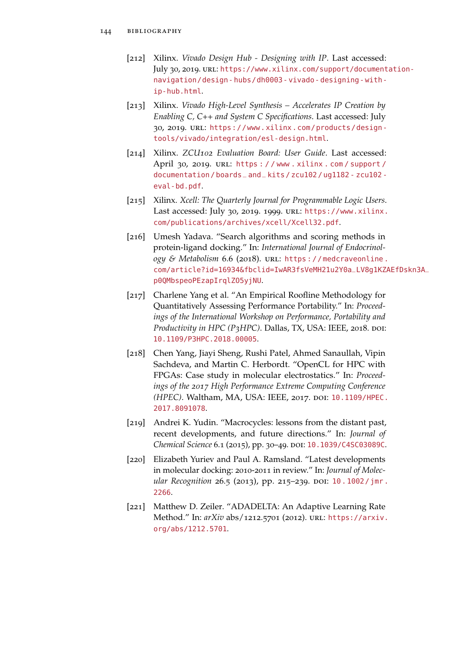- [212] Xilinx. *Vivado Design Hub Designing with IP*. Last accessed: July 30, 2019. url: [https://www.xilinx.com/support/document](https://www.xilinx.com/support/documentation-navigation/design-hubs/dh0003-vivado-designing-with-ip-hub.html)ation[navigation/design- hubs/dh0003- vivado- designing- with](https://www.xilinx.com/support/documentation-navigation/design-hubs/dh0003-vivado-designing-with-ip-hub.html)[ip-hub.html](https://www.xilinx.com/support/documentation-navigation/design-hubs/dh0003-vivado-designing-with-ip-hub.html).
- [213] Xilinx. *Vivado High-Level Synthesis Accelerates IP Creation by Enabling C, C++ and System C Specifications*. Last accessed: July 30, 2019. url: [https://www.xilinx.com/products/design](https://www.xilinx.com/products/design-tools/vivado/integration/esl-design.html)[tools/vivado/integration/esl-design.html](https://www.xilinx.com/products/design-tools/vivado/integration/esl-design.html).
- [214] Xilinx. *ZCU102 Evaluation Board: User Guide*. Last accessed: April 30, 2019. url: [https : / / www . xilinx . com / support /](https://www.xilinx.com/support/documentation/boards_and_kits/zcu102/ug1182-zcu102-eval-bd.pdf) [documentation / boards\\_and\\_kits / zcu102 / ug1182 - zcu102](https://www.xilinx.com/support/documentation/boards_and_kits/zcu102/ug1182-zcu102-eval-bd.pdf)  [eval-bd.pdf](https://www.xilinx.com/support/documentation/boards_and_kits/zcu102/ug1182-zcu102-eval-bd.pdf).
- [215] Xilinx. *Xcell: The Quarterly Journal for Programmable Logic Users*. Last accessed: July 30, 2019. 1999. url: [https://www.xilinx.](https://www.xilinx.com/publications/archives/xcell/Xcell32.pdf) [com/publications/archives/xcell/Xcell32.pdf](https://www.xilinx.com/publications/archives/xcell/Xcell32.pdf).
- [216] Umesh Yadava. "Search algorithms and scoring methods in protein-ligand docking." In: *International Journal of Endocrinology & Metabolism* 6.6 (2018). URL: https://medcraveonline. [com/article?id=16934&fbclid=IwAR3fsVeMH21u2Y0a\\_LV8g1KZ](https://medcraveonline.com/article?id=16934&fbclid=IwAR3fsVeMH21u2Y0a_LV8g1KZAEfDskn3A_p0QMbspeoPEzapIrqlZO5yjNU)AEfDskn3A\_ [p0QMbspeoPEzapIrqlZO5yjNU](https://medcraveonline.com/article?id=16934&fbclid=IwAR3fsVeMH21u2Y0a_LV8g1KZAEfDskn3A_p0QMbspeoPEzapIrqlZO5yjNU).
- [217] Charlene Yang et al. "An Empirical Roofline Methodology for Quantitatively Assessing Performance Portability." In: *Proceedings of the International Workshop on Performance, Portability and Productivity in HPC (P3HPC)*. Dallas, TX, USA: IEEE, 2018. doi: [10.1109/P3HPC.2018.00005](http://dx.doi.org/10.1109/P3HPC.2018.00005).
- [218] Chen Yang, Jiayi Sheng, Rushi Patel, Ahmed Sanaullah, Vipin Sachdeva, and Martin C. Herbordt. "OpenCL for HPC with FPGAs: Case study in molecular electrostatics." In: *Proceedings of the 2017 High Performance Extreme Computing Conference (HPEC)*. Waltham, MA, USA: IEEE, 2017. doi: [10.1109/HPEC.](http://dx.doi.org/10.1109/HPEC.2017.8091078) [2017.8091078](http://dx.doi.org/10.1109/HPEC.2017.8091078).
- [219] Andrei K. Yudin. "Macrocycles: lessons from the distant past, recent developments, and future directions." In: *Journal of* Chemical Science 6.1 (2015), pp. 30-49. DOI: [10.1039/C4SC03089C](http://dx.doi.org/10.1039/C4SC03089C).
- [220] Elizabeth Yuriev and Paul A. Ramsland. "Latest developments in molecular docking: 2010-2011 in review." In: *Journal of Molecular Recognition* 26.5 (2013), pp. 215-239. DOI: 10. 1002 / jmr. [2266](http://dx.doi.org/10.1002/jmr.2266).
- [221] Matthew D. Zeiler. "ADADELTA: An Adaptive Learning Rate Method." In: *arXiv* abs/1212.5701 (2012). url: [https://arxiv.](https://arxiv.org/abs/1212.5701) [org/abs/1212.5701](https://arxiv.org/abs/1212.5701).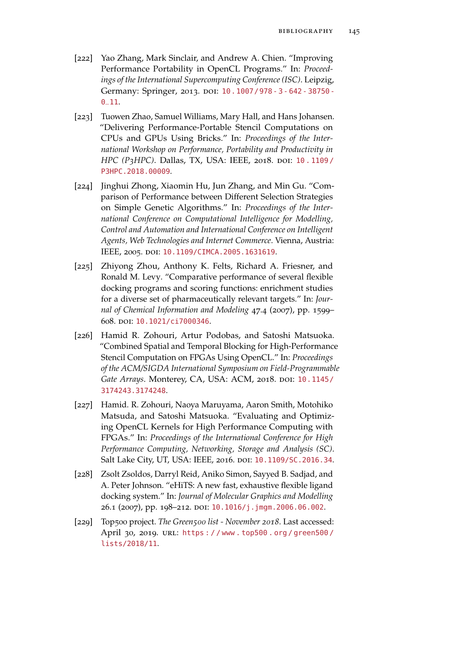- [222] Yao Zhang, Mark Sinclair, and Andrew A. Chien. "Improving Performance Portability in OpenCL Programs." In: *Proceedings of the International Supercomputing Conference (ISC)*. Leipzig, Germany: Springer, 2013. DOI: 10.1007/978 - 3 - 642 - 38750 - $0 - 11.$
- [223] Tuowen Zhao, Samuel Williams, Mary Hall, and Hans Johansen. "Delivering Performance-Portable Stencil Computations on CPUs and GPUs Using Bricks." In: *Proceedings of the International Workshop on Performance, Portability and Productivity in HPC (P3HPC)*. Dallas, TX, USA: IEEE, 2018. doi: [10 . 1109 /](http://dx.doi.org/10.1109/P3HPC.2018.00009) [P3HPC.2018.00009](http://dx.doi.org/10.1109/P3HPC.2018.00009).
- [224] Jinghui Zhong, Xiaomin Hu, Jun Zhang, and Min Gu. "Comparison of Performance between Different Selection Strategies on Simple Genetic Algorithms." In: *Proceedings of the International Conference on Computational Intelligence for Modelling, Control and Automation and International Conference on Intelligent Agents, Web Technologies and Internet Commerce*. Vienna, Austria: IEEE, 2005. DOI: [10.1109/CIMCA.2005.1631619](http://dx.doi.org/10.1109/CIMCA.2005.1631619).
- [225] Zhiyong Zhou, Anthony K. Felts, Richard A. Friesner, and Ronald M. Levy. "Comparative performance of several flexible docking programs and scoring functions: enrichment studies for a diverse set of pharmaceutically relevant targets." In: *Journal of Chemical Information and Modeling* 47.4 (2007), pp. 1599– 608. doi: [10.1021/ci7000346](http://dx.doi.org/10.1021/ci7000346).
- [226] Hamid R. Zohouri, Artur Podobas, and Satoshi Matsuoka. "Combined Spatial and Temporal Blocking for High-Performance Stencil Computation on FPGAs Using OpenCL." In: *Proceedings of the ACM/SIGDA International Symposium on Field-Programmable* Gate Arrays. Monterey, CA, USA: ACM, 2018. poi: [10.1145/](http://dx.doi.org/10.1145/3174243.3174248) [3174243.3174248](http://dx.doi.org/10.1145/3174243.3174248).
- [227] Hamid. R. Zohouri, Naoya Maruyama, Aaron Smith, Motohiko Matsuda, and Satoshi Matsuoka. "Evaluating and Optimizing OpenCL Kernels for High Performance Computing with FPGAs." In: *Proceedings of the International Conference for High Performance Computing, Networking, Storage and Analysis (SC)*. Salt Lake City, UT, USA: IEEE, 2016. DOI: [10.1109/SC.2016.34](http://dx.doi.org/10.1109/SC.2016.34).
- [228] Zsolt Zsoldos, Darryl Reid, Aniko Simon, Sayyed B. Sadjad, and A. Peter Johnson. "eHiTS: A new fast, exhaustive flexible ligand docking system." In: *Journal of Molecular Graphics and Modelling* 26.1 (2007), pp. 198-212. DOI: [10.1016/j.jmgm.2006.06.002](http://dx.doi.org/10.1016/j.jmgm.2006.06.002).
- [229] Top500 project. *The Green500 list November 2018*. Last accessed: April 30, 2019. url: [https : / / www . top500 . org / green500 /](https://www.top500.org/green500/lists/2018/11) [lists/2018/11](https://www.top500.org/green500/lists/2018/11).